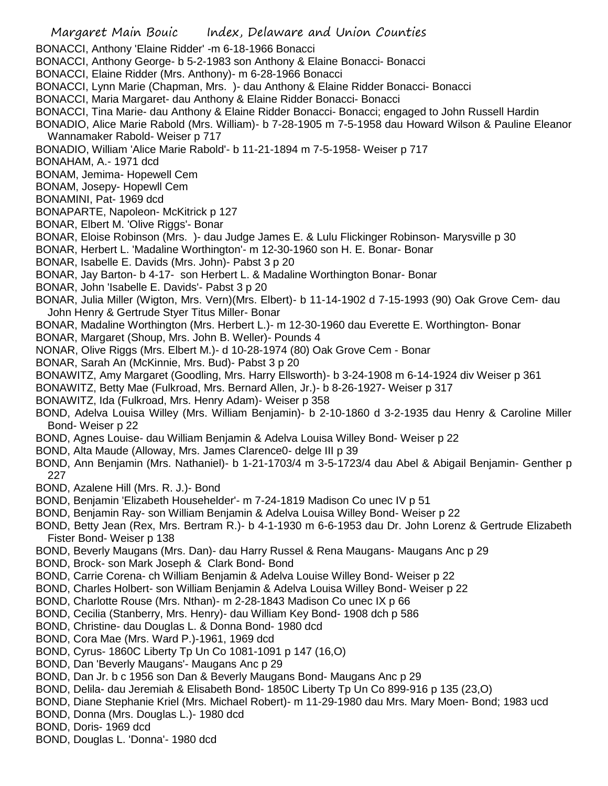BONACCI, Anthony 'Elaine Ridder' -m 6-18-1966 Bonacci

- BONACCI, Anthony George- b 5-2-1983 son Anthony & Elaine Bonacci- Bonacci
- BONACCI, Elaine Ridder (Mrs. Anthony)- m 6-28-1966 Bonacci
- BONACCI, Lynn Marie (Chapman, Mrs. )- dau Anthony & Elaine Ridder Bonacci- Bonacci
- BONACCI, Maria Margaret- dau Anthony & Elaine Ridder Bonacci- Bonacci
- BONACCI, Tina Marie- dau Anthony & Elaine Ridder Bonacci- Bonacci; engaged to John Russell Hardin
- BONADIO, Alice Marie Rabold (Mrs. William)- b 7-28-1905 m 7-5-1958 dau Howard Wilson & Pauline Eleanor Wannamaker Rabold- Weiser p 717
- BONADIO, William 'Alice Marie Rabold'- b 11-21-1894 m 7-5-1958- Weiser p 717
- BONAHAM, A.- 1971 dcd
- BONAM, Jemima- Hopewell Cem
- BONAM, Josepy- Hopewll Cem
- BONAMINI, Pat- 1969 dcd
- BONAPARTE, Napoleon- McKitrick p 127
- BONAR, Elbert M. 'Olive Riggs'- Bonar
- BONAR, Eloise Robinson (Mrs. )- dau Judge James E. & Lulu Flickinger Robinson- Marysville p 30
- BONAR, Herbert L. 'Madaline Worthington'- m 12-30-1960 son H. E. Bonar- Bonar
- BONAR, Isabelle E. Davids (Mrs. John)- Pabst 3 p 20
- BONAR, Jay Barton- b 4-17- son Herbert L. & Madaline Worthington Bonar- Bonar
- BONAR, John 'Isabelle E. Davids'- Pabst 3 p 20
- BONAR, Julia Miller (Wigton, Mrs. Vern)(Mrs. Elbert)- b 11-14-1902 d 7-15-1993 (90) Oak Grove Cem- dau John Henry & Gertrude Styer Titus Miller- Bonar
- BONAR, Madaline Worthington (Mrs. Herbert L.)- m 12-30-1960 dau Everette E. Worthington- Bonar
- BONAR, Margaret (Shoup, Mrs. John B. Weller)- Pounds 4
- NONAR, Olive Riggs (Mrs. Elbert M.)- d 10-28-1974 (80) Oak Grove Cem Bonar
- BONAR, Sarah An (McKinnie, Mrs. Bud)- Pabst 3 p 20
- BONAWITZ, Amy Margaret (Goodling, Mrs. Harry Ellsworth)- b 3-24-1908 m 6-14-1924 div Weiser p 361
- BONAWITZ, Betty Mae (Fulkroad, Mrs. Bernard Allen, Jr.)- b 8-26-1927- Weiser p 317
- BONAWITZ, Ida (Fulkroad, Mrs. Henry Adam)- Weiser p 358
- BOND, Adelva Louisa Willey (Mrs. William Benjamin)- b 2-10-1860 d 3-2-1935 dau Henry & Caroline Miller Bond- Weiser p 22
- BOND, Agnes Louise- dau William Benjamin & Adelva Louisa Willey Bond- Weiser p 22
- BOND, Alta Maude (Alloway, Mrs. James Clarence0- delge III p 39
- BOND, Ann Benjamin (Mrs. Nathaniel)- b 1-21-1703/4 m 3-5-1723/4 dau Abel & Abigail Benjamin- Genther p 227
- BOND, Azalene Hill (Mrs. R. J.)- Bond
- BOND, Benjamin 'Elizabeth Househelder'- m 7-24-1819 Madison Co unec IV p 51
- BOND, Benjamin Ray- son William Benjamin & Adelva Louisa Willey Bond- Weiser p 22
- BOND, Betty Jean (Rex, Mrs. Bertram R.)- b 4-1-1930 m 6-6-1953 dau Dr. John Lorenz & Gertrude Elizabeth Fister Bond- Weiser p 138
- BOND, Beverly Maugans (Mrs. Dan)- dau Harry Russel & Rena Maugans- Maugans Anc p 29
- BOND, Brock- son Mark Joseph & Clark Bond- Bond
- BOND, Carrie Corena- ch William Benjamin & Adelva Louise Willey Bond- Weiser p 22
- BOND, Charles Holbert- son William Benjamin & Adelva Louisa Willey Bond- Weiser p 22
- BOND, Charlotte Rouse (Mrs. Nthan)- m 2-28-1843 Madison Co unec IX p 66
- BOND, Cecilia (Stanberry, Mrs. Henry)- dau William Key Bond- 1908 dch p 586
- BOND, Christine- dau Douglas L. & Donna Bond- 1980 dcd
- BOND, Cora Mae (Mrs. Ward P.)-1961, 1969 dcd
- BOND, Cyrus- 1860C Liberty Tp Un Co 1081-1091 p 147 (16,O)
- BOND, Dan 'Beverly Maugans'- Maugans Anc p 29
- BOND, Dan Jr. b c 1956 son Dan & Beverly Maugans Bond- Maugans Anc p 29
- BOND, Delila- dau Jeremiah & Elisabeth Bond- 1850C Liberty Tp Un Co 899-916 p 135 (23,O)
- BOND, Diane Stephanie Kriel (Mrs. Michael Robert)- m 11-29-1980 dau Mrs. Mary Moen- Bond; 1983 ucd
- BOND, Donna (Mrs. Douglas L.)- 1980 dcd
- BOND, Doris- 1969 dcd
- BOND, Douglas L. 'Donna'- 1980 dcd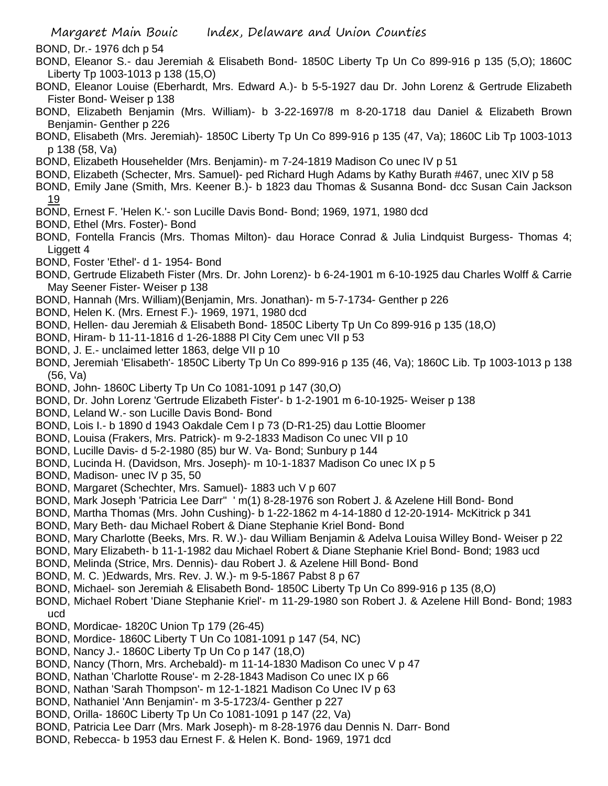- BOND, Dr.- 1976 dch p 54
- BOND, Eleanor S.- dau Jeremiah & Elisabeth Bond- 1850C Liberty Tp Un Co 899-916 p 135 (5,O); 1860C Liberty Tp 1003-1013 p 138 (15,O)
- BOND, Eleanor Louise (Eberhardt, Mrs. Edward A.)- b 5-5-1927 dau Dr. John Lorenz & Gertrude Elizabeth Fister Bond- Weiser p 138
- BOND, Elizabeth Benjamin (Mrs. William)- b 3-22-1697/8 m 8-20-1718 dau Daniel & Elizabeth Brown Benjamin- Genther p 226
- BOND, Elisabeth (Mrs. Jeremiah)- 1850C Liberty Tp Un Co 899-916 p 135 (47, Va); 1860C Lib Tp 1003-1013 p 138 (58, Va)
- BOND, Elizabeth Househelder (Mrs. Benjamin)- m 7-24-1819 Madison Co unec IV p 51
- BOND, Elizabeth (Schecter, Mrs. Samuel)- ped Richard Hugh Adams by Kathy Burath #467, unec XIV p 58
- BOND, Emily Jane (Smith, Mrs. Keener B.)- b 1823 dau Thomas & Susanna Bond- dcc Susan Cain Jackson 19
- BOND, Ernest F. 'Helen K.'- son Lucille Davis Bond- Bond; 1969, 1971, 1980 dcd
- BOND, Ethel (Mrs. Foster)- Bond
- BOND, Fontella Francis (Mrs. Thomas Milton)- dau Horace Conrad & Julia Lindquist Burgess- Thomas 4; Liggett 4
- BOND, Foster 'Ethel'- d 1- 1954- Bond
- BOND, Gertrude Elizabeth Fister (Mrs. Dr. John Lorenz)- b 6-24-1901 m 6-10-1925 dau Charles Wolff & Carrie May Seener Fister- Weiser p 138
- BOND, Hannah (Mrs. William)(Benjamin, Mrs. Jonathan)- m 5-7-1734- Genther p 226
- BOND, Helen K. (Mrs. Ernest F.)- 1969, 1971, 1980 dcd
- BOND, Hellen- dau Jeremiah & Elisabeth Bond- 1850C Liberty Tp Un Co 899-916 p 135 (18,O)
- BOND, Hiram- b 11-11-1816 d 1-26-1888 Pl City Cem unec VII p 53
- BOND, J. E.- unclaimed letter 1863, delge VII p 10
- BOND, Jeremiah 'Elisabeth'- 1850C Liberty Tp Un Co 899-916 p 135 (46, Va); 1860C Lib. Tp 1003-1013 p 138 (56, Va)
- BOND, John- 1860C Liberty Tp Un Co 1081-1091 p 147 (30,O)
- BOND, Dr. John Lorenz 'Gertrude Elizabeth Fister'- b 1-2-1901 m 6-10-1925- Weiser p 138
- BOND, Leland W.- son Lucille Davis Bond- Bond
- BOND, Lois I.- b 1890 d 1943 Oakdale Cem I p 73 (D-R1-25) dau Lottie Bloomer
- BOND, Louisa (Frakers, Mrs. Patrick)- m 9-2-1833 Madison Co unec VII p 10
- BOND, Lucille Davis- d 5-2-1980 (85) bur W. Va- Bond; Sunbury p 144
- BOND, Lucinda H. (Davidson, Mrs. Joseph)- m 10-1-1837 Madison Co unec IX p 5
- BOND, Madison- unec IV p 35, 50
- BOND, Margaret (Schechter, Mrs. Samuel)- 1883 uch V p 607
- BOND, Mark Joseph 'Patricia Lee Darr'' ' m(1) 8-28-1976 son Robert J. & Azelene Hill Bond- Bond
- BOND, Martha Thomas (Mrs. John Cushing)- b 1-22-1862 m 4-14-1880 d 12-20-1914- McKitrick p 341
- BOND, Mary Beth- dau Michael Robert & Diane Stephanie Kriel Bond- Bond
- BOND, Mary Charlotte (Beeks, Mrs. R. W.)- dau William Benjamin & Adelva Louisa Willey Bond- Weiser p 22
- BOND, Mary Elizabeth- b 11-1-1982 dau Michael Robert & Diane Stephanie Kriel Bond- Bond; 1983 ucd
- BOND, Melinda (Strice, Mrs. Dennis)- dau Robert J. & Azelene Hill Bond- Bond
- BOND, M. C. )Edwards, Mrs. Rev. J. W.)- m 9-5-1867 Pabst 8 p 67
- BOND, Michael- son Jeremiah & Elisabeth Bond- 1850C Liberty Tp Un Co 899-916 p 135 (8,O)
- BOND, Michael Robert 'Diane Stephanie Kriel'- m 11-29-1980 son Robert J. & Azelene Hill Bond- Bond; 1983 ucd
- BOND, Mordicae- 1820C Union Tp 179 (26-45)
- BOND, Mordice- 1860C Liberty T Un Co 1081-1091 p 147 (54, NC)
- BOND, Nancy J.- 1860C Liberty Tp Un Co p 147 (18,O)
- BOND, Nancy (Thorn, Mrs. Archebald)- m 11-14-1830 Madison Co unec V p 47
- BOND, Nathan 'Charlotte Rouse'- m 2-28-1843 Madison Co unec IX p 66
- BOND, Nathan 'Sarah Thompson'- m 12-1-1821 Madison Co Unec IV p 63
- BOND, Nathaniel 'Ann Benjamin'- m 3-5-1723/4- Genther p 227
- BOND, Orilla- 1860C Liberty Tp Un Co 1081-1091 p 147 (22, Va)
- BOND, Patricia Lee Darr (Mrs. Mark Joseph)- m 8-28-1976 dau Dennis N. Darr- Bond
- BOND, Rebecca- b 1953 dau Ernest F. & Helen K. Bond- 1969, 1971 dcd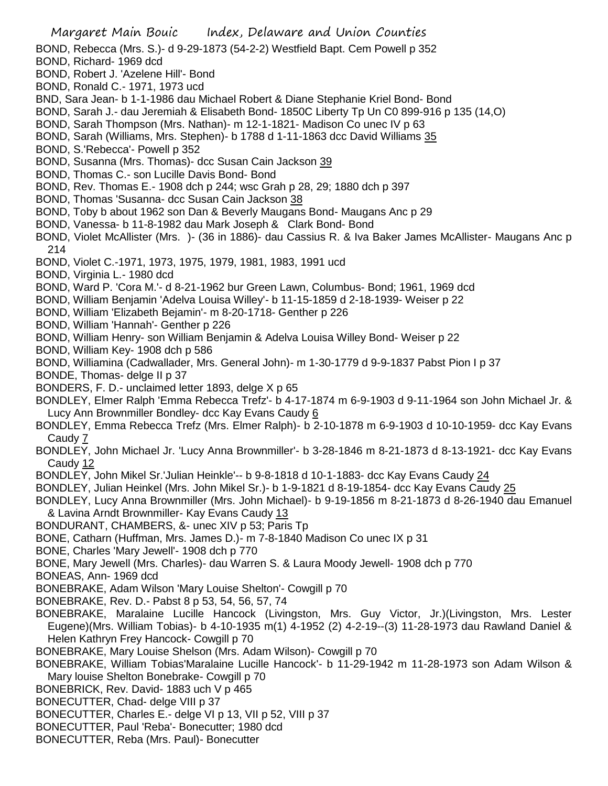Margaret Main Bouic Index, Delaware and Union Counties BOND, Rebecca (Mrs. S.)- d 9-29-1873 (54-2-2) Westfield Bapt. Cem Powell p 352 BOND, Richard- 1969 dcd BOND, Robert J. 'Azelene Hill'- Bond BOND, Ronald C.- 1971, 1973 ucd BND, Sara Jean- b 1-1-1986 dau Michael Robert & Diane Stephanie Kriel Bond- Bond BOND, Sarah J.- dau Jeremiah & Elisabeth Bond- 1850C Liberty Tp Un C0 899-916 p 135 (14,O) BOND, Sarah Thompson (Mrs. Nathan)- m 12-1-1821- Madison Co unec IV p 63 BOND, Sarah (Williams, Mrs. Stephen)- b 1788 d 1-11-1863 dcc David Williams 35 BOND, S.'Rebecca'- Powell p 352 BOND, Susanna (Mrs. Thomas)- dcc Susan Cain Jackson 39 BOND, Thomas C.- son Lucille Davis Bond- Bond BOND, Rev. Thomas E.- 1908 dch p 244; wsc Grah p 28, 29; 1880 dch p 397 BOND, Thomas 'Susanna- dcc Susan Cain Jackson 38 BOND, Toby b about 1962 son Dan & Beverly Maugans Bond- Maugans Anc p 29 BOND, Vanessa- b 11-8-1982 dau Mark Joseph & Clark Bond- Bond BOND, Violet McAllister (Mrs. )- (36 in 1886)- dau Cassius R. & Iva Baker James McAllister- Maugans Anc p 214 BOND, Violet C.-1971, 1973, 1975, 1979, 1981, 1983, 1991 ucd BOND, Virginia L.- 1980 dcd BOND, Ward P. 'Cora M.'- d 8-21-1962 bur Green Lawn, Columbus- Bond; 1961, 1969 dcd BOND, William Benjamin 'Adelva Louisa Willey'- b 11-15-1859 d 2-18-1939- Weiser p 22 BOND, William 'Elizabeth Bejamin'- m 8-20-1718- Genther p 226 BOND, William 'Hannah'- Genther p 226 BOND, William Henry- son William Benjamin & Adelva Louisa Willey Bond- Weiser p 22 BOND, William Key- 1908 dch p 586 BOND, Williamina (Cadwallader, Mrs. General John)- m 1-30-1779 d 9-9-1837 Pabst Pion I p 37 BONDE, Thomas- delge II p 37 BONDERS, F. D.- unclaimed letter 1893, delge X p 65 BONDLEY, Elmer Ralph 'Emma Rebecca Trefz'- b 4-17-1874 m 6-9-1903 d 9-11-1964 son John Michael Jr. & Lucy Ann Brownmiller Bondley- dcc Kay Evans Caudy 6 BONDLEY, Emma Rebecca Trefz (Mrs. Elmer Ralph)- b 2-10-1878 m 6-9-1903 d 10-10-1959- dcc Kay Evans Caudy 7 BONDLEY, John Michael Jr. 'Lucy Anna Brownmiller'- b 3-28-1846 m 8-21-1873 d 8-13-1921- dcc Kay Evans Caudy 12 BONDLEY, John Mikel Sr.'Julian Heinkle'-- b 9-8-1818 d 10-1-1883- dcc Kay Evans Caudy 24 BONDLEY, Julian Heinkel (Mrs. John Mikel Sr.)- b 1-9-1821 d 8-19-1854- dcc Kay Evans Caudy 25 BONDLEY, Lucy Anna Brownmiller (Mrs. John Michael)- b 9-19-1856 m 8-21-1873 d 8-26-1940 dau Emanuel & Lavina Arndt Brownmiller- Kay Evans Caudy 13 BONDURANT, CHAMBERS, &- unec XIV p 53; Paris Tp BONE, Catharn (Huffman, Mrs. James D.)- m 7-8-1840 Madison Co unec IX p 31 BONE, Charles 'Mary Jewell'- 1908 dch p 770 BONE, Mary Jewell (Mrs. Charles)- dau Warren S. & Laura Moody Jewell- 1908 dch p 770 BONEAS, Ann- 1969 dcd BONEBRAKE, Adam Wilson 'Mary Louise Shelton'- Cowgill p 70 BONEBRAKE, Rev. D.- Pabst 8 p 53, 54, 56, 57, 74 BONEBRAKE, Maralaine Lucille Hancock (Livingston, Mrs. Guy Victor, Jr.)(Livingston, Mrs. Lester Eugene)(Mrs. William Tobias)- b 4-10-1935 m(1) 4-1952 (2) 4-2-19--(3) 11-28-1973 dau Rawland Daniel & Helen Kathryn Frey Hancock- Cowgill p 70 BONEBRAKE, Mary Louise Shelson (Mrs. Adam Wilson)- Cowgill p 70 BONEBRAKE, William Tobias'Maralaine Lucille Hancock'- b 11-29-1942 m 11-28-1973 son Adam Wilson & Mary louise Shelton Bonebrake- Cowgill p 70 BONEBRICK, Rev. David- 1883 uch V p 465 BONECUTTER, Chad- delge VIII p 37 BONECUTTER, Charles E.- delge VI p 13, VII p 52, VIII p 37 BONECUTTER, Paul 'Reba'- Bonecutter; 1980 dcd BONECUTTER, Reba (Mrs. Paul)- Bonecutter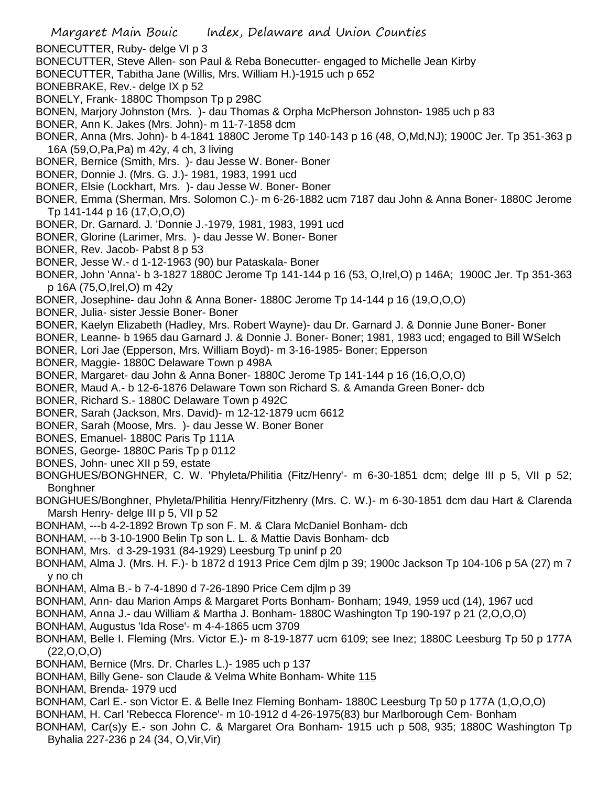- BONECUTTER, Ruby- delge VI p 3
- BONECUTTER, Steve Allen- son Paul & Reba Bonecutter- engaged to Michelle Jean Kirby
- BONECUTTER, Tabitha Jane (Willis, Mrs. William H.)-1915 uch p 652
- BONEBRAKE, Rev.- delge IX p 52
- BONELY, Frank- 1880C Thompson Tp p 298C
- BONEN, Marjory Johnston (Mrs. )- dau Thomas & Orpha McPherson Johnston- 1985 uch p 83
- BONER, Ann K. Jakes (Mrs. John)- m 11-7-1858 dcm
- BONER, Anna (Mrs. John)- b 4-1841 1880C Jerome Tp 140-143 p 16 (48, O,Md,NJ); 1900C Jer. Tp 351-363 p 16A (59,O,Pa,Pa) m 42y, 4 ch, 3 living
- BONER, Bernice (Smith, Mrs. )- dau Jesse W. Boner- Boner
- BONER, Donnie J. (Mrs. G. J.)- 1981, 1983, 1991 ucd
- BONER, Elsie (Lockhart, Mrs. )- dau Jesse W. Boner- Boner
- BONER, Emma (Sherman, Mrs. Solomon C.)- m 6-26-1882 ucm 7187 dau John & Anna Boner- 1880C Jerome Tp 141-144 p 16 (17,O,O,O)
- BONER, Dr. Garnard. J. 'Donnie J.-1979, 1981, 1983, 1991 ucd
- BONER, Glorine (Larimer, Mrs. )- dau Jesse W. Boner- Boner
- BONER, Rev. Jacob- Pabst 8 p 53
- BONER, Jesse W.- d 1-12-1963 (90) bur Pataskala- Boner
- BONER, John 'Anna'- b 3-1827 1880C Jerome Tp 141-144 p 16 (53, O,Irel,O) p 146A; 1900C Jer. Tp 351-363 p 16A (75,O,Irel,O) m 42y
- BONER, Josephine- dau John & Anna Boner- 1880C Jerome Tp 14-144 p 16 (19,O,O,O)
- BONER, Julia- sister Jessie Boner- Boner
- BONER, Kaelyn Elizabeth (Hadley, Mrs. Robert Wayne)- dau Dr. Garnard J. & Donnie June Boner- Boner
- BONER, Leanne- b 1965 dau Garnard J. & Donnie J. Boner- Boner; 1981, 1983 ucd; engaged to Bill WSelch
- BONER, Lori Jae (Epperson, Mrs. William Boyd)- m 3-16-1985- Boner; Epperson
- BONER, Maggie- 1880C Delaware Town p 498A
- BONER, Margaret- dau John & Anna Boner- 1880C Jerome Tp 141-144 p 16 (16,O,O,O)
- BONER, Maud A.- b 12-6-1876 Delaware Town son Richard S. & Amanda Green Boner- dcb
- BONER, Richard S.- 1880C Delaware Town p 492C
- BONER, Sarah (Jackson, Mrs. David)- m 12-12-1879 ucm 6612
- BONER, Sarah (Moose, Mrs. )- dau Jesse W. Boner Boner
- BONES, Emanuel- 1880C Paris Tp 111A
- BONES, George- 1880C Paris Tp p 0112
- BONES, John- unec XII p 59, estate
- BONGHUES/BONGHNER, C. W. 'Phyleta/Philitia (Fitz/Henry'- m 6-30-1851 dcm; delge III p 5, VII p 52; Bonghner
- BONGHUES/Bonghner, Phyleta/Philitia Henry/Fitzhenry (Mrs. C. W.)- m 6-30-1851 dcm dau Hart & Clarenda Marsh Henry- delge III p 5, VII p 52
- BONHAM, ---b 4-2-1892 Brown Tp son F. M. & Clara McDaniel Bonham- dcb
- BONHAM, ---b 3-10-1900 Belin Tp son L. L. & Mattie Davis Bonham- dcb
- BONHAM, Mrs. d 3-29-1931 (84-1929) Leesburg Tp uninf p 20
- BONHAM, Alma J. (Mrs. H. F.)- b 1872 d 1913 Price Cem djlm p 39; 1900c Jackson Tp 104-106 p 5A (27) m 7 y no ch
- BONHAM, Alma B.- b 7-4-1890 d 7-26-1890 Price Cem djlm p 39
- BONHAM, Ann- dau Marion Amps & Margaret Ports Bonham- Bonham; 1949, 1959 ucd (14), 1967 ucd
- BONHAM, Anna J.- dau William & Martha J. Bonham- 1880C Washington Tp 190-197 p 21 (2,O,O,O)
- BONHAM, Augustus 'Ida Rose'- m 4-4-1865 ucm 3709
- BONHAM, Belle I. Fleming (Mrs. Victor E.)- m 8-19-1877 ucm 6109; see Inez; 1880C Leesburg Tp 50 p 177A  $(22, 0, 0, 0)$
- BONHAM, Bernice (Mrs. Dr. Charles L.)- 1985 uch p 137
- BONHAM, Billy Gene- son Claude & Velma White Bonham- White 115
- BONHAM, Brenda- 1979 ucd
- BONHAM, Carl E.- son Victor E. & Belle Inez Fleming Bonham- 1880C Leesburg Tp 50 p 177A (1,O,O,O)
- BONHAM, H. Carl 'Rebecca Florence'- m 10-1912 d 4-26-1975(83) bur Marlborough Cem- Bonham
- BONHAM, Car(s)y E.- son John C. & Margaret Ora Bonham- 1915 uch p 508, 935; 1880C Washington Tp Byhalia 227-236 p 24 (34, O,Vir,Vir)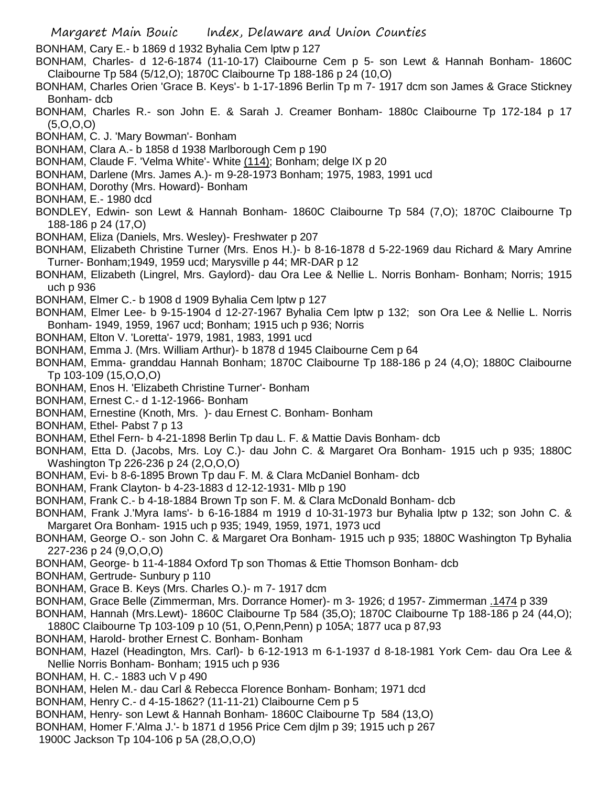BONHAM, Cary E.- b 1869 d 1932 Byhalia Cem lptw p 127

- BONHAM, Charles- d 12-6-1874 (11-10-17) Claibourne Cem p 5- son Lewt & Hannah Bonham- 1860C Claibourne Tp 584 (5/12,O); 1870C Claibourne Tp 188-186 p 24 (10,O)
- BONHAM, Charles Orien 'Grace B. Keys'- b 1-17-1896 Berlin Tp m 7- 1917 dcm son James & Grace Stickney Bonham- dcb
- BONHAM, Charles R.- son John E. & Sarah J. Creamer Bonham- 1880c Claibourne Tp 172-184 p 17 (5,O,O,O)
- BONHAM, C. J. 'Mary Bowman'- Bonham
- BONHAM, Clara A.- b 1858 d 1938 Marlborough Cem p 190
- BONHAM, Claude F. 'Velma White'- White (114); Bonham; delge IX p 20
- BONHAM, Darlene (Mrs. James A.)- m 9-28-1973 Bonham; 1975, 1983, 1991 ucd
- BONHAM, Dorothy (Mrs. Howard)- Bonham
- BONHAM, E.- 1980 dcd
- BONDLEY, Edwin- son Lewt & Hannah Bonham- 1860C Claibourne Tp 584 (7,O); 1870C Claibourne Tp 188-186 p 24 (17,O)
- BONHAM, Eliza (Daniels, Mrs. Wesley)- Freshwater p 207
- BONHAM, Elizabeth Christine Turner (Mrs. Enos H.)- b 8-16-1878 d 5-22-1969 dau Richard & Mary Amrine Turner- Bonham;1949, 1959 ucd; Marysville p 44; MR-DAR p 12
- BONHAM, Elizabeth (Lingrel, Mrs. Gaylord)- dau Ora Lee & Nellie L. Norris Bonham- Bonham; Norris; 1915 uch p 936
- BONHAM, Elmer C.- b 1908 d 1909 Byhalia Cem lptw p 127
- BONHAM, Elmer Lee- b 9-15-1904 d 12-27-1967 Byhalia Cem lptw p 132; son Ora Lee & Nellie L. Norris Bonham- 1949, 1959, 1967 ucd; Bonham; 1915 uch p 936; Norris
- BONHAM, Elton V. 'Loretta'- 1979, 1981, 1983, 1991 ucd
- BONHAM, Emma J. (Mrs. William Arthur)- b 1878 d 1945 Claibourne Cem p 64
- BONHAM, Emma- granddau Hannah Bonham; 1870C Claibourne Tp 188-186 p 24 (4,O); 1880C Claibourne Tp 103-109 (15,O,O,O)
- BONHAM, Enos H. 'Elizabeth Christine Turner'- Bonham
- BONHAM, Ernest C.- d 1-12-1966- Bonham
- BONHAM, Ernestine (Knoth, Mrs. )- dau Ernest C. Bonham- Bonham
- BONHAM, Ethel- Pabst 7 p 13
- BONHAM, Ethel Fern- b 4-21-1898 Berlin Tp dau L. F. & Mattie Davis Bonham- dcb
- BONHAM, Etta D. (Jacobs, Mrs. Loy C.)- dau John C. & Margaret Ora Bonham- 1915 uch p 935; 1880C Washington Tp 226-236 p 24 (2,O,O,O)
- BONHAM, Evi- b 8-6-1895 Brown Tp dau F. M. & Clara McDaniel Bonham- dcb
- BONHAM, Frank Clayton- b 4-23-1883 d 12-12-1931- Mlb p 190
- BONHAM, Frank C.- b 4-18-1884 Brown Tp son F. M. & Clara McDonald Bonham- dcb
- BONHAM, Frank J.'Myra Iams'- b 6-16-1884 m 1919 d 10-31-1973 bur Byhalia lptw p 132; son John C. & Margaret Ora Bonham- 1915 uch p 935; 1949, 1959, 1971, 1973 ucd
- BONHAM, George O.- son John C. & Margaret Ora Bonham- 1915 uch p 935; 1880C Washington Tp Byhalia 227-236 p 24 (9,O,O,O)
- BONHAM, George- b 11-4-1884 Oxford Tp son Thomas & Ettie Thomson Bonham- dcb
- BONHAM, Gertrude- Sunbury p 110
- BONHAM, Grace B. Keys (Mrs. Charles O.)- m 7- 1917 dcm
- BONHAM, Grace Belle (Zimmerman, Mrs. Dorrance Homer)- m 3- 1926; d 1957- Zimmerman .1474 p 339
- BONHAM, Hannah (Mrs.Lewt)- 1860C Claibourne Tp 584 (35,O); 1870C Claibourne Tp 188-186 p 24 (44,O);
- 1880C Claibourne Tp 103-109 p 10 (51, O,Penn,Penn) p 105A; 1877 uca p 87,93
- BONHAM, Harold- brother Ernest C. Bonham- Bonham
- BONHAM, Hazel (Headington, Mrs. Carl)- b 6-12-1913 m 6-1-1937 d 8-18-1981 York Cem- dau Ora Lee & Nellie Norris Bonham- Bonham; 1915 uch p 936
- BONHAM, H. C.- 1883 uch V p 490
- BONHAM, Helen M.- dau Carl & Rebecca Florence Bonham- Bonham; 1971 dcd
- BONHAM, Henry C.- d 4-15-1862? (11-11-21) Claibourne Cem p 5
- BONHAM, Henry- son Lewt & Hannah Bonham- 1860C Claibourne Tp 584 (13,O)
- BONHAM, Homer F.'Alma J.'- b 1871 d 1956 Price Cem djlm p 39; 1915 uch p 267
- 1900C Jackson Tp 104-106 p 5A (28,O,O,O)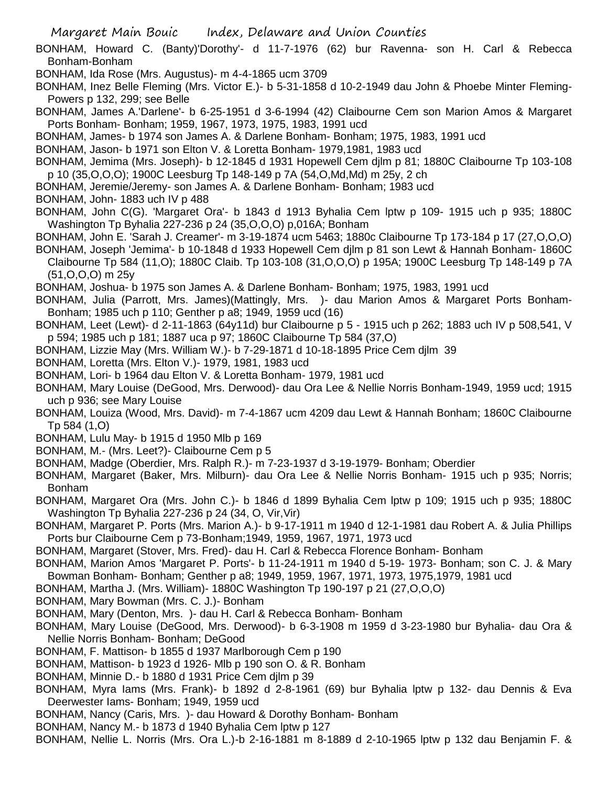- BONHAM, Howard C. (Banty)'Dorothy'- d 11-7-1976 (62) bur Ravenna- son H. Carl & Rebecca Bonham-Bonham
- BONHAM, Ida Rose (Mrs. Augustus)- m 4-4-1865 ucm 3709
- BONHAM, Inez Belle Fleming (Mrs. Victor E.)- b 5-31-1858 d 10-2-1949 dau John & Phoebe Minter Fleming-Powers p 132, 299; see Belle
- BONHAM, James A.'Darlene'- b 6-25-1951 d 3-6-1994 (42) Claibourne Cem son Marion Amos & Margaret Ports Bonham- Bonham; 1959, 1967, 1973, 1975, 1983, 1991 ucd
- BONHAM, James- b 1974 son James A. & Darlene Bonham- Bonham; 1975, 1983, 1991 ucd
- BONHAM, Jason- b 1971 son Elton V. & Loretta Bonham- 1979,1981, 1983 ucd
- BONHAM, Jemima (Mrs. Joseph)- b 12-1845 d 1931 Hopewell Cem djlm p 81; 1880C Claibourne Tp 103-108 p 10 (35,O,O,O); 1900C Leesburg Tp 148-149 p 7A (54,O,Md,Md) m 25y, 2 ch
- BONHAM, Jeremie/Jeremy- son James A. & Darlene Bonham- Bonham; 1983 ucd
- BONHAM, John- 1883 uch IV p 488
- BONHAM, John C(G). 'Margaret Ora'- b 1843 d 1913 Byhalia Cem lptw p 109- 1915 uch p 935; 1880C Washington Tp Byhalia 227-236 p 24 (35,O,O,O) p,016A; Bonham
- BONHAM, John E. 'Sarah J. Creamer'- m 3-19-1874 ucm 5463; 1880c Claibourne Tp 173-184 p 17 (27,O,O,O)
- BONHAM, Joseph 'Jemima'- b 10-1848 d 1933 Hopewell Cem djlm p 81 son Lewt & Hannah Bonham- 1860C
- Claibourne Tp 584 (11,O); 1880C Claib. Tp 103-108 (31,O,O,O) p 195A; 1900C Leesburg Tp 148-149 p 7A (51,O,O,O) m 25y
- BONHAM, Joshua- b 1975 son James A. & Darlene Bonham- Bonham; 1975, 1983, 1991 ucd
- BONHAM, Julia (Parrott, Mrs. James)(Mattingly, Mrs. )- dau Marion Amos & Margaret Ports Bonham-Bonham; 1985 uch p 110; Genther p a8; 1949, 1959 ucd (16)
- BONHAM, Leet (Lewt)- d 2-11-1863 (64y11d) bur Claibourne p 5 1915 uch p 262; 1883 uch IV p 508,541, V p 594; 1985 uch p 181; 1887 uca p 97; 1860C Claibourne Tp 584 (37,O)
- BONHAM, Lizzie May (Mrs. William W.)- b 7-29-1871 d 10-18-1895 Price Cem djlm 39
- BONHAM, Loretta (Mrs. Elton V.)- 1979, 1981, 1983 ucd
- BONHAM, Lori- b 1964 dau Elton V. & Loretta Bonham- 1979, 1981 ucd
- BONHAM, Mary Louise (DeGood, Mrs. Derwood)- dau Ora Lee & Nellie Norris Bonham-1949, 1959 ucd; 1915 uch p 936; see Mary Louise
- BONHAM, Louiza (Wood, Mrs. David)- m 7-4-1867 ucm 4209 dau Lewt & Hannah Bonham; 1860C Claibourne Tp 584 (1,O)
- BONHAM, Lulu May- b 1915 d 1950 Mlb p 169
- BONHAM, M.- (Mrs. Leet?)- Claibourne Cem p 5
- BONHAM, Madge (Oberdier, Mrs. Ralph R.)- m 7-23-1937 d 3-19-1979- Bonham; Oberdier
- BONHAM, Margaret (Baker, Mrs. Milburn)- dau Ora Lee & Nellie Norris Bonham- 1915 uch p 935; Norris; Bonham
- BONHAM, Margaret Ora (Mrs. John C.)- b 1846 d 1899 Byhalia Cem lptw p 109; 1915 uch p 935; 1880C Washington Tp Byhalia 227-236 p 24 (34, O, Vir,Vir)
- BONHAM, Margaret P. Ports (Mrs. Marion A.)- b 9-17-1911 m 1940 d 12-1-1981 dau Robert A. & Julia Phillips Ports bur Claibourne Cem p 73-Bonham;1949, 1959, 1967, 1971, 1973 ucd
- BONHAM, Margaret (Stover, Mrs. Fred)- dau H. Carl & Rebecca Florence Bonham- Bonham
- BONHAM, Marion Amos 'Margaret P. Ports'- b 11-24-1911 m 1940 d 5-19- 1973- Bonham; son C. J. & Mary Bowman Bonham- Bonham; Genther p a8; 1949, 1959, 1967, 1971, 1973, 1975,1979, 1981 ucd
- BONHAM, Martha J. (Mrs. William)- 1880C Washington Tp 190-197 p 21 (27,O,O,O)
- BONHAM, Mary Bowman (Mrs. C. J.)- Bonham
- BONHAM, Mary (Denton, Mrs. )- dau H. Carl & Rebecca Bonham- Bonham
- BONHAM, Mary Louise (DeGood, Mrs. Derwood)- b 6-3-1908 m 1959 d 3-23-1980 bur Byhalia- dau Ora & Nellie Norris Bonham- Bonham; DeGood
- BONHAM, F. Mattison- b 1855 d 1937 Marlborough Cem p 190
- BONHAM, Mattison- b 1923 d 1926- Mlb p 190 son O. & R. Bonham
- BONHAM, Minnie D.- b 1880 d 1931 Price Cem djlm p 39
- BONHAM, Myra Iams (Mrs. Frank)- b 1892 d 2-8-1961 (69) bur Byhalia lptw p 132- dau Dennis & Eva Deerwester Iams- Bonham; 1949, 1959 ucd
- BONHAM, Nancy (Caris, Mrs. )- dau Howard & Dorothy Bonham- Bonham
- BONHAM, Nancy M.- b 1873 d 1940 Byhalia Cem lptw p 127
- BONHAM, Nellie L. Norris (Mrs. Ora L.)-b 2-16-1881 m 8-1889 d 2-10-1965 lptw p 132 dau Benjamin F. &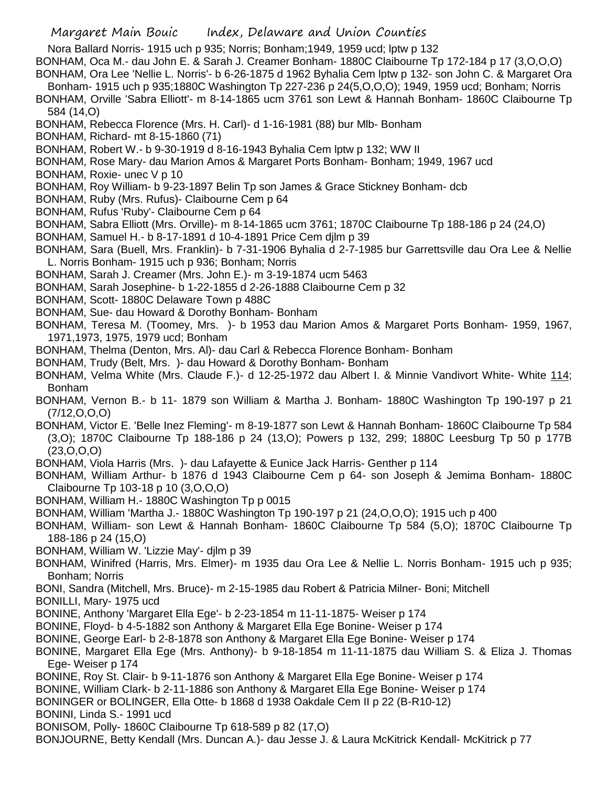Nora Ballard Norris- 1915 uch p 935; Norris; Bonham;1949, 1959 ucd; lptw p 132

- BONHAM, Oca M.- dau John E. & Sarah J. Creamer Bonham- 1880C Claibourne Tp 172-184 p 17 (3,O,O,O)
- BONHAM, Ora Lee 'Nellie L. Norris'- b 6-26-1875 d 1962 Byhalia Cem lptw p 132- son John C. & Margaret Ora

Bonham- 1915 uch p 935;1880C Washington Tp 227-236 p 24(5,O,O,O); 1949, 1959 ucd; Bonham; Norris

BONHAM, Orville 'Sabra Elliott'- m 8-14-1865 ucm 3761 son Lewt & Hannah Bonham- 1860C Claibourne Tp 584 (14,O)

- BONHAM, Rebecca Florence (Mrs. H. Carl)- d 1-16-1981 (88) bur Mlb- Bonham
- BONHAM, Richard- mt 8-15-1860 (71)

BONHAM, Robert W.- b 9-30-1919 d 8-16-1943 Byhalia Cem lptw p 132; WW II

- BONHAM, Rose Mary- dau Marion Amos & Margaret Ports Bonham- Bonham; 1949, 1967 ucd
- BONHAM, Roxie- unec V p 10

BONHAM, Roy William- b 9-23-1897 Belin Tp son James & Grace Stickney Bonham- dcb

- BONHAM, Ruby (Mrs. Rufus)- Claibourne Cem p 64
- BONHAM, Rufus 'Ruby'- Claibourne Cem p 64
- BONHAM, Sabra Elliott (Mrs. Orville)- m 8-14-1865 ucm 3761; 1870C Claibourne Tp 188-186 p 24 (24,O)
- BONHAM, Samuel H.- b 8-17-1891 d 10-4-1891 Price Cem djlm p 39
- BONHAM, Sara (Buell, Mrs. Franklin)- b 7-31-1906 Byhalia d 2-7-1985 bur Garrettsville dau Ora Lee & Nellie L. Norris Bonham- 1915 uch p 936; Bonham; Norris
- BONHAM, Sarah J. Creamer (Mrs. John E.)- m 3-19-1874 ucm 5463
- BONHAM, Sarah Josephine- b 1-22-1855 d 2-26-1888 Claibourne Cem p 32
- BONHAM, Scott- 1880C Delaware Town p 488C
- BONHAM, Sue- dau Howard & Dorothy Bonham- Bonham
- BONHAM, Teresa M. (Toomey, Mrs. )- b 1953 dau Marion Amos & Margaret Ports Bonham- 1959, 1967, 1971,1973, 1975, 1979 ucd; Bonham
- BONHAM, Thelma (Denton, Mrs. Al)- dau Carl & Rebecca Florence Bonham- Bonham
- BONHAM, Trudy (Belt, Mrs. )- dau Howard & Dorothy Bonham- Bonham
- BONHAM, Velma White (Mrs. Claude F.)- d 12-25-1972 dau Albert I. & Minnie Vandivort White- White 114; Bonham
- BONHAM, Vernon B.- b 11- 1879 son William & Martha J. Bonham- 1880C Washington Tp 190-197 p 21 (7/12,O,O,O)
- BONHAM, Victor E. 'Belle Inez Fleming'- m 8-19-1877 son Lewt & Hannah Bonham- 1860C Claibourne Tp 584 (3,O); 1870C Claibourne Tp 188-186 p 24 (13,O); Powers p 132, 299; 1880C Leesburg Tp 50 p 177B (23,O,O,O)

BONHAM, Viola Harris (Mrs. )- dau Lafayette & Eunice Jack Harris- Genther p 114

BONHAM, William Arthur- b 1876 d 1943 Claibourne Cem p 64- son Joseph & Jemima Bonham- 1880C Claibourne Tp 103-18 p 10 (3,O,O,O)

- BONHAM, William H.- 1880C Washington Tp p 0015
- BONHAM, William 'Martha J.- 1880C Washington Tp 190-197 p 21 (24,O,O,O); 1915 uch p 400
- BONHAM, William- son Lewt & Hannah Bonham- 1860C Claibourne Tp 584 (5,O); 1870C Claibourne Tp 188-186 p 24 (15,O)
- BONHAM, William W. 'Lizzie May'- djlm p 39
- BONHAM, Winifred (Harris, Mrs. Elmer)- m 1935 dau Ora Lee & Nellie L. Norris Bonham- 1915 uch p 935; Bonham; Norris
- BONI, Sandra (Mitchell, Mrs. Bruce)- m 2-15-1985 dau Robert & Patricia Milner- Boni; Mitchell
- BONILLI, Mary- 1975 ucd
- BONINE, Anthony 'Margaret Ella Ege'- b 2-23-1854 m 11-11-1875- Weiser p 174
- BONINE, Floyd- b 4-5-1882 son Anthony & Margaret Ella Ege Bonine- Weiser p 174
- BONINE, George Earl- b 2-8-1878 son Anthony & Margaret Ella Ege Bonine- Weiser p 174
- BONINE, Margaret Ella Ege (Mrs. Anthony)- b 9-18-1854 m 11-11-1875 dau William S. & Eliza J. Thomas Ege- Weiser p 174
- BONINE, Roy St. Clair- b 9-11-1876 son Anthony & Margaret Ella Ege Bonine- Weiser p 174
- BONINE, William Clark- b 2-11-1886 son Anthony & Margaret Ella Ege Bonine- Weiser p 174
- BONINGER or BOLINGER, Ella Otte- b 1868 d 1938 Oakdale Cem II p 22 (B-R10-12)
- BONINI, Linda S.- 1991 ucd
- BONISOM, Polly- 1860C Claibourne Tp 618-589 p 82 (17,O)

BONJOURNE, Betty Kendall (Mrs. Duncan A.)- dau Jesse J. & Laura McKitrick Kendall- McKitrick p 77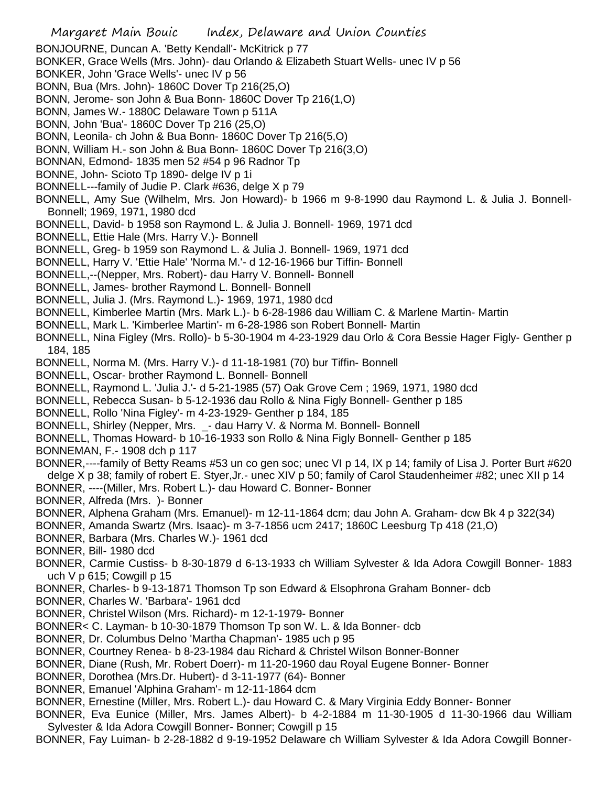Margaret Main Bouic Index, Delaware and Union Counties BONJOURNE, Duncan A. 'Betty Kendall'- McKitrick p 77 BONKER, Grace Wells (Mrs. John)- dau Orlando & Elizabeth Stuart Wells- unec IV p 56 BONKER, John 'Grace Wells'- unec IV p 56 BONN, Bua (Mrs. John)- 1860C Dover Tp 216(25,O) BONN, Jerome- son John & Bua Bonn- 1860C Dover Tp 216(1,O) BONN, James W.- 1880C Delaware Town p 511A BONN, John 'Bua'- 1860C Dover Tp 216 (25,O) BONN, Leonila- ch John & Bua Bonn- 1860C Dover Tp 216(5,O) BONN, William H.- son John & Bua Bonn- 1860C Dover Tp 216(3,O) BONNAN, Edmond- 1835 men 52 #54 p 96 Radnor Tp BONNE, John- Scioto Tp 1890- delge IV p 1i BONNELL---family of Judie P. Clark #636, delge X p 79 BONNELL, Amy Sue (Wilhelm, Mrs. Jon Howard)- b 1966 m 9-8-1990 dau Raymond L. & Julia J. Bonnell-Bonnell; 1969, 1971, 1980 dcd BONNELL, David- b 1958 son Raymond L. & Julia J. Bonnell- 1969, 1971 dcd BONNELL, Ettie Hale (Mrs. Harry V.)- Bonnell BONNELL, Greg- b 1959 son Raymond L. & Julia J. Bonnell- 1969, 1971 dcd BONNELL, Harry V. 'Ettie Hale' 'Norma M.'- d 12-16-1966 bur Tiffin- Bonnell BONNELL,--(Nepper, Mrs. Robert)- dau Harry V. Bonnell- Bonnell BONNELL, James- brother Raymond L. Bonnell- Bonnell BONNELL, Julia J. (Mrs. Raymond L.)- 1969, 1971, 1980 dcd BONNELL, Kimberlee Martin (Mrs. Mark L.)- b 6-28-1986 dau William C. & Marlene Martin- Martin BONNELL, Mark L. 'Kimberlee Martin'- m 6-28-1986 son Robert Bonnell- Martin BONNELL, Nina Figley (Mrs. Rollo)- b 5-30-1904 m 4-23-1929 dau Orlo & Cora Bessie Hager Figly- Genther p 184, 185 BONNELL, Norma M. (Mrs. Harry V.)- d 11-18-1981 (70) bur Tiffin- Bonnell BONNELL, Oscar- brother Raymond L. Bonnell- Bonnell BONNELL, Raymond L. 'Julia J.'- d 5-21-1985 (57) Oak Grove Cem ; 1969, 1971, 1980 dcd BONNELL, Rebecca Susan- b 5-12-1936 dau Rollo & Nina Figly Bonnell- Genther p 185 BONNELL, Rollo 'Nina Figley'- m 4-23-1929- Genther p 184, 185 BONNELL, Shirley (Nepper, Mrs. \_- dau Harry V. & Norma M. Bonnell- Bonnell BONNELL, Thomas Howard- b 10-16-1933 son Rollo & Nina Figly Bonnell- Genther p 185 BONNEMAN, F.- 1908 dch p 117 BONNER,----family of Betty Reams #53 un co gen soc; unec VI p 14, IX p 14; family of Lisa J. Porter Burt #620 delge X p 38; family of robert E. Styer,Jr.- unec XIV p 50; family of Carol Staudenheimer #82; unec XII p 14 BONNER, ----(Miller, Mrs. Robert L.)- dau Howard C. Bonner- Bonner BONNER, Alfreda (Mrs. )- Bonner BONNER, Alphena Graham (Mrs. Emanuel)- m 12-11-1864 dcm; dau John A. Graham- dcw Bk 4 p 322(34) BONNER, Amanda Swartz (Mrs. Isaac)- m 3-7-1856 ucm 2417; 1860C Leesburg Tp 418 (21,O) BONNER, Barbara (Mrs. Charles W.)- 1961 dcd BONNER, Bill- 1980 dcd BONNER, Carmie Custiss- b 8-30-1879 d 6-13-1933 ch William Sylvester & Ida Adora Cowgill Bonner- 1883 uch  $V$  p 615; Cowgill p 15 BONNER, Charles- b 9-13-1871 Thomson Tp son Edward & Elsophrona Graham Bonner- dcb BONNER, Charles W. 'Barbara'- 1961 dcd BONNER, Christel Wilson (Mrs. Richard)- m 12-1-1979- Bonner BONNER< C. Layman- b 10-30-1879 Thomson Tp son W. L. & Ida Bonner- dcb BONNER, Dr. Columbus Delno 'Martha Chapman'- 1985 uch p 95 BONNER, Courtney Renea- b 8-23-1984 dau Richard & Christel Wilson Bonner-Bonner BONNER, Diane (Rush, Mr. Robert Doerr)- m 11-20-1960 dau Royal Eugene Bonner- Bonner BONNER, Dorothea (Mrs.Dr. Hubert)- d 3-11-1977 (64)- Bonner BONNER, Emanuel 'Alphina Graham'- m 12-11-1864 dcm

- BONNER, Ernestine (Miller, Mrs. Robert L.)- dau Howard C. & Mary Virginia Eddy Bonner- Bonner
- BONNER, Eva Eunice (Miller, Mrs. James Albert)- b 4-2-1884 m 11-30-1905 d 11-30-1966 dau William Sylvester & Ida Adora Cowgill Bonner- Bonner; Cowgill p 15

BONNER, Fay Luiman- b 2-28-1882 d 9-19-1952 Delaware ch William Sylvester & Ida Adora Cowgill Bonner-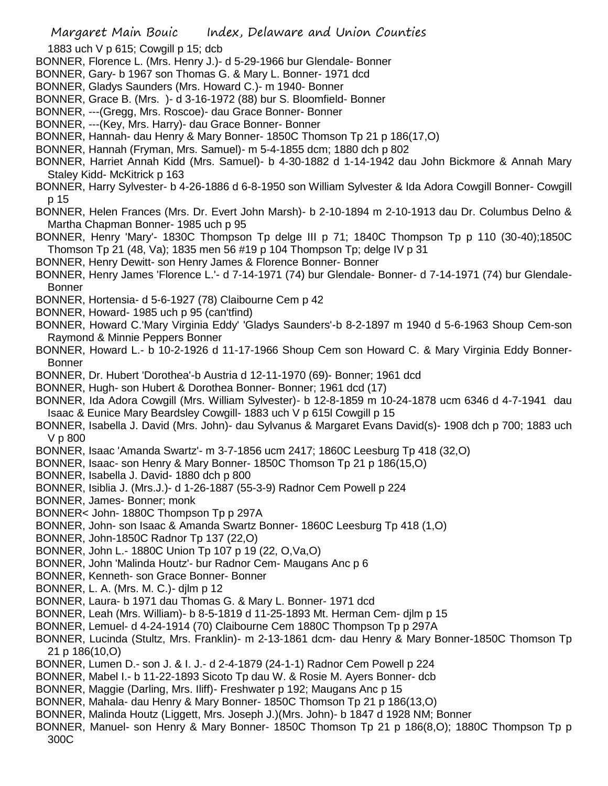1883 uch V p 615; Cowgill p 15; dcb

- BONNER, Florence L. (Mrs. Henry J.)- d 5-29-1966 bur Glendale- Bonner
- BONNER, Gary- b 1967 son Thomas G. & Mary L. Bonner- 1971 dcd
- BONNER, Gladys Saunders (Mrs. Howard C.)- m 1940- Bonner
- BONNER, Grace B. (Mrs. )- d 3-16-1972 (88) bur S. Bloomfield- Bonner
- BONNER, ---(Gregg, Mrs. Roscoe)- dau Grace Bonner- Bonner
- BONNER, ---(Key, Mrs. Harry)- dau Grace Bonner- Bonner
- BONNER, Hannah- dau Henry & Mary Bonner- 1850C Thomson Tp 21 p 186(17,O)
- BONNER, Hannah (Fryman, Mrs. Samuel)- m 5-4-1855 dcm; 1880 dch p 802
- BONNER, Harriet Annah Kidd (Mrs. Samuel)- b 4-30-1882 d 1-14-1942 dau John Bickmore & Annah Mary Staley Kidd- McKitrick p 163
- BONNER, Harry Sylvester- b 4-26-1886 d 6-8-1950 son William Sylvester & Ida Adora Cowgill Bonner- Cowgill p 15
- BONNER, Helen Frances (Mrs. Dr. Evert John Marsh)- b 2-10-1894 m 2-10-1913 dau Dr. Columbus Delno & Martha Chapman Bonner- 1985 uch p 95
- BONNER, Henry 'Mary'- 1830C Thompson Tp delge III p 71; 1840C Thompson Tp p 110 (30-40);1850C Thomson Tp 21 (48, Va); 1835 men 56 #19 p 104 Thompson Tp; delge IV p 31
- BONNER, Henry Dewitt- son Henry James & Florence Bonner- Bonner
- BONNER, Henry James 'Florence L.'- d 7-14-1971 (74) bur Glendale- Bonner- d 7-14-1971 (74) bur Glendale-Bonner
- BONNER, Hortensia- d 5-6-1927 (78) Claibourne Cem p 42
- BONNER, Howard- 1985 uch p 95 (can'tfind)
- BONNER, Howard C.'Mary Virginia Eddy' 'Gladys Saunders'-b 8-2-1897 m 1940 d 5-6-1963 Shoup Cem-son Raymond & Minnie Peppers Bonner
- BONNER, Howard L.- b 10-2-1926 d 11-17-1966 Shoup Cem son Howard C. & Mary Virginia Eddy Bonner-Bonner
- BONNER, Dr. Hubert 'Dorothea'-b Austria d 12-11-1970 (69)- Bonner; 1961 dcd
- BONNER, Hugh- son Hubert & Dorothea Bonner- Bonner; 1961 dcd (17)
- BONNER, Ida Adora Cowgill (Mrs. William Sylvester)- b 12-8-1859 m 10-24-1878 ucm 6346 d 4-7-1941 dau Isaac & Eunice Mary Beardsley Cowgill- 1883 uch V p 615l Cowgill p 15
- BONNER, Isabella J. David (Mrs. John)- dau Sylvanus & Margaret Evans David(s)- 1908 dch p 700; 1883 uch V p 800
- BONNER, Isaac 'Amanda Swartz'- m 3-7-1856 ucm 2417; 1860C Leesburg Tp 418 (32,O)
- BONNER, Isaac- son Henry & Mary Bonner- 1850C Thomson Tp 21 p 186(15,O)
- BONNER, Isabella J. David- 1880 dch p 800
- BONNER, Isiblia J. (Mrs.J.)- d 1-26-1887 (55-3-9) Radnor Cem Powell p 224
- BONNER, James- Bonner; monk
- BONNER< John- 1880C Thompson Tp p 297A
- BONNER, John- son Isaac & Amanda Swartz Bonner- 1860C Leesburg Tp 418 (1,O)
- BONNER, John-1850C Radnor Tp 137 (22,O)
- BONNER, John L.- 1880C Union Tp 107 p 19 (22, O,Va,O)
- BONNER, John 'Malinda Houtz'- bur Radnor Cem- Maugans Anc p 6
- BONNER, Kenneth- son Grace Bonner- Bonner
- BONNER, L. A. (Mrs. M. C.)- djlm p 12
- BONNER, Laura- b 1971 dau Thomas G. & Mary L. Bonner- 1971 dcd
- BONNER, Leah (Mrs. William)- b 8-5-1819 d 11-25-1893 Mt. Herman Cem- djlm p 15
- BONNER, Lemuel- d 4-24-1914 (70) Claibourne Cem 1880C Thompson Tp p 297A
- BONNER, Lucinda (Stultz, Mrs. Franklin)- m 2-13-1861 dcm- dau Henry & Mary Bonner-1850C Thomson Tp 21 p 186(10,O)
- BONNER, Lumen D.- son J. & I. J.- d 2-4-1879 (24-1-1) Radnor Cem Powell p 224
- BONNER, Mabel I.- b 11-22-1893 Sicoto Tp dau W. & Rosie M. Ayers Bonner- dcb
- BONNER, Maggie (Darling, Mrs. Iliff)- Freshwater p 192; Maugans Anc p 15
- BONNER, Mahala- dau Henry & Mary Bonner- 1850C Thomson Tp 21 p 186(13,O)
- BONNER, Malinda Houtz (Liggett, Mrs. Joseph J.)(Mrs. John)- b 1847 d 1928 NM; Bonner
- BONNER, Manuel- son Henry & Mary Bonner- 1850C Thomson Tp 21 p 186(8,O); 1880C Thompson Tp p 300C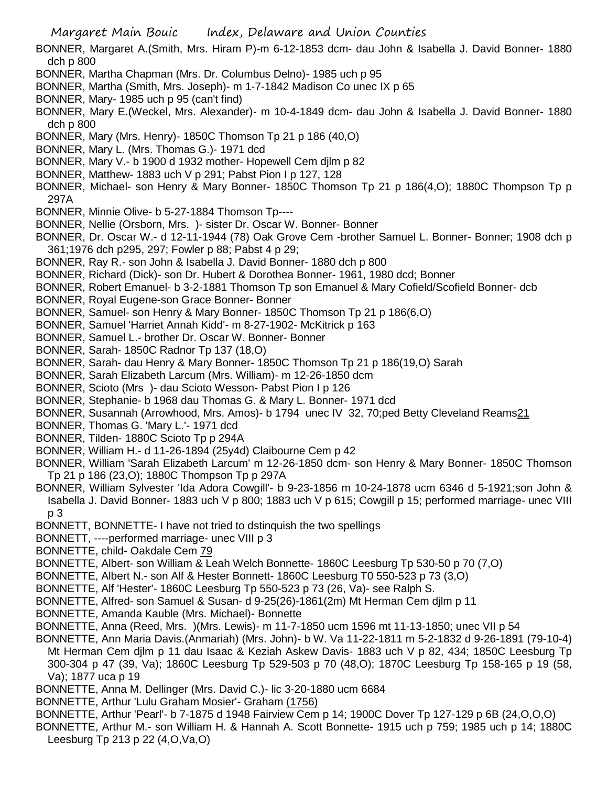- BONNER, Margaret A.(Smith, Mrs. Hiram P)-m 6-12-1853 dcm- dau John & Isabella J. David Bonner- 1880 dch p 800
- BONNER, Martha Chapman (Mrs. Dr. Columbus Delno)- 1985 uch p 95
- BONNER, Martha (Smith, Mrs. Joseph)- m 1-7-1842 Madison Co unec IX p 65
- BONNER, Mary- 1985 uch p 95 (can't find)
- BONNER, Mary E.(Weckel, Mrs. Alexander)- m 10-4-1849 dcm- dau John & Isabella J. David Bonner- 1880 dch p 800
- BONNER, Mary (Mrs. Henry)- 1850C Thomson Tp 21 p 186 (40,O)
- BONNER, Mary L. (Mrs. Thomas G.)- 1971 dcd
- BONNER, Mary V.- b 1900 d 1932 mother- Hopewell Cem djlm p 82
- BONNER, Matthew- 1883 uch V p 291; Pabst Pion I p 127, 128
- BONNER, Michael- son Henry & Mary Bonner- 1850C Thomson Tp 21 p 186(4,O); 1880C Thompson Tp p 297A
- BONNER, Minnie Olive- b 5-27-1884 Thomson Tp----
- BONNER, Nellie (Orsborn, Mrs. )- sister Dr. Oscar W. Bonner- Bonner
- BONNER, Dr. Oscar W.- d 12-11-1944 (78) Oak Grove Cem -brother Samuel L. Bonner- Bonner; 1908 dch p 361;1976 dch p295, 297; Fowler p 88; Pabst 4 p 29;
- BONNER, Ray R.- son John & Isabella J. David Bonner- 1880 dch p 800
- BONNER, Richard (Dick)- son Dr. Hubert & Dorothea Bonner- 1961, 1980 dcd; Bonner
- BONNER, Robert Emanuel- b 3-2-1881 Thomson Tp son Emanuel & Mary Cofield/Scofield Bonner- dcb
- BONNER, Royal Eugene-son Grace Bonner- Bonner
- BONNER, Samuel- son Henry & Mary Bonner- 1850C Thomson Tp 21 p 186(6,O)
- BONNER, Samuel 'Harriet Annah Kidd'- m 8-27-1902- McKitrick p 163
- BONNER, Samuel L.- brother Dr. Oscar W. Bonner- Bonner
- BONNER, Sarah- 1850C Radnor Tp 137 (18,O)
- BONNER, Sarah- dau Henry & Mary Bonner- 1850C Thomson Tp 21 p 186(19,O) Sarah
- BONNER, Sarah Elizabeth Larcum (Mrs. William)- m 12-26-1850 dcm
- BONNER, Scioto (Mrs )- dau Scioto Wesson- Pabst Pion I p 126
- BONNER, Stephanie- b 1968 dau Thomas G. & Mary L. Bonner- 1971 dcd
- BONNER, Susannah (Arrowhood, Mrs. Amos)- b 1794 unec IV 32, 70;ped Betty Cleveland Reams21
- BONNER, Thomas G. 'Mary L.'- 1971 dcd
- BONNER, Tilden- 1880C Scioto Tp p 294A
- BONNER, William H.- d 11-26-1894 (25y4d) Claibourne Cem p 42
- BONNER, William 'Sarah Elizabeth Larcum' m 12-26-1850 dcm- son Henry & Mary Bonner- 1850C Thomson Tp 21 p 186 (23,O); 1880C Thompson Tp p 297A
- BONNER, William Sylvester 'Ida Adora Cowgill'- b 9-23-1856 m 10-24-1878 ucm 6346 d 5-1921;son John & Isabella J. David Bonner- 1883 uch V p 800; 1883 uch V p 615; Cowgill p 15; performed marriage- unec VIII p 3
- BONNETT, BONNETTE- I have not tried to dstinquish the two spellings
- BONNETT, ----performed marriage- unec VIII p 3
- BONNETTE, child- Oakdale Cem 79
- BONNETTE, Albert- son William & Leah Welch Bonnette- 1860C Leesburg Tp 530-50 p 70 (7,O)
- BONNETTE, Albert N.- son Alf & Hester Bonnett- 1860C Leesburg T0 550-523 p 73 (3,O)
- BONNETTE, Alf 'Hester'- 1860C Leesburg Tp 550-523 p 73 (26, Va)- see Ralph S.
- BONNETTE, Alfred- son Samuel & Susan- d 9-25(26)-1861(2m) Mt Herman Cem djlm p 11
- BONNETTE, Amanda Kauble (Mrs. Michael)- Bonnette
- BONNETTE, Anna (Reed, Mrs. )(Mrs. Lewis)- m 11-7-1850 ucm 1596 mt 11-13-1850; unec VII p 54
- BONNETTE, Ann Maria Davis.(Anmariah) (Mrs. John)- b W. Va 11-22-1811 m 5-2-1832 d 9-26-1891 (79-10-4) Mt Herman Cem djlm p 11 dau Isaac & Keziah Askew Davis- 1883 uch V p 82, 434; 1850C Leesburg Tp 300-304 p 47 (39, Va); 1860C Leesburg Tp 529-503 p 70 (48,O); 1870C Leesburg Tp 158-165 p 19 (58, Va); 1877 uca p 19
- BONNETTE, Anna M. Dellinger (Mrs. David C.)- lic 3-20-1880 ucm 6684
- BONNETTE, Arthur 'Lulu Graham Mosier'- Graham (1756)
- BONNETTE, Arthur 'Pearl'- b 7-1875 d 1948 Fairview Cem p 14; 1900C Dover Tp 127-129 p 6B (24,O,O,O)
- BONNETTE, Arthur M.- son William H. & Hannah A. Scott Bonnette- 1915 uch p 759; 1985 uch p 14; 1880C Leesburg Tp 213 p 22 (4,O,Va,O)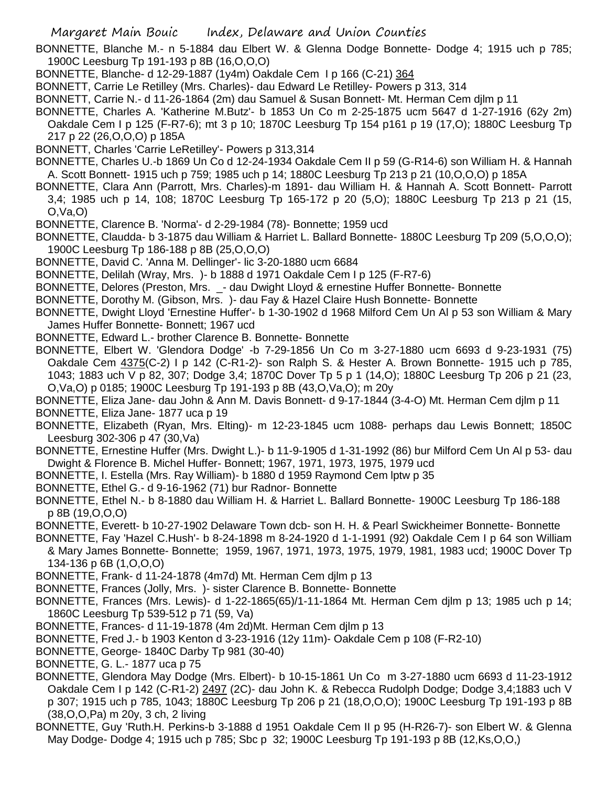BONNETTE, Blanche M.- n 5-1884 dau Elbert W. & Glenna Dodge Bonnette- Dodge 4; 1915 uch p 785; 1900C Leesburg Tp 191-193 p 8B (16,O,O,O)

- BONNETTE, Blanche- d 12-29-1887 (1y4m) Oakdale Cem I p 166 (C-21) 364
- BONNETT, Carrie Le Retilley (Mrs. Charles)- dau Edward Le Retilley- Powers p 313, 314
- BONNETT, Carrie N.- d 11-26-1864 (2m) dau Samuel & Susan Bonnett- Mt. Herman Cem djlm p 11
- BONNETTE, Charles A. 'Katherine M.Butz'- b 1853 Un Co m 2-25-1875 ucm 5647 d 1-27-1916 (62y 2m) Oakdale Cem I p 125 (F-R7-6); mt 3 p 10; 1870C Leesburg Tp 154 p161 p 19 (17,O); 1880C Leesburg Tp 217 p 22 (26,O,O,O) p 185A
- BONNETT, Charles 'Carrie LeRetilley'- Powers p 313,314
- BONNETTE, Charles U.-b 1869 Un Co d 12-24-1934 Oakdale Cem II p 59 (G-R14-6) son William H. & Hannah A. Scott Bonnett- 1915 uch p 759; 1985 uch p 14; 1880C Leesburg Tp 213 p 21 (10,O,O,O) p 185A
- BONNETTE, Clara Ann (Parrott, Mrs. Charles)-m 1891- dau William H. & Hannah A. Scott Bonnett- Parrott 3,4; 1985 uch p 14, 108; 1870C Leesburg Tp 165-172 p 20 (5,O); 1880C Leesburg Tp 213 p 21 (15, O,Va,O)
- BONNETTE, Clarence B. 'Norma'- d 2-29-1984 (78)- Bonnette; 1959 ucd
- BONNETTE, Claudda- b 3-1875 dau William & Harriet L. Ballard Bonnette- 1880C Leesburg Tp 209 (5,O,O,O); 1900C Leesburg Tp 186-188 p 8B (25,O,O,O)
- BONNETTE, David C. 'Anna M. Dellinger'- lic 3-20-1880 ucm 6684
- BONNETTE, Delilah (Wray, Mrs. )- b 1888 d 1971 Oakdale Cem I p 125 (F-R7-6)
- BONNETTE, Delores (Preston, Mrs. \_- dau Dwight Lloyd & ernestine Huffer Bonnette- Bonnette
- BONNETTE, Dorothy M. (Gibson, Mrs. )- dau Fay & Hazel Claire Hush Bonnette- Bonnette
- BONNETTE, Dwight Lloyd 'Ernestine Huffer'- b 1-30-1902 d 1968 Milford Cem Un Al p 53 son William & Mary James Huffer Bonnette- Bonnett; 1967 ucd
- BONNETTE, Edward L.- brother Clarence B. Bonnette- Bonnette
- BONNETTE, Elbert W. 'Glendora Dodge' -b 7-29-1856 Un Co m 3-27-1880 ucm 6693 d 9-23-1931 (75) Oakdale Cem 4375(C-2) I p 142 (C-R1-2)- son Ralph S. & Hester A. Brown Bonnette- 1915 uch p 785, 1043; 1883 uch V p 82, 307; Dodge 3,4; 1870C Dover Tp 5 p 1 (14,O); 1880C Leesburg Tp 206 p 21 (23, O,Va,O) p 0185; 1900C Leesburg Tp 191-193 p 8B (43,O,Va,O); m 20y
- BONNETTE, Eliza Jane- dau John & Ann M. Davis Bonnett- d 9-17-1844 (3-4-O) Mt. Herman Cem djlm p 11
- BONNETTE, Eliza Jane- 1877 uca p 19
- BONNETTE, Elizabeth (Ryan, Mrs. Elting)- m 12-23-1845 ucm 1088- perhaps dau Lewis Bonnett; 1850C Leesburg 302-306 p 47 (30,Va)
- BONNETTE, Ernestine Huffer (Mrs. Dwight L.)- b 11-9-1905 d 1-31-1992 (86) bur Milford Cem Un Al p 53- dau Dwight & Florence B. Michel Huffer- Bonnett; 1967, 1971, 1973, 1975, 1979 ucd
- BONNETTE, I. Estella (Mrs. Ray William)- b 1880 d 1959 Raymond Cem lptw p 35
- BONNETTE, Ethel G.- d 9-16-1962 (71) bur Radnor- Bonnette
- BONNETTE, Ethel N.- b 8-1880 dau William H. & Harriet L. Ballard Bonnette- 1900C Leesburg Tp 186-188 p 8B (19,O,O,O)
- BONNETTE, Everett- b 10-27-1902 Delaware Town dcb- son H. H. & Pearl Swickheimer Bonnette- Bonnette
- BONNETTE, Fay 'Hazel C.Hush'- b 8-24-1898 m 8-24-1920 d 1-1-1991 (92) Oakdale Cem I p 64 son William & Mary James Bonnette- Bonnette; 1959, 1967, 1971, 1973, 1975, 1979, 1981, 1983 ucd; 1900C Dover Tp 134-136 p 6B (1,O,O,O)
- BONNETTE, Frank- d 11-24-1878 (4m7d) Mt. Herman Cem djlm p 13
- BONNETTE, Frances (Jolly, Mrs. )- sister Clarence B. Bonnette- Bonnette
- BONNETTE, Frances (Mrs. Lewis)- d 1-22-1865(65)/1-11-1864 Mt. Herman Cem djlm p 13; 1985 uch p 14; 1860C Leesburg Tp 539-512 p 71 (59, Va)
- BONNETTE, Frances- d 11-19-1878 (4m 2d)Mt. Herman Cem djlm p 13
- BONNETTE, Fred J.- b 1903 Kenton d 3-23-1916 (12y 11m)- Oakdale Cem p 108 (F-R2-10)
- BONNETTE, George- 1840C Darby Tp 981 (30-40)
- BONNETTE, G. L.- 1877 uca p 75
- BONNETTE, Glendora May Dodge (Mrs. Elbert)- b 10-15-1861 Un Co m 3-27-1880 ucm 6693 d 11-23-1912 Oakdale Cem I p 142 (C-R1-2) 2497 (2C)- dau John K. & Rebecca Rudolph Dodge; Dodge 3,4;1883 uch V p 307; 1915 uch p 785, 1043; 1880C Leesburg Tp 206 p 21 (18,O,O,O); 1900C Leesburg Tp 191-193 p 8B (38,O,O,Pa) m 20y, 3 ch, 2 living
- BONNETTE, Guy 'Ruth.H. Perkins-b 3-1888 d 1951 Oakdale Cem II p 95 (H-R26-7)- son Elbert W. & Glenna May Dodge- Dodge 4; 1915 uch p 785; Sbc p 32; 1900C Leesburg Tp 191-193 p 8B (12,Ks,O,O,)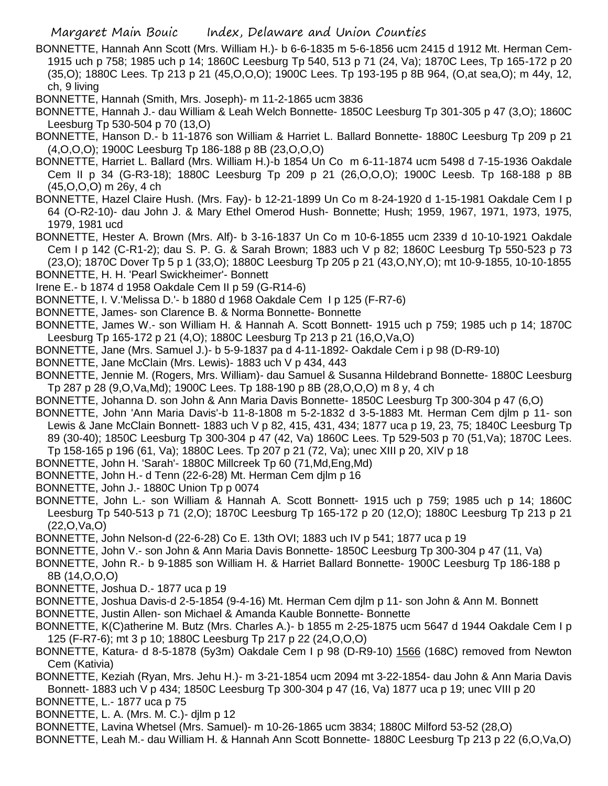BONNETTE, Hannah Ann Scott (Mrs. William H.)- b 6-6-1835 m 5-6-1856 ucm 2415 d 1912 Mt. Herman Cem-1915 uch p 758; 1985 uch p 14; 1860C Leesburg Tp 540, 513 p 71 (24, Va); 1870C Lees, Tp 165-172 p 20 (35,O); 1880C Lees. Tp 213 p 21 (45,O,O,O); 1900C Lees. Tp 193-195 p 8B 964, (O,at sea,O); m 44y, 12, ch, 9 living

BONNETTE, Hannah (Smith, Mrs. Joseph)- m 11-2-1865 ucm 3836

- BONNETTE, Hannah J.- dau William & Leah Welch Bonnette- 1850C Leesburg Tp 301-305 p 47 (3,O); 1860C Leesburg Tp 530-504 p 70 (13,O)
- BONNETTE, Hanson D.- b 11-1876 son William & Harriet L. Ballard Bonnette- 1880C Leesburg Tp 209 p 21 (4,O,O,O); 1900C Leesburg Tp 186-188 p 8B (23,O,O,O)
- BONNETTE, Harriet L. Ballard (Mrs. William H.)-b 1854 Un Co m 6-11-1874 ucm 5498 d 7-15-1936 Oakdale Cem II p 34 (G-R3-18); 1880C Leesburg Tp 209 p 21 (26,O,O,O); 1900C Leesb. Tp 168-188 p 8B (45,O,O,O) m 26y, 4 ch
- BONNETTE, Hazel Claire Hush. (Mrs. Fay)- b 12-21-1899 Un Co m 8-24-1920 d 1-15-1981 Oakdale Cem I p 64 (O-R2-10)- dau John J. & Mary Ethel Omerod Hush- Bonnette; Hush; 1959, 1967, 1971, 1973, 1975, 1979, 1981 ucd
- BONNETTE, Hester A. Brown (Mrs. Alf)- b 3-16-1837 Un Co m 10-6-1855 ucm 2339 d 10-10-1921 Oakdale Cem I p 142 (C-R1-2); dau S. P. G. & Sarah Brown; 1883 uch V p 82; 1860C Leesburg Tp 550-523 p 73 (23,O); 1870C Dover Tp 5 p 1 (33,O); 1880C Leesburg Tp 205 p 21 (43,O,NY,O); mt 10-9-1855, 10-10-1855 BONNETTE, H. H. 'Pearl Swickheimer'- Bonnett
- Irene E.- b 1874 d 1958 Oakdale Cem II p 59 (G-R14-6)
- BONNETTE, I. V.'Melissa D.'- b 1880 d 1968 Oakdale Cem I p 125 (F-R7-6)
- BONNETTE, James- son Clarence B. & Norma Bonnette- Bonnette
- BONNETTE, James W.- son William H. & Hannah A. Scott Bonnett- 1915 uch p 759; 1985 uch p 14; 1870C Leesburg Tp 165-172 p 21 (4,O); 1880C Leesburg Tp 213 p 21 (16,O,Va,O)
- BONNETTE, Jane (Mrs. Samuel J.)- b 5-9-1837 pa d 4-11-1892- Oakdale Cem i p 98 (D-R9-10)
- BONNETTE, Jane McClain (Mrs. Lewis)- 1883 uch V p 434, 443
- BONNETTE, Jennie M. (Rogers, Mrs. William)- dau Samuel & Susanna Hildebrand Bonnette- 1880C Leesburg Tp 287 p 28 (9,O,Va,Md); 1900C Lees. Tp 188-190 p 8B (28,O,O,O) m 8 y, 4 ch
- BONNETTE, Johanna D. son John & Ann Maria Davis Bonnette- 1850C Leesburg Tp 300-304 p 47 (6,O)
- BONNETTE, John 'Ann Maria Davis'-b 11-8-1808 m 5-2-1832 d 3-5-1883 Mt. Herman Cem djlm p 11- son Lewis & Jane McClain Bonnett- 1883 uch V p 82, 415, 431, 434; 1877 uca p 19, 23, 75; 1840C Leesburg Tp 89 (30-40); 1850C Leesburg Tp 300-304 p 47 (42, Va) 1860C Lees. Tp 529-503 p 70 (51,Va); 1870C Lees. Tp 158-165 p 196 (61, Va); 1880C Lees. Tp 207 p 21 (72, Va); unec XIII p 20, XIV p 18
- BONNETTE, John H. 'Sarah'- 1880C Millcreek Tp 60 (71,Md,Eng,Md)
- BONNETTE, John H.- d Tenn (22-6-28) Mt. Herman Cem djlm p 16
- BONNETTE, John J.- 1880C Union Tp p 0074
- BONNETTE, John L.- son William & Hannah A. Scott Bonnett- 1915 uch p 759; 1985 uch p 14; 1860C Leesburg Tp 540-513 p 71 (2,O); 1870C Leesburg Tp 165-172 p 20 (12,O); 1880C Leesburg Tp 213 p 21 (22,O,Va,O)
- BONNETTE, John Nelson-d (22-6-28) Co E. 13th OVI; 1883 uch IV p 541; 1877 uca p 19
- BONNETTE, John V.- son John & Ann Maria Davis Bonnette- 1850C Leesburg Tp 300-304 p 47 (11, Va)
- BONNETTE, John R.- b 9-1885 son William H. & Harriet Ballard Bonnette- 1900C Leesburg Tp 186-188 p 8B (14,O,O,O)
- BONNETTE, Joshua D.- 1877 uca p 19
- BONNETTE, Joshua Davis-d 2-5-1854 (9-4-16) Mt. Herman Cem djlm p 11- son John & Ann M. Bonnett
- BONNETTE, Justin Allen- son Michael & Amanda Kauble Bonnette- Bonnette
- BONNETTE, K(C)atherine M. Butz (Mrs. Charles A.)- b 1855 m 2-25-1875 ucm 5647 d 1944 Oakdale Cem I p 125 (F-R7-6); mt 3 p 10; 1880C Leesburg Tp 217 p 22 (24,O,O,O)
- BONNETTE, Katura- d 8-5-1878 (5y3m) Oakdale Cem I p 98 (D-R9-10) 1566 (168C) removed from Newton Cem (Kativia)
- BONNETTE, Keziah (Ryan, Mrs. Jehu H.)- m 3-21-1854 ucm 2094 mt 3-22-1854- dau John & Ann Maria Davis Bonnett- 1883 uch V p 434; 1850C Leesburg Tp 300-304 p 47 (16, Va) 1877 uca p 19; unec VIII p 20
- BONNETTE, L.- 1877 uca p 75
- BONNETTE, L. A. (Mrs. M. C.)- djlm p 12
- BONNETTE, Lavina Whetsel (Mrs. Samuel)- m 10-26-1865 ucm 3834; 1880C Milford 53-52 (28,O)
- BONNETTE, Leah M.- dau William H. & Hannah Ann Scott Bonnette- 1880C Leesburg Tp 213 p 22 (6,O,Va,O)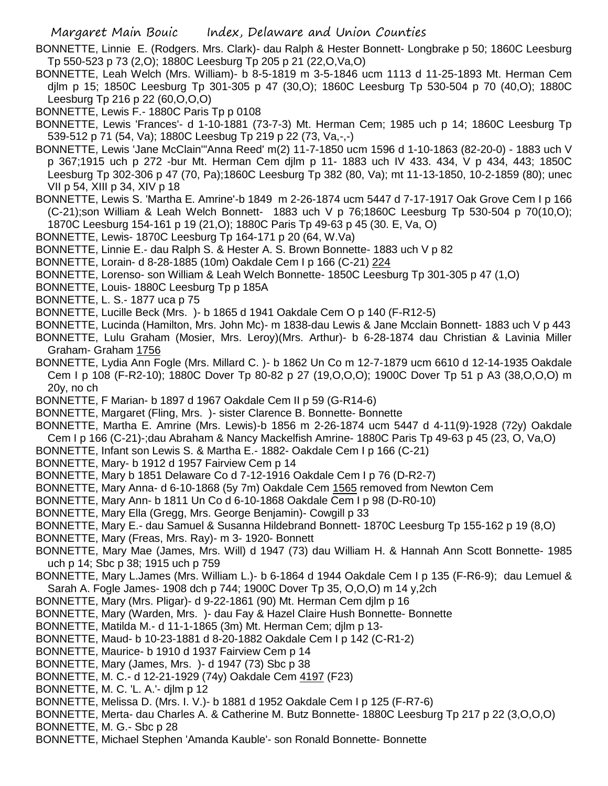- BONNETTE, Linnie E. (Rodgers. Mrs. Clark)- dau Ralph & Hester Bonnett- Longbrake p 50; 1860C Leesburg Tp 550-523 p 73 (2,O); 1880C Leesburg Tp 205 p 21 (22,O,Va,O)
- BONNETTE, Leah Welch (Mrs. William)- b 8-5-1819 m 3-5-1846 ucm 1113 d 11-25-1893 Mt. Herman Cem djlm p 15; 1850C Leesburg Tp 301-305 p 47 (30,O); 1860C Leesburg Tp 530-504 p 70 (40,O); 1880C Leesburg Tp 216 p 22 (60,O,O,O)

BONNETTE, Lewis F.- 1880C Paris Tp p 0108

- BONNETTE, Lewis 'Frances'- d 1-10-1881 (73-7-3) Mt. Herman Cem; 1985 uch p 14; 1860C Leesburg Tp 539-512 p 71 (54, Va); 1880C Leesbug Tp 219 p 22 (73, Va,-,-)
- BONNETTE, Lewis 'Jane McClain'"Anna Reed' m(2) 11-7-1850 ucm 1596 d 1-10-1863 (82-20-0) 1883 uch V p 367;1915 uch p 272 -bur Mt. Herman Cem djlm p 11- 1883 uch IV 433. 434, V p 434, 443; 1850C Leesburg Tp 302-306 p 47 (70, Pa);1860C Leesburg Tp 382 (80, Va); mt 11-13-1850, 10-2-1859 (80); unec VII p 54, XIII p 34, XIV p 18
- BONNETTE, Lewis S. 'Martha E. Amrine'-b 1849 m 2-26-1874 ucm 5447 d 7-17-1917 Oak Grove Cem I p 166 (C-21);son William & Leah Welch Bonnett- 1883 uch V p 76;1860C Leesburg Tp 530-504 p 70(10,O); 1870C Leesburg 154-161 p 19 (21,O); 1880C Paris Tp 49-63 p 45 (30. E, Va, O)
- BONNETTE, Lewis- 1870C Leesburg Tp 164-171 p 20 (64, W.Va)
- BONNETTE, Linnie E.- dau Ralph S. & Hester A. S. Brown Bonnette- 1883 uch V p 82
- BONNETTE, Lorain- d 8-28-1885 (10m) Oakdale Cem I p 166 (C-21) 224
- BONNETTE, Lorenso- son William & Leah Welch Bonnette- 1850C Leesburg Tp 301-305 p 47 (1,O)
- BONNETTE, Louis- 1880C Leesburg Tp p 185A
- BONNETTE, L. S.- 1877 uca p 75
- BONNETTE, Lucille Beck (Mrs. )- b 1865 d 1941 Oakdale Cem O p 140 (F-R12-5)
- BONNETTE, Lucinda (Hamilton, Mrs. John Mc)- m 1838-dau Lewis & Jane Mcclain Bonnett- 1883 uch V p 443
- BONNETTE, Lulu Graham (Mosier, Mrs. Leroy)(Mrs. Arthur)- b 6-28-1874 dau Christian & Lavinia Miller Graham- Graham 1756
- BONNETTE, Lydia Ann Fogle (Mrs. Millard C. )- b 1862 Un Co m 12-7-1879 ucm 6610 d 12-14-1935 Oakdale Cem I p 108 (F-R2-10); 1880C Dover Tp 80-82 p 27 (19,O,O,O); 1900C Dover Tp 51 p A3 (38,O,O,O) m 20y, no ch
- BONNETTE, F Marian- b 1897 d 1967 Oakdale Cem II p 59 (G-R14-6)
- BONNETTE, Margaret (Fling, Mrs. )- sister Clarence B. Bonnette- Bonnette
- BONNETTE, Martha E. Amrine (Mrs. Lewis)-b 1856 m 2-26-1874 ucm 5447 d 4-11(9)-1928 (72y) Oakdale Cem I p 166 (C-21)-;dau Abraham & Nancy Mackelfish Amrine- 1880C Paris Tp 49-63 p 45 (23, O, Va,O)
- BONNETTE, Infant son Lewis S. & Martha E.- 1882- Oakdale Cem I p 166 (C-21)
- BONNETTE, Mary- b 1912 d 1957 Fairview Cem p 14
- BONNETTE, Mary b 1851 Delaware Co d 7-12-1916 Oakdale Cem I p 76 (D-R2-7)
- BONNETTE, Mary Anna- d 6-10-1868 (5y 7m) Oakdale Cem 1565 removed from Newton Cem
- BONNETTE, Mary Ann- b 1811 Un Co d 6-10-1868 Oakdale Cem I p 98 (D-R0-10)
- BONNETTE, Mary Ella (Gregg, Mrs. George Benjamin)- Cowgill p 33
- BONNETTE, Mary E.- dau Samuel & Susanna Hildebrand Bonnett- 1870C Leesburg Tp 155-162 p 19 (8,O)
- BONNETTE, Mary (Freas, Mrs. Ray)- m 3- 1920- Bonnett
- BONNETTE, Mary Mae (James, Mrs. Will) d 1947 (73) dau William H. & Hannah Ann Scott Bonnette- 1985 uch p 14; Sbc p 38; 1915 uch p 759
- BONNETTE, Mary L.James (Mrs. William L.)- b 6-1864 d 1944 Oakdale Cem I p 135 (F-R6-9); dau Lemuel & Sarah A. Fogle James- 1908 dch p 744; 1900C Dover Tp 35, O,O,O) m 14 y,2ch
- BONNETTE, Mary (Mrs. Pligar)- d 9-22-1861 (90) Mt. Herman Cem djlm p 16
- BONNETTE, Mary (Warden, Mrs. )- dau Fay & Hazel Claire Hush Bonnette- Bonnette
- BONNETTE, Matilda M.- d 11-1-1865 (3m) Mt. Herman Cem; djlm p 13-
- BONNETTE, Maud- b 10-23-1881 d 8-20-1882 Oakdale Cem I p 142 (C-R1-2)
- BONNETTE, Maurice- b 1910 d 1937 Fairview Cem p 14
- BONNETTE, Mary (James, Mrs. )- d 1947 (73) Sbc p 38
- BONNETTE, M. C.- d 12-21-1929 (74y) Oakdale Cem 4197 (F23)
- BONNETTE, M. C. 'L. A.'- djlm p 12
- BONNETTE, Melissa D. (Mrs. I. V.)- b 1881 d 1952 Oakdale Cem I p 125 (F-R7-6)
- BONNETTE, Merta- dau Charles A. & Catherine M. Butz Bonnette- 1880C Leesburg Tp 217 p 22 (3,O,O,O) BONNETTE, M. G.- Sbc p 28
- BONNETTE, Michael Stephen 'Amanda Kauble'- son Ronald Bonnette- Bonnette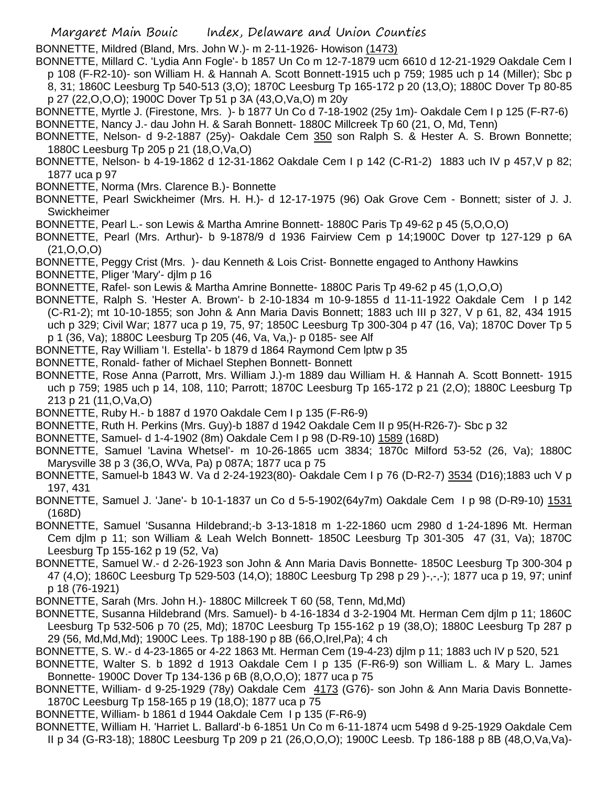BONNETTE, Mildred (Bland, Mrs. John W.)- m 2-11-1926- Howison (1473)

- BONNETTE, Millard C. 'Lydia Ann Fogle'- b 1857 Un Co m 12-7-1879 ucm 6610 d 12-21-1929 Oakdale Cem I
- p 108 (F-R2-10)- son William H. & Hannah A. Scott Bonnett-1915 uch p 759; 1985 uch p 14 (Miller); Sbc p 8, 31; 1860C Leesburg Tp 540-513 (3,O); 1870C Leesburg Tp 165-172 p 20 (13,O); 1880C Dover Tp 80-85 p 27 (22,O,O,O); 1900C Dover Tp 51 p 3A (43,O,Va,O) m 20y
- BONNETTE, Myrtle J. (Firestone, Mrs. )- b 1877 Un Co d 7-18-1902 (25y 1m)- Oakdale Cem I p 125 (F-R7-6) BONNETTE, Nancy J.- dau John H. & Sarah Bonnett- 1880C Millcreek Tp 60 (21, O, Md, Tenn)
- BONNETTE, Nelson- d 9-2-1887 (25y)- Oakdale Cem 350 son Ralph S. & Hester A. S. Brown Bonnette; 1880C Leesburg Tp 205 p 21 (18,O,Va,O)
- BONNETTE, Nelson- b 4-19-1862 d 12-31-1862 Oakdale Cem I p 142 (C-R1-2) 1883 uch IV p 457,V p 82; 1877 uca p 97
- BONNETTE, Norma (Mrs. Clarence B.)- Bonnette
- BONNETTE, Pearl Swickheimer (Mrs. H. H.)- d 12-17-1975 (96) Oak Grove Cem Bonnett; sister of J. J. **Swickheimer**
- BONNETTE, Pearl L.- son Lewis & Martha Amrine Bonnett- 1880C Paris Tp 49-62 p 45 (5,O,O,O)
- BONNETTE, Pearl (Mrs. Arthur)- b 9-1878/9 d 1936 Fairview Cem p 14;1900C Dover tp 127-129 p 6A (21,O,O,O)
- BONNETTE, Peggy Crist (Mrs. )- dau Kenneth & Lois Crist- Bonnette engaged to Anthony Hawkins
- BONNETTE, Pliger 'Mary'- djlm p 16
- BONNETTE, Rafel- son Lewis & Martha Amrine Bonnette- 1880C Paris Tp 49-62 p 45 (1,O,O,O)
- BONNETTE, Ralph S. 'Hester A. Brown'- b 2-10-1834 m 10-9-1855 d 11-11-1922 Oakdale Cem I p 142 (C-R1-2); mt 10-10-1855; son John & Ann Maria Davis Bonnett; 1883 uch III p 327, V p 61, 82, 434 1915 uch p 329; Civil War; 1877 uca p 19, 75, 97; 1850C Leesburg Tp 300-304 p 47 (16, Va); 1870C Dover Tp 5 p 1 (36, Va); 1880C Leesburg Tp 205 (46, Va, Va,)- p 0185- see Alf
- BONNETTE, Ray William 'I. Estella'- b 1879 d 1864 Raymond Cem lptw p 35
- BONNETTE, Ronald- father of Michael Stephen Bonnett- Bonnett
- BONNETTE, Rose Anna (Parrott, Mrs. William J.)-m 1889 dau William H. & Hannah A. Scott Bonnett- 1915 uch p 759; 1985 uch p 14, 108, 110; Parrott; 1870C Leesburg Tp 165-172 p 21 (2,O); 1880C Leesburg Tp 213 p 21 (11,O,Va,O)
- BONNETTE, Ruby H.- b 1887 d 1970 Oakdale Cem I p 135 (F-R6-9)
- BONNETTE, Ruth H. Perkins (Mrs. Guy)-b 1887 d 1942 Oakdale Cem II p 95(H-R26-7)- Sbc p 32
- BONNETTE, Samuel- d 1-4-1902 (8m) Oakdale Cem I p 98 (D-R9-10) 1589 (168D)
- BONNETTE, Samuel 'Lavina Whetsel'- m 10-26-1865 ucm 3834; 1870c Milford 53-52 (26, Va); 1880C Marysville 38 p 3 (36,O, WVa, Pa) p 087A; 1877 uca p 75
- BONNETTE, Samuel-b 1843 W. Va d 2-24-1923(80)- Oakdale Cem I p 76 (D-R2-7) 3534 (D16);1883 uch V p 197, 431
- BONNETTE, Samuel J. 'Jane'- b 10-1-1837 un Co d 5-5-1902(64y7m) Oakdale Cem I p 98 (D-R9-10) 1531 (168D)
- BONNETTE, Samuel 'Susanna Hildebrand;-b 3-13-1818 m 1-22-1860 ucm 2980 d 1-24-1896 Mt. Herman Cem djlm p 11; son William & Leah Welch Bonnett- 1850C Leesburg Tp 301-305 47 (31, Va); 1870C Leesburg Tp 155-162 p 19 (52, Va)
- BONNETTE, Samuel W.- d 2-26-1923 son John & Ann Maria Davis Bonnette- 1850C Leesburg Tp 300-304 p 47 (4,O); 1860C Leesburg Tp 529-503 (14,O); 1880C Leesburg Tp 298 p 29 )-,-,-); 1877 uca p 19, 97; uninf p 18 (76-1921)
- BONNETTE, Sarah (Mrs. John H.)- 1880C Millcreek T 60 (58, Tenn, Md,Md)
- BONNETTE, Susanna Hildebrand (Mrs. Samuel)- b 4-16-1834 d 3-2-1904 Mt. Herman Cem djlm p 11; 1860C Leesburg Tp 532-506 p 70 (25, Md); 1870C Leesburg Tp 155-162 p 19 (38,O); 1880C Leesburg Tp 287 p 29 (56, Md,Md,Md); 1900C Lees. Tp 188-190 p 8B (66,O,Irel,Pa); 4 ch
- BONNETTE, S. W.- d 4-23-1865 or 4-22 1863 Mt. Herman Cem (19-4-23) djlm p 11; 1883 uch IV p 520, 521
- BONNETTE, Walter S. b 1892 d 1913 Oakdale Cem I p 135 (F-R6-9) son William L. & Mary L. James Bonnette- 1900C Dover Tp 134-136 p 6B (8,O,O,O); 1877 uca p 75
- BONNETTE, William- d 9-25-1929 (78y) Oakdale Cem 4173 (G76)- son John & Ann Maria Davis Bonnette-1870C Leesburg Tp 158-165 p 19 (18,O); 1877 uca p 75
- BONNETTE, William- b 1861 d 1944 Oakdale Cem I p 135 (F-R6-9)
- BONNETTE, William H. 'Harriet L. Ballard'-b 6-1851 Un Co m 6-11-1874 ucm 5498 d 9-25-1929 Oakdale Cem II p 34 (G-R3-18); 1880C Leesburg Tp 209 p 21 (26,O,O,O); 1900C Leesb. Tp 186-188 p 8B (48,O,Va,Va)-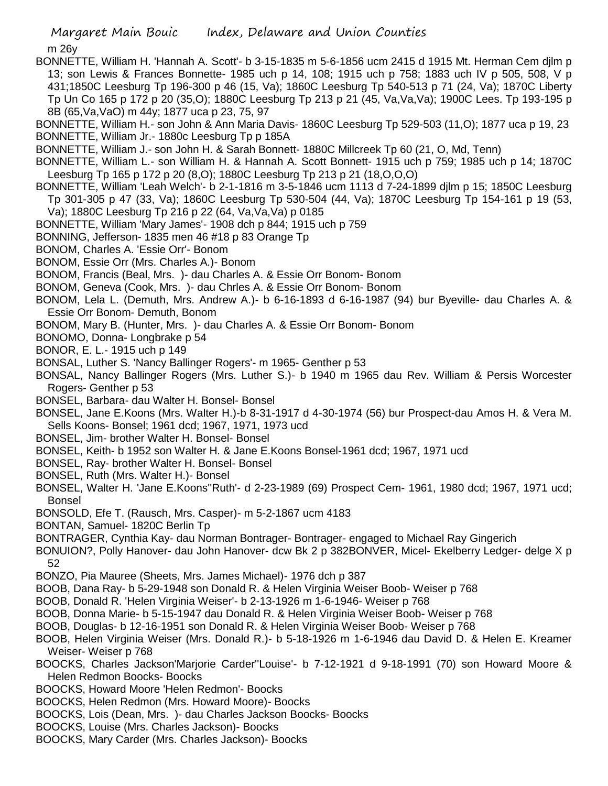m 26y

- BONNETTE, William H. 'Hannah A. Scott'- b 3-15-1835 m 5-6-1856 ucm 2415 d 1915 Mt. Herman Cem djlm p 13; son Lewis & Frances Bonnette- 1985 uch p 14, 108; 1915 uch p 758; 1883 uch IV p 505, 508, V p 431;1850C Leesburg Tp 196-300 p 46 (15, Va); 1860C Leesburg Tp 540-513 p 71 (24, Va); 1870C Liberty Tp Un Co 165 p 172 p 20 (35,O); 1880C Leesburg Tp 213 p 21 (45, Va,Va,Va); 1900C Lees. Tp 193-195 p 8B (65,Va,VaO) m 44y; 1877 uca p 23, 75, 97
- BONNETTE, William H.- son John & Ann Maria Davis- 1860C Leesburg Tp 529-503 (11,O); 1877 uca p 19, 23 BONNETTE, William Jr.- 1880c Leesburg Tp p 185A
- BONNETTE, William J.- son John H. & Sarah Bonnett- 1880C Millcreek Tp 60 (21, O, Md, Tenn)
- BONNETTE, William L.- son William H. & Hannah A. Scott Bonnett- 1915 uch p 759; 1985 uch p 14; 1870C Leesburg Tp 165 p 172 p 20 (8,O); 1880C Leesburg Tp 213 p 21 (18,O,O,O)
- BONNETTE, William 'Leah Welch'- b 2-1-1816 m 3-5-1846 ucm 1113 d 7-24-1899 djlm p 15; 1850C Leesburg Tp 301-305 p 47 (33, Va); 1860C Leesburg Tp 530-504 (44, Va); 1870C Leesburg Tp 154-161 p 19 (53, Va); 1880C Leesburg Tp 216 p 22 (64, Va,Va,Va) p 0185
- BONNETTE, William 'Mary James'- 1908 dch p 844; 1915 uch p 759
- BONNING, Jefferson- 1835 men 46 #18 p 83 Orange Tp
- BONOM, Charles A. 'Essie Orr'- Bonom
- BONOM, Essie Orr (Mrs. Charles A.)- Bonom
- BONOM, Francis (Beal, Mrs. )- dau Charles A. & Essie Orr Bonom- Bonom
- BONOM, Geneva (Cook, Mrs. )- dau Chrles A. & Essie Orr Bonom- Bonom
- BONOM, Lela L. (Demuth, Mrs. Andrew A.)- b 6-16-1893 d 6-16-1987 (94) bur Byeville- dau Charles A. & Essie Orr Bonom- Demuth, Bonom
- BONOM, Mary B. (Hunter, Mrs. )- dau Charles A. & Essie Orr Bonom- Bonom
- BONOMO, Donna- Longbrake p 54
- BONOR, E. L.- 1915 uch p 149
- BONSAL, Luther S. 'Nancy Ballinger Rogers'- m 1965- Genther p 53
- BONSAL, Nancy Ballinger Rogers (Mrs. Luther S.)- b 1940 m 1965 dau Rev. William & Persis Worcester Rogers- Genther p 53
- BONSEL, Barbara- dau Walter H. Bonsel- Bonsel
- BONSEL, Jane E.Koons (Mrs. Walter H.)-b 8-31-1917 d 4-30-1974 (56) bur Prospect-dau Amos H. & Vera M. Sells Koons- Bonsel; 1961 dcd; 1967, 1971, 1973 ucd
- BONSEL, Jim- brother Walter H. Bonsel- Bonsel
- BONSEL, Keith- b 1952 son Walter H. & Jane E.Koons Bonsel-1961 dcd; 1967, 1971 ucd
- BONSEL, Ray- brother Walter H. Bonsel- Bonsel
- BONSEL, Ruth (Mrs. Walter H.)- Bonsel
- BONSEL, Walter H. 'Jane E.Koons''Ruth'- d 2-23-1989 (69) Prospect Cem- 1961, 1980 dcd; 1967, 1971 ucd; Bonsel
- BONSOLD, Efe T. (Rausch, Mrs. Casper)- m 5-2-1867 ucm 4183
- BONTAN, Samuel- 1820C Berlin Tp
- BONTRAGER, Cynthia Kay- dau Norman Bontrager- Bontrager- engaged to Michael Ray Gingerich
- BONUION?, Polly Hanover- dau John Hanover- dcw Bk 2 p 382BONVER, Micel- Ekelberry Ledger- delge X p 52
- BONZO, Pia Mauree (Sheets, Mrs. James Michael)- 1976 dch p 387
- BOOB, Dana Ray- b 5-29-1948 son Donald R. & Helen Virginia Weiser Boob- Weiser p 768
- BOOB, Donald R. 'Helen Virginia Weiser'- b 2-13-1926 m 1-6-1946- Weiser p 768
- BOOB, Donna Marie- b 5-15-1947 dau Donald R. & Helen Virginia Weiser Boob- Weiser p 768
- BOOB, Douglas- b 12-16-1951 son Donald R. & Helen Virginia Weiser Boob- Weiser p 768
- BOOB, Helen Virginia Weiser (Mrs. Donald R.)- b 5-18-1926 m 1-6-1946 dau David D. & Helen E. Kreamer Weiser- Weiser p 768
- BOOCKS, Charles Jackson'Marjorie Carder''Louise'- b 7-12-1921 d 9-18-1991 (70) son Howard Moore & Helen Redmon Boocks- Boocks
- BOOCKS, Howard Moore 'Helen Redmon'- Boocks
- BOOCKS, Helen Redmon (Mrs. Howard Moore)- Boocks
- BOOCKS, Lois (Dean, Mrs. )- dau Charles Jackson Boocks- Boocks
- BOOCKS, Louise (Mrs. Charles Jackson)- Boocks
- BOOCKS, Mary Carder (Mrs. Charles Jackson)- Boocks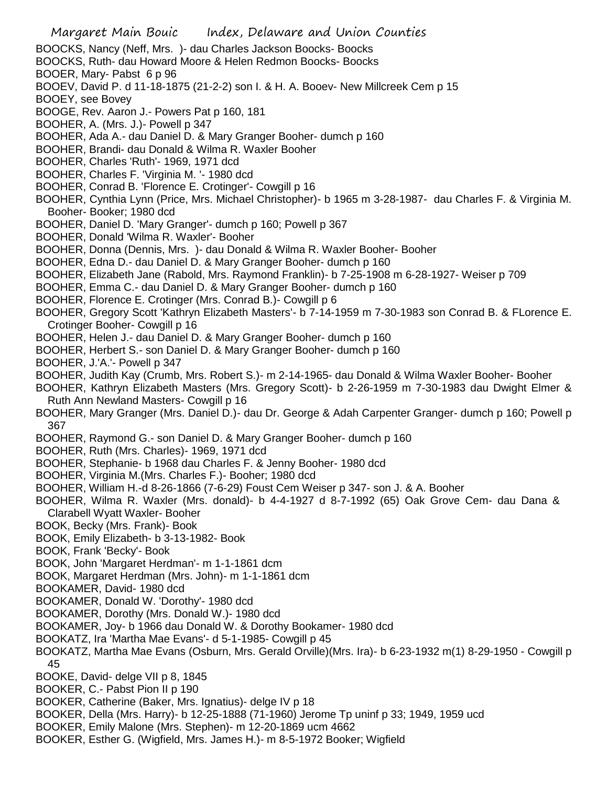- BOOCKS, Nancy (Neff, Mrs. )- dau Charles Jackson Boocks- Boocks
- BOOCKS, Ruth- dau Howard Moore & Helen Redmon Boocks- Boocks
- BOOER, Mary- Pabst 6 p 96
- BOOEV, David P. d 11-18-1875 (21-2-2) son I. & H. A. Booev- New Millcreek Cem p 15
- BOOEY, see Bovey
- BOOGE, Rev. Aaron J.- Powers Pat p 160, 181
- BOOHER, A. (Mrs. J.)- Powell p 347
- BOOHER, Ada A.- dau Daniel D. & Mary Granger Booher- dumch p 160
- BOOHER, Brandi- dau Donald & Wilma R. Waxler Booher
- BOOHER, Charles 'Ruth'- 1969, 1971 dcd
- BOOHER, Charles F. 'Virginia M. '- 1980 dcd
- BOOHER, Conrad B. 'Florence E. Crotinger'- Cowgill p 16
- BOOHER, Cynthia Lynn (Price, Mrs. Michael Christopher)- b 1965 m 3-28-1987- dau Charles F. & Virginia M. Booher- Booker; 1980 dcd
- BOOHER, Daniel D. 'Mary Granger'- dumch p 160; Powell p 367
- BOOHER, Donald 'Wilma R. Waxler'- Booher
- BOOHER, Donna (Dennis, Mrs. )- dau Donald & Wilma R. Waxler Booher- Booher
- BOOHER, Edna D.- dau Daniel D. & Mary Granger Booher- dumch p 160
- BOOHER, Elizabeth Jane (Rabold, Mrs. Raymond Franklin)- b 7-25-1908 m 6-28-1927- Weiser p 709
- BOOHER, Emma C.- dau Daniel D. & Mary Granger Booher- dumch p 160
- BOOHER, Florence E. Crotinger (Mrs. Conrad B.)- Cowgill p 6
- BOOHER, Gregory Scott 'Kathryn Elizabeth Masters'- b 7-14-1959 m 7-30-1983 son Conrad B. & FLorence E. Crotinger Booher- Cowgill p 16
- BOOHER, Helen J.- dau Daniel D. & Mary Granger Booher- dumch p 160
- BOOHER, Herbert S.- son Daniel D. & Mary Granger Booher- dumch p 160
- BOOHER, J.'A.'- Powell p 347
- BOOHER, Judith Kay (Crumb, Mrs. Robert S.)- m 2-14-1965- dau Donald & Wilma Waxler Booher- Booher
- BOOHER, Kathryn Elizabeth Masters (Mrs. Gregory Scott)- b 2-26-1959 m 7-30-1983 dau Dwight Elmer & Ruth Ann Newland Masters- Cowgill p 16
- BOOHER, Mary Granger (Mrs. Daniel D.)- dau Dr. George & Adah Carpenter Granger- dumch p 160; Powell p 367
- BOOHER, Raymond G.- son Daniel D. & Mary Granger Booher- dumch p 160
- BOOHER, Ruth (Mrs. Charles)- 1969, 1971 dcd
- BOOHER, Stephanie- b 1968 dau Charles F. & Jenny Booher- 1980 dcd
- BOOHER, Virginia M.(Mrs. Charles F.)- Booher; 1980 dcd
- BOOHER, William H.-d 8-26-1866 (7-6-29) Foust Cem Weiser p 347- son J. & A. Booher
- BOOHER, Wilma R. Waxler (Mrs. donald)- b 4-4-1927 d 8-7-1992 (65) Oak Grove Cem- dau Dana & Clarabell Wyatt Waxler- Booher
- BOOK, Becky (Mrs. Frank)- Book
- BOOK, Emily Elizabeth- b 3-13-1982- Book
- BOOK, Frank 'Becky'- Book
- BOOK, John 'Margaret Herdman'- m 1-1-1861 dcm
- BOOK, Margaret Herdman (Mrs. John)- m 1-1-1861 dcm
- BOOKAMER, David- 1980 dcd
- BOOKAMER, Donald W. 'Dorothy'- 1980 dcd
- BOOKAMER, Dorothy (Mrs. Donald W.)- 1980 dcd
- BOOKAMER, Joy- b 1966 dau Donald W. & Dorothy Bookamer- 1980 dcd
- BOOKATZ, Ira 'Martha Mae Evans'- d 5-1-1985- Cowgill p 45
- BOOKATZ, Martha Mae Evans (Osburn, Mrs. Gerald Orville)(Mrs. Ira)- b 6-23-1932 m(1) 8-29-1950 Cowgill p 45
- BOOKE, David- delge VII p 8, 1845
- BOOKER, C.- Pabst Pion II p 190
- BOOKER, Catherine (Baker, Mrs. Ignatius)- delge IV p 18
- BOOKER, Della (Mrs. Harry)- b 12-25-1888 (71-1960) Jerome Tp uninf p 33; 1949, 1959 ucd
- BOOKER, Emily Malone (Mrs. Stephen)- m 12-20-1869 ucm 4662
- BOOKER, Esther G. (Wigfield, Mrs. James H.)- m 8-5-1972 Booker; Wigfield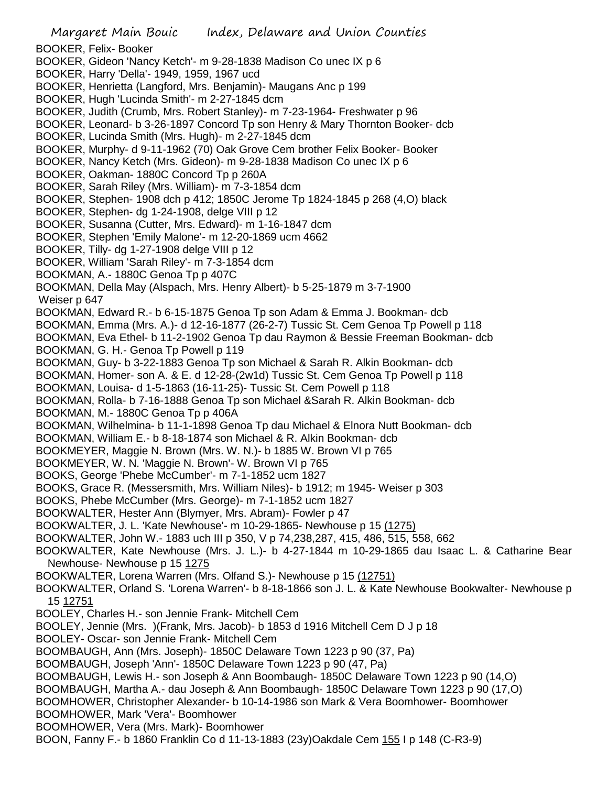Margaret Main Bouic Index, Delaware and Union Counties BOOKER, Felix- Booker BOOKER, Gideon 'Nancy Ketch'- m 9-28-1838 Madison Co unec IX p 6 BOOKER, Harry 'Della'- 1949, 1959, 1967 ucd BOOKER, Henrietta (Langford, Mrs. Benjamin)- Maugans Anc p 199 BOOKER, Hugh 'Lucinda Smith'- m 2-27-1845 dcm BOOKER, Judith (Crumb, Mrs. Robert Stanley)- m 7-23-1964- Freshwater p 96 BOOKER, Leonard- b 3-26-1897 Concord Tp son Henry & Mary Thornton Booker- dcb BOOKER, Lucinda Smith (Mrs. Hugh)- m 2-27-1845 dcm BOOKER, Murphy- d 9-11-1962 (70) Oak Grove Cem brother Felix Booker- Booker BOOKER, Nancy Ketch (Mrs. Gideon)- m 9-28-1838 Madison Co unec IX p 6 BOOKER, Oakman- 1880C Concord Tp p 260A BOOKER, Sarah Riley (Mrs. William)- m 7-3-1854 dcm BOOKER, Stephen- 1908 dch p 412; 1850C Jerome Tp 1824-1845 p 268 (4,O) black BOOKER, Stephen- dg 1-24-1908, delge VIII p 12 BOOKER, Susanna (Cutter, Mrs. Edward)- m 1-16-1847 dcm BOOKER, Stephen 'Emily Malone'- m 12-20-1869 ucm 4662 BOOKER, Tilly- dg 1-27-1908 delge VIII p 12 BOOKER, William 'Sarah Riley'- m 7-3-1854 dcm BOOKMAN, A.- 1880C Genoa Tp p 407C BOOKMAN, Della May (Alspach, Mrs. Henry Albert)- b 5-25-1879 m 3-7-1900 Weiser p 647 BOOKMAN, Edward R.- b 6-15-1875 Genoa Tp son Adam & Emma J. Bookman- dcb BOOKMAN, Emma (Mrs. A.)- d 12-16-1877 (26-2-7) Tussic St. Cem Genoa Tp Powell p 118 BOOKMAN, Eva Ethel- b 11-2-1902 Genoa Tp dau Raymon & Bessie Freeman Bookman- dcb BOOKMAN, G. H.- Genoa Tp Powell p 119 BOOKMAN, Guy- b 3-22-1883 Genoa Tp son Michael & Sarah R. Alkin Bookman- dcb BOOKMAN, Homer- son A. & E. d 12-28-(2w1d) Tussic St. Cem Genoa Tp Powell p 118 BOOKMAN, Louisa- d 1-5-1863 (16-11-25)- Tussic St. Cem Powell p 118 BOOKMAN, Rolla- b 7-16-1888 Genoa Tp son Michael &Sarah R. Alkin Bookman- dcb BOOKMAN, M.- 1880C Genoa Tp p 406A BOOKMAN, Wilhelmina- b 11-1-1898 Genoa Tp dau Michael & Elnora Nutt Bookman- dcb BOOKMAN, William E.- b 8-18-1874 son Michael & R. Alkin Bookman- dcb BOOKMEYER, Maggie N. Brown (Mrs. W. N.)- b 1885 W. Brown VI p 765 BOOKMEYER, W. N. 'Maggie N. Brown'- W. Brown VI p 765 BOOKS, George 'Phebe McCumber'- m 7-1-1852 ucm 1827 BOOKS, Grace R. (Messersmith, Mrs. William Niles)- b 1912; m 1945- Weiser p 303 BOOKS, Phebe McCumber (Mrs. George)- m 7-1-1852 ucm 1827 BOOKWALTER, Hester Ann (Blymyer, Mrs. Abram)- Fowler p 47 BOOKWALTER, J. L. 'Kate Newhouse'- m 10-29-1865- Newhouse p 15 (1275) BOOKWALTER, John W.- 1883 uch III p 350, V p 74,238,287, 415, 486, 515, 558, 662 BOOKWALTER, Kate Newhouse (Mrs. J. L.)- b 4-27-1844 m 10-29-1865 dau Isaac L. & Catharine Bear Newhouse- Newhouse p 15 1275 BOOKWALTER, Lorena Warren (Mrs. Olfand S.)- Newhouse p 15 (12751) BOOKWALTER, Orland S. 'Lorena Warren'- b 8-18-1866 son J. L. & Kate Newhouse Bookwalter- Newhouse p 15 12751 BOOLEY, Charles H.- son Jennie Frank- Mitchell Cem BOOLEY, Jennie (Mrs. )(Frank, Mrs. Jacob)- b 1853 d 1916 Mitchell Cem D J p 18 BOOLEY- Oscar- son Jennie Frank- Mitchell Cem BOOMBAUGH, Ann (Mrs. Joseph)- 1850C Delaware Town 1223 p 90 (37, Pa) BOOMBAUGH, Joseph 'Ann'- 1850C Delaware Town 1223 p 90 (47, Pa) BOOMBAUGH, Lewis H.- son Joseph & Ann Boombaugh- 1850C Delaware Town 1223 p 90 (14,O) BOOMBAUGH, Martha A.- dau Joseph & Ann Boombaugh- 1850C Delaware Town 1223 p 90 (17,O) BOOMHOWER, Christopher Alexander- b 10-14-1986 son Mark & Vera Boomhower- Boomhower BOOMHOWER, Mark 'Vera'- Boomhower BOOMHOWER, Vera (Mrs. Mark)- Boomhower BOON, Fanny F.- b 1860 Franklin Co d 11-13-1883 (23y)Oakdale Cem 155 I p 148 (C-R3-9)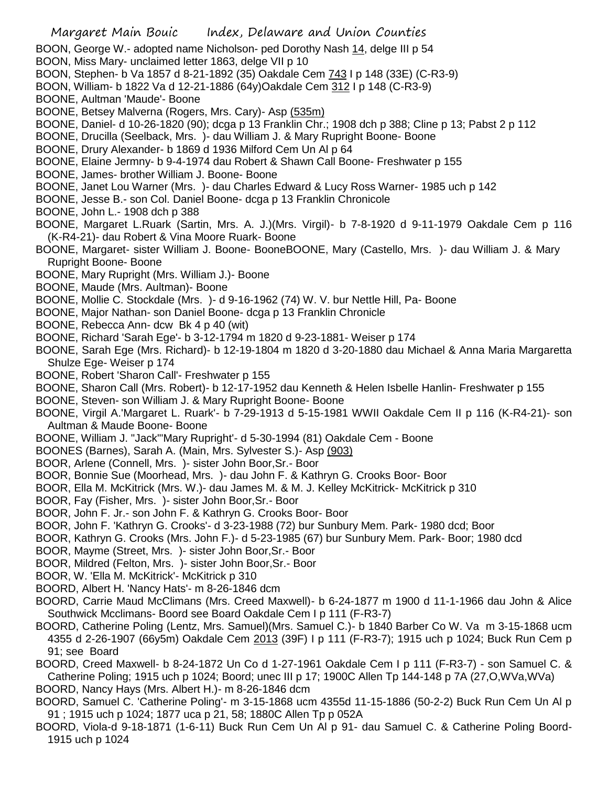BOON, George W.- adopted name Nicholson- ped Dorothy Nash 14, delge III p 54

BOON, Miss Mary- unclaimed letter 1863, delge VII p 10

- BOON, Stephen- b Va 1857 d 8-21-1892 (35) Oakdale Cem 743 I p 148 (33E) (C-R3-9)
- BOON, William- b 1822 Va d 12-21-1886 (64y)Oakdale Cem 312 I p 148 (C-R3-9)
- BOONE, Aultman 'Maude'- Boone
- BOONE, Betsey Malverna (Rogers, Mrs. Cary)- Asp (535m)
- BOONE, Daniel- d 10-26-1820 (90); dcga p 13 Franklin Chr.; 1908 dch p 388; Cline p 13; Pabst 2 p 112
- BOONE, Drucilla (Seelback, Mrs. )- dau William J. & Mary Rupright Boone- Boone
- BOONE, Drury Alexander- b 1869 d 1936 Milford Cem Un Al p 64
- BOONE, Elaine Jermny- b 9-4-1974 dau Robert & Shawn Call Boone- Freshwater p 155
- BOONE, James- brother William J. Boone- Boone
- BOONE, Janet Lou Warner (Mrs. )- dau Charles Edward & Lucy Ross Warner- 1985 uch p 142
- BOONE, Jesse B.- son Col. Daniel Boone- dcga p 13 Franklin Chronicole
- BOONE, John L.- 1908 dch p 388
- BOONE, Margaret L.Ruark (Sartin, Mrs. A. J.)(Mrs. Virgil)- b 7-8-1920 d 9-11-1979 Oakdale Cem p 116 (K-R4-21)- dau Robert & Vina Moore Ruark- Boone
- BOONE, Margaret- sister William J. Boone- BooneBOONE, Mary (Castello, Mrs. )- dau William J. & Mary Rupright Boone- Boone
- BOONE, Mary Rupright (Mrs. William J.)- Boone
- BOONE, Maude (Mrs. Aultman)- Boone
- BOONE, Mollie C. Stockdale (Mrs. )- d 9-16-1962 (74) W. V. bur Nettle Hill, Pa- Boone
- BOONE, Major Nathan- son Daniel Boone- dcga p 13 Franklin Chronicle
- BOONE, Rebecca Ann- dcw Bk 4 p 40 (wit)
- BOONE, Richard 'Sarah Ege'- b 3-12-1794 m 1820 d 9-23-1881- Weiser p 174
- BOONE, Sarah Ege (Mrs. Richard)- b 12-19-1804 m 1820 d 3-20-1880 dau Michael & Anna Maria Margaretta Shulze Ege- Weiser p 174
- BOONE, Robert 'Sharon Call'- Freshwater p 155
- BOONE, Sharon Call (Mrs. Robert)- b 12-17-1952 dau Kenneth & Helen Isbelle Hanlin- Freshwater p 155
- BOONE, Steven- son William J. & Mary Rupright Boone- Boone
- BOONE, Virgil A.'Margaret L. Ruark'- b 7-29-1913 d 5-15-1981 WWII Oakdale Cem II p 116 (K-R4-21)- son Aultman & Maude Boone- Boone
- BOONE, William J. "Jack"'Mary Rupright'- d 5-30-1994 (81) Oakdale Cem Boone
- BOONES (Barnes), Sarah A. (Main, Mrs. Sylvester S.)- Asp (903)
- BOOR, Arlene (Connell, Mrs. )- sister John Boor,Sr.- Boor
- BOOR, Bonnie Sue (Moorhead, Mrs. )- dau John F. & Kathryn G. Crooks Boor- Boor
- BOOR, Ella M. McKitrick (Mrs. W.)- dau James M. & M. J. Kelley McKitrick- McKitrick p 310
- BOOR, Fay (Fisher, Mrs. )- sister John Boor,Sr.- Boor
- BOOR, John F. Jr.- son John F. & Kathryn G. Crooks Boor- Boor
- BOOR, John F. 'Kathryn G. Crooks'- d 3-23-1988 (72) bur Sunbury Mem. Park- 1980 dcd; Boor
- BOOR, Kathryn G. Crooks (Mrs. John F.)- d 5-23-1985 (67) bur Sunbury Mem. Park- Boor; 1980 dcd
- BOOR, Mayme (Street, Mrs. )- sister John Boor,Sr.- Boor
- BOOR, Mildred (Felton, Mrs. )- sister John Boor,Sr.- Boor
- BOOR, W. 'Ella M. McKitrick'- McKitrick p 310
- BOORD, Albert H. 'Nancy Hats'- m 8-26-1846 dcm
- BOORD, Carrie Maud McClimans (Mrs. Creed Maxwell)- b 6-24-1877 m 1900 d 11-1-1966 dau John & Alice Southwick Mcclimans- Boord see Board Oakdale Cem I p 111 (F-R3-7)
- BOORD, Catherine Poling (Lentz, Mrs. Samuel)(Mrs. Samuel C.)- b 1840 Barber Co W. Va m 3-15-1868 ucm 4355 d 2-26-1907 (66y5m) Oakdale Cem 2013 (39F) I p 111 (F-R3-7); 1915 uch p 1024; Buck Run Cem p 91; see Board
- BOORD, Creed Maxwell- b 8-24-1872 Un Co d 1-27-1961 Oakdale Cem I p 111 (F-R3-7) son Samuel C. & Catherine Poling; 1915 uch p 1024; Boord; unec III p 17; 1900C Allen Tp 144-148 p 7A (27,O,WVa,WVa) BOORD, Nancy Hays (Mrs. Albert H.)- m 8-26-1846 dcm
- BOORD, Samuel C. 'Catherine Poling'- m 3-15-1868 ucm 4355d 11-15-1886 (50-2-2) Buck Run Cem Un Al p 91 ; 1915 uch p 1024; 1877 uca p 21, 58; 1880C Allen Tp p 052A
- BOORD, Viola-d 9-18-1871 (1-6-11) Buck Run Cem Un Al p 91- dau Samuel C. & Catherine Poling Boord-1915 uch p 1024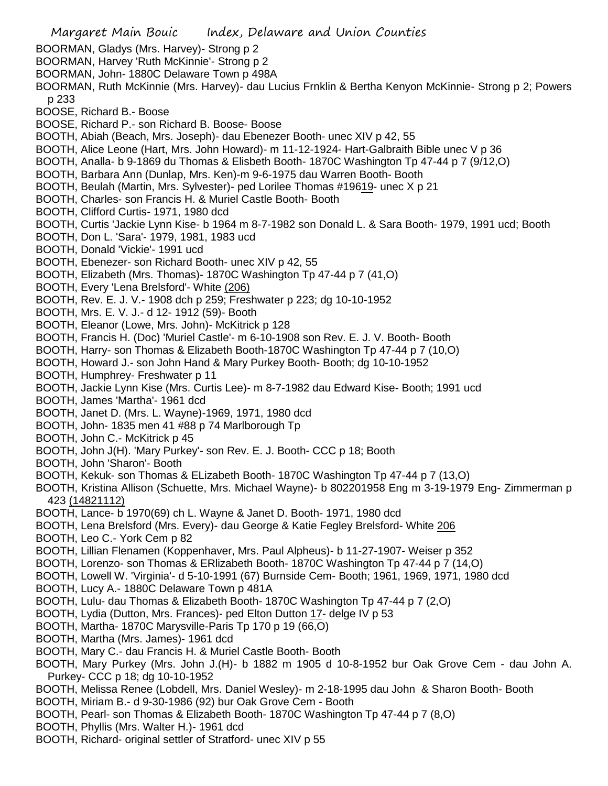- Margaret Main Bouic Index, Delaware and Union Counties BOORMAN, Gladys (Mrs. Harvey)- Strong p 2 BOORMAN, Harvey 'Ruth McKinnie'- Strong p 2 BOORMAN, John- 1880C Delaware Town p 498A BOORMAN, Ruth McKinnie (Mrs. Harvey)- dau Lucius Frnklin & Bertha Kenyon McKinnie- Strong p 2; Powers p 233 BOOSE, Richard B.- Boose BOOSE, Richard P.- son Richard B. Boose- Boose BOOTH, Abiah (Beach, Mrs. Joseph)- dau Ebenezer Booth- unec XIV p 42, 55 BOOTH, Alice Leone (Hart, Mrs. John Howard)- m 11-12-1924- Hart-Galbraith Bible unec V p 36 BOOTH, Analla- b 9-1869 du Thomas & Elisbeth Booth- 1870C Washington Tp 47-44 p 7 (9/12,O) BOOTH, Barbara Ann (Dunlap, Mrs. Ken)-m 9-6-1975 dau Warren Booth- Booth BOOTH, Beulah (Martin, Mrs. Sylvester)- ped Lorilee Thomas #19619- unec X p 21 BOOTH, Charles- son Francis H. & Muriel Castle Booth- Booth BOOTH, Clifford Curtis- 1971, 1980 dcd BOOTH, Curtis 'Jackie Lynn Kise- b 1964 m 8-7-1982 son Donald L. & Sara Booth- 1979, 1991 ucd; Booth BOOTH, Don L. 'Sara'- 1979, 1981, 1983 ucd BOOTH, Donald 'Vickie'- 1991 ucd BOOTH, Ebenezer- son Richard Booth- unec XIV p 42, 55 BOOTH, Elizabeth (Mrs. Thomas)- 1870C Washington Tp 47-44 p 7 (41,O) BOOTH, Every 'Lena Brelsford'- White (206) BOOTH, Rev. E. J. V.- 1908 dch p 259; Freshwater p 223; dg 10-10-1952 BOOTH, Mrs. E. V. J.- d 12- 1912 (59)- Booth BOOTH, Eleanor (Lowe, Mrs. John)- McKitrick p 128 BOOTH, Francis H. (Doc) 'Muriel Castle'- m 6-10-1908 son Rev. E. J. V. Booth- Booth BOOTH, Harry- son Thomas & Elizabeth Booth-1870C Washington Tp 47-44 p 7 (10,O) BOOTH, Howard J.- son John Hand & Mary Purkey Booth- Booth; dg 10-10-1952 BOOTH, Humphrey- Freshwater p 11 BOOTH, Jackie Lynn Kise (Mrs. Curtis Lee)- m 8-7-1982 dau Edward Kise- Booth; 1991 ucd BOOTH, James 'Martha'- 1961 dcd BOOTH, Janet D. (Mrs. L. Wayne)-1969, 1971, 1980 dcd BOOTH, John- 1835 men 41 #88 p 74 Marlborough Tp BOOTH, John C.- McKitrick p 45 BOOTH, John J(H). 'Mary Purkey'- son Rev. E. J. Booth- CCC p 18; Booth BOOTH, John 'Sharon'- Booth BOOTH, Kekuk- son Thomas & ELizabeth Booth- 1870C Washington Tp 47-44 p 7 (13,O) BOOTH, Kristina Allison (Schuette, Mrs. Michael Wayne)- b 802201958 Eng m 3-19-1979 Eng- Zimmerman p 423 (14821112) BOOTH, Lance- b 1970(69) ch L. Wayne & Janet D. Booth- 1971, 1980 dcd BOOTH, Lena Brelsford (Mrs. Every)- dau George & Katie Fegley Brelsford- White 206 BOOTH, Leo C.- York Cem p 82 BOOTH, Lillian Flenamen (Koppenhaver, Mrs. Paul Alpheus)- b 11-27-1907- Weiser p 352 BOOTH, Lorenzo- son Thomas & ERlizabeth Booth- 1870C Washington Tp 47-44 p 7 (14,O) BOOTH, Lowell W. 'Virginia'- d 5-10-1991 (67) Burnside Cem- Booth; 1961, 1969, 1971, 1980 dcd BOOTH, Lucy A.- 1880C Delaware Town p 481A BOOTH, Lulu- dau Thomas & Elizabeth Booth- 1870C Washington Tp 47-44 p 7 (2,O) BOOTH, Lydia (Dutton, Mrs. Frances)- ped Elton Dutton 17- delge IV p 53 BOOTH, Martha- 1870C Marysville-Paris Tp 170 p 19 (66,O) BOOTH, Martha (Mrs. James)- 1961 dcd BOOTH, Mary C.- dau Francis H. & Muriel Castle Booth- Booth BOOTH, Mary Purkey (Mrs. John J.(H)- b 1882 m 1905 d 10-8-1952 bur Oak Grove Cem - dau John A. Purkey- CCC p 18; dg 10-10-1952 BOOTH, Melissa Renee (Lobdell, Mrs. Daniel Wesley)- m 2-18-1995 dau John & Sharon Booth- Booth BOOTH, Miriam B.- d 9-30-1986 (92) bur Oak Grove Cem - Booth BOOTH, Pearl- son Thomas & Elizabeth Booth- 1870C Washington Tp 47-44 p 7 (8,O)
- 
- BOOTH, Phyllis (Mrs. Walter H.)- 1961 dcd
- BOOTH, Richard- original settler of Stratford- unec XIV p 55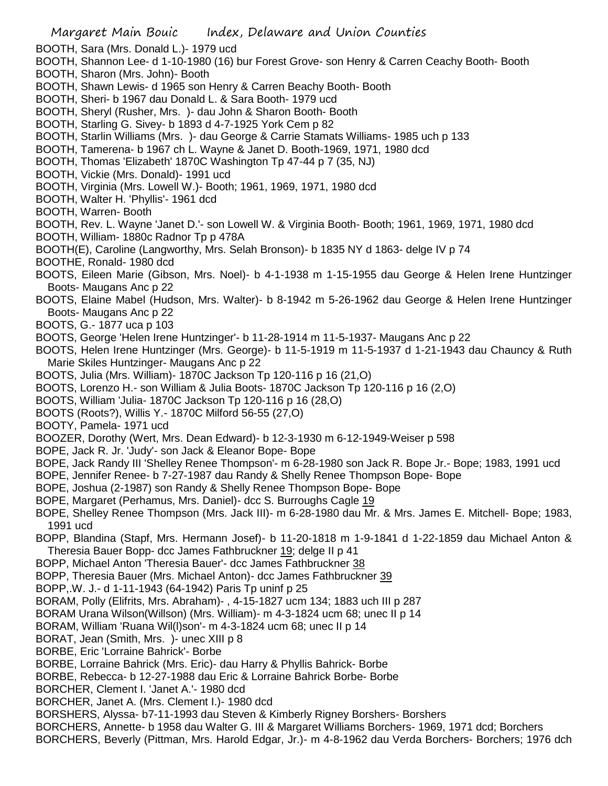Margaret Main Bouic Index, Delaware and Union Counties BOOTH, Sara (Mrs. Donald L.)- 1979 ucd BOOTH, Shannon Lee- d 1-10-1980 (16) bur Forest Grove- son Henry & Carren Ceachy Booth- Booth BOOTH, Sharon (Mrs. John)- Booth BOOTH, Shawn Lewis- d 1965 son Henry & Carren Beachy Booth- Booth BOOTH, Sheri- b 1967 dau Donald L. & Sara Booth- 1979 ucd BOOTH, Sheryl (Rusher, Mrs. )- dau John & Sharon Booth- Booth BOOTH, Starling G. Sivey- b 1893 d 4-7-1925 York Cem p 82 BOOTH, Starlin Williams (Mrs. )- dau George & Carrie Stamats Williams- 1985 uch p 133 BOOTH, Tamerena- b 1967 ch L. Wayne & Janet D. Booth-1969, 1971, 1980 dcd BOOTH, Thomas 'Elizabeth' 1870C Washington Tp 47-44 p 7 (35, NJ) BOOTH, Vickie (Mrs. Donald)- 1991 ucd BOOTH, Virginia (Mrs. Lowell W.)- Booth; 1961, 1969, 1971, 1980 dcd BOOTH, Walter H. 'Phyllis'- 1961 dcd BOOTH, Warren- Booth BOOTH, Rev. L. Wayne 'Janet D.'- son Lowell W. & Virginia Booth- Booth; 1961, 1969, 1971, 1980 dcd BOOTH, William- 1880c Radnor Tp p 478A BOOTH(E), Caroline (Langworthy, Mrs. Selah Bronson)- b 1835 NY d 1863- delge IV p 74 BOOTHE, Ronald- 1980 dcd BOOTS, Eileen Marie (Gibson, Mrs. Noel)- b 4-1-1938 m 1-15-1955 dau George & Helen Irene Huntzinger Boots- Maugans Anc p 22 BOOTS, Elaine Mabel (Hudson, Mrs. Walter)- b 8-1942 m 5-26-1962 dau George & Helen Irene Huntzinger Boots- Maugans Anc p 22 BOOTS, G.- 1877 uca p 103 BOOTS, George 'Helen Irene Huntzinger'- b 11-28-1914 m 11-5-1937- Maugans Anc p 22 BOOTS, Helen Irene Huntzinger (Mrs. George)- b 11-5-1919 m 11-5-1937 d 1-21-1943 dau Chauncy & Ruth Marie Skiles Huntzinger- Maugans Anc p 22 BOOTS, Julia (Mrs. William)- 1870C Jackson Tp 120-116 p 16 (21,O) BOOTS, Lorenzo H.- son William & Julia Boots- 1870C Jackson Tp 120-116 p 16 (2,O) BOOTS, William 'Julia- 1870C Jackson Tp 120-116 p 16 (28,O) BOOTS (Roots?), Willis Y.- 1870C Milford 56-55 (27,O) BOOTY, Pamela- 1971 ucd BOOZER, Dorothy (Wert, Mrs. Dean Edward)- b 12-3-1930 m 6-12-1949-Weiser p 598 BOPE, Jack R. Jr. 'Judy'- son Jack & Eleanor Bope- Bope BOPE, Jack Randy III 'Shelley Renee Thompson'- m 6-28-1980 son Jack R. Bope Jr.- Bope; 1983, 1991 ucd BOPE, Jennifer Renee- b 7-27-1987 dau Randy & Shelly Renee Thompson Bope- Bope BOPE, Joshua (2-1987) son Randy & Shelly Renee Thompson Bope- Bope BOPE, Margaret (Perhamus, Mrs. Daniel)- dcc S. Burroughs Cagle 19 BOPE, Shelley Renee Thompson (Mrs. Jack III)- m 6-28-1980 dau Mr. & Mrs. James E. Mitchell- Bope; 1983, 1991 ucd BOPP, Blandina (Stapf, Mrs. Hermann Josef)- b 11-20-1818 m 1-9-1841 d 1-22-1859 dau Michael Anton & Theresia Bauer Bopp- dcc James Fathbruckner 19; delge II p 41 BOPP, Michael Anton 'Theresia Bauer'- dcc James Fathbruckner 38 BOPP, Theresia Bauer (Mrs. Michael Anton)- dcc James Fathbruckner 39 BOPP,.W. J.- d 1-11-1943 (64-1942) Paris Tp uninf p 25 BORAM, Polly (Elifrits, Mrs. Abraham)- , 4-15-1827 ucm 134; 1883 uch III p 287 BORAM Urana Wilson(Willson) (Mrs. William)- m 4-3-1824 ucm 68; unec II p 14 BORAM, William 'Ruana Wil(l)son'- m 4-3-1824 ucm 68; unec II p 14 BORAT, Jean (Smith, Mrs. )- unec XIII p 8 BORBE, Eric 'Lorraine Bahrick'- Borbe BORBE, Lorraine Bahrick (Mrs. Eric)- dau Harry & Phyllis Bahrick- Borbe BORBE, Rebecca- b 12-27-1988 dau Eric & Lorraine Bahrick Borbe- Borbe BORCHER, Clement I. 'Janet A.'- 1980 dcd BORCHER, Janet A. (Mrs. Clement I.)- 1980 dcd BORSHERS, Alyssa- b7-11-1993 dau Steven & Kimberly Rigney Borshers- Borshers BORCHERS, Annette- b 1958 dau Walter G. III & Margaret Williams Borchers- 1969, 1971 dcd; Borchers

BORCHERS, Beverly (Pittman, Mrs. Harold Edgar, Jr.)- m 4-8-1962 dau Verda Borchers- Borchers; 1976 dch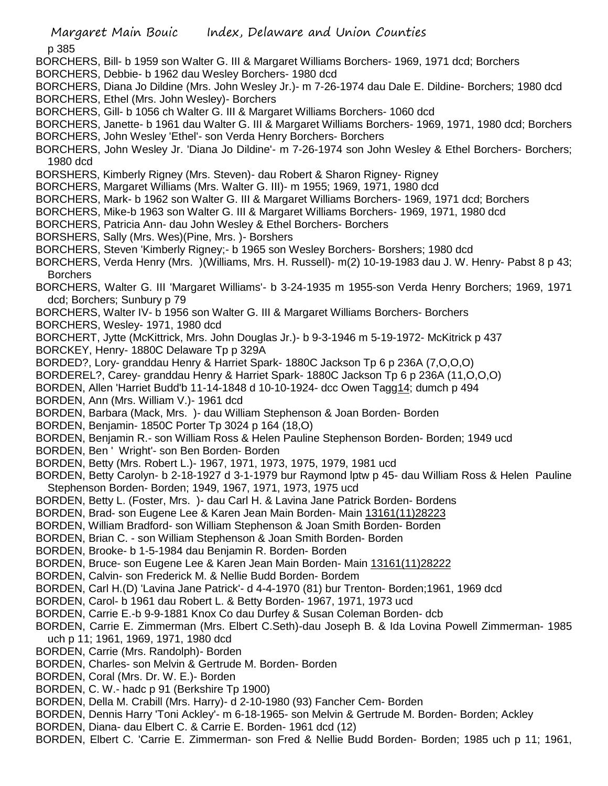p 385

- BORCHERS, Bill- b 1959 son Walter G. III & Margaret Williams Borchers- 1969, 1971 dcd; Borchers
- BORCHERS, Debbie- b 1962 dau Wesley Borchers- 1980 dcd

BORCHERS, Diana Jo Dildine (Mrs. John Wesley Jr.)- m 7-26-1974 dau Dale E. Dildine- Borchers; 1980 dcd BORCHERS, Ethel (Mrs. John Wesley)- Borchers

BORCHERS, Gill- b 1056 ch Walter G. III & Margaret Williams Borchers- 1060 dcd

BORCHERS, Janette- b 1961 dau Walter G. III & Margaret Williams Borchers- 1969, 1971, 1980 dcd; Borchers BORCHERS, John Wesley 'Ethel'- son Verda Henry Borchers- Borchers

- BORCHERS, John Wesley Jr. 'Diana Jo Dildine'- m 7-26-1974 son John Wesley & Ethel Borchers- Borchers; 1980 dcd
- BORSHERS, Kimberly Rigney (Mrs. Steven)- dau Robert & Sharon Rigney- Rigney
- BORCHERS, Margaret Williams (Mrs. Walter G. III)- m 1955; 1969, 1971, 1980 dcd
- BORCHERS, Mark- b 1962 son Walter G. III & Margaret Williams Borchers- 1969, 1971 dcd; Borchers
- BORCHERS, Mike-b 1963 son Walter G. III & Margaret Williams Borchers- 1969, 1971, 1980 dcd
- BORCHERS, Patricia Ann- dau John Wesley & Ethel Borchers- Borchers
- BORSHERS, Sally (Mrs. Wes)(Pine, Mrs. )- Borshers

BORCHERS, Steven 'Kimberly Rigney;- b 1965 son Wesley Borchers- Borshers; 1980 dcd

- BORCHERS, Verda Henry (Mrs. )(Williams, Mrs. H. Russell)- m(2) 10-19-1983 dau J. W. Henry- Pabst 8 p 43; **Borchers**
- BORCHERS, Walter G. III 'Margaret Williams'- b 3-24-1935 m 1955-son Verda Henry Borchers; 1969, 1971 dcd; Borchers; Sunbury p 79
- BORCHERS, Walter IV- b 1956 son Walter G. III & Margaret Williams Borchers- Borchers
- BORCHERS, Wesley- 1971, 1980 dcd
- BORCHERT, Jytte (McKittrick, Mrs. John Douglas Jr.)- b 9-3-1946 m 5-19-1972- McKitrick p 437 BORCKEY, Henry- 1880C Delaware Tp p 329A
- BORDED?, Lory- granddau Henry & Harriet Spark- 1880C Jackson Tp 6 p 236A (7,O,O,O)
- BORDEREL?, Carey- granddau Henry & Harriet Spark- 1880C Jackson Tp 6 p 236A (11,O,O,O)
- BORDEN, Allen 'Harriet Budd'b 11-14-1848 d 10-10-1924- dcc Owen Tagg14; dumch p 494
- BORDEN, Ann (Mrs. William V.)- 1961 dcd
- BORDEN, Barbara (Mack, Mrs. )- dau William Stephenson & Joan Borden- Borden
- BORDEN, Benjamin- 1850C Porter Tp 3024 p 164 (18,O)
- BORDEN, Benjamin R.- son William Ross & Helen Pauline Stephenson Borden- Borden; 1949 ucd
- BORDEN, Ben ' Wright'- son Ben Borden- Borden
- BORDEN, Betty (Mrs. Robert L.)- 1967, 1971, 1973, 1975, 1979, 1981 ucd
- BORDEN, Betty Carolyn- b 2-18-1927 d 3-1-1979 bur Raymond lptw p 45- dau William Ross & Helen Pauline Stephenson Borden- Borden; 1949, 1967, 1971, 1973, 1975 ucd
- BORDEN, Betty L. (Foster, Mrs. )- dau Carl H. & Lavina Jane Patrick Borden- Bordens
- BORDEN, Brad- son Eugene Lee & Karen Jean Main Borden- Main 13161(11)28223
- BORDEN, William Bradford- son William Stephenson & Joan Smith Borden- Borden
- BORDEN, Brian C. son William Stephenson & Joan Smith Borden- Borden
- BORDEN, Brooke- b 1-5-1984 dau Benjamin R. Borden- Borden
- BORDEN, Bruce- son Eugene Lee & Karen Jean Main Borden- Main 13161(11)28222
- BORDEN, Calvin- son Frederick M. & Nellie Budd Borden- Bordem
- BORDEN, Carl H.(D) 'Lavina Jane Patrick'- d 4-4-1970 (81) bur Trenton- Borden;1961, 1969 dcd
- BORDEN, Carol- b 1961 dau Robert L. & Betty Borden- 1967, 1971, 1973 ucd
- BORDEN, Carrie E.-b 9-9-1881 Knox Co dau Durfey & Susan Coleman Borden- dcb
- BORDEN, Carrie E. Zimmerman (Mrs. Elbert C.Seth)-dau Joseph B. & Ida Lovina Powell Zimmerman- 1985 uch p 11; 1961, 1969, 1971, 1980 dcd
- BORDEN, Carrie (Mrs. Randolph)- Borden
- BORDEN, Charles- son Melvin & Gertrude M. Borden- Borden
- BORDEN, Coral (Mrs. Dr. W. E.)- Borden
- BORDEN, C. W.- hadc p 91 (Berkshire Tp 1900)
- BORDEN, Della M. Crabill (Mrs. Harry)- d 2-10-1980 (93) Fancher Cem- Borden
- BORDEN, Dennis Harry 'Toni Ackley'- m 6-18-1965- son Melvin & Gertrude M. Borden- Borden; Ackley
- BORDEN, Diana- dau Elbert C. & Carrie E. Borden- 1961 dcd (12)
- BORDEN, Elbert C. 'Carrie E. Zimmerman- son Fred & Nellie Budd Borden- Borden; 1985 uch p 11; 1961,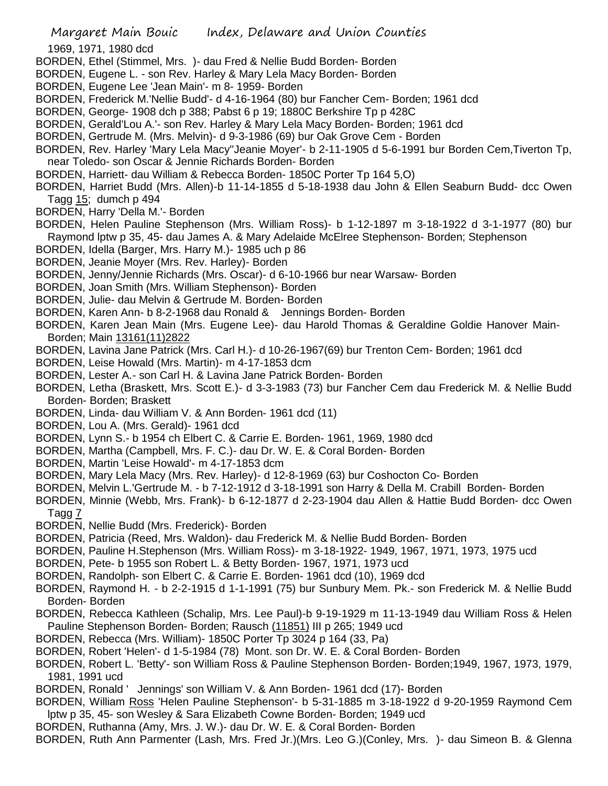- 1969, 1971, 1980 dcd
- BORDEN, Ethel (Stimmel, Mrs. )- dau Fred & Nellie Budd Borden- Borden
- BORDEN, Eugene L. son Rev. Harley & Mary Lela Macy Borden- Borden
- BORDEN, Eugene Lee 'Jean Main'- m 8- 1959- Borden
- BORDEN, Frederick M.'Nellie Budd'- d 4-16-1964 (80) bur Fancher Cem- Borden; 1961 dcd
- BORDEN, George- 1908 dch p 388; Pabst 6 p 19; 1880C Berkshire Tp p 428C
- BORDEN, Gerald'Lou A.'- son Rev. Harley & Mary Lela Macy Borden- Borden; 1961 dcd
- BORDEN, Gertrude M. (Mrs. Melvin)- d 9-3-1986 (69) bur Oak Grove Cem Borden
- BORDEN, Rev. Harley 'Mary Lela Macy''Jeanie Moyer'- b 2-11-1905 d 5-6-1991 bur Borden Cem,Tiverton Tp, near Toledo- son Oscar & Jennie Richards Borden- Borden
- BORDEN, Harriett- dau William & Rebecca Borden- 1850C Porter Tp 164 5,O)
- BORDEN, Harriet Budd (Mrs. Allen)-b 11-14-1855 d 5-18-1938 dau John & Ellen Seaburn Budd- dcc Owen Tagg 15; dumch p 494
- BORDEN, Harry 'Della M.'- Borden
- BORDEN, Helen Pauline Stephenson (Mrs. William Ross)- b 1-12-1897 m 3-18-1922 d 3-1-1977 (80) bur Raymond lptw p 35, 45- dau James A. & Mary Adelaide McElree Stephenson- Borden; Stephenson
- BORDEN, Idella (Barger, Mrs. Harry M.)- 1985 uch p 86
- BORDEN, Jeanie Moyer (Mrs. Rev. Harley)- Borden
- BORDEN, Jenny/Jennie Richards (Mrs. Oscar)- d 6-10-1966 bur near Warsaw- Borden
- BORDEN, Joan Smith (Mrs. William Stephenson)- Borden
- BORDEN, Julie- dau Melvin & Gertrude M. Borden- Borden
- BORDEN, Karen Ann- b 8-2-1968 dau Ronald & Jennings Borden- Borden
- BORDEN, Karen Jean Main (Mrs. Eugene Lee)- dau Harold Thomas & Geraldine Goldie Hanover Main-Borden; Main 13161(11)2822
- BORDEN, Lavina Jane Patrick (Mrs. Carl H.)- d 10-26-1967(69) bur Trenton Cem- Borden; 1961 dcd
- BORDEN, Leise Howald (Mrs. Martin)- m 4-17-1853 dcm
- BORDEN, Lester A.- son Carl H. & Lavina Jane Patrick Borden- Borden
- BORDEN, Letha (Braskett, Mrs. Scott E.)- d 3-3-1983 (73) bur Fancher Cem dau Frederick M. & Nellie Budd Borden- Borden; Braskett
- BORDEN, Linda- dau William V. & Ann Borden- 1961 dcd (11)
- BORDEN, Lou A. (Mrs. Gerald)- 1961 dcd
- BORDEN, Lynn S.- b 1954 ch Elbert C. & Carrie E. Borden- 1961, 1969, 1980 dcd
- BORDEN, Martha (Campbell, Mrs. F. C.)- dau Dr. W. E. & Coral Borden- Borden
- BORDEN, Martin 'Leise Howald'- m 4-17-1853 dcm
- BORDEN, Mary Lela Macy (Mrs. Rev. Harley)- d 12-8-1969 (63) bur Coshocton Co- Borden
- BORDEN, Melvin L.'Gertrude M. b 7-12-1912 d 3-18-1991 son Harry & Della M. Crabill Borden- Borden
- BORDEN, Minnie (Webb, Mrs. Frank)- b 6-12-1877 d 2-23-1904 dau Allen & Hattie Budd Borden- dcc Owen Tagg 7
- BORDEN, Nellie Budd (Mrs. Frederick)- Borden
- BORDEN, Patricia (Reed, Mrs. Waldon)- dau Frederick M. & Nellie Budd Borden- Borden
- BORDEN, Pauline H.Stephenson (Mrs. William Ross)- m 3-18-1922- 1949, 1967, 1971, 1973, 1975 ucd
- BORDEN, Pete- b 1955 son Robert L. & Betty Borden- 1967, 1971, 1973 ucd
- BORDEN, Randolph- son Elbert C. & Carrie E. Borden- 1961 dcd (10), 1969 dcd
- BORDEN, Raymond H. b 2-2-1915 d 1-1-1991 (75) bur Sunbury Mem. Pk.- son Frederick M. & Nellie Budd Borden- Borden
- BORDEN, Rebecca Kathleen (Schalip, Mrs. Lee Paul)-b 9-19-1929 m 11-13-1949 dau William Ross & Helen Pauline Stephenson Borden- Borden; Rausch (11851) III p 265; 1949 ucd
- BORDEN, Rebecca (Mrs. William)- 1850C Porter Tp 3024 p 164 (33, Pa)
- BORDEN, Robert 'Helen'- d 1-5-1984 (78) Mont. son Dr. W. E. & Coral Borden- Borden
- BORDEN, Robert L. 'Betty'- son William Ross & Pauline Stephenson Borden- Borden;1949, 1967, 1973, 1979, 1981, 1991 ucd
- BORDEN, Ronald ' Jennings' son William V. & Ann Borden- 1961 dcd (17)- Borden
- BORDEN, William Ross 'Helen Pauline Stephenson'- b 5-31-1885 m 3-18-1922 d 9-20-1959 Raymond Cem lptw p 35, 45- son Wesley & Sara Elizabeth Cowne Borden- Borden; 1949 ucd
- BORDEN, Ruthanna (Amy, Mrs. J. W.)- dau Dr. W. E. & Coral Borden- Borden
- BORDEN, Ruth Ann Parmenter (Lash, Mrs. Fred Jr.)(Mrs. Leo G.)(Conley, Mrs. )- dau Simeon B. & Glenna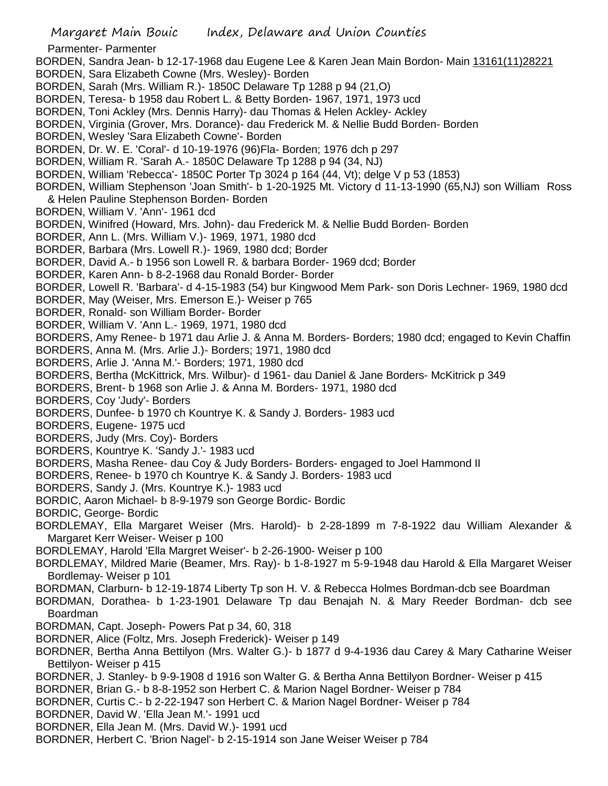- Parmenter- Parmenter
- BORDEN, Sandra Jean- b 12-17-1968 dau Eugene Lee & Karen Jean Main Bordon- Main 13161(11)28221
- BORDEN, Sara Elizabeth Cowne (Mrs. Wesley)- Borden
- BORDEN, Sarah (Mrs. William R.)- 1850C Delaware Tp 1288 p 94 (21,O)
- BORDEN, Teresa- b 1958 dau Robert L. & Betty Borden- 1967, 1971, 1973 ucd
- BORDEN, Toni Ackley (Mrs. Dennis Harry)- dau Thomas & Helen Ackley- Ackley
- BORDEN, Virginia (Grover, Mrs. Dorance)- dau Frederick M. & Nellie Budd Borden- Borden
- BORDEN, Wesley 'Sara Elizabeth Cowne'- Borden
- BORDEN, Dr. W. E. 'Coral'- d 10-19-1976 (96)Fla- Borden; 1976 dch p 297
- BORDEN, William R. 'Sarah A.- 1850C Delaware Tp 1288 p 94 (34, NJ)
- BORDEN, William 'Rebecca'- 1850C Porter Tp 3024 p 164 (44, Vt); delge V p 53 (1853)
- BORDEN, William Stephenson 'Joan Smith'- b 1-20-1925 Mt. Victory d 11-13-1990 (65,NJ) son William Ross & Helen Pauline Stephenson Borden- Borden
- BORDEN, William V. 'Ann'- 1961 dcd
- BORDEN, Winifred (Howard, Mrs. John)- dau Frederick M. & Nellie Budd Borden- Borden
- BORDER, Ann L. (Mrs. William V.)- 1969, 1971, 1980 dcd
- BORDER, Barbara (Mrs. Lowell R.)- 1969, 1980 dcd; Border
- BORDER, David A.- b 1956 son Lowell R. & barbara Border- 1969 dcd; Border
- BORDER, Karen Ann- b 8-2-1968 dau Ronald Border- Border
- BORDER, Lowell R. 'Barbara'- d 4-15-1983 (54) bur Kingwood Mem Park- son Doris Lechner- 1969, 1980 dcd
- BORDER, May (Weiser, Mrs. Emerson E.)- Weiser p 765
- BORDER, Ronald- son William Border- Border
- BORDER, William V. 'Ann L.- 1969, 1971, 1980 dcd
- BORDERS, Amy Renee- b 1971 dau Arlie J. & Anna M. Borders- Borders; 1980 dcd; engaged to Kevin Chaffin
- BORDERS, Anna M. (Mrs. Arlie J.)- Borders; 1971, 1980 dcd
- BORDERS, Arlie J. 'Anna M.'- Borders; 1971, 1980 dcd
- BORDERS, Bertha (McKittrick, Mrs. Wilbur)- d 1961- dau Daniel & Jane Borders- McKitrick p 349
- BORDERS, Brent- b 1968 son Arlie J. & Anna M. Borders- 1971, 1980 dcd
- BORDERS, Coy 'Judy'- Borders
- BORDERS, Dunfee- b 1970 ch Kountrye K. & Sandy J. Borders- 1983 ucd
- BORDERS, Eugene- 1975 ucd
- BORDERS, Judy (Mrs. Coy)- Borders
- BORDERS, Kountrye K. 'Sandy J.'- 1983 ucd
- BORDERS, Masha Renee- dau Coy & Judy Borders- Borders- engaged to Joel Hammond II
- BORDERS, Renee- b 1970 ch Kountrye K. & Sandy J. Borders- 1983 ucd
- BORDERS, Sandy J. (Mrs. Kountrye K.)- 1983 ucd
- BORDIC, Aaron Michael- b 8-9-1979 son George Bordic- Bordic
- BORDIC, George- Bordic
- BORDLEMAY, Ella Margaret Weiser (Mrs. Harold)- b 2-28-1899 m 7-8-1922 dau William Alexander & Margaret Kerr Weiser- Weiser p 100
- BORDLEMAY, Harold 'Ella Margret Weiser'- b 2-26-1900- Weiser p 100
- BORDLEMAY, Mildred Marie (Beamer, Mrs. Ray)- b 1-8-1927 m 5-9-1948 dau Harold & Ella Margaret Weiser Bordlemay- Weiser p 101
- BORDMAN, Clarburn- b 12-19-1874 Liberty Tp son H. V. & Rebecca Holmes Bordman-dcb see Boardman
- BORDMAN, Dorathea- b 1-23-1901 Delaware Tp dau Benajah N. & Mary Reeder Bordman- dcb see Boardman
- BORDMAN, Capt. Joseph- Powers Pat p 34, 60, 318
- BORDNER, Alice (Foltz, Mrs. Joseph Frederick)- Weiser p 149
- BORDNER, Bertha Anna Bettilyon (Mrs. Walter G.)- b 1877 d 9-4-1936 dau Carey & Mary Catharine Weiser Bettilyon- Weiser p 415
- BORDNER, J. Stanley- b 9-9-1908 d 1916 son Walter G. & Bertha Anna Bettilyon Bordner- Weiser p 415
- BORDNER, Brian G.- b 8-8-1952 son Herbert C. & Marion Nagel Bordner- Weiser p 784
- BORDNER, Curtis C.- b 2-22-1947 son Herbert C. & Marion Nagel Bordner- Weiser p 784
- BORDNER, David W. 'Ella Jean M.'- 1991 ucd
- BORDNER, Ella Jean M. (Mrs. David W.)- 1991 ucd
- BORDNER, Herbert C. 'Brion Nagel'- b 2-15-1914 son Jane Weiser Weiser p 784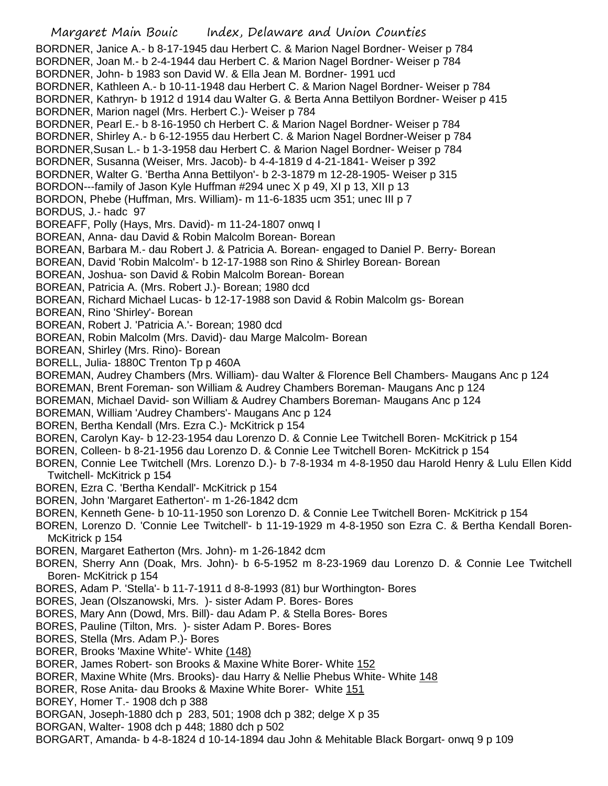Margaret Main Bouic Index, Delaware and Union Counties BORDNER, Janice A.- b 8-17-1945 dau Herbert C. & Marion Nagel Bordner- Weiser p 784 BORDNER, Joan M.- b 2-4-1944 dau Herbert C. & Marion Nagel Bordner- Weiser p 784 BORDNER, John- b 1983 son David W. & Ella Jean M. Bordner- 1991 ucd BORDNER, Kathleen A.- b 10-11-1948 dau Herbert C. & Marion Nagel Bordner- Weiser p 784 BORDNER, Kathryn- b 1912 d 1914 dau Walter G. & Berta Anna Bettilyon Bordner- Weiser p 415 BORDNER, Marion nagel (Mrs. Herbert C.)- Weiser p 784 BORDNER, Pearl E.- b 8-16-1950 ch Herbert C. & Marion Nagel Bordner- Weiser p 784 BORDNER, Shirley A.- b 6-12-1955 dau Herbert C. & Marion Nagel Bordner-Weiser p 784 BORDNER,Susan L.- b 1-3-1958 dau Herbert C. & Marion Nagel Bordner- Weiser p 784 BORDNER, Susanna (Weiser, Mrs. Jacob)- b 4-4-1819 d 4-21-1841- Weiser p 392 BORDNER, Walter G. 'Bertha Anna Bettilyon'- b 2-3-1879 m 12-28-1905- Weiser p 315 BORDON---family of Jason Kyle Huffman #294 unec X p 49, XI p 13, XII p 13 BORDON, Phebe (Huffman, Mrs. William)- m 11-6-1835 ucm 351; unec III p 7 BORDUS, J.- hadc 97 BOREAFF, Polly (Hays, Mrs. David)- m 11-24-1807 onwq I BOREAN, Anna- dau David & Robin Malcolm Borean- Borean BOREAN, Barbara M.- dau Robert J. & Patricia A. Borean- engaged to Daniel P. Berry- Borean BOREAN, David 'Robin Malcolm'- b 12-17-1988 son Rino & Shirley Borean- Borean BOREAN, Joshua- son David & Robin Malcolm Borean- Borean BOREAN, Patricia A. (Mrs. Robert J.)- Borean; 1980 dcd BOREAN, Richard Michael Lucas- b 12-17-1988 son David & Robin Malcolm gs- Borean BOREAN, Rino 'Shirley'- Borean BOREAN, Robert J. 'Patricia A.'- Borean; 1980 dcd BOREAN, Robin Malcolm (Mrs. David)- dau Marge Malcolm- Borean BOREAN, Shirley (Mrs. Rino)- Borean BORELL, Julia- 1880C Trenton Tp p 460A BOREMAN, Audrey Chambers (Mrs. William)- dau Walter & Florence Bell Chambers- Maugans Anc p 124 BOREMAN, Brent Foreman- son William & Audrey Chambers Boreman- Maugans Anc p 124 BOREMAN, Michael David- son William & Audrey Chambers Boreman- Maugans Anc p 124 BOREMAN, William 'Audrey Chambers'- Maugans Anc p 124 BOREN, Bertha Kendall (Mrs. Ezra C.)- McKitrick p 154 BOREN, Carolyn Kay- b 12-23-1954 dau Lorenzo D. & Connie Lee Twitchell Boren- McKitrick p 154 BOREN, Colleen- b 8-21-1956 dau Lorenzo D. & Connie Lee Twitchell Boren- McKitrick p 154 BOREN, Connie Lee Twitchell (Mrs. Lorenzo D.)- b 7-8-1934 m 4-8-1950 dau Harold Henry & Lulu Ellen Kidd Twitchell- McKitrick p 154 BOREN, Ezra C. 'Bertha Kendall'- McKitrick p 154 BOREN, John 'Margaret Eatherton'- m 1-26-1842 dcm BOREN, Kenneth Gene- b 10-11-1950 son Lorenzo D. & Connie Lee Twitchell Boren- McKitrick p 154 BOREN, Lorenzo D. 'Connie Lee Twitchell'- b 11-19-1929 m 4-8-1950 son Ezra C. & Bertha Kendall Boren-McKitrick p 154 BOREN, Margaret Eatherton (Mrs. John)- m 1-26-1842 dcm BOREN, Sherry Ann (Doak, Mrs. John)- b 6-5-1952 m 8-23-1969 dau Lorenzo D. & Connie Lee Twitchell Boren- McKitrick p 154 BORES, Adam P. 'Stella'- b 11-7-1911 d 8-8-1993 (81) bur Worthington- Bores BORES, Jean (Olszanowski, Mrs. )- sister Adam P. Bores- Bores BORES, Mary Ann (Dowd, Mrs. Bill)- dau Adam P. & Stella Bores- Bores BORES, Pauline (Tilton, Mrs. )- sister Adam P. Bores- Bores BORES, Stella (Mrs. Adam P.)- Bores BORER, Brooks 'Maxine White'- White (148) BORER, James Robert- son Brooks & Maxine White Borer- White 152 BORER, Maxine White (Mrs. Brooks)- dau Harry & Nellie Phebus White- White 148 BORER, Rose Anita- dau Brooks & Maxine White Borer- White 151 BOREY, Homer T.- 1908 dch p 388 BORGAN, Joseph-1880 dch p 283, 501; 1908 dch p 382; delge X p 35 BORGAN, Walter- 1908 dch p 448; 1880 dch p 502 BORGART, Amanda- b 4-8-1824 d 10-14-1894 dau John & Mehitable Black Borgart- onwq 9 p 109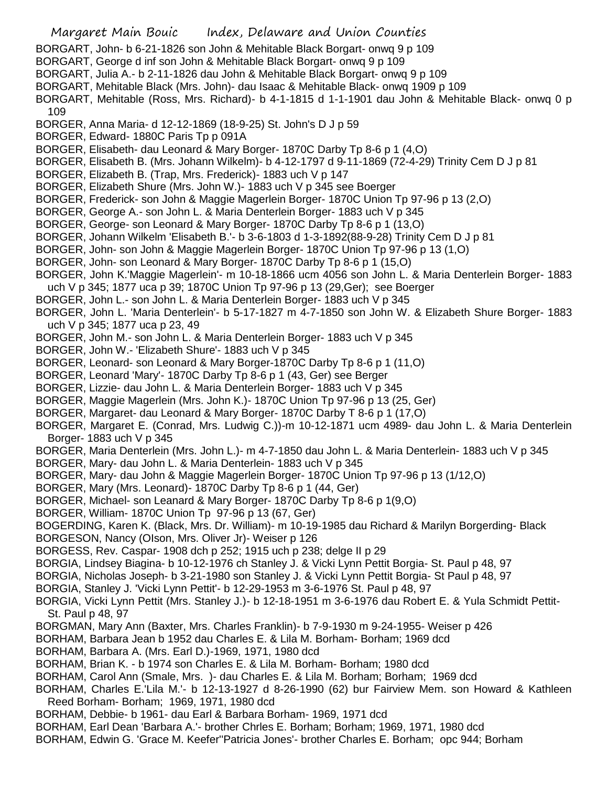Margaret Main Bouic Index, Delaware and Union Counties BORGART, John- b 6-21-1826 son John & Mehitable Black Borgart- onwq 9 p 109 BORGART, George d inf son John & Mehitable Black Borgart- onwq 9 p 109 BORGART, Julia A.- b 2-11-1826 dau John & Mehitable Black Borgart- onwq 9 p 109 BORGART, Mehitable Black (Mrs. John)- dau Isaac & Mehitable Black- onwq 1909 p 109 BORGART, Mehitable (Ross, Mrs. Richard)- b 4-1-1815 d 1-1-1901 dau John & Mehitable Black- onwq 0 p 109 BORGER, Anna Maria- d 12-12-1869 (18-9-25) St. John's D J p 59 BORGER, Edward- 1880C Paris Tp p 091A BORGER, Elisabeth- dau Leonard & Mary Borger- 1870C Darby Tp 8-6 p 1 (4,O) BORGER, Elisabeth B. (Mrs. Johann Wilkelm)- b 4-12-1797 d 9-11-1869 (72-4-29) Trinity Cem D J p 81 BORGER, Elizabeth B. (Trap, Mrs. Frederick)- 1883 uch V p 147 BORGER, Elizabeth Shure (Mrs. John W.)- 1883 uch V p 345 see Boerger BORGER, Frederick- son John & Maggie Magerlein Borger- 1870C Union Tp 97-96 p 13 (2,O) BORGER, George A.- son John L. & Maria Denterlein Borger- 1883 uch V p 345 BORGER, George- son Leonard & Mary Borger- 1870C Darby Tp 8-6 p 1 (13,O) BORGER, Johann Wilkelm 'Elisabeth B.'- b 3-6-1803 d 1-3-1892(88-9-28) Trinity Cem D J p 81 BORGER, John- son John & Maggie Magerlein Borger- 1870C Union Tp 97-96 p 13 (1,O) BORGER, John- son Leonard & Mary Borger- 1870C Darby Tp 8-6 p 1 (15,O) BORGER, John K.'Maggie Magerlein'- m 10-18-1866 ucm 4056 son John L. & Maria Denterlein Borger- 1883 uch V p 345; 1877 uca p 39; 1870C Union Tp 97-96 p 13 (29,Ger); see Boerger BORGER, John L.- son John L. & Maria Denterlein Borger- 1883 uch V p 345 BORGER, John L. 'Maria Denterlein'- b 5-17-1827 m 4-7-1850 son John W. & Elizabeth Shure Borger- 1883 uch V p 345; 1877 uca p 23, 49 BORGER, John M.- son John L. & Maria Denterlein Borger- 1883 uch V p 345 BORGER, John W.- 'Elizabeth Shure'- 1883 uch V p 345 BORGER, Leonard- son Leonard & Mary Borger-1870C Darby Tp 8-6 p 1 (11,O) BORGER, Leonard 'Mary'- 1870C Darby Tp 8-6 p 1 (43, Ger) see Berger BORGER, Lizzie- dau John L. & Maria Denterlein Borger- 1883 uch V p 345 BORGER, Maggie Magerlein (Mrs. John K.)- 1870C Union Tp 97-96 p 13 (25, Ger) BORGER, Margaret- dau Leonard & Mary Borger- 1870C Darby T 8-6 p 1 (17,O) BORGER, Margaret E. (Conrad, Mrs. Ludwig C.))-m 10-12-1871 ucm 4989- dau John L. & Maria Denterlein Borger- 1883 uch V p 345 BORGER, Maria Denterlein (Mrs. John L.)- m 4-7-1850 dau John L. & Maria Denterlein- 1883 uch V p 345 BORGER, Mary- dau John L. & Maria Denterlein- 1883 uch V p 345 BORGER, Mary- dau John & Maggie Magerlein Borger- 1870C Union Tp 97-96 p 13 (1/12,O) BORGER, Mary (Mrs. Leonard)- 1870C Darby Tp 8-6 p 1 (44, Ger) BORGER, Michael- son Leanard & Mary Borger- 1870C Darby Tp 8-6 p 1(9,O) BORGER, William- 1870C Union Tp 97-96 p 13 (67, Ger) BOGERDING, Karen K. (Black, Mrs. Dr. William)- m 10-19-1985 dau Richard & Marilyn Borgerding- Black BORGESON, Nancy (OIson, Mrs. Oliver Jr)- Weiser p 126 BORGESS, Rev. Caspar- 1908 dch p 252; 1915 uch p 238; delge II p 29 BORGIA, Lindsey Biagina- b 10-12-1976 ch Stanley J. & Vicki Lynn Pettit Borgia- St. Paul p 48, 97 BORGIA, Nicholas Joseph- b 3-21-1980 son Stanley J. & Vicki Lynn Pettit Borgia- St Paul p 48, 97 BORGIA, Stanley J. 'Vicki Lynn Pettit'- b 12-29-1953 m 3-6-1976 St. Paul p 48, 97 BORGIA, Vicki Lynn Pettit (Mrs. Stanley J.)- b 12-18-1951 m 3-6-1976 dau Robert E. & Yula Schmidt Pettit-St. Paul p 48, 97 BORGMAN, Mary Ann (Baxter, Mrs. Charles Franklin)- b 7-9-1930 m 9-24-1955- Weiser p 426 BORHAM, Barbara Jean b 1952 dau Charles E. & Lila M. Borham- Borham; 1969 dcd BORHAM, Barbara A. (Mrs. Earl D.)-1969, 1971, 1980 dcd BORHAM, Brian K. - b 1974 son Charles E. & Lila M. Borham- Borham; 1980 dcd BORHAM, Carol Ann (Smale, Mrs. )- dau Charles E. & Lila M. Borham; Borham; 1969 dcd BORHAM, Charles E.'Lila M.'- b 12-13-1927 d 8-26-1990 (62) bur Fairview Mem. son Howard & Kathleen Reed Borham- Borham; 1969, 1971, 1980 dcd BORHAM, Debbie- b 1961- dau Earl & Barbara Borham- 1969, 1971 dcd BORHAM, Earl Dean 'Barbara A.'- brother Chrles E. Borham; Borham; 1969, 1971, 1980 dcd BORHAM, Edwin G. 'Grace M. Keefer''Patricia Jones'- brother Charles E. Borham; opc 944; Borham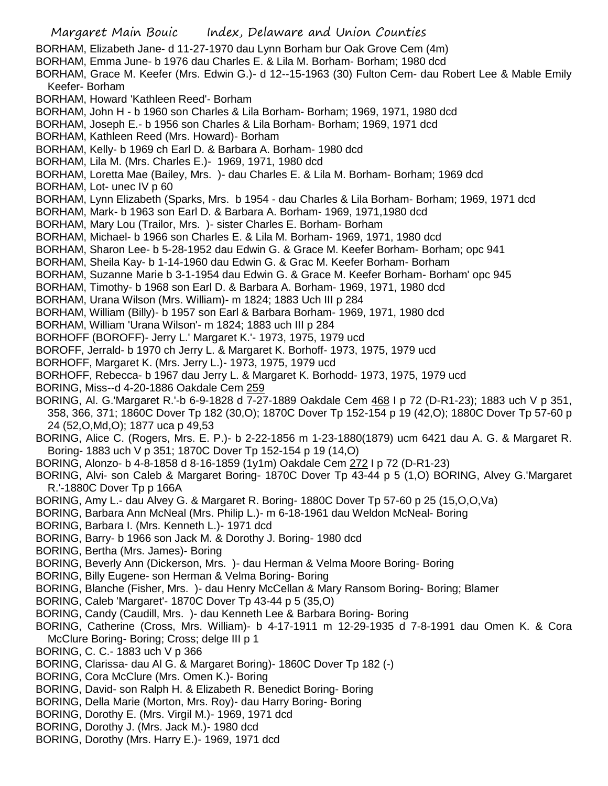- Margaret Main Bouic Index, Delaware and Union Counties BORHAM, Elizabeth Jane- d 11-27-1970 dau Lynn Borham bur Oak Grove Cem (4m) BORHAM, Emma June- b 1976 dau Charles E. & Lila M. Borham- Borham; 1980 dcd BORHAM, Grace M. Keefer (Mrs. Edwin G.)- d 12--15-1963 (30) Fulton Cem- dau Robert Lee & Mable Emily Keefer- Borham BORHAM, Howard 'Kathleen Reed'- Borham BORHAM, John H - b 1960 son Charles & Lila Borham- Borham; 1969, 1971, 1980 dcd BORHAM, Joseph E.- b 1956 son Charles & Lila Borham- Borham; 1969, 1971 dcd BORHAM, Kathleen Reed (Mrs. Howard)- Borham BORHAM, Kelly- b 1969 ch Earl D. & Barbara A. Borham- 1980 dcd BORHAM, Lila M. (Mrs. Charles E.)- 1969, 1971, 1980 dcd BORHAM, Loretta Mae (Bailey, Mrs. )- dau Charles E. & Lila M. Borham- Borham; 1969 dcd BORHAM, Lot- unec IV p 60 BORHAM, Lynn Elizabeth (Sparks, Mrs. b 1954 - dau Charles & Lila Borham- Borham; 1969, 1971 dcd BORHAM, Mark- b 1963 son Earl D. & Barbara A. Borham- 1969, 1971,1980 dcd BORHAM, Mary Lou (Trailor, Mrs. )- sister Charles E. Borham- Borham BORHAM, Michael- b 1966 son Charles E. & Lila M. Borham- 1969, 1971, 1980 dcd BORHAM, Sharon Lee- b 5-28-1952 dau Edwin G. & Grace M. Keefer Borham- Borham; opc 941 BORHAM, Sheila Kay- b 1-14-1960 dau Edwin G. & Grac M. Keefer Borham- Borham BORHAM, Suzanne Marie b 3-1-1954 dau Edwin G. & Grace M. Keefer Borham- Borham' opc 945 BORHAM, Timothy- b 1968 son Earl D. & Barbara A. Borham- 1969, 1971, 1980 dcd BORHAM, Urana Wilson (Mrs. William)- m 1824; 1883 Uch III p 284 BORHAM, William (Billy)- b 1957 son Earl & Barbara Borham- 1969, 1971, 1980 dcd BORHAM, William 'Urana Wilson'- m 1824; 1883 uch III p 284 BORHOFF (BOROFF)- Jerry L.' Margaret K.'- 1973, 1975, 1979 ucd BOROFF, Jerrald- b 1970 ch Jerry L. & Margaret K. Borhoff- 1973, 1975, 1979 ucd BORHOFF, Margaret K. (Mrs. Jerry L.)- 1973, 1975, 1979 ucd BORHOFF, Rebecca- b 1967 dau Jerry L. & Margaret K. Borhodd- 1973, 1975, 1979 ucd BORING, Miss--d 4-20-1886 Oakdale Cem 259 BORING, Al. G.'Margaret R.'-b 6-9-1828 d 7-27-1889 Oakdale Cem 468 I p 72 (D-R1-23); 1883 uch V p 351, 358, 366, 371; 1860C Dover Tp 182 (30,O); 1870C Dover Tp 152-154 p 19 (42,O); 1880C Dover Tp 57-60 p 24 (52,O,Md,O); 1877 uca p 49,53 BORING, Alice C. (Rogers, Mrs. E. P.)- b 2-22-1856 m 1-23-1880(1879) ucm 6421 dau A. G. & Margaret R. Boring- 1883 uch V p 351; 1870C Dover Tp 152-154 p 19 (14,O) BORING, Alonzo- b 4-8-1858 d 8-16-1859 (1y1m) Oakdale Cem 272 I p 72 (D-R1-23) BORING, Alvi- son Caleb & Margaret Boring- 1870C Dover Tp 43-44 p 5 (1,O) BORING, Alvey G.'Margaret R.'-1880C Dover Tp p 166A BORING, Amy L.- dau Alvey G. & Margaret R. Boring- 1880C Dover Tp 57-60 p 25 (15,O,O,Va) BORING, Barbara Ann McNeal (Mrs. Philip L.)- m 6-18-1961 dau Weldon McNeal- Boring BORING, Barbara I. (Mrs. Kenneth L.)- 1971 dcd BORING, Barry- b 1966 son Jack M. & Dorothy J. Boring- 1980 dcd BORING, Bertha (Mrs. James)- Boring BORING, Beverly Ann (Dickerson, Mrs. )- dau Herman & Velma Moore Boring- Boring BORING, Billy Eugene- son Herman & Velma Boring- Boring BORING, Blanche (Fisher, Mrs. )- dau Henry McCellan & Mary Ransom Boring- Boring; Blamer BORING, Caleb 'Margaret'- 1870C Dover Tp 43-44 p 5 (35,O) BORING, Candy (Caudill, Mrs. )- dau Kenneth Lee & Barbara Boring- Boring BORING, Catherine (Cross, Mrs. William)- b 4-17-1911 m 12-29-1935 d 7-8-1991 dau Omen K. & Cora McClure Boring- Boring; Cross; delge III p 1 BORING, C. C.- 1883 uch V p 366 BORING, Clarissa- dau Al G. & Margaret Boring)- 1860C Dover Tp 182 (-) BORING, Cora McClure (Mrs. Omen K.)- Boring BORING, David- son Ralph H. & Elizabeth R. Benedict Boring- Boring BORING, Della Marie (Morton, Mrs. Roy)- dau Harry Boring- Boring BORING, Dorothy E. (Mrs. Virgil M.)- 1969, 1971 dcd
- BORING, Dorothy J. (Mrs. Jack M.)- 1980 dcd
- BORING, Dorothy (Mrs. Harry E.)- 1969, 1971 dcd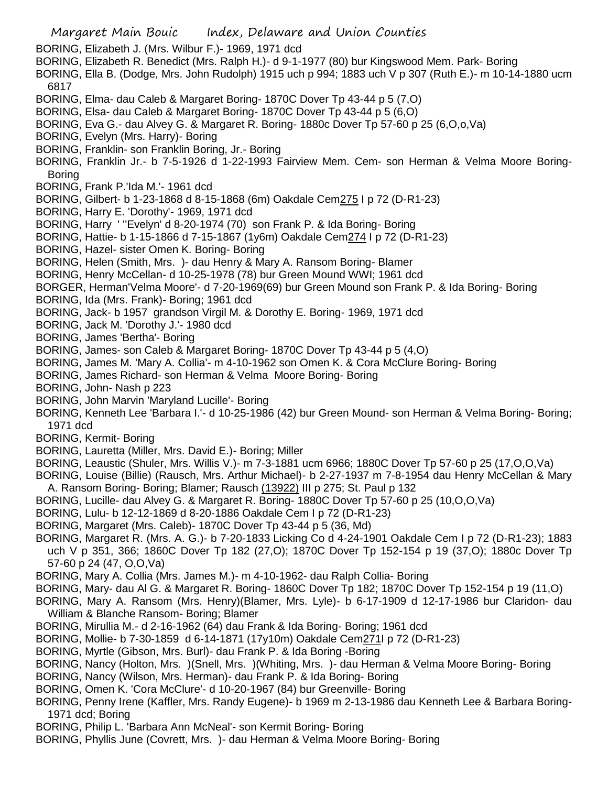- Margaret Main Bouic Index, Delaware and Union Counties BORING, Elizabeth J. (Mrs. Wilbur F.)- 1969, 1971 dcd BORING, Elizabeth R. Benedict (Mrs. Ralph H.)- d 9-1-1977 (80) bur Kingswood Mem. Park- Boring BORING, Ella B. (Dodge, Mrs. John Rudolph) 1915 uch p 994; 1883 uch V p 307 (Ruth E.)- m 10-14-1880 ucm 6817 BORING, Elma- dau Caleb & Margaret Boring- 1870C Dover Tp 43-44 p 5 (7,O) BORING, Elsa- dau Caleb & Margaret Boring- 1870C Dover Tp 43-44 p 5 (6,O) BORING, Eva G.- dau Alvey G. & Margaret R. Boring- 1880c Dover Tp 57-60 p 25 (6,O,o,Va) BORING, Evelyn (Mrs. Harry)- Boring BORING, Franklin- son Franklin Boring, Jr.- Boring BORING, Franklin Jr.- b 7-5-1926 d 1-22-1993 Fairview Mem. Cem- son Herman & Velma Moore Boring-Boring BORING, Frank P.'Ida M.'- 1961 dcd BORING, Gilbert- b 1-23-1868 d 8-15-1868 (6m) Oakdale Cem275 I p 72 (D-R1-23) BORING, Harry E. 'Dorothy'- 1969, 1971 dcd BORING, Harry ' ''Evelyn' d 8-20-1974 (70) son Frank P. & Ida Boring- Boring BORING, Hattie- b 1-15-1866 d 7-15-1867 (1y6m) Oakdale Cem274 I p 72 (D-R1-23) BORING, Hazel- sister Omen K. Boring- Boring BORING, Helen (Smith, Mrs. )- dau Henry & Mary A. Ransom Boring- Blamer BORING, Henry McCellan- d 10-25-1978 (78) bur Green Mound WWI; 1961 dcd BORGER, Herman'Velma Moore'- d 7-20-1969(69) bur Green Mound son Frank P. & Ida Boring- Boring BORING, Ida (Mrs. Frank)- Boring; 1961 dcd BORING, Jack- b 1957 grandson Virgil M. & Dorothy E. Boring- 1969, 1971 dcd BORING, Jack M. 'Dorothy J.'- 1980 dcd BORING, James 'Bertha'- Boring BORING, James- son Caleb & Margaret Boring- 1870C Dover Tp 43-44 p 5 (4,O) BORING, James M. 'Mary A. Collia'- m 4-10-1962 son Omen K. & Cora McClure Boring- Boring BORING, James Richard- son Herman & Velma Moore Boring- Boring BORING, John- Nash p 223 BORING, John Marvin 'Maryland Lucille'- Boring BORING, Kenneth Lee 'Barbara I.'- d 10-25-1986 (42) bur Green Mound- son Herman & Velma Boring- Boring; 1971 dcd BORING, Kermit- Boring BORING, Lauretta (Miller, Mrs. David E.)- Boring; Miller BORING, Leaustic (Shuler, Mrs. Willis V.)- m 7-3-1881 ucm 6966; 1880C Dover Tp 57-60 p 25 (17,O,O,Va) BORING, Louise (Billie) (Rausch, Mrs. Arthur Michael)- b 2-27-1937 m 7-8-1954 dau Henry McCellan & Mary A. Ransom Boring- Boring; Blamer; Rausch (13922) III p 275; St. Paul p 132 BORING, Lucille- dau Alvey G. & Margaret R. Boring- 1880C Dover Tp 57-60 p 25 (10,O,O,Va) BORING, Lulu- b 12-12-1869 d 8-20-1886 Oakdale Cem I p 72 (D-R1-23) BORING, Margaret (Mrs. Caleb)- 1870C Dover Tp 43-44 p 5 (36, Md) BORING, Margaret R. (Mrs. A. G.)- b 7-20-1833 Licking Co d 4-24-1901 Oakdale Cem I p 72 (D-R1-23); 1883
- uch V p 351, 366; 1860C Dover Tp 182 (27,O); 1870C Dover Tp 152-154 p 19 (37,O); 1880c Dover Tp 57-60 p 24 (47, O,O,Va)
- BORING, Mary A. Collia (Mrs. James M.)- m 4-10-1962- dau Ralph Collia- Boring
- BORING, Mary- dau Al G. & Margaret R. Boring- 1860C Dover Tp 182; 1870C Dover Tp 152-154 p 19 (11,O)
- BORING, Mary A. Ransom (Mrs. Henry)(Blamer, Mrs. Lyle)- b 6-17-1909 d 12-17-1986 bur Claridon- dau William & Blanche Ransom- Boring; Blamer
- BORING, Mirullia M.- d 2-16-1962 (64) dau Frank & Ida Boring- Boring; 1961 dcd
- BORING, Mollie- b 7-30-1859 d 6-14-1871 (17y10m) Oakdale Cem271I p 72 (D-R1-23)
- BORING, Myrtle (Gibson, Mrs. Burl)- dau Frank P. & Ida Boring -Boring
- BORING, Nancy (Holton, Mrs. )(Snell, Mrs. )(Whiting, Mrs. )- dau Herman & Velma Moore Boring- Boring
- BORING, Nancy (Wilson, Mrs. Herman)- dau Frank P. & Ida Boring- Boring
- BORING, Omen K. 'Cora McClure'- d 10-20-1967 (84) bur Greenville- Boring
- BORING, Penny Irene (Kaffler, Mrs. Randy Eugene)- b 1969 m 2-13-1986 dau Kenneth Lee & Barbara Boring-1971 dcd; Boring
- BORING, Philip L. 'Barbara Ann McNeal'- son Kermit Boring- Boring
- BORING, Phyllis June (Covrett, Mrs. )- dau Herman & Velma Moore Boring- Boring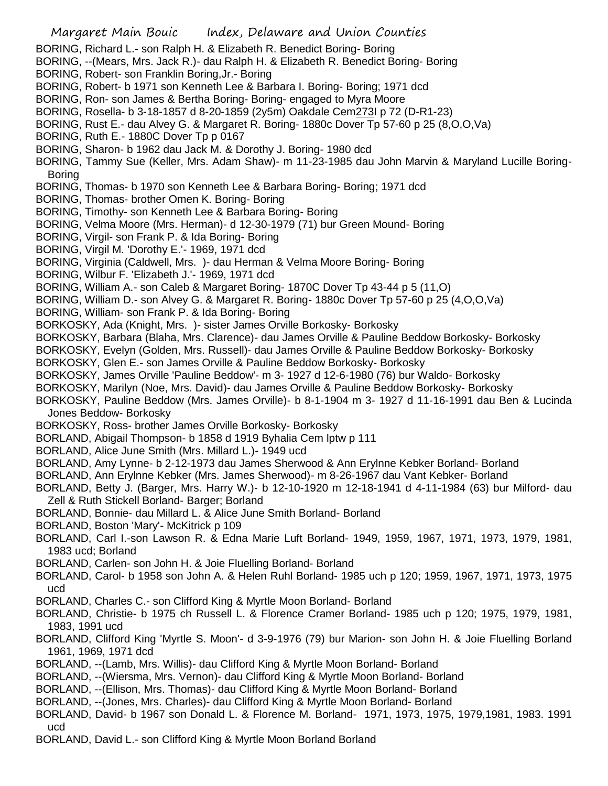- Margaret Main Bouic Index, Delaware and Union Counties BORING, Richard L.- son Ralph H. & Elizabeth R. Benedict Boring- Boring BORING, --(Mears, Mrs. Jack R.)- dau Ralph H. & Elizabeth R. Benedict Boring- Boring BORING, Robert- son Franklin Boring,Jr.- Boring BORING, Robert- b 1971 son Kenneth Lee & Barbara I. Boring- Boring; 1971 dcd BORING, Ron- son James & Bertha Boring- Boring- engaged to Myra Moore BORING, Rosella- b 3-18-1857 d 8-20-1859 (2y5m) Oakdale Cem273I p 72 (D-R1-23) BORING, Rust E.- dau Alvey G. & Margaret R. Boring- 1880c Dover Tp 57-60 p 25 (8,O,O,Va) BORING, Ruth E.- 1880C Dover Tp p 0167 BORING, Sharon- b 1962 dau Jack M. & Dorothy J. Boring- 1980 dcd BORING, Tammy Sue (Keller, Mrs. Adam Shaw)- m 11-23-1985 dau John Marvin & Maryland Lucille Boring-Boring BORING, Thomas- b 1970 son Kenneth Lee & Barbara Boring- Boring; 1971 dcd BORING, Thomas- brother Omen K. Boring- Boring BORING, Timothy- son Kenneth Lee & Barbara Boring- Boring BORING, Velma Moore (Mrs. Herman)- d 12-30-1979 (71) bur Green Mound- Boring BORING, Virgil- son Frank P. & Ida Boring- Boring BORING, Virgil M. 'Dorothy E.'- 1969, 1971 dcd BORING, Virginia (Caldwell, Mrs. )- dau Herman & Velma Moore Boring- Boring BORING, Wilbur F. 'Elizabeth J.'- 1969, 1971 dcd BORING, William A.- son Caleb & Margaret Boring- 1870C Dover Tp 43-44 p 5 (11,O) BORING, William D.- son Alvey G. & Margaret R. Boring- 1880c Dover Tp 57-60 p 25 (4,O,O,Va) BORING, William- son Frank P. & Ida Boring- Boring BORKOSKY, Ada (Knight, Mrs. )- sister James Orville Borkosky- Borkosky BORKOSKY, Barbara (Blaha, Mrs. Clarence)- dau James Orville & Pauline Beddow Borkosky- Borkosky BORKOSKY, Evelyn (Golden, Mrs. Russell)- dau James Orville & Pauline Beddow Borkosky- Borkosky BORKOSKY, Glen E.- son James Orville & Pauline Beddow Borkosky- Borkosky BORKOSKY, James Orville 'Pauline Beddow'- m 3- 1927 d 12-6-1980 (76) bur Waldo- Borkosky BORKOSKY, Marilyn (Noe, Mrs. David)- dau James Orville & Pauline Beddow Borkosky- Borkosky BORKOSKY, Pauline Beddow (Mrs. James Orville)- b 8-1-1904 m 3- 1927 d 11-16-1991 dau Ben & Lucinda Jones Beddow- Borkosky BORKOSKY, Ross- brother James Orville Borkosky- Borkosky BORLAND, Abigail Thompson- b 1858 d 1919 Byhalia Cem lptw p 111 BORLAND, Alice June Smith (Mrs. Millard L.)- 1949 ucd BORLAND, Amy Lynne- b 2-12-1973 dau James Sherwood & Ann Erylnne Kebker Borland- Borland BORLAND, Ann Erylnne Kebker (Mrs. James Sherwood)- m 8-26-1967 dau Vant Kebker- Borland BORLAND, Betty J. (Barger, Mrs. Harry W.)- b 12-10-1920 m 12-18-1941 d 4-11-1984 (63) bur Milford- dau Zell & Ruth Stickell Borland- Barger; Borland BORLAND, Bonnie- dau Millard L. & Alice June Smith Borland- Borland BORLAND, Boston 'Mary'- McKitrick p 109 BORLAND, Carl I.-son Lawson R. & Edna Marie Luft Borland- 1949, 1959, 1967, 1971, 1973, 1979, 1981, 1983 ucd; Borland BORLAND, Carlen- son John H. & Joie Fluelling Borland- Borland BORLAND, Carol- b 1958 son John A. & Helen Ruhl Borland- 1985 uch p 120; 1959, 1967, 1971, 1973, 1975 ucd BORLAND, Charles C.- son Clifford King & Myrtle Moon Borland- Borland BORLAND, Christie- b 1975 ch Russell L. & Florence Cramer Borland- 1985 uch p 120; 1975, 1979, 1981, 1983, 1991 ucd BORLAND, Clifford King 'Myrtle S. Moon'- d 3-9-1976 (79) bur Marion- son John H. & Joie Fluelling Borland 1961, 1969, 1971 dcd BORLAND, --(Lamb, Mrs. Willis)- dau Clifford King & Myrtle Moon Borland- Borland BORLAND, --(Wiersma, Mrs. Vernon)- dau Clifford King & Myrtle Moon Borland- Borland BORLAND, --(Ellison, Mrs. Thomas)- dau Clifford King & Myrtle Moon Borland- Borland BORLAND, --(Jones, Mrs. Charles)- dau Clifford King & Myrtle Moon Borland- Borland BORLAND, David- b 1967 son Donald L. & Florence M. Borland- 1971, 1973, 1975, 1979,1981, 1983. 1991 ucd
- BORLAND, David L.- son Clifford King & Myrtle Moon Borland Borland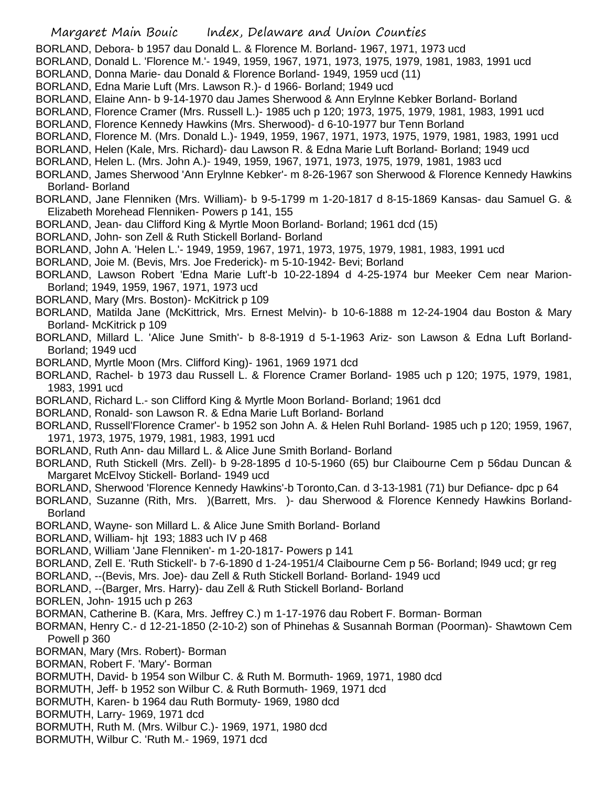- BORLAND, Debora- b 1957 dau Donald L. & Florence M. Borland- 1967, 1971, 1973 ucd
- BORLAND, Donald L. 'Florence M.'- 1949, 1959, 1967, 1971, 1973, 1975, 1979, 1981, 1983, 1991 ucd
- BORLAND, Donna Marie- dau Donald & Florence Borland- 1949, 1959 ucd (11)
- BORLAND, Edna Marie Luft (Mrs. Lawson R.)- d 1966- Borland; 1949 ucd
- BORLAND, Elaine Ann- b 9-14-1970 dau James Sherwood & Ann Erylnne Kebker Borland- Borland
- BORLAND, Florence Cramer (Mrs. Russell L.)- 1985 uch p 120; 1973, 1975, 1979, 1981, 1983, 1991 ucd
- BORLAND, Florence Kennedy Hawkins (Mrs. Sherwood)- d 6-10-1977 bur Tenn Borland
- BORLAND, Florence M. (Mrs. Donald L.)- 1949, 1959, 1967, 1971, 1973, 1975, 1979, 1981, 1983, 1991 ucd
- BORLAND, Helen (Kale, Mrs. Richard)- dau Lawson R. & Edna Marie Luft Borland- Borland; 1949 ucd
- BORLAND, Helen L. (Mrs. John A.)- 1949, 1959, 1967, 1971, 1973, 1975, 1979, 1981, 1983 ucd
- BORLAND, James Sherwood 'Ann Erylnne Kebker'- m 8-26-1967 son Sherwood & Florence Kennedy Hawkins Borland- Borland
- BORLAND, Jane Flenniken (Mrs. William)- b 9-5-1799 m 1-20-1817 d 8-15-1869 Kansas- dau Samuel G. & Elizabeth Morehead Flenniken- Powers p 141, 155
- BORLAND, Jean- dau Clifford King & Myrtle Moon Borland- Borland; 1961 dcd (15)
- BORLAND, John- son Zell & Ruth Stickell Borland- Borland
- BORLAND, John A. 'Helen L.'- 1949, 1959, 1967, 1971, 1973, 1975, 1979, 1981, 1983, 1991 ucd
- BORLAND, Joie M. (Bevis, Mrs. Joe Frederick)- m 5-10-1942- Bevi; Borland
- BORLAND, Lawson Robert 'Edna Marie Luft'-b 10-22-1894 d 4-25-1974 bur Meeker Cem near Marion-Borland; 1949, 1959, 1967, 1971, 1973 ucd
- BORLAND, Mary (Mrs. Boston)- McKitrick p 109
- BORLAND, Matilda Jane (McKittrick, Mrs. Ernest Melvin)- b 10-6-1888 m 12-24-1904 dau Boston & Mary Borland- McKitrick p 109
- BORLAND, Millard L. 'Alice June Smith'- b 8-8-1919 d 5-1-1963 Ariz- son Lawson & Edna Luft Borland-Borland; 1949 ucd
- BORLAND, Myrtle Moon (Mrs. Clifford King)- 1961, 1969 1971 dcd
- BORLAND, Rachel- b 1973 dau Russell L. & Florence Cramer Borland- 1985 uch p 120; 1975, 1979, 1981, 1983, 1991 ucd
- BORLAND, Richard L.- son Clifford King & Myrtle Moon Borland- Borland; 1961 dcd
- BORLAND, Ronald- son Lawson R. & Edna Marie Luft Borland- Borland
- BORLAND, Russell'Florence Cramer'- b 1952 son John A. & Helen Ruhl Borland- 1985 uch p 120; 1959, 1967, 1971, 1973, 1975, 1979, 1981, 1983, 1991 ucd
- BORLAND, Ruth Ann- dau Millard L. & Alice June Smith Borland- Borland
- BORLAND, Ruth Stickell (Mrs. Zell)- b 9-28-1895 d 10-5-1960 (65) bur Claibourne Cem p 56dau Duncan & Margaret McElvoy Stickell- Borland- 1949 ucd
- BORLAND, Sherwood 'Florence Kennedy Hawkins'-b Toronto,Can. d 3-13-1981 (71) bur Defiance- dpc p 64
- BORLAND, Suzanne (Rith, Mrs. )(Barrett, Mrs. )- dau Sherwood & Florence Kennedy Hawkins Borland-Borland
- BORLAND, Wayne- son Millard L. & Alice June Smith Borland- Borland
- BORLAND, William- hjt 193; 1883 uch IV p 468
- BORLAND, William 'Jane Flenniken'- m 1-20-1817- Powers p 141
- BORLAND, Zell E. 'Ruth Stickell'- b 7-6-1890 d 1-24-1951/4 Claibourne Cem p 56- Borland; l949 ucd; gr reg
- BORLAND, --(Bevis, Mrs. Joe)- dau Zell & Ruth Stickell Borland- Borland- 1949 ucd
- BORLAND, --(Barger, Mrs. Harry)- dau Zell & Ruth Stickell Borland- Borland
- BORLEN, John- 1915 uch p 263
- BORMAN, Catherine B. (Kara, Mrs. Jeffrey C.) m 1-17-1976 dau Robert F. Borman- Borman
- BORMAN, Henry C.- d 12-21-1850 (2-10-2) son of Phinehas & Susannah Borman (Poorman)- Shawtown Cem Powell p 360
- BORMAN, Mary (Mrs. Robert)- Borman
- BORMAN, Robert F. 'Mary'- Borman
- BORMUTH, David- b 1954 son Wilbur C. & Ruth M. Bormuth- 1969, 1971, 1980 dcd
- BORMUTH, Jeff- b 1952 son Wilbur C. & Ruth Bormuth- 1969, 1971 dcd
- BORMUTH, Karen- b 1964 dau Ruth Bormuty- 1969, 1980 dcd
- BORMUTH, Larry- 1969, 1971 dcd
- BORMUTH, Ruth M. (Mrs. Wilbur C.)- 1969, 1971, 1980 dcd
- BORMUTH, Wilbur C. 'Ruth M.- 1969, 1971 dcd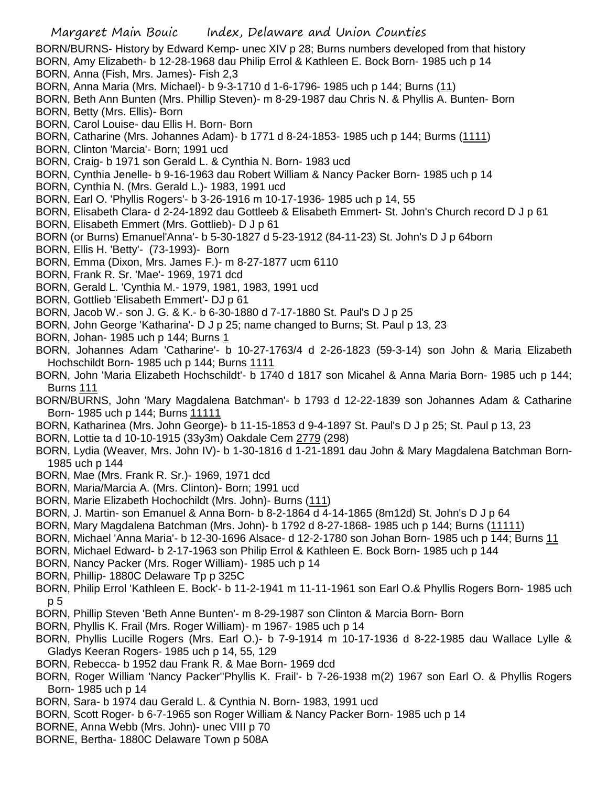BORN/BURNS- History by Edward Kemp- unec XIV p 28; Burns numbers developed from that history BORN, Amy Elizabeth- b 12-28-1968 dau Philip Errol & Kathleen E. Bock Born- 1985 uch p 14 BORN, Anna (Fish, Mrs. James)- Fish 2,3

- BORN, Anna Maria (Mrs. Michael)- b 9-3-1710 d 1-6-1796- 1985 uch p 144; Burns (11)
- BORN, Beth Ann Bunten (Mrs. Phillip Steven)- m 8-29-1987 dau Chris N. & Phyllis A. Bunten- Born
- BORN, Betty (Mrs. Ellis)- Born
- BORN, Carol Louise- dau Ellis H. Born- Born
- BORN, Catharine (Mrs. Johannes Adam)- b 1771 d 8-24-1853- 1985 uch p 144; Burms (1111)
- BORN, Clinton 'Marcia'- Born; 1991 ucd
- BORN, Craig- b 1971 son Gerald L. & Cynthia N. Born- 1983 ucd
- BORN, Cynthia Jenelle- b 9-16-1963 dau Robert William & Nancy Packer Born- 1985 uch p 14
- BORN, Cynthia N. (Mrs. Gerald L.)- 1983, 1991 ucd
- BORN, Earl O. 'Phyllis Rogers'- b 3-26-1916 m 10-17-1936- 1985 uch p 14, 55
- BORN, Elisabeth Clara- d 2-24-1892 dau Gottleeb & Elisabeth Emmert- St. John's Church record D J p 61
- BORN, Elisabeth Emmert (Mrs. Gottlieb)- D J p 61
- BORN (or Burns) Emanuel'Anna'- b 5-30-1827 d 5-23-1912 (84-11-23) St. John's D J p 64born
- BORN, Ellis H. 'Betty'- (73-1993)- Born
- BORN, Emma (Dixon, Mrs. James F.)- m 8-27-1877 ucm 6110
- BORN, Frank R. Sr. 'Mae'- 1969, 1971 dcd
- BORN, Gerald L. 'Cynthia M.- 1979, 1981, 1983, 1991 ucd
- BORN, Gottlieb 'Elisabeth Emmert'- DJ p 61
- BORN, Jacob W.- son J. G. & K.- b 6-30-1880 d 7-17-1880 St. Paul's D J p 25
- BORN, John George 'Katharina'- D J p 25; name changed to Burns; St. Paul p 13, 23
- BORN, Johan- 1985 uch p 144; Burns 1
- BORN, Johannes Adam 'Catharine'- b 10-27-1763/4 d 2-26-1823 (59-3-14) son John & Maria Elizabeth Hochschildt Born- 1985 uch p 144; Burns 1111
- BORN, John 'Maria Elizabeth Hochschildt'- b 1740 d 1817 son Micahel & Anna Maria Born- 1985 uch p 144; Burns 111
- BORN/BURNS, John 'Mary Magdalena Batchman'- b 1793 d 12-22-1839 son Johannes Adam & Catharine Born- 1985 uch p 144; Burns 11111
- BORN, Katharinea (Mrs. John George)- b 11-15-1853 d 9-4-1897 St. Paul's D J p 25; St. Paul p 13, 23
- BORN, Lottie ta d 10-10-1915 (33y3m) Oakdale Cem 2779 (298)
- BORN, Lydia (Weaver, Mrs. John IV)- b 1-30-1816 d 1-21-1891 dau John & Mary Magdalena Batchman Born-1985 uch p 144
- BORN, Mae (Mrs. Frank R. Sr.)- 1969, 1971 dcd
- BORN, Maria/Marcia A. (Mrs. Clinton)- Born; 1991 ucd
- BORN, Marie Elizabeth Hochochildt (Mrs. John)- Burns (111)
- BORN, J. Martin- son Emanuel & Anna Born- b 8-2-1864 d 4-14-1865 (8m12d) St. John's D J p 64
- BORN, Mary Magdalena Batchman (Mrs. John)- b 1792 d 8-27-1868- 1985 uch p 144; Burns (11111)
- BORN, Michael 'Anna Maria'- b 12-30-1696 Alsace- d 12-2-1780 son Johan Born- 1985 uch p 144; Burns 11
- BORN, Michael Edward- b 2-17-1963 son Philip Errol & Kathleen E. Bock Born- 1985 uch p 144
- BORN, Nancy Packer (Mrs. Roger William)- 1985 uch p 14
- BORN, Phillip- 1880C Delaware Tp p 325C
- BORN, Philip Errol 'Kathleen E. Bock'- b 11-2-1941 m 11-11-1961 son Earl O.& Phyllis Rogers Born- 1985 uch p 5
- BORN, Phillip Steven 'Beth Anne Bunten'- m 8-29-1987 son Clinton & Marcia Born- Born
- BORN, Phyllis K. Frail (Mrs. Roger William)- m 1967- 1985 uch p 14
- BORN, Phyllis Lucille Rogers (Mrs. Earl O.)- b 7-9-1914 m 10-17-1936 d 8-22-1985 dau Wallace Lylle & Gladys Keeran Rogers- 1985 uch p 14, 55, 129
- BORN, Rebecca- b 1952 dau Frank R. & Mae Born- 1969 dcd
- BORN, Roger William 'Nancy Packer''Phyllis K. Frail'- b 7-26-1938 m(2) 1967 son Earl O. & Phyllis Rogers Born- 1985 uch p 14
- BORN, Sara- b 1974 dau Gerald L. & Cynthia N. Born- 1983, 1991 ucd
- BORN, Scott Roger- b 6-7-1965 son Roger William & Nancy Packer Born- 1985 uch p 14
- BORNE, Anna Webb (Mrs. John)- unec VIII p 70
- BORNE, Bertha- 1880C Delaware Town p 508A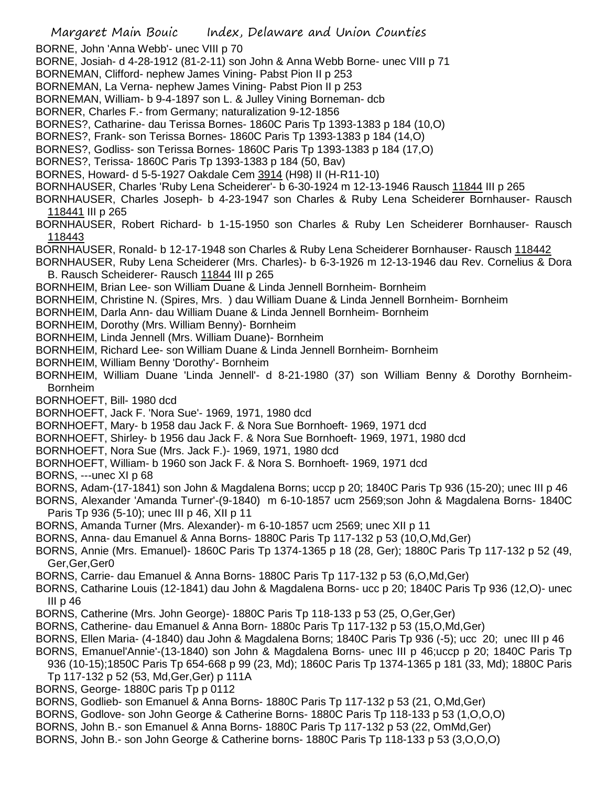Margaret Main Bouic Index, Delaware and Union Counties BORNE, John 'Anna Webb'- unec VIII p 70 BORNE, Josiah- d 4-28-1912 (81-2-11) son John & Anna Webb Borne- unec VIII p 71 BORNEMAN, Clifford- nephew James Vining- Pabst Pion II p 253 BORNEMAN, La Verna- nephew James Vining- Pabst Pion II p 253 BORNEMAN, William- b 9-4-1897 son L. & Julley Vining Borneman- dcb BORNER, Charles F.- from Germany; naturalization 9-12-1856 BORNES?, Catharine- dau Terissa Bornes- 1860C Paris Tp 1393-1383 p 184 (10,O) BORNES?, Frank- son Terissa Bornes- 1860C Paris Tp 1393-1383 p 184 (14,O) BORNES?, Godliss- son Terissa Bornes- 1860C Paris Tp 1393-1383 p 184 (17,O) BORNES?, Terissa- 1860C Paris Tp 1393-1383 p 184 (50, Bav) BORNES, Howard- d 5-5-1927 Oakdale Cem 3914 (H98) II (H-R11-10) BORNHAUSER, Charles 'Ruby Lena Scheiderer'- b 6-30-1924 m 12-13-1946 Rausch 11844 III p 265 BORNHAUSER, Charles Joseph- b 4-23-1947 son Charles & Ruby Lena Scheiderer Bornhauser- Rausch 118441 III p 265 BORNHAUSER, Robert Richard- b 1-15-1950 son Charles & Ruby Len Scheiderer Bornhauser- Rausch 118443 BORNHAUSER, Ronald- b 12-17-1948 son Charles & Ruby Lena Scheiderer Bornhauser- Rausch 118442 BORNHAUSER, Ruby Lena Scheiderer (Mrs. Charles)- b 6-3-1926 m 12-13-1946 dau Rev. Cornelius & Dora B. Rausch Scheiderer- Rausch 11844 III p 265 BORNHEIM, Brian Lee- son William Duane & Linda Jennell Bornheim- Bornheim BORNHEIM, Christine N. (Spires, Mrs. ) dau William Duane & Linda Jennell Bornheim- Bornheim BORNHEIM, Darla Ann- dau William Duane & Linda Jennell Bornheim- Bornheim BORNHEIM, Dorothy (Mrs. William Benny)- Bornheim BORNHEIM, Linda Jennell (Mrs. William Duane)- Bornheim BORNHEIM, Richard Lee- son William Duane & Linda Jennell Bornheim- Bornheim BORNHEIM, William Benny 'Dorothy'- Bornheim BORNHEIM, William Duane 'Linda Jennell'- d 8-21-1980 (37) son William Benny & Dorothy Bornheim-Bornheim BORNHOEFT, Bill- 1980 dcd BORNHOEFT, Jack F. 'Nora Sue'- 1969, 1971, 1980 dcd BORNHOEFT, Mary- b 1958 dau Jack F. & Nora Sue Bornhoeft- 1969, 1971 dcd BORNHOEFT, Shirley- b 1956 dau Jack F. & Nora Sue Bornhoeft- 1969, 1971, 1980 dcd BORNHOEFT, Nora Sue (Mrs. Jack F.)- 1969, 1971, 1980 dcd BORNHOEFT, William- b 1960 son Jack F. & Nora S. Bornhoeft- 1969, 1971 dcd BORNS, ---unec XI p 68 BORNS, Adam-(17-1841) son John & Magdalena Borns; uccp p 20; 1840C Paris Tp 936 (15-20); unec III p 46 BORNS, Alexander 'Amanda Turner'-(9-1840) m 6-10-1857 ucm 2569;son John & Magdalena Borns- 1840C Paris Tp 936 (5-10); unec III p 46, XII p 11 BORNS, Amanda Turner (Mrs. Alexander)- m 6-10-1857 ucm 2569; unec XII p 11 BORNS, Anna- dau Emanuel & Anna Borns- 1880C Paris Tp 117-132 p 53 (10,O,Md,Ger) BORNS, Annie (Mrs. Emanuel)- 1860C Paris Tp 1374-1365 p 18 (28, Ger); 1880C Paris Tp 117-132 p 52 (49, Ger,Ger,Ger0 BORNS, Carrie- dau Emanuel & Anna Borns- 1880C Paris Tp 117-132 p 53 (6,O,Md,Ger) BORNS, Catharine Louis (12-1841) dau John & Magdalena Borns- ucc p 20; 1840C Paris Tp 936 (12,O)- unec III p 46 BORNS, Catherine (Mrs. John George)- 1880C Paris Tp 118-133 p 53 (25, O,Ger,Ger) BORNS, Catherine- dau Emanuel & Anna Born- 1880c Paris Tp 117-132 p 53 (15,O,Md,Ger) BORNS, Ellen Maria- (4-1840) dau John & Magdalena Borns; 1840C Paris Tp 936 (-5); ucc 20; unec III p 46 BORNS, Emanuel'Annie'-(13-1840) son John & Magdalena Borns- unec III p 46;uccp p 20; 1840C Paris Tp 936 (10-15);1850C Paris Tp 654-668 p 99 (23, Md); 1860C Paris Tp 1374-1365 p 181 (33, Md); 1880C Paris Tp 117-132 p 52 (53, Md,Ger,Ger) p 111A BORNS, George- 1880C paris Tp p 0112 BORNS, Godlieb- son Emanuel & Anna Borns- 1880C Paris Tp 117-132 p 53 (21, O,Md,Ger) BORNS, Godlove- son John George & Catherine Borns- 1880C Paris Tp 118-133 p 53 (1,O,O,O) BORNS, John B.- son Emanuel & Anna Borns- 1880C Paris Tp 117-132 p 53 (22, OmMd,Ger) BORNS, John B.- son John George & Catherine borns- 1880C Paris Tp 118-133 p 53 (3,O,O,O)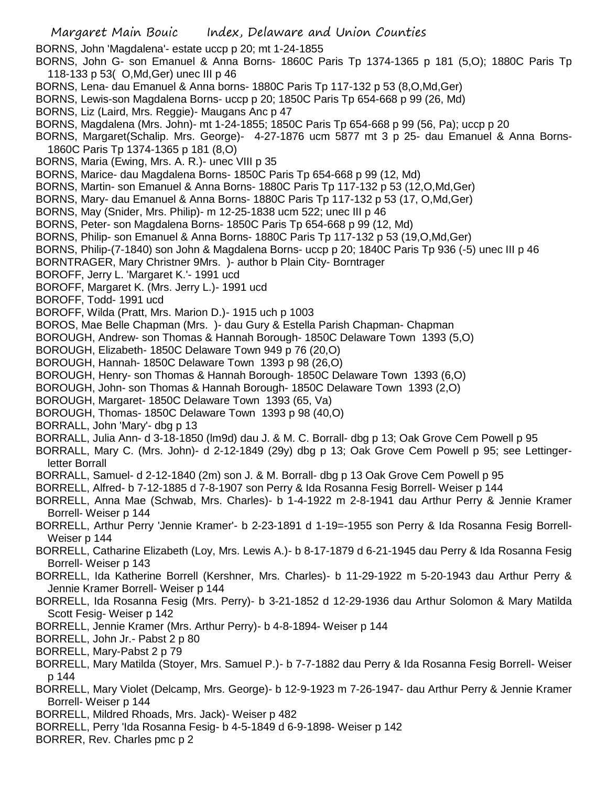BORNS, John 'Magdalena'- estate uccp p 20; mt 1-24-1855

BORNS, John G- son Emanuel & Anna Borns- 1860C Paris Tp 1374-1365 p 181 (5,O); 1880C Paris Tp 118-133 p 53( O,Md,Ger) unec III p 46

BORNS, Lena- dau Emanuel & Anna borns- 1880C Paris Tp 117-132 p 53 (8,O,Md,Ger)

BORNS, Lewis-son Magdalena Borns- uccp p 20; 1850C Paris Tp 654-668 p 99 (26, Md)

BORNS, Liz (Laird, Mrs. Reggie)- Maugans Anc p 47

BORNS, Magdalena (Mrs. John)- mt 1-24-1855; 1850C Paris Tp 654-668 p 99 (56, Pa); uccp p 20

BORNS, Margaret(Schalip. Mrs. George)- 4-27-1876 ucm 5877 mt 3 p 25- dau Emanuel & Anna Borns-1860C Paris Tp 1374-1365 p 181 (8,O)

BORNS, Maria (Ewing, Mrs. A. R.)- unec VIII p 35

BORNS, Marice- dau Magdalena Borns- 1850C Paris Tp 654-668 p 99 (12, Md)

BORNS, Martin- son Emanuel & Anna Borns- 1880C Paris Tp 117-132 p 53 (12,O,Md,Ger)

BORNS, Mary- dau Emanuel & Anna Borns- 1880C Paris Tp 117-132 p 53 (17, O,Md,Ger)

BORNS, May (Snider, Mrs. Philip)- m 12-25-1838 ucm 522; unec III p 46

BORNS, Peter- son Magdalena Borns- 1850C Paris Tp 654-668 p 99 (12, Md)

BORNS, Philip- son Emanuel & Anna Borns- 1880C Paris Tp 117-132 p 53 (19,O,Md,Ger)

BORNS, Philip-(7-1840) son John & Magdalena Borns- uccp p 20; 1840C Paris Tp 936 (-5) unec III p 46

BORNTRAGER, Mary Christner 9Mrs. )- author b Plain City- Borntrager

BOROFF, Jerry L. 'Margaret K.'- 1991 ucd

BOROFF, Margaret K. (Mrs. Jerry L.)- 1991 ucd

BOROFF, Todd- 1991 ucd

BOROFF, Wilda (Pratt, Mrs. Marion D.)- 1915 uch p 1003

BOROS, Mae Belle Chapman (Mrs. )- dau Gury & Estella Parish Chapman- Chapman

BOROUGH, Andrew- son Thomas & Hannah Borough- 1850C Delaware Town 1393 (5,O)

BOROUGH, Elizabeth- 1850C Delaware Town 949 p 76 (20,O)

BOROUGH, Hannah- 1850C Delaware Town 1393 p 98 (26,O)

BOROUGH, Henry- son Thomas & Hannah Borough- 1850C Delaware Town 1393 (6,O)

BOROUGH, John- son Thomas & Hannah Borough- 1850C Delaware Town 1393 (2,O)

BOROUGH, Margaret- 1850C Delaware Town 1393 (65, Va)

BOROUGH, Thomas- 1850C Delaware Town 1393 p 98 (40,O)

BORRALL, John 'Mary'- dbg p 13

BORRALL, Julia Ann- d 3-18-1850 (lm9d) dau J. & M. C. Borrall- dbg p 13; Oak Grove Cem Powell p 95

BORRALL, Mary C. (Mrs. John)- d 2-12-1849 (29y) dbg p 13; Oak Grove Cem Powell p 95; see Lettingerletter Borrall

BORRALL, Samuel- d 2-12-1840 (2m) son J. & M. Borrall- dbg p 13 Oak Grove Cem Powell p 95

BORRELL, Alfred- b 7-12-1885 d 7-8-1907 son Perry & Ida Rosanna Fesig Borrell- Weiser p 144

BORRELL, Anna Mae (Schwab, Mrs. Charles)- b 1-4-1922 m 2-8-1941 dau Arthur Perry & Jennie Kramer Borrell- Weiser p 144

BORRELL, Arthur Perry 'Jennie Kramer'- b 2-23-1891 d 1-19=-1955 son Perry & Ida Rosanna Fesig Borrell-Weiser p 144

BORRELL, Catharine Elizabeth (Loy, Mrs. Lewis A.)- b 8-17-1879 d 6-21-1945 dau Perry & Ida Rosanna Fesig Borrell- Weiser p 143

BORRELL, Ida Katherine Borrell (Kershner, Mrs. Charles)- b 11-29-1922 m 5-20-1943 dau Arthur Perry & Jennie Kramer Borrell- Weiser p 144

BORRELL, Ida Rosanna Fesig (Mrs. Perry)- b 3-21-1852 d 12-29-1936 dau Arthur Solomon & Mary Matilda Scott Fesig- Weiser p 142

BORRELL, Jennie Kramer (Mrs. Arthur Perry)- b 4-8-1894- Weiser p 144

BORRELL, John Jr.- Pabst 2 p 80

BORRELL, Mary-Pabst 2 p 79

- BORRELL, Mary Matilda (Stoyer, Mrs. Samuel P.)- b 7-7-1882 dau Perry & Ida Rosanna Fesig Borrell- Weiser p 144
- BORRELL, Mary Violet (Delcamp, Mrs. George)- b 12-9-1923 m 7-26-1947- dau Arthur Perry & Jennie Kramer Borrell- Weiser p 144

BORRELL, Mildred Rhoads, Mrs. Jack)- Weiser p 482

BORRELL, Perry 'Ida Rosanna Fesig- b 4-5-1849 d 6-9-1898- Weiser p 142

BORRER, Rev. Charles pmc p 2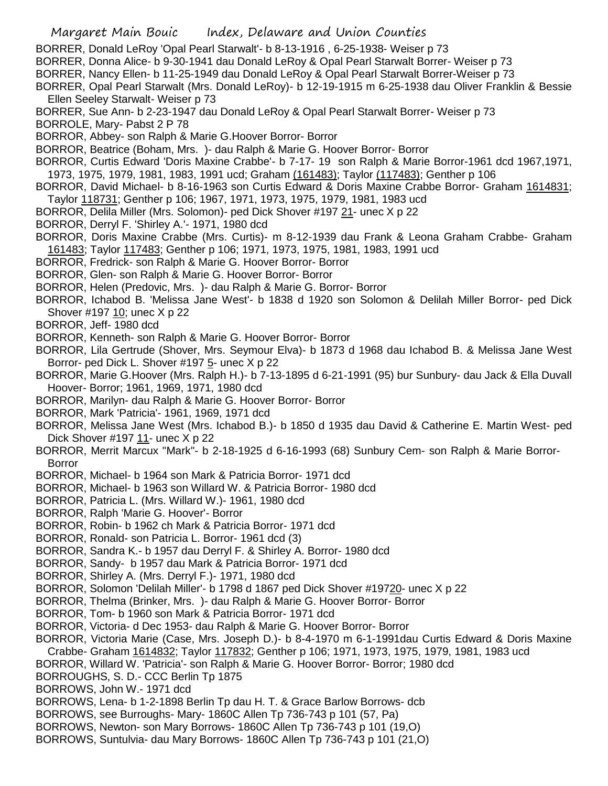- BORRER, Donald LeRoy 'Opal Pearl Starwalt'- b 8-13-1916 , 6-25-1938- Weiser p 73
- BORRER, Donna Alice- b 9-30-1941 dau Donald LeRoy & Opal Pearl Starwalt Borrer- Weiser p 73
- BORRER, Nancy Ellen- b 11-25-1949 dau Donald LeRoy & Opal Pearl Starwalt Borrer-Weiser p 73
- BORRER, Opal Pearl Starwalt (Mrs. Donald LeRoy)- b 12-19-1915 m 6-25-1938 dau Oliver Franklin & Bessie Ellen Seeley Starwalt- Weiser p 73
- BORRER, Sue Ann- b 2-23-1947 dau Donald LeRoy & Opal Pearl Starwalt Borrer- Weiser p 73
- BORROLE, Mary- Pabst 2 P 78
- BORROR, Abbey- son Ralph & Marie G.Hoover Borror- Borror
- BORROR, Beatrice (Boham, Mrs. )- dau Ralph & Marie G. Hoover Borror- Borror
- BORROR, Curtis Edward 'Doris Maxine Crabbe'- b 7-17- 19 son Ralph & Marie Borror-1961 dcd 1967,1971, 1973, 1975, 1979, 1981, 1983, 1991 ucd; Graham (161483); Taylor (117483); Genther p 106
- BORROR, David Michael- b 8-16-1963 son Curtis Edward & Doris Maxine Crabbe Borror- Graham 1614831; Taylor 118731; Genther p 106; 1967, 1971, 1973, 1975, 1979, 1981, 1983 ucd
- BORROR, Delila Miller (Mrs. Solomon)- ped Dick Shover #197 21- unec X p 22
- BORROR, Derryl F. 'Shirley A.'- 1971, 1980 dcd
- BORROR, Doris Maxine Crabbe (Mrs. Curtis)- m 8-12-1939 dau Frank & Leona Graham Crabbe- Graham 161483; Taylor 117483; Genther p 106; 1971, 1973, 1975, 1981, 1983, 1991 ucd
- BORROR, Fredrick- son Ralph & Marie G. Hoover Borror- Borror
- BORROR, Glen- son Ralph & Marie G. Hoover Borror- Borror
- BORROR, Helen (Predovic, Mrs. )- dau Ralph & Marie G. Borror- Borror
- BORROR, Ichabod B. 'Melissa Jane West'- b 1838 d 1920 son Solomon & Delilah Miller Borror- ped Dick Shover #197 10; unec X p 22
- BORROR, Jeff- 1980 dcd
- BORROR, Kenneth- son Ralph & Marie G. Hoover Borror- Borror
- BORROR, Lila Gertrude (Shover, Mrs. Seymour Elva)- b 1873 d 1968 dau Ichabod B. & Melissa Jane West Borror- ped Dick L. Shover #197 5- unec X p 22
- BORROR, Marie G.Hoover (Mrs. Ralph H.)- b 7-13-1895 d 6-21-1991 (95) bur Sunbury- dau Jack & Ella Duvall Hoover- Borror; 1961, 1969, 1971, 1980 dcd
- BORROR, Marilyn- dau Ralph & Marie G. Hoover Borror- Borror
- BORROR, Mark 'Patricia'- 1961, 1969, 1971 dcd
- BORROR, Melissa Jane West (Mrs. Ichabod B.)- b 1850 d 1935 dau David & Catherine E. Martin West- ped Dick Shover #197 11- unec X p 22
- BORROR, Merrit Marcux "Mark"- b 2-18-1925 d 6-16-1993 (68) Sunbury Cem- son Ralph & Marie Borror-Borror
- BORROR, Michael- b 1964 son Mark & Patricia Borror- 1971 dcd
- BORROR, Michael- b 1963 son Willard W. & Patricia Borror- 1980 dcd
- BORROR, Patricia L. (Mrs. Willard W.)- 1961, 1980 dcd
- BORROR, Ralph 'Marie G. Hoover'- Borror
- BORROR, Robin- b 1962 ch Mark & Patricia Borror- 1971 dcd
- BORROR, Ronald- son Patricia L. Borror- 1961 dcd (3)
- BORROR, Sandra K.- b 1957 dau Derryl F. & Shirley A. Borror- 1980 dcd
- BORROR, Sandy- b 1957 dau Mark & Patricia Borror- 1971 dcd
- BORROR, Shirley A. (Mrs. Derryl F.)- 1971, 1980 dcd
- BORROR, Solomon 'Delilah Miller'- b 1798 d 1867 ped Dick Shover #19720- unec X p 22
- BORROR, Thelma (Brinker, Mrs. )- dau Ralph & Marie G. Hoover Borror- Borror
- BORROR, Tom- b 1960 son Mark & Patricia Borror- 1971 dcd
- BORROR, Victoria- d Dec 1953- dau Ralph & Marie G. Hoover Borror- Borror
- BORROR, Victoria Marie (Case, Mrs. Joseph D.)- b 8-4-1970 m 6-1-1991dau Curtis Edward & Doris Maxine Crabbe- Graham 1614832; Taylor 117832; Genther p 106; 1971, 1973, 1975, 1979, 1981, 1983 ucd
- BORROR, Willard W. 'Patricia'- son Ralph & Marie G. Hoover Borror- Borror; 1980 dcd
- BORROUGHS, S. D.- CCC Berlin Tp 1875
- BORROWS, John W.- 1971 dcd
- BORROWS, Lena- b 1-2-1898 Berlin Tp dau H. T. & Grace Barlow Borrows- dcb
- BORROWS, see Burroughs- Mary- 1860C Allen Tp 736-743 p 101 (57, Pa)
- BORROWS, Newton- son Mary Borrows- 1860C Allen Tp 736-743 p 101 (19,O)
- BORROWS, Suntulvia- dau Mary Borrows- 1860C Allen Tp 736-743 p 101 (21,O)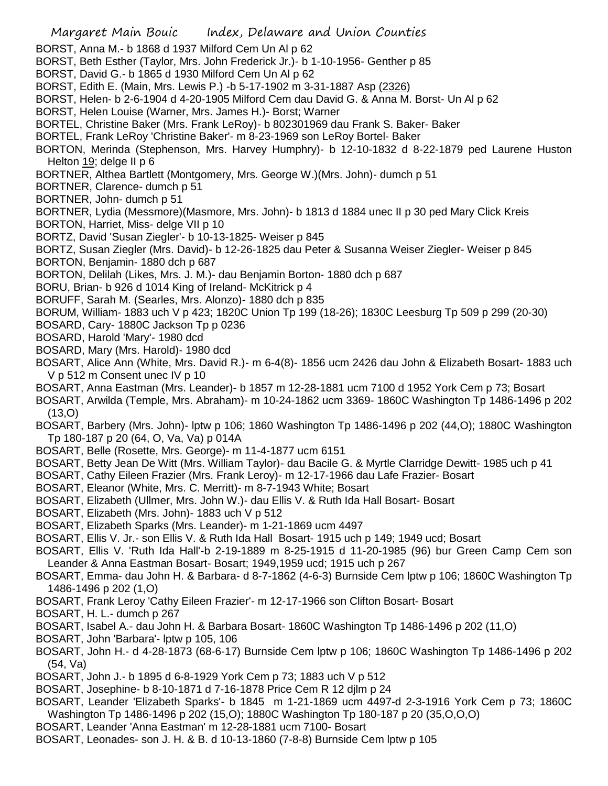BORST, Anna M.- b 1868 d 1937 Milford Cem Un Al p 62

- BORST, Beth Esther (Taylor, Mrs. John Frederick Jr.)- b 1-10-1956- Genther p 85
- BORST, David G.- b 1865 d 1930 Milford Cem Un Al p 62
- BORST, Edith E. (Main, Mrs. Lewis P.) -b 5-17-1902 m 3-31-1887 Asp (2326)
- BORST, Helen- b 2-6-1904 d 4-20-1905 Milford Cem dau David G. & Anna M. Borst- Un Al p 62
- BORST, Helen Louise (Warner, Mrs. James H.)- Borst; Warner
- BORTEL, Christine Baker (Mrs. Frank LeRoy)- b 802301969 dau Frank S. Baker- Baker
- BORTEL, Frank LeRoy 'Christine Baker'- m 8-23-1969 son LeRoy Bortel- Baker
- BORTON, Merinda (Stephenson, Mrs. Harvey Humphry)- b 12-10-1832 d 8-22-1879 ped Laurene Huston Helton 19; delge II p 6
- BORTNER, Althea Bartlett (Montgomery, Mrs. George W.)(Mrs. John)- dumch p 51
- BORTNER, Clarence- dumch p 51
- BORTNER, John- dumch p 51
- BORTNER, Lydia (Messmore)(Masmore, Mrs. John)- b 1813 d 1884 unec II p 30 ped Mary Click Kreis BORTON, Harriet, Miss- delge VII p 10
- BORTZ, David 'Susan Ziegler'- b 10-13-1825- Weiser p 845
- BORTZ, Susan Ziegler (Mrs. David)- b 12-26-1825 dau Peter & Susanna Weiser Ziegler- Weiser p 845 BORTON, Benjamin- 1880 dch p 687
- BORTON, Delilah (Likes, Mrs. J. M.)- dau Benjamin Borton- 1880 dch p 687
- BORU, Brian- b 926 d 1014 King of Ireland- McKitrick p 4
- BORUFF, Sarah M. (Searles, Mrs. Alonzo)- 1880 dch p 835
- BORUM, William- 1883 uch V p 423; 1820C Union Tp 199 (18-26); 1830C Leesburg Tp 509 p 299 (20-30)
- BOSARD, Cary- 1880C Jackson Tp p 0236
- BOSARD, Harold 'Mary'- 1980 dcd
- BOSARD, Mary (Mrs. Harold)- 1980 dcd
- BOSART, Alice Ann (White, Mrs. David R.)- m 6-4(8)- 1856 ucm 2426 dau John & Elizabeth Bosart- 1883 uch V p 512 m Consent unec IV p 10
- BOSART, Anna Eastman (Mrs. Leander)- b 1857 m 12-28-1881 ucm 7100 d 1952 York Cem p 73; Bosart
- BOSART, Arwilda (Temple, Mrs. Abraham)- m 10-24-1862 ucm 3369- 1860C Washington Tp 1486-1496 p 202 (13,O)
- BOSART, Barbery (Mrs. John)- lptw p 106; 1860 Washington Tp 1486-1496 p 202 (44,O); 1880C Washington Tp 180-187 p 20 (64, O, Va, Va) p 014A
- BOSART, Belle (Rosette, Mrs. George)- m 11-4-1877 ucm 6151
- BOSART, Betty Jean De Witt (Mrs. William Taylor)- dau Bacile G. & Myrtle Clarridge Dewitt- 1985 uch p 41
- BOSART, Cathy Eileen Frazier (Mrs. Frank Leroy)- m 12-17-1966 dau Lafe Frazier- Bosart
- BOSART, Eleanor (White, Mrs. C. Merritt)- m 8-7-1943 White; Bosart
- BOSART, Elizabeth (Ullmer, Mrs. John W.)- dau Ellis V. & Ruth Ida Hall Bosart- Bosart
- BOSART, Elizabeth (Mrs. John)- 1883 uch V p 512
- BOSART, Elizabeth Sparks (Mrs. Leander)- m 1-21-1869 ucm 4497
- BOSART, Ellis V. Jr.- son Ellis V. & Ruth Ida Hall Bosart- 1915 uch p 149; 1949 ucd; Bosart
- BOSART, Ellis V. 'Ruth Ida Hall'-b 2-19-1889 m 8-25-1915 d 11-20-1985 (96) bur Green Camp Cem son Leander & Anna Eastman Bosart- Bosart; 1949,1959 ucd; 1915 uch p 267
- BOSART, Emma- dau John H. & Barbara- d 8-7-1862 (4-6-3) Burnside Cem lptw p 106; 1860C Washington Tp 1486-1496 p 202 (1,O)
- BOSART, Frank Leroy 'Cathy Eileen Frazier'- m 12-17-1966 son Clifton Bosart- Bosart
- BOSART, H. L.- dumch p 267
- BOSART, Isabel A.- dau John H. & Barbara Bosart- 1860C Washington Tp 1486-1496 p 202 (11,O)
- BOSART, John 'Barbara'- lptw p 105, 106
- BOSART, John H.- d 4-28-1873 (68-6-17) Burnside Cem lptw p 106; 1860C Washington Tp 1486-1496 p 202 (54, Va)
- BOSART, John J.- b 1895 d 6-8-1929 York Cem p 73; 1883 uch V p 512
- BOSART, Josephine- b 8-10-1871 d 7-16-1878 Price Cem R 12 djlm p 24
- BOSART, Leander 'Elizabeth Sparks'- b 1845 m 1-21-1869 ucm 4497-d 2-3-1916 York Cem p 73; 1860C Washington Tp 1486-1496 p 202 (15,O); 1880C Washington Tp 180-187 p 20 (35,O,O,O)
- BOSART, Leander 'Anna Eastman' m 12-28-1881 ucm 7100- Bosart
- BOSART, Leonades- son J. H. & B. d 10-13-1860 (7-8-8) Burnside Cem lptw p 105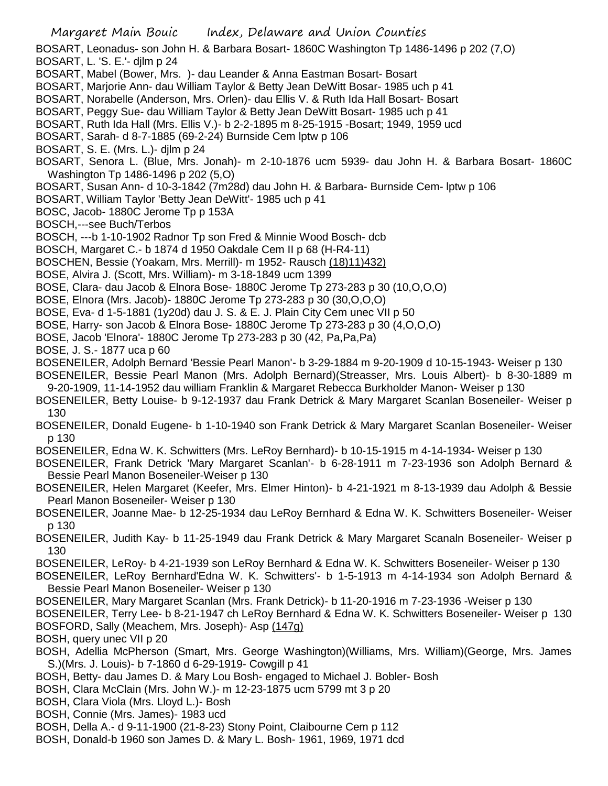BOSART, Leonadus- son John H. & Barbara Bosart- 1860C Washington Tp 1486-1496 p 202 (7,O) BOSART, L. 'S. E.'- djlm p 24

- BOSART, Mabel (Bower, Mrs. )- dau Leander & Anna Eastman Bosart- Bosart
- BOSART, Marjorie Ann- dau William Taylor & Betty Jean DeWitt Bosar- 1985 uch p 41
- BOSART, Norabelle (Anderson, Mrs. Orlen)- dau Ellis V. & Ruth Ida Hall Bosart- Bosart
- BOSART, Peggy Sue- dau William Taylor & Betty Jean DeWitt Bosart- 1985 uch p 41
- BOSART, Ruth Ida Hall (Mrs. Ellis V.)- b 2-2-1895 m 8-25-1915 -Bosart; 1949, 1959 ucd
- BOSART, Sarah- d 8-7-1885 (69-2-24) Burnside Cem lptw p 106
- BOSART, S. E. (Mrs. L.)- djlm p 24
- BOSART, Senora L. (Blue, Mrs. Jonah)- m 2-10-1876 ucm 5939- dau John H. & Barbara Bosart- 1860C Washington Tp 1486-1496 p 202 (5,O)
- BOSART, Susan Ann- d 10-3-1842 (7m28d) dau John H. & Barbara- Burnside Cem- lptw p 106
- BOSART, William Taylor 'Betty Jean DeWitt'- 1985 uch p 41
- BOSC, Jacob- 1880C Jerome Tp p 153A
- BOSCH,---see Buch/Terbos
- BOSCH, ---b 1-10-1902 Radnor Tp son Fred & Minnie Wood Bosch- dcb
- BOSCH, Margaret C.- b 1874 d 1950 Oakdale Cem II p 68 (H-R4-11)
- BOSCHEN, Bessie (Yoakam, Mrs. Merrill)- m 1952- Rausch (18)11)432)
- BOSE, Alvira J. (Scott, Mrs. William)- m 3-18-1849 ucm 1399
- BOSE, Clara- dau Jacob & Elnora Bose- 1880C Jerome Tp 273-283 p 30 (10,O,O,O)
- BOSE, Elnora (Mrs. Jacob)- 1880C Jerome Tp 273-283 p 30 (30,O,O,O)
- BOSE, Eva- d 1-5-1881 (1y20d) dau J. S. & E. J. Plain City Cem unec VII p 50
- BOSE, Harry- son Jacob & Elnora Bose- 1880C Jerome Tp 273-283 p 30 (4,O,O,O)
- BOSE, Jacob 'Elnora'- 1880C Jerome Tp 273-283 p 30 (42, Pa,Pa,Pa)
- BOSE, J. S.- 1877 uca p 60
- BOSENEILER, Adolph Bernard 'Bessie Pearl Manon'- b 3-29-1884 m 9-20-1909 d 10-15-1943- Weiser p 130
- BOSENEILER, Bessie Pearl Manon (Mrs. Adolph Bernard)(Streasser, Mrs. Louis Albert)- b 8-30-1889 m
- 9-20-1909, 11-14-1952 dau william Franklin & Margaret Rebecca Burkholder Manon- Weiser p 130 BOSENEILER, Betty Louise- b 9-12-1937 dau Frank Detrick & Mary Margaret Scanlan Boseneiler- Weiser p 130
- BOSENEILER, Donald Eugene- b 1-10-1940 son Frank Detrick & Mary Margaret Scanlan Boseneiler- Weiser p 130
- BOSENEILER, Edna W. K. Schwitters (Mrs. LeRoy Bernhard)- b 10-15-1915 m 4-14-1934- Weiser p 130
- BOSENEILER, Frank Detrick 'Mary Margaret Scanlan'- b 6-28-1911 m 7-23-1936 son Adolph Bernard & Bessie Pearl Manon Boseneiler-Weiser p 130
- BOSENEILER, Helen Margaret (Keefer, Mrs. Elmer Hinton)- b 4-21-1921 m 8-13-1939 dau Adolph & Bessie Pearl Manon Boseneiler- Weiser p 130
- BOSENEILER, Joanne Mae- b 12-25-1934 dau LeRoy Bernhard & Edna W. K. Schwitters Boseneiler- Weiser p 130
- BOSENEILER, Judith Kay- b 11-25-1949 dau Frank Detrick & Mary Margaret Scanaln Boseneiler- Weiser p 130
- BOSENEILER, LeRoy- b 4-21-1939 son LeRoy Bernhard & Edna W. K. Schwitters Boseneiler- Weiser p 130
- BOSENEILER, LeRoy Bernhard'Edna W. K. Schwitters'- b 1-5-1913 m 4-14-1934 son Adolph Bernard & Bessie Pearl Manon Boseneiler- Weiser p 130
- BOSENEILER, Mary Margaret Scanlan (Mrs. Frank Detrick)- b 11-20-1916 m 7-23-1936 -Weiser p 130
- BOSENEILER, Terry Lee- b 8-21-1947 ch LeRoy Bernhard & Edna W. K. Schwitters Boseneiler- Weiser p 130 BOSFORD, Sally (Meachem, Mrs. Joseph)- Asp (147g)
- BOSH, query unec VII p 20
- BOSH, Adellia McPherson (Smart, Mrs. George Washington)(Williams, Mrs. William)(George, Mrs. James S.)(Mrs. J. Louis)- b 7-1860 d 6-29-1919- Cowgill p 41
- BOSH, Betty- dau James D. & Mary Lou Bosh- engaged to Michael J. Bobler- Bosh
- BOSH, Clara McClain (Mrs. John W.)- m 12-23-1875 ucm 5799 mt 3 p 20
- BOSH, Clara Viola (Mrs. Lloyd L.)- Bosh
- BOSH, Connie (Mrs. James)- 1983 ucd
- BOSH, Della A.- d 9-11-1900 (21-8-23) Stony Point, Claibourne Cem p 112
- BOSH, Donald-b 1960 son James D. & Mary L. Bosh- 1961, 1969, 1971 dcd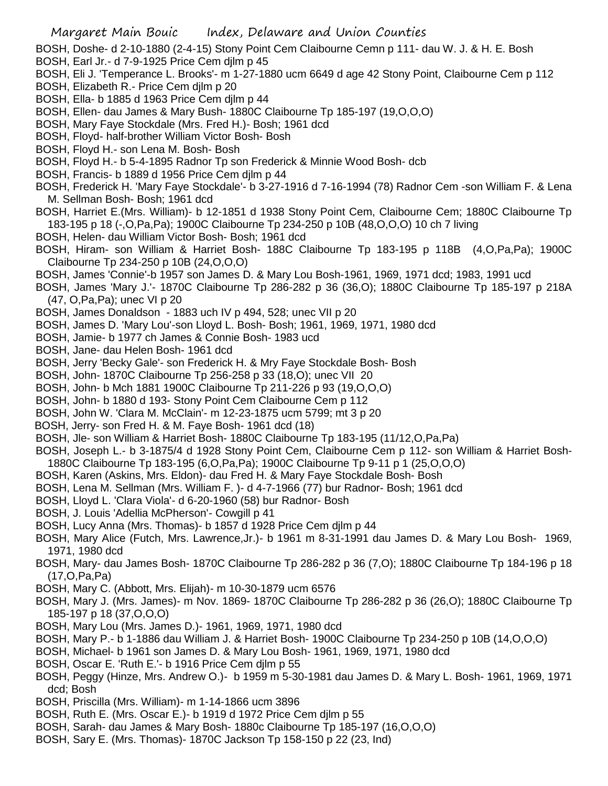- BOSH, Doshe- d 2-10-1880 (2-4-15) Stony Point Cem Claibourne Cemn p 111- dau W. J. & H. E. Bosh
- BOSH, Earl Jr.- d 7-9-1925 Price Cem djlm p 45
- BOSH, Eli J. 'Temperance L. Brooks'- m 1-27-1880 ucm 6649 d age 42 Stony Point, Claibourne Cem p 112
- BOSH, Elizabeth R.- Price Cem djlm p 20
- BOSH, Ella- b 1885 d 1963 Price Cem djlm p 44
- BOSH, Ellen- dau James & Mary Bush- 1880C Claibourne Tp 185-197 (19,O,O,O)
- BOSH, Mary Faye Stockdale (Mrs. Fred H.)- Bosh; 1961 dcd
- BOSH, Floyd- half-brother William Victor Bosh- Bosh
- BOSH, Floyd H.- son Lena M. Bosh- Bosh
- BOSH, Floyd H.- b 5-4-1895 Radnor Tp son Frederick & Minnie Wood Bosh- dcb
- BOSH, Francis- b 1889 d 1956 Price Cem djlm p 44
- BOSH, Frederick H. 'Mary Faye Stockdale'- b 3-27-1916 d 7-16-1994 (78) Radnor Cem -son William F. & Lena M. Sellman Bosh- Bosh; 1961 dcd
- BOSH, Harriet E.(Mrs. William)- b 12-1851 d 1938 Stony Point Cem, Claibourne Cem; 1880C Claibourne Tp 183-195 p 18 (-,O,Pa,Pa); 1900C Claibourne Tp 234-250 p 10B (48,O,O,O) 10 ch 7 living
- BOSH, Helen- dau William Victor Bosh- Bosh; 1961 dcd
- BOSH, Hiram- son William & Harriet Bosh- 188C Claibourne Tp 183-195 p 118B (4,O,Pa,Pa); 1900C Claibourne Tp 234-250 p 10B (24,O,O,O)
- BOSH, James 'Connie'-b 1957 son James D. & Mary Lou Bosh-1961, 1969, 1971 dcd; 1983, 1991 ucd
- BOSH, James 'Mary J.'- 1870C Claibourne Tp 286-282 p 36 (36,O); 1880C Claibourne Tp 185-197 p 218A (47, O,Pa,Pa); unec VI p 20
- BOSH, James Donaldson 1883 uch IV p 494, 528; unec VII p 20
- BOSH, James D. 'Mary Lou'-son Lloyd L. Bosh- Bosh; 1961, 1969, 1971, 1980 dcd
- BOSH, Jamie- b 1977 ch James & Connie Bosh- 1983 ucd
- BOSH, Jane- dau Helen Bosh- 1961 dcd
- BOSH, Jerry 'Becky Gale'- son Frederick H. & Mry Faye Stockdale Bosh- Bosh
- BOSH, John- 1870C Claibourne Tp 256-258 p 33 (18,O); unec VII 20
- BOSH, John- b Mch 1881 1900C Claibourne Tp 211-226 p 93 (19,O,O,O)
- BOSH, John- b 1880 d 193- Stony Point Cem Claibourne Cem p 112
- BOSH, John W. 'Clara M. McClain'- m 12-23-1875 ucm 5799; mt 3 p 20
- BOSH, Jerry- son Fred H. & M. Faye Bosh- 1961 dcd (18)
- BOSH, Jle- son William & Harriet Bosh- 1880C Claibourne Tp 183-195 (11/12,O,Pa,Pa)
- BOSH, Joseph L.- b 3-1875/4 d 1928 Stony Point Cem, Claibourne Cem p 112- son William & Harriet Bosh-1880C Claibourne Tp 183-195 (6,O,Pa,Pa); 1900C Claibourne Tp 9-11 p 1 (25,O,O,O)
- BOSH, Karen (Askins, Mrs. Eldon)- dau Fred H. & Mary Faye Stockdale Bosh- Bosh
- BOSH, Lena M. Sellman (Mrs. William F. )- d 4-7-1966 (77) bur Radnor- Bosh; 1961 dcd
- BOSH, Lloyd L. 'Clara Viola'- d 6-20-1960 (58) bur Radnor- Bosh
- BOSH, J. Louis 'Adellia McPherson'- Cowgill p 41
- BOSH, Lucy Anna (Mrs. Thomas)- b 1857 d 1928 Price Cem djlm p 44
- BOSH, Mary Alice (Futch, Mrs. Lawrence,Jr.)- b 1961 m 8-31-1991 dau James D. & Mary Lou Bosh- 1969, 1971, 1980 dcd
- BOSH, Mary- dau James Bosh- 1870C Claibourne Tp 286-282 p 36 (7,O); 1880C Claibourne Tp 184-196 p 18 (17,O,Pa,Pa)
- BOSH, Mary C. (Abbott, Mrs. Elijah)- m 10-30-1879 ucm 6576
- BOSH, Mary J. (Mrs. James)- m Nov. 1869- 1870C Claibourne Tp 286-282 p 36 (26,O); 1880C Claibourne Tp 185-197 p 18 (37,O,O,O)
- BOSH, Mary Lou (Mrs. James D.)- 1961, 1969, 1971, 1980 dcd
- BOSH, Mary P.- b 1-1886 dau William J. & Harriet Bosh- 1900C Claibourne Tp 234-250 p 10B (14,O,O,O)
- BOSH, Michael- b 1961 son James D. & Mary Lou Bosh- 1961, 1969, 1971, 1980 dcd
- BOSH, Oscar E. 'Ruth E.'- b 1916 Price Cem djlm p 55
- BOSH, Peggy (Hinze, Mrs. Andrew O.)- b 1959 m 5-30-1981 dau James D. & Mary L. Bosh- 1961, 1969, 1971 dcd; Bosh
- BOSH, Priscilla (Mrs. William)- m 1-14-1866 ucm 3896
- BOSH, Ruth E. (Mrs. Oscar E.)- b 1919 d 1972 Price Cem djlm p 55
- BOSH, Sarah- dau James & Mary Bosh- 1880c Claibourne Tp 185-197 (16,O,O,O)
- BOSH, Sary E. (Mrs. Thomas)- 1870C Jackson Tp 158-150 p 22 (23, Ind)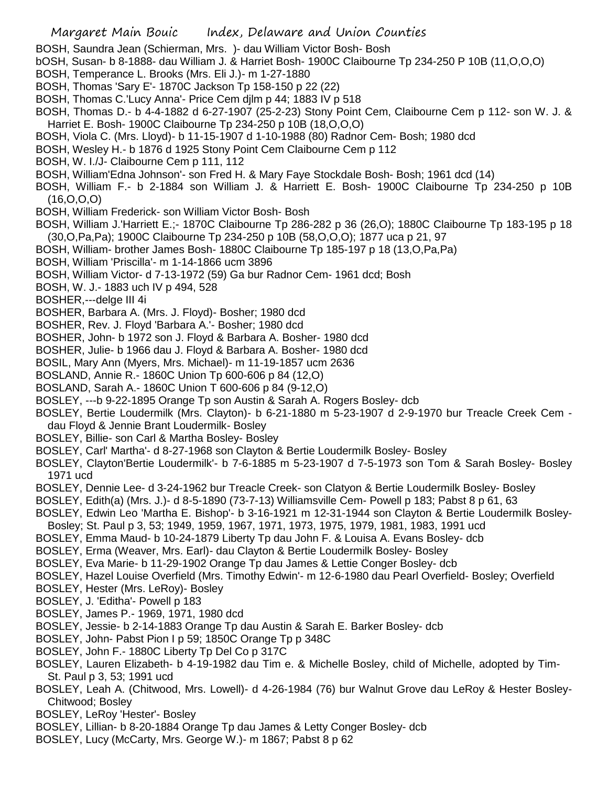- BOSH, Saundra Jean (Schierman, Mrs. )- dau William Victor Bosh- Bosh
- bOSH, Susan- b 8-1888- dau William J. & Harriet Bosh- 1900C Claibourne Tp 234-250 P 10B (11,O,O,O)
- BOSH, Temperance L. Brooks (Mrs. Eli J.)- m 1-27-1880
- BOSH, Thomas 'Sary E'- 1870C Jackson Tp 158-150 p 22 (22)
- BOSH, Thomas C.'Lucy Anna'- Price Cem djlm p 44; 1883 IV p 518
- BOSH, Thomas D.- b 4-4-1882 d 6-27-1907 (25-2-23) Stony Point Cem, Claibourne Cem p 112- son W. J. & Harriet E. Bosh- 1900C Claibourne Tp 234-250 p 10B (18,O,O,O)
- BOSH, Viola C. (Mrs. Lloyd)- b 11-15-1907 d 1-10-1988 (80) Radnor Cem- Bosh; 1980 dcd
- BOSH, Wesley H.- b 1876 d 1925 Stony Point Cem Claibourne Cem p 112
- BOSH, W. I./J- Claibourne Cem p 111, 112
- BOSH, William'Edna Johnson'- son Fred H. & Mary Faye Stockdale Bosh- Bosh; 1961 dcd (14)
- BOSH, William F.- b 2-1884 son William J. & Harriett E. Bosh- 1900C Claibourne Tp 234-250 p 10B (16,O,O,O)
- BOSH, William Frederick- son William Victor Bosh- Bosh
- BOSH, William J.'Harriett E.;- 1870C Claibourne Tp 286-282 p 36 (26,O); 1880C Claibourne Tp 183-195 p 18 (30,O,Pa,Pa); 1900C Claibourne Tp 234-250 p 10B (58,O,O,O); 1877 uca p 21, 97
- BOSH, William- brother James Bosh- 1880C Claibourne Tp 185-197 p 18 (13,O,Pa,Pa)
- BOSH, William 'Priscilla'- m 1-14-1866 ucm 3896
- BOSH, William Victor- d 7-13-1972 (59) Ga bur Radnor Cem- 1961 dcd; Bosh
- BOSH, W. J.- 1883 uch IV p 494, 528
- BOSHER,---delge III 4i
- BOSHER, Barbara A. (Mrs. J. Floyd)- Bosher; 1980 dcd
- BOSHER, Rev. J. Floyd 'Barbara A.'- Bosher; 1980 dcd
- BOSHER, John- b 1972 son J. Floyd & Barbara A. Bosher- 1980 dcd
- BOSHER, Julie- b 1966 dau J. Floyd & Barbara A. Bosher- 1980 dcd
- BOSIL, Mary Ann (Myers, Mrs. Michael)- m 11-19-1857 ucm 2636
- BOSLAND, Annie R.- 1860C Union Tp 600-606 p 84 (12,O)
- BOSLAND, Sarah A.- 1860C Union T 600-606 p 84 (9-12,O)
- BOSLEY, ---b 9-22-1895 Orange Tp son Austin & Sarah A. Rogers Bosley- dcb
- BOSLEY, Bertie Loudermilk (Mrs. Clayton)- b 6-21-1880 m 5-23-1907 d 2-9-1970 bur Treacle Creek Cem dau Floyd & Jennie Brant Loudermilk- Bosley
- BOSLEY, Billie- son Carl & Martha Bosley- Bosley
- BOSLEY, Carl' Martha'- d 8-27-1968 son Clayton & Bertie Loudermilk Bosley- Bosley
- BOSLEY, Clayton'Bertie Loudermilk'- b 7-6-1885 m 5-23-1907 d 7-5-1973 son Tom & Sarah Bosley- Bosley 1971 ucd
- BOSLEY, Dennie Lee- d 3-24-1962 bur Treacle Creek- son Clatyon & Bertie Loudermilk Bosley- Bosley
- BOSLEY, Edith(a) (Mrs. J.)- d 8-5-1890 (73-7-13) Williamsville Cem- Powell p 183; Pabst 8 p 61, 63
- BOSLEY, Edwin Leo 'Martha E. Bishop'- b 3-16-1921 m 12-31-1944 son Clayton & Bertie Loudermilk Bosley-
- Bosley; St. Paul p 3, 53; 1949, 1959, 1967, 1971, 1973, 1975, 1979, 1981, 1983, 1991 ucd
- BOSLEY, Emma Maud- b 10-24-1879 Liberty Tp dau John F. & Louisa A. Evans Bosley- dcb
- BOSLEY, Erma (Weaver, Mrs. Earl)- dau Clayton & Bertie Loudermilk Bosley- Bosley
- BOSLEY, Eva Marie- b 11-29-1902 Orange Tp dau James & Lettie Conger Bosley- dcb
- BOSLEY, Hazel Louise Overfield (Mrs. Timothy Edwin'- m 12-6-1980 dau Pearl Overfield- Bosley; Overfield
- BOSLEY, Hester (Mrs. LeRoy)- Bosley
- BOSLEY, J. 'Editha'- Powell p 183
- BOSLEY, James P.- 1969, 1971, 1980 dcd
- BOSLEY, Jessie- b 2-14-1883 Orange Tp dau Austin & Sarah E. Barker Bosley- dcb
- BOSLEY, John- Pabst Pion I p 59; 1850C Orange Tp p 348C
- BOSLEY, John F.- 1880C Liberty Tp Del Co p 317C
- BOSLEY, Lauren Elizabeth- b 4-19-1982 dau Tim e. & Michelle Bosley, child of Michelle, adopted by Tim-St. Paul p 3, 53; 1991 ucd
- BOSLEY, Leah A. (Chitwood, Mrs. Lowell)- d 4-26-1984 (76) bur Walnut Grove dau LeRoy & Hester Bosley-Chitwood; Bosley
- BOSLEY, LeRoy 'Hester'- Bosley
- BOSLEY, Lillian- b 8-20-1884 Orange Tp dau James & Letty Conger Bosley- dcb
- BOSLEY, Lucy (McCarty, Mrs. George W.)- m 1867; Pabst 8 p 62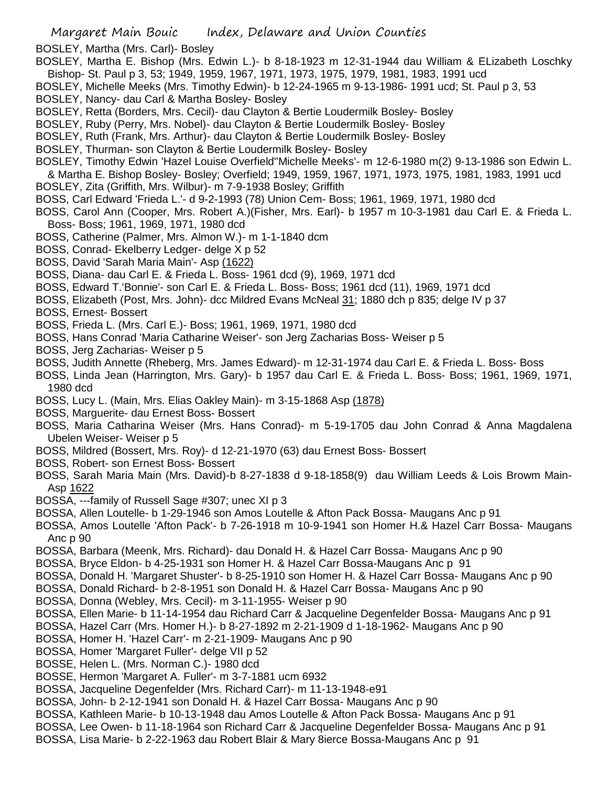BOSLEY, Martha (Mrs. Carl)- Bosley

- BOSLEY, Martha E. Bishop (Mrs. Edwin L.)- b 8-18-1923 m 12-31-1944 dau William & ELizabeth Loschky Bishop- St. Paul p 3, 53; 1949, 1959, 1967, 1971, 1973, 1975, 1979, 1981, 1983, 1991 ucd
- BOSLEY, Michelle Meeks (Mrs. Timothy Edwin)- b 12-24-1965 m 9-13-1986- 1991 ucd; St. Paul p 3, 53
- BOSLEY, Nancy- dau Carl & Martha Bosley- Bosley
- BOSLEY, Retta (Borders, Mrs. Cecil)- dau Clayton & Bertie Loudermilk Bosley- Bosley
- BOSLEY, Ruby (Perry, Mrs. Nobel)- dau Clayton & Bertie Loudermilk Bosley- Bosley
- BOSLEY, Ruth (Frank, Mrs. Arthur)- dau Clayton & Bertie Loudermilk Bosley- Bosley
- BOSLEY, Thurman- son Clayton & Bertie Loudermilk Bosley- Bosley
- BOSLEY, Timothy Edwin 'Hazel Louise Overfield''Michelle Meeks'- m 12-6-1980 m(2) 9-13-1986 son Edwin L. & Martha E. Bishop Bosley- Bosley; Overfield; 1949, 1959, 1967, 1971, 1973, 1975, 1981, 1983, 1991 ucd BOSLEY, Zita (Griffith, Mrs. Wilbur)- m 7-9-1938 Bosley; Griffith
- BOSS, Carl Edward 'Frieda L.'- d 9-2-1993 (78) Union Cem- Boss; 1961, 1969, 1971, 1980 dcd
- BOSS, Carol Ann (Cooper, Mrs. Robert A.)(Fisher, Mrs. Earl)- b 1957 m 10-3-1981 dau Carl E. & Frieda L. Boss- Boss; 1961, 1969, 1971, 1980 dcd
- BOSS, Catherine (Palmer, Mrs. Almon W.)- m 1-1-1840 dcm
- BOSS, Conrad- Ekelberry Ledger- delge X p 52
- BOSS, David 'Sarah Maria Main'- Asp (1622)
- BOSS, Diana- dau Carl E. & Frieda L. Boss- 1961 dcd (9), 1969, 1971 dcd
- BOSS, Edward T.'Bonnie'- son Carl E. & Frieda L. Boss- Boss; 1961 dcd (11), 1969, 1971 dcd
- BOSS, Elizabeth (Post, Mrs. John)- dcc Mildred Evans McNeal 31; 1880 dch p 835; delge IV p 37
- BOSS, Ernest- Bossert
- BOSS, Frieda L. (Mrs. Carl E.)- Boss; 1961, 1969, 1971, 1980 dcd
- BOSS, Hans Conrad 'Maria Catharine Weiser'- son Jerg Zacharias Boss- Weiser p 5
- BOSS, Jerg Zacharias- Weiser p 5
- BOSS, Judith Annette (Rheberg, Mrs. James Edward)- m 12-31-1974 dau Carl E. & Frieda L. Boss- Boss
- BOSS, Linda Jean (Harrington, Mrs. Gary)- b 1957 dau Carl E. & Frieda L. Boss- Boss; 1961, 1969, 1971, 1980 dcd
- BOSS, Lucy L. (Main, Mrs. Elias Oakley Main)- m 3-15-1868 Asp (1878)
- BOSS, Marguerite- dau Ernest Boss- Bossert
- BOSS, Maria Catharina Weiser (Mrs. Hans Conrad)- m 5-19-1705 dau John Conrad & Anna Magdalena Ubelen Weiser- Weiser p 5
- BOSS, Mildred (Bossert, Mrs. Roy)- d 12-21-1970 (63) dau Ernest Boss- Bossert
- BOSS, Robert- son Ernest Boss- Bossert
- BOSS, Sarah Maria Main (Mrs. David)-b 8-27-1838 d 9-18-1858(9) dau William Leeds & Lois Browm Main-Asp 1622
- BOSSA, ---family of Russell Sage #307; unec XI p 3
- BOSSA, Allen Loutelle- b 1-29-1946 son Amos Loutelle & Afton Pack Bossa- Maugans Anc p 91
- BOSSA, Amos Loutelle 'Afton Pack'- b 7-26-1918 m 10-9-1941 son Homer H.& Hazel Carr Bossa- Maugans Anc p 90
- BOSSA, Barbara (Meenk, Mrs. Richard)- dau Donald H. & Hazel Carr Bossa- Maugans Anc p 90
- BOSSA, Bryce Eldon- b 4-25-1931 son Homer H. & Hazel Carr Bossa-Maugans Anc p 91
- BOSSA, Donald H. 'Margaret Shuster'- b 8-25-1910 son Homer H. & Hazel Carr Bossa- Maugans Anc p 90
- BOSSA, Donald Richard- b 2-8-1951 son Donald H. & Hazel Carr Bossa- Maugans Anc p 90
- BOSSA, Donna (Webley, Mrs. Cecil)- m 3-11-1955- Weiser p 90
- BOSSA, Ellen Marie- b 11-14-1954 dau Richard Carr & Jacqueline Degenfelder Bossa- Maugans Anc p 91
- BOSSA, Hazel Carr (Mrs. Homer H.)- b 8-27-1892 m 2-21-1909 d 1-18-1962- Maugans Anc p 90
- BOSSA, Homer H. 'Hazel Carr'- m 2-21-1909- Maugans Anc p 90
- BOSSA, Homer 'Margaret Fuller'- delge VII p 52
- BOSSE, Helen L. (Mrs. Norman C.)- 1980 dcd
- BOSSE, Hermon 'Margaret A. Fuller'- m 3-7-1881 ucm 6932
- BOSSA, Jacqueline Degenfelder (Mrs. Richard Carr)- m 11-13-1948-e91
- BOSSA, John- b 2-12-1941 son Donald H. & Hazel Carr Bossa- Maugans Anc p 90
- BOSSA, Kathleen Marie- b 10-13-1948 dau Amos Loutelle & Afton Pack Bossa- Maugans Anc p 91
- BOSSA, Lee Owen- b 11-18-1964 son Richard Carr & Jacqueline Degenfelder Bossa- Maugans Anc p 91
- BOSSA, Lisa Marie- b 2-22-1963 dau Robert Blair & Mary 8ierce Bossa-Maugans Anc p 91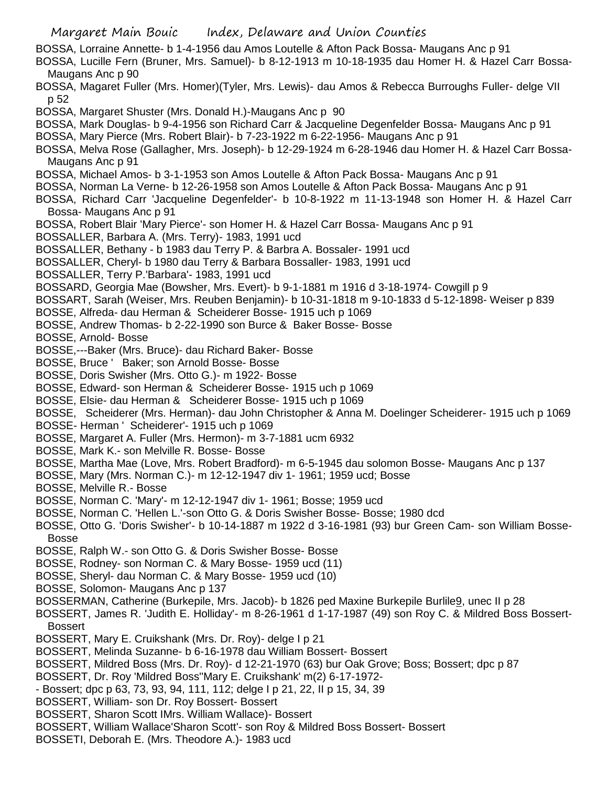BOSSA, Lorraine Annette- b 1-4-1956 dau Amos Loutelle & Afton Pack Bossa- Maugans Anc p 91

BOSSA, Lucille Fern (Bruner, Mrs. Samuel)- b 8-12-1913 m 10-18-1935 dau Homer H. & Hazel Carr Bossa-Maugans Anc p 90

- BOSSA, Magaret Fuller (Mrs. Homer)(Tyler, Mrs. Lewis)- dau Amos & Rebecca Burroughs Fuller- delge VII p 52
- BOSSA, Margaret Shuster (Mrs. Donald H.)-Maugans Anc p 90
- BOSSA, Mark Douglas- b 9-4-1956 son Richard Carr & Jacqueline Degenfelder Bossa- Maugans Anc p 91
- BOSSA, Mary Pierce (Mrs. Robert Blair)- b 7-23-1922 m 6-22-1956- Maugans Anc p 91
- BOSSA, Melva Rose (Gallagher, Mrs. Joseph)- b 12-29-1924 m 6-28-1946 dau Homer H. & Hazel Carr Bossa-Maugans Anc p 91
- BOSSA, Michael Amos- b 3-1-1953 son Amos Loutelle & Afton Pack Bossa- Maugans Anc p 91
- BOSSA, Norman La Verne- b 12-26-1958 son Amos Loutelle & Afton Pack Bossa- Maugans Anc p 91
- BOSSA, Richard Carr 'Jacqueline Degenfelder'- b 10-8-1922 m 11-13-1948 son Homer H. & Hazel Carr Bossa- Maugans Anc p 91
- BOSSA, Robert Blair 'Mary Pierce'- son Homer H. & Hazel Carr Bossa- Maugans Anc p 91
- BOSSALLER, Barbara A. (Mrs. Terry)- 1983, 1991 ucd
- BOSSALLER, Bethany b 1983 dau Terry P. & Barbra A. Bossaler- 1991 ucd
- BOSSALLER, Cheryl- b 1980 dau Terry & Barbara Bossaller- 1983, 1991 ucd
- BOSSALLER, Terry P.'Barbara'- 1983, 1991 ucd

BOSSARD, Georgia Mae (Bowsher, Mrs. Evert)- b 9-1-1881 m 1916 d 3-18-1974- Cowgill p 9

- BOSSART, Sarah (Weiser, Mrs. Reuben Benjamin)- b 10-31-1818 m 9-10-1833 d 5-12-1898- Weiser p 839
- BOSSE, Alfreda- dau Herman & Scheiderer Bosse- 1915 uch p 1069
- BOSSE, Andrew Thomas- b 2-22-1990 son Burce & Baker Bosse- Bosse

BOSSE, Arnold- Bosse

- BOSSE,---Baker (Mrs. Bruce)- dau Richard Baker- Bosse
- BOSSE, Bruce ' Baker; son Arnold Bosse- Bosse
- BOSSE, Doris Swisher (Mrs. Otto G.)- m 1922- Bosse
- BOSSE, Edward- son Herman & Scheiderer Bosse- 1915 uch p 1069
- BOSSE, Elsie- dau Herman & Scheiderer Bosse- 1915 uch p 1069
- BOSSE, Scheiderer (Mrs. Herman)- dau John Christopher & Anna M. Doelinger Scheiderer- 1915 uch p 1069
- BOSSE- Herman ' Scheiderer'- 1915 uch p 1069
- BOSSE, Margaret A. Fuller (Mrs. Hermon)- m 3-7-1881 ucm 6932
- BOSSE, Mark K.- son Melville R. Bosse- Bosse
- BOSSE, Martha Mae (Love, Mrs. Robert Bradford)- m 6-5-1945 dau solomon Bosse- Maugans Anc p 137
- BOSSE, Mary (Mrs. Norman C.)- m 12-12-1947 div 1- 1961; 1959 ucd; Bosse
- BOSSE, Melville R.- Bosse
- BOSSE, Norman C. 'Mary'- m 12-12-1947 div 1- 1961; Bosse; 1959 ucd
- BOSSE, Norman C. 'Hellen L.'-son Otto G. & Doris Swisher Bosse- Bosse; 1980 dcd
- BOSSE, Otto G. 'Doris Swisher'- b 10-14-1887 m 1922 d 3-16-1981 (93) bur Green Cam- son William Bosse-Bosse
- BOSSE, Ralph W.- son Otto G. & Doris Swisher Bosse- Bosse
- BOSSE, Rodney- son Norman C. & Mary Bosse- 1959 ucd (11)
- BOSSE, Sheryl- dau Norman C. & Mary Bosse- 1959 ucd (10)
- BOSSE, Solomon- Maugans Anc p 137
- BOSSERMAN, Catherine (Burkepile, Mrs. Jacob)- b 1826 ped Maxine Burkepile Burlile9, unec II p 28
- BOSSERT, James R. 'Judith E. Holliday'- m 8-26-1961 d 1-17-1987 (49) son Roy C. & Mildred Boss Bossert-**Bossert**
- BOSSERT, Mary E. Cruikshank (Mrs. Dr. Roy)- delge I p 21
- BOSSERT, Melinda Suzanne- b 6-16-1978 dau William Bossert- Bossert
- BOSSERT, Mildred Boss (Mrs. Dr. Roy)- d 12-21-1970 (63) bur Oak Grove; Boss; Bossert; dpc p 87
- BOSSERT, Dr. Roy 'Mildred Boss''Mary E. Cruikshank' m(2) 6-17-1972-
- Bossert; dpc p 63, 73, 93, 94, 111, 112; delge I p 21, 22, II p 15, 34, 39
- BOSSERT, William- son Dr. Roy Bossert- Bossert
- BOSSERT, Sharon Scott IMrs. William Wallace)- Bossert
- BOSSERT, William Wallace'Sharon Scott'- son Roy & Mildred Boss Bossert- Bossert
- BOSSETI, Deborah E. (Mrs. Theodore A.)- 1983 ucd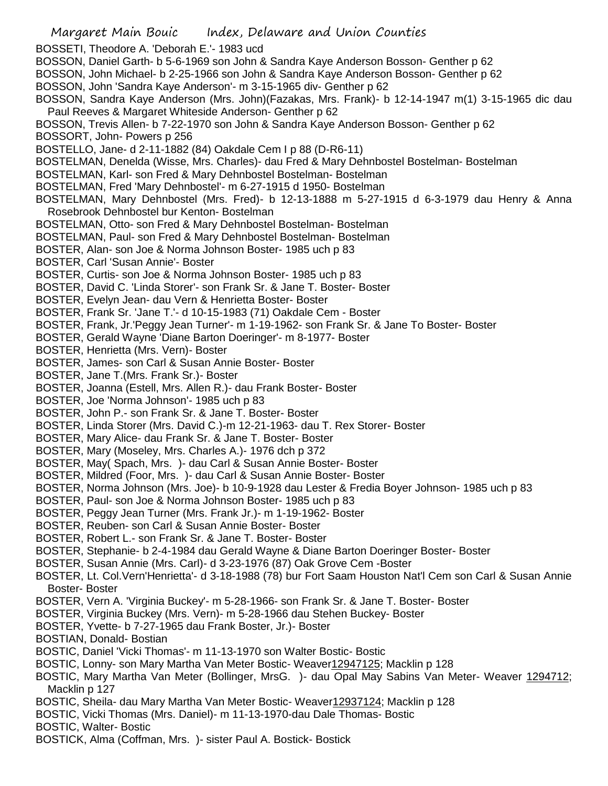Margaret Main Bouic Index, Delaware and Union Counties BOSSETI, Theodore A. 'Deborah E.'- 1983 ucd BOSSON, Daniel Garth- b 5-6-1969 son John & Sandra Kaye Anderson Bosson- Genther p 62 BOSSON, John Michael- b 2-25-1966 son John & Sandra Kaye Anderson Bosson- Genther p 62 BOSSON, John 'Sandra Kaye Anderson'- m 3-15-1965 div- Genther p 62 BOSSON, Sandra Kaye Anderson (Mrs. John)(Fazakas, Mrs. Frank)- b 12-14-1947 m(1) 3-15-1965 dic dau Paul Reeves & Margaret Whiteside Anderson- Genther p 62 BOSSON, Trevis Allen- b 7-22-1970 son John & Sandra Kaye Anderson Bosson- Genther p 62 BOSSORT, John- Powers p 256 BOSTELLO, Jane- d 2-11-1882 (84) Oakdale Cem I p 88 (D-R6-11) BOSTELMAN, Denelda (Wisse, Mrs. Charles)- dau Fred & Mary Dehnbostel Bostelman- Bostelman BOSTELMAN, Karl- son Fred & Mary Dehnbostel Bostelman- Bostelman BOSTELMAN, Fred 'Mary Dehnbostel'- m 6-27-1915 d 1950- Bostelman BOSTELMAN, Mary Dehnbostel (Mrs. Fred)- b 12-13-1888 m 5-27-1915 d 6-3-1979 dau Henry & Anna Rosebrook Dehnbostel bur Kenton- Bostelman BOSTELMAN, Otto- son Fred & Mary Dehnbostel Bostelman- Bostelman BOSTELMAN, Paul- son Fred & Mary Dehnbostel Bostelman- Bostelman BOSTER, Alan- son Joe & Norma Johnson Boster- 1985 uch p 83 BOSTER, Carl 'Susan Annie'- Boster BOSTER, Curtis- son Joe & Norma Johnson Boster- 1985 uch p 83 BOSTER, David C. 'Linda Storer'- son Frank Sr. & Jane T. Boster- Boster BOSTER, Evelyn Jean- dau Vern & Henrietta Boster- Boster BOSTER, Frank Sr. 'Jane T.'- d 10-15-1983 (71) Oakdale Cem - Boster BOSTER, Frank, Jr.'Peggy Jean Turner'- m 1-19-1962- son Frank Sr. & Jane To Boster- Boster BOSTER, Gerald Wayne 'Diane Barton Doeringer'- m 8-1977- Boster BOSTER, Henrietta (Mrs. Vern)- Boster BOSTER, James- son Carl & Susan Annie Boster- Boster BOSTER, Jane T.(Mrs. Frank Sr.)- Boster BOSTER, Joanna (Estell, Mrs. Allen R.)- dau Frank Boster- Boster BOSTER, Joe 'Norma Johnson'- 1985 uch p 83 BOSTER, John P.- son Frank Sr. & Jane T. Boster- Boster BOSTER, Linda Storer (Mrs. David C.)-m 12-21-1963- dau T. Rex Storer- Boster BOSTER, Mary Alice- dau Frank Sr. & Jane T. Boster- Boster BOSTER, Mary (Moseley, Mrs. Charles A.)- 1976 dch p 372 BOSTER, May( Spach, Mrs. )- dau Carl & Susan Annie Boster- Boster BOSTER, Mildred (Foor, Mrs. )- dau Carl & Susan Annie Boster- Boster BOSTER, Norma Johnson (Mrs. Joe)- b 10-9-1928 dau Lester & Fredia Boyer Johnson- 1985 uch p 83 BOSTER, Paul- son Joe & Norma Johnson Boster- 1985 uch p 83 BOSTER, Peggy Jean Turner (Mrs. Frank Jr.)- m 1-19-1962- Boster BOSTER, Reuben- son Carl & Susan Annie Boster- Boster BOSTER, Robert L.- son Frank Sr. & Jane T. Boster- Boster BOSTER, Stephanie- b 2-4-1984 dau Gerald Wayne & Diane Barton Doeringer Boster- Boster BOSTER, Susan Annie (Mrs. Carl)- d 3-23-1976 (87) Oak Grove Cem -Boster BOSTER, Lt. Col.Vern'Henrietta'- d 3-18-1988 (78) bur Fort Saam Houston Nat'l Cem son Carl & Susan Annie Boster- Boster BOSTER, Vern A. 'Virginia Buckey'- m 5-28-1966- son Frank Sr. & Jane T. Boster- Boster BOSTER, Virginia Buckey (Mrs. Vern)- m 5-28-1966 dau Stehen Buckey- Boster BOSTER, Yvette- b 7-27-1965 dau Frank Boster, Jr.)- Boster BOSTIAN, Donald- Bostian BOSTIC, Daniel 'Vicki Thomas'- m 11-13-1970 son Walter Bostic- Bostic BOSTIC, Lonny- son Mary Martha Van Meter Bostic- Weaver12947125; Macklin p 128 BOSTIC, Mary Martha Van Meter (Bollinger, MrsG. )- dau Opal May Sabins Van Meter- Weaver 1294712; Macklin p 127 BOSTIC, Sheila- dau Mary Martha Van Meter Bostic- Weaver12937124; Macklin p 128 BOSTIC, Vicki Thomas (Mrs. Daniel)- m 11-13-1970-dau Dale Thomas- Bostic BOSTIC, Walter- Bostic BOSTICK, Alma (Coffman, Mrs. )- sister Paul A. Bostick- Bostick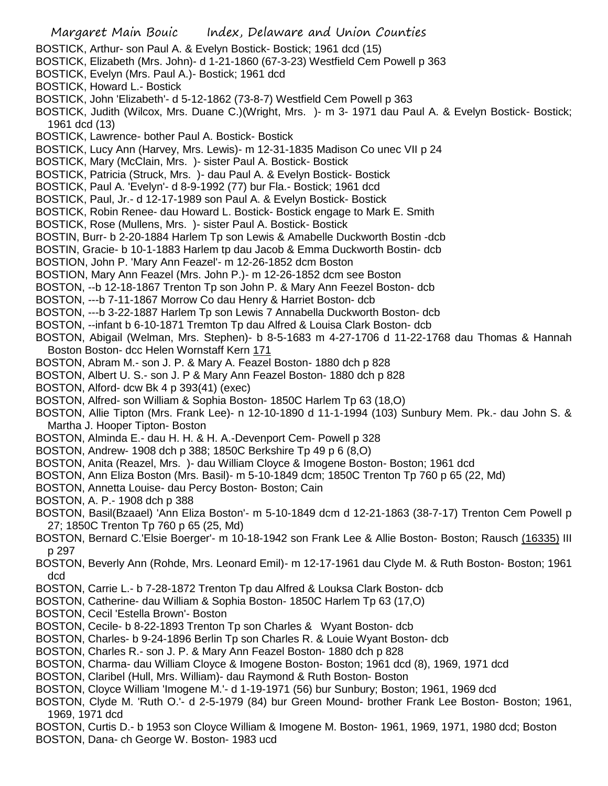- BOSTICK, Arthur- son Paul A. & Evelyn Bostick- Bostick; 1961 dcd (15)
- BOSTICK, Elizabeth (Mrs. John)- d 1-21-1860 (67-3-23) Westfield Cem Powell p 363
- BOSTICK, Evelyn (Mrs. Paul A.)- Bostick; 1961 dcd
- BOSTICK, Howard L.- Bostick
- BOSTICK, John 'Elizabeth'- d 5-12-1862 (73-8-7) Westfield Cem Powell p 363
- BOSTICK, Judith (Wilcox, Mrs. Duane C.)(Wright, Mrs. )- m 3- 1971 dau Paul A. & Evelyn Bostick- Bostick; 1961 dcd (13)
- BOSTICK, Lawrence- bother Paul A. Bostick- Bostick
- BOSTICK, Lucy Ann (Harvey, Mrs. Lewis)- m 12-31-1835 Madison Co unec VII p 24
- BOSTICK, Mary (McClain, Mrs. )- sister Paul A. Bostick- Bostick
- BOSTICK, Patricia (Struck, Mrs. )- dau Paul A. & Evelyn Bostick- Bostick
- BOSTICK, Paul A. 'Evelyn'- d 8-9-1992 (77) bur Fla.- Bostick; 1961 dcd
- BOSTICK, Paul, Jr.- d 12-17-1989 son Paul A. & Evelyn Bostick- Bostick
- BOSTICK, Robin Renee- dau Howard L. Bostick- Bostick engage to Mark E. Smith
- BOSTICK, Rose (Mullens, Mrs. )- sister Paul A. Bostick- Bostick
- BOSTIN, Burr- b 2-20-1884 Harlem Tp son Lewis & Amabelle Duckworth Bostin -dcb
- BOSTIN, Gracie- b 10-1-1883 Harlem tp dau Jacob & Emma Duckworth Bostin- dcb
- BOSTION, John P. 'Mary Ann Feazel'- m 12-26-1852 dcm Boston
- BOSTION, Mary Ann Feazel (Mrs. John P.)- m 12-26-1852 dcm see Boston
- BOSTON, --b 12-18-1867 Trenton Tp son John P. & Mary Ann Feezel Boston- dcb
- BOSTON, ---b 7-11-1867 Morrow Co dau Henry & Harriet Boston- dcb
- BOSTON, ---b 3-22-1887 Harlem Tp son Lewis 7 Annabella Duckworth Boston- dcb
- BOSTON, --infant b 6-10-1871 Tremton Tp dau Alfred & Louisa Clark Boston- dcb
- BOSTON, Abigail (Welman, Mrs. Stephen)- b 8-5-1683 m 4-27-1706 d 11-22-1768 dau Thomas & Hannah Boston Boston- dcc Helen Wornstaff Kern 171
- BOSTON, Abram M.- son J. P. & Mary A. Feazel Boston- 1880 dch p 828
- BOSTON, Albert U. S.- son J. P & Mary Ann Feazel Boston- 1880 dch p 828
- BOSTON, Alford- dcw Bk 4 p 393(41) (exec)
- BOSTON, Alfred- son William & Sophia Boston- 1850C Harlem Tp 63 (18,O)
- BOSTON, Allie Tipton (Mrs. Frank Lee)- n 12-10-1890 d 11-1-1994 (103) Sunbury Mem. Pk.- dau John S. & Martha J. Hooper Tipton- Boston
- BOSTON, Alminda E.- dau H. H. & H. A.-Devenport Cem- Powell p 328
- BOSTON, Andrew- 1908 dch p 388; 1850C Berkshire Tp 49 p 6 (8,O)
- BOSTON, Anita (Reazel, Mrs. )- dau William Cloyce & Imogene Boston- Boston; 1961 dcd
- BOSTON, Ann Eliza Boston (Mrs. Basil)- m 5-10-1849 dcm; 1850C Trenton Tp 760 p 65 (22, Md)
- BOSTON, Annetta Louise- dau Percy Boston- Boston; Cain
- BOSTON, A. P.- 1908 dch p 388
- BOSTON, Basil(Bzaael) 'Ann Eliza Boston'- m 5-10-1849 dcm d 12-21-1863 (38-7-17) Trenton Cem Powell p 27; 1850C Trenton Tp 760 p 65 (25, Md)
- BOSTON, Bernard C.'Elsie Boerger'- m 10-18-1942 son Frank Lee & Allie Boston- Boston; Rausch (16335) III p 297
- BOSTON, Beverly Ann (Rohde, Mrs. Leonard Emil)- m 12-17-1961 dau Clyde M. & Ruth Boston- Boston; 1961 dcd
- BOSTON, Carrie L.- b 7-28-1872 Trenton Tp dau Alfred & Louksa Clark Boston- dcb
- BOSTON, Catherine- dau William & Sophia Boston- 1850C Harlem Tp 63 (17,O)
- BOSTON, Cecil 'Estella Brown'- Boston
- BOSTON, Cecile- b 8-22-1893 Trenton Tp son Charles & Wyant Boston- dcb
- BOSTON, Charles- b 9-24-1896 Berlin Tp son Charles R. & Louie Wyant Boston- dcb
- BOSTON, Charles R.- son J. P. & Mary Ann Feazel Boston- 1880 dch p 828
- BOSTON, Charma- dau William Cloyce & Imogene Boston- Boston; 1961 dcd (8), 1969, 1971 dcd
- BOSTON, Claribel (Hull, Mrs. William)- dau Raymond & Ruth Boston- Boston
- BOSTON, Cloyce William 'Imogene M.'- d 1-19-1971 (56) bur Sunbury; Boston; 1961, 1969 dcd
- BOSTON, Clyde M. 'Ruth O.'- d 2-5-1979 (84) bur Green Mound- brother Frank Lee Boston- Boston; 1961, 1969, 1971 dcd
- BOSTON, Curtis D.- b 1953 son Cloyce William & Imogene M. Boston- 1961, 1969, 1971, 1980 dcd; Boston BOSTON, Dana- ch George W. Boston- 1983 ucd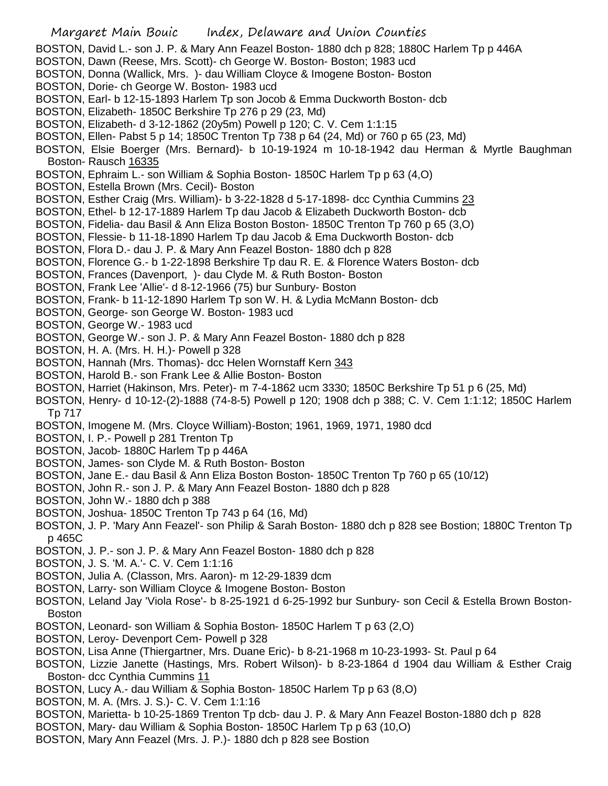- Margaret Main Bouic Index, Delaware and Union Counties BOSTON, David L.- son J. P. & Mary Ann Feazel Boston- 1880 dch p 828; 1880C Harlem Tp p 446A BOSTON, Dawn (Reese, Mrs. Scott)- ch George W. Boston- Boston; 1983 ucd BOSTON, Donna (Wallick, Mrs. )- dau William Cloyce & Imogene Boston- Boston BOSTON, Dorie- ch George W. Boston- 1983 ucd BOSTON, Earl- b 12-15-1893 Harlem Tp son Jocob & Emma Duckworth Boston- dcb BOSTON, Elizabeth- 1850C Berkshire Tp 276 p 29 (23, Md) BOSTON, Elizabeth- d 3-12-1862 (20y5m) Powell p 120; C. V. Cem 1:1:15 BOSTON, Ellen- Pabst 5 p 14; 1850C Trenton Tp 738 p 64 (24, Md) or 760 p 65 (23, Md) BOSTON, Elsie Boerger (Mrs. Bernard)- b 10-19-1924 m 10-18-1942 dau Herman & Myrtle Baughman Boston- Rausch 16335 BOSTON, Ephraim L.- son William & Sophia Boston- 1850C Harlem Tp p 63 (4,O) BOSTON, Estella Brown (Mrs. Cecil)- Boston BOSTON, Esther Craig (Mrs. William)- b 3-22-1828 d 5-17-1898- dcc Cynthia Cummins 23 BOSTON, Ethel- b 12-17-1889 Harlem Tp dau Jacob & Elizabeth Duckworth Boston- dcb BOSTON, Fidelia- dau Basil & Ann Eliza Boston Boston- 1850C Trenton Tp 760 p 65 (3,O) BOSTON, Flessie- b 11-18-1890 Harlem Tp dau Jacob & Ema Duckworth Boston- dcb BOSTON, Flora D.- dau J. P. & Mary Ann Feazel Boston- 1880 dch p 828 BOSTON, Florence G.- b 1-22-1898 Berkshire Tp dau R. E. & Florence Waters Boston- dcb BOSTON, Frances (Davenport, )- dau Clyde M. & Ruth Boston- Boston BOSTON, Frank Lee 'Allie'- d 8-12-1966 (75) bur Sunbury- Boston BOSTON, Frank- b 11-12-1890 Harlem Tp son W. H. & Lydia McMann Boston- dcb BOSTON, George- son George W. Boston- 1983 ucd BOSTON, George W.- 1983 ucd BOSTON, George W.- son J. P. & Mary Ann Feazel Boston- 1880 dch p 828 BOSTON, H. A. (Mrs. H. H.)- Powell p 328 BOSTON, Hannah (Mrs. Thomas)- dcc Helen Wornstaff Kern 343 BOSTON, Harold B.- son Frank Lee & Allie Boston- Boston BOSTON, Harriet (Hakinson, Mrs. Peter)- m 7-4-1862 ucm 3330; 1850C Berkshire Tp 51 p 6 (25, Md) BOSTON, Henry- d 10-12-(2)-1888 (74-8-5) Powell p 120; 1908 dch p 388; C. V. Cem 1:1:12; 1850C Harlem Tp 717 BOSTON, Imogene M. (Mrs. Cloyce William)-Boston; 1961, 1969, 1971, 1980 dcd BOSTON, I. P.- Powell p 281 Trenton Tp BOSTON, Jacob- 1880C Harlem Tp p 446A BOSTON, James- son Clyde M. & Ruth Boston- Boston BOSTON, Jane E.- dau Basil & Ann Eliza Boston Boston- 1850C Trenton Tp 760 p 65 (10/12) BOSTON, John R.- son J. P. & Mary Ann Feazel Boston- 1880 dch p 828 BOSTON, John W.- 1880 dch p 388 BOSTON, Joshua- 1850C Trenton Tp 743 p 64 (16, Md) BOSTON, J. P. 'Mary Ann Feazel'- son Philip & Sarah Boston- 1880 dch p 828 see Bostion; 1880C Trenton Tp p 465C BOSTON, J. P.- son J. P. & Mary Ann Feazel Boston- 1880 dch p 828 BOSTON, J. S. 'M. A.'- C. V. Cem 1:1:16 BOSTON, Julia A. (Classon, Mrs. Aaron)- m 12-29-1839 dcm BOSTON, Larry- son William Cloyce & Imogene Boston- Boston BOSTON, Leland Jay 'Viola Rose'- b 8-25-1921 d 6-25-1992 bur Sunbury- son Cecil & Estella Brown Boston-Boston BOSTON, Leonard- son William & Sophia Boston- 1850C Harlem T p 63 (2,O) BOSTON, Leroy- Devenport Cem- Powell p 328 BOSTON, Lisa Anne (Thiergartner, Mrs. Duane Eric)- b 8-21-1968 m 10-23-1993- St. Paul p 64 BOSTON, Lizzie Janette (Hastings, Mrs. Robert Wilson)- b 8-23-1864 d 1904 dau William & Esther Craig Boston- dcc Cynthia Cummins 11 BOSTON, Lucy A.- dau William & Sophia Boston- 1850C Harlem Tp p 63 (8,O)
- 
- BOSTON, M. A. (Mrs. J. S.)- C. V. Cem 1:1:16
- BOSTON, Marietta- b 10-25-1869 Trenton Tp dcb- dau J. P. & Mary Ann Feazel Boston-1880 dch p 828
- BOSTON, Mary- dau William & Sophia Boston- 1850C Harlem Tp p 63 (10,O)
- BOSTON, Mary Ann Feazel (Mrs. J. P.)- 1880 dch p 828 see Bostion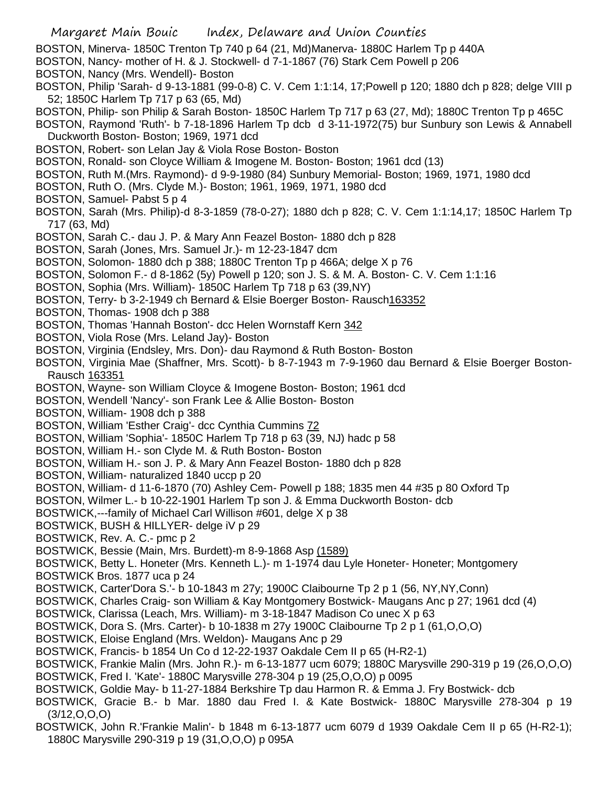- BOSTON, Minerva- 1850C Trenton Tp 740 p 64 (21, Md)Manerva- 1880C Harlem Tp p 440A
- BOSTON, Nancy- mother of H. & J. Stockwell- d 7-1-1867 (76) Stark Cem Powell p 206
- BOSTON, Nancy (Mrs. Wendell)- Boston
- BOSTON, Philip 'Sarah- d 9-13-1881 (99-0-8) C. V. Cem 1:1:14, 17;Powell p 120; 1880 dch p 828; delge VIII p 52; 1850C Harlem Tp 717 p 63 (65, Md)
- BOSTON, Philip- son Philip & Sarah Boston- 1850C Harlem Tp 717 p 63 (27, Md); 1880C Trenton Tp p 465C
- BOSTON, Raymond 'Ruth'- b 7-18-1896 Harlem Tp dcb d 3-11-1972(75) bur Sunbury son Lewis & Annabell Duckworth Boston- Boston; 1969, 1971 dcd
- BOSTON, Robert- son Lelan Jay & Viola Rose Boston- Boston
- BOSTON, Ronald- son Cloyce William & Imogene M. Boston- Boston; 1961 dcd (13)
- BOSTON, Ruth M.(Mrs. Raymond)- d 9-9-1980 (84) Sunbury Memorial- Boston; 1969, 1971, 1980 dcd
- BOSTON, Ruth O. (Mrs. Clyde M.)- Boston; 1961, 1969, 1971, 1980 dcd
- BOSTON, Samuel- Pabst 5 p 4
- BOSTON, Sarah (Mrs. Philip)-d 8-3-1859 (78-0-27); 1880 dch p 828; C. V. Cem 1:1:14,17; 1850C Harlem Tp 717 (63, Md)
- BOSTON, Sarah C.- dau J. P. & Mary Ann Feazel Boston- 1880 dch p 828
- BOSTON, Sarah (Jones, Mrs. Samuel Jr.)- m 12-23-1847 dcm
- BOSTON, Solomon- 1880 dch p 388; 1880C Trenton Tp p 466A; delge X p 76
- BOSTON, Solomon F.- d 8-1862 (5y) Powell p 120; son J. S. & M. A. Boston- C. V. Cem 1:1:16
- BOSTON, Sophia (Mrs. William)- 1850C Harlem Tp 718 p 63 (39,NY)
- BOSTON, Terry- b 3-2-1949 ch Bernard & Elsie Boerger Boston- Rausch163352
- BOSTON, Thomas- 1908 dch p 388
- BOSTON, Thomas 'Hannah Boston'- dcc Helen Wornstaff Kern 342
- BOSTON, Viola Rose (Mrs. Leland Jay)- Boston
- BOSTON, Virginia (Endsley, Mrs. Don)- dau Raymond & Ruth Boston- Boston
- BOSTON, Virginia Mae (Shaffner, Mrs. Scott)- b 8-7-1943 m 7-9-1960 dau Bernard & Elsie Boerger Boston-Rausch 163351
- BOSTON, Wayne- son William Cloyce & Imogene Boston- Boston; 1961 dcd
- BOSTON, Wendell 'Nancy'- son Frank Lee & Allie Boston- Boston
- BOSTON, William- 1908 dch p 388
- BOSTON, William 'Esther Craig'- dcc Cynthia Cummins 72
- BOSTON, William 'Sophia'- 1850C Harlem Tp 718 p 63 (39, NJ) hadc p 58
- BOSTON, William H.- son Clyde M. & Ruth Boston- Boston
- BOSTON, William H.- son J. P. & Mary Ann Feazel Boston- 1880 dch p 828
- BOSTON, William- naturalized 1840 uccp p 20
- BOSTON, William- d 11-6-1870 (70) Ashley Cem- Powell p 188; 1835 men 44 #35 p 80 Oxford Tp
- BOSTON, Wilmer L.- b 10-22-1901 Harlem Tp son J. & Emma Duckworth Boston- dcb
- BOSTWICK,---family of Michael Carl Willison #601, delge X p 38
- BOSTWICK, BUSH & HILLYER- delge iV p 29
- BOSTWICK, Rev. A. C.- pmc p 2
- BOSTWICK, Bessie (Main, Mrs. Burdett)-m 8-9-1868 Asp (1589)
- BOSTWICK, Betty L. Honeter (Mrs. Kenneth L.)- m 1-1974 dau Lyle Honeter- Honeter; Montgomery BOSTWICK Bros. 1877 uca p 24
- BOSTWICK, Carter'Dora S.'- b 10-1843 m 27y; 1900C Claibourne Tp 2 p 1 (56, NY,NY,Conn)
- BOSTWICK, Charles Craig- son William & Kay Montgomery Bostwick- Maugans Anc p 27; 1961 dcd (4)
- BOSTWICk, Clarissa (Leach, Mrs. William)- m 3-18-1847 Madison Co unec X p 63
- BOSTWICK, Dora S. (Mrs. Carter)- b 10-1838 m 27y 1900C Claibourne Tp 2 p 1 (61,O,O,O)
- BOSTWICK, Eloise England (Mrs. Weldon)- Maugans Anc p 29
- BOSTWICK, Francis- b 1854 Un Co d 12-22-1937 Oakdale Cem II p 65 (H-R2-1)
- BOSTWICK, Frankie Malin (Mrs. John R.)- m 6-13-1877 ucm 6079; 1880C Marysville 290-319 p 19 (26,O,O,O) BOSTWICK, Fred I. 'Kate'- 1880C Marysville 278-304 p 19 (25,O,O,O) p 0095
- BOSTWICK, Goldie May- b 11-27-1884 Berkshire Tp dau Harmon R. & Emma J. Fry Bostwick- dcb
- BOSTWICK, Gracie B.- b Mar. 1880 dau Fred I. & Kate Bostwick- 1880C Marysville 278-304 p 19  $(3/12, 0, 0, 0)$
- BOSTWICK, John R.'Frankie Malin'- b 1848 m 6-13-1877 ucm 6079 d 1939 Oakdale Cem II p 65 (H-R2-1); 1880C Marysville 290-319 p 19 (31,O,O,O) p 095A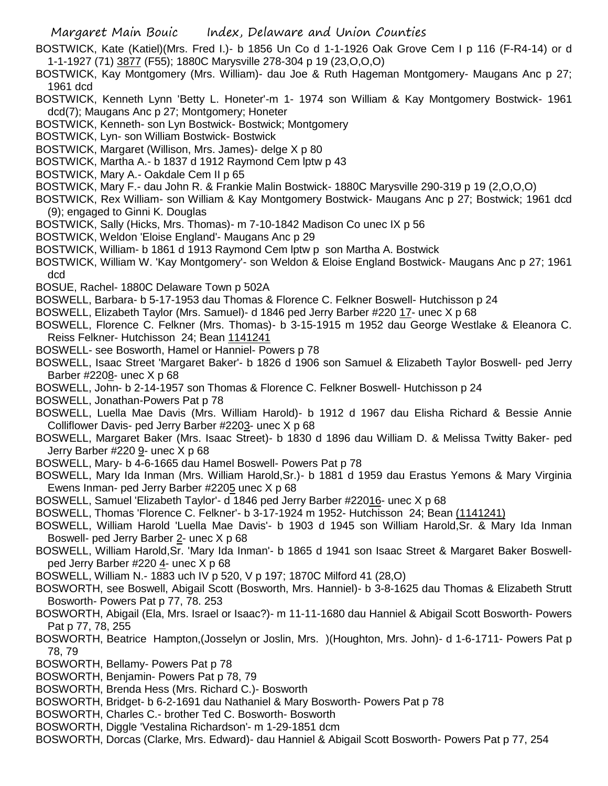- BOSTWICK, Kate (Katiel)(Mrs. Fred I.)- b 1856 Un Co d 1-1-1926 Oak Grove Cem I p 116 (F-R4-14) or d 1-1-1927 (71) 3877 (F55); 1880C Marysville 278-304 p 19 (23,O,O,O)
- BOSTWICK, Kay Montgomery (Mrs. William)- dau Joe & Ruth Hageman Montgomery- Maugans Anc p 27; 1961 dcd
- BOSTWICK, Kenneth Lynn 'Betty L. Honeter'-m 1- 1974 son William & Kay Montgomery Bostwick- 1961 dcd(7); Maugans Anc p 27; Montgomery; Honeter
- BOSTWICK, Kenneth- son Lyn Bostwick- Bostwick; Montgomery
- BOSTWICK, Lyn- son William Bostwick- Bostwick
- BOSTWICK, Margaret (Willison, Mrs. James)- delge X p 80
- BOSTWICK, Martha A.- b 1837 d 1912 Raymond Cem lptw p 43
- BOSTWICK, Mary A.- Oakdale Cem II p 65
- BOSTWICK, Mary F.- dau John R. & Frankie Malin Bostwick- 1880C Marysville 290-319 p 19 (2,O,O,O)
- BOSTWICK, Rex William- son William & Kay Montgomery Bostwick- Maugans Anc p 27; Bostwick; 1961 dcd (9); engaged to Ginni K. Douglas
- BOSTWICK, Sally (Hicks, Mrs. Thomas)- m 7-10-1842 Madison Co unec IX p 56
- BOSTWICK, Weldon 'Eloise England'- Maugans Anc p 29
- BOSTWICK, William- b 1861 d 1913 Raymond Cem lptw p son Martha A. Bostwick
- BOSTWICK, William W. 'Kay Montgomery'- son Weldon & Eloise England Bostwick- Maugans Anc p 27; 1961 dcd
- BOSUE, Rachel- 1880C Delaware Town p 502A
- BOSWELL, Barbara- b 5-17-1953 dau Thomas & Florence C. Felkner Boswell- Hutchisson p 24
- BOSWELL, Elizabeth Taylor (Mrs. Samuel)- d 1846 ped Jerry Barber #220 17- unec X p 68
- BOSWELL, Florence C. Felkner (Mrs. Thomas)- b 3-15-1915 m 1952 dau George Westlake & Eleanora C. Reiss Felkner- Hutchisson 24; Bean 1141241
- BOSWELL- see Bosworth, Hamel or Hanniel- Powers p 78
- BOSWELL, Isaac Street 'Margaret Baker'- b 1826 d 1906 son Samuel & Elizabeth Taylor Boswell- ped Jerry Barber #2208- unec X p 68
- BOSWELL, John- b 2-14-1957 son Thomas & Florence C. Felkner Boswell- Hutchisson p 24
- BOSWELL, Jonathan-Powers Pat p 78
- BOSWELL, Luella Mae Davis (Mrs. William Harold)- b 1912 d 1967 dau Elisha Richard & Bessie Annie Colliflower Davis- ped Jerry Barber #2203- unec X p 68
- BOSWELL, Margaret Baker (Mrs. Isaac Street)- b 1830 d 1896 dau William D. & Melissa Twitty Baker- ped Jerry Barber #220 9- unec X p 68
- BOSWELL, Mary- b 4-6-1665 dau Hamel Boswell- Powers Pat p 78
- BOSWELL, Mary Ida Inman (Mrs. William Harold,Sr.)- b 1881 d 1959 dau Erastus Yemons & Mary Virginia Ewens Inman- ped Jerry Barber #2205 unec X p 68
- BOSWELL, Samuel 'Elizabeth Taylor'- d 1846 ped Jerry Barber #22016- unec X p 68
- BOSWELL, Thomas 'Florence C. Felkner'- b 3-17-1924 m 1952- Hutchisson 24; Bean (1141241)
- BOSWELL, William Harold 'Luella Mae Davis'- b 1903 d 1945 son William Harold,Sr. & Mary Ida Inman Boswell- ped Jerry Barber 2- unec X p 68
- BOSWELL, William Harold,Sr. 'Mary Ida Inman'- b 1865 d 1941 son Isaac Street & Margaret Baker Boswellped Jerry Barber #220 4- unec X p 68
- BOSWELL, William N.- 1883 uch IV p 520, V p 197; 1870C Milford 41 (28,O)
- BOSWORTH, see Boswell, Abigail Scott (Bosworth, Mrs. Hanniel)- b 3-8-1625 dau Thomas & Elizabeth Strutt Bosworth- Powers Pat p 77, 78. 253
- BOSWORTH, Abigail (Ela, Mrs. Israel or Isaac?)- m 11-11-1680 dau Hanniel & Abigail Scott Bosworth- Powers Pat p 77, 78, 255
- BOSWORTH, Beatrice Hampton,(Josselyn or Joslin, Mrs. )(Houghton, Mrs. John)- d 1-6-1711- Powers Pat p 78, 79
- BOSWORTH, Bellamy- Powers Pat p 78
- BOSWORTH, Benjamin- Powers Pat p 78, 79
- BOSWORTH, Brenda Hess (Mrs. Richard C.)- Bosworth
- BOSWORTH, Bridget- b 6-2-1691 dau Nathaniel & Mary Bosworth- Powers Pat p 78
- BOSWORTH, Charles C.- brother Ted C. Bosworth- Bosworth
- BOSWORTH, Diggle 'Vestalina Richardson'- m 1-29-1851 dcm
- BOSWORTH, Dorcas (Clarke, Mrs. Edward)- dau Hanniel & Abigail Scott Bosworth- Powers Pat p 77, 254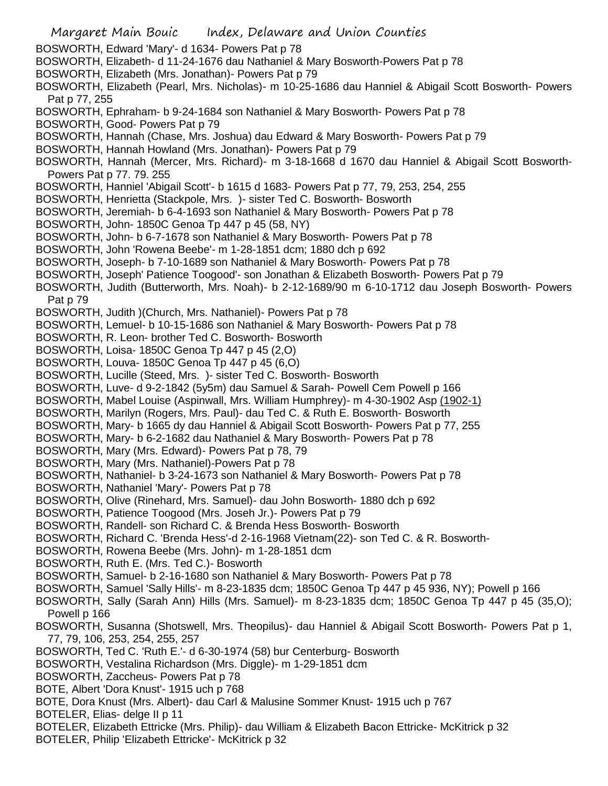Margaret Main Bouic Index, Delaware and Union Counties BOSWORTH, Edward 'Mary'- d 1634- Powers Pat p 78 BOSWORTH, Elizabeth- d 11-24-1676 dau Nathaniel & Mary Bosworth-Powers Pat p 78 BOSWORTH, Elizabeth (Mrs. Jonathan)- Powers Pat p 79 BOSWORTH, Elizabeth (Pearl, Mrs. Nicholas)- m 10-25-1686 dau Hanniel & Abigail Scott Bosworth- Powers Pat p 77, 255 BOSWORTH, Ephraham- b 9-24-1684 son Nathaniel & Mary Bosworth- Powers Pat p 78 BOSWORTH, Good- Powers Pat p 79 BOSWORTH, Hannah (Chase, Mrs. Joshua) dau Edward & Mary Bosworth- Powers Pat p 79 BOSWORTH, Hannah Howland (Mrs. Jonathan)- Powers Pat p 79 BOSWORTH, Hannah (Mercer, Mrs. Richard)- m 3-18-1668 d 1670 dau Hanniel & Abigail Scott Bosworth-Powers Pat p 77. 79. 255 BOSWORTH, Hanniel 'Abigail Scott'- b 1615 d 1683- Powers Pat p 77, 79, 253, 254, 255 BOSWORTH, Henrietta (Stackpole, Mrs. )- sister Ted C. Bosworth- Bosworth BOSWORTH, Jeremiah- b 6-4-1693 son Nathaniel & Mary Bosworth- Powers Pat p 78 BOSWORTH, John- 1850C Genoa Tp 447 p 45 (58, NY) BOSWORTH, John- b 6-7-1678 son Nathaniel & Mary Bosworth- Powers Pat p 78 BOSWORTH, John 'Rowena Beebe'- m 1-28-1851 dcm; 1880 dch p 692 BOSWORTH, Joseph- b 7-10-1689 son Nathaniel & Mary Bosworth- Powers Pat p 78 BOSWORTH, Joseph' Patience Toogood'- son Jonathan & Elizabeth Bosworth- Powers Pat p 79 BOSWORTH, Judith (Butterworth, Mrs. Noah)- b 2-12-1689/90 m 6-10-1712 dau Joseph Bosworth- Powers Pat p 79 BOSWORTH, Judith )(Church, Mrs. Nathaniel)- Powers Pat p 78 BOSWORTH, Lemuel- b 10-15-1686 son Nathaniel & Mary Bosworth- Powers Pat p 78 BOSWORTH, R. Leon- brother Ted C. Bosworth- Bosworth BOSWORTH, Loisa- 1850C Genoa Tp 447 p 45 (2,O) BOSWORTH, Louva- 1850C Genoa Tp 447 p 45 (6,O) BOSWORTH, Lucille (Steed, Mrs. )- sister Ted C. Bosworth- Bosworth BOSWORTH, Luve- d 9-2-1842 (5y5m) dau Samuel & Sarah- Powell Cem Powell p 166 BOSWORTH, Mabel Louise (Aspinwall, Mrs. William Humphrey)- m 4-30-1902 Asp (1902-1) BOSWORTH, Marilyn (Rogers, Mrs. Paul)- dau Ted C. & Ruth E. Bosworth- Bosworth BOSWORTH, Mary- b 1665 dy dau Hanniel & Abigail Scott Bosworth- Powers Pat p 77, 255 BOSWORTH, Mary- b 6-2-1682 dau Nathaniel & Mary Bosworth- Powers Pat p 78 BOSWORTH, Mary (Mrs. Edward)- Powers Pat p 78, 79 BOSWORTH, Mary (Mrs. Nathaniel)-Powers Pat p 78 BOSWORTH, Nathaniel- b 3-24-1673 son Nathaniel & Mary Bosworth- Powers Pat p 78 BOSWORTH, Nathaniel 'Mary'- Powers Pat p 78 BOSWORTH, Olive (Rinehard, Mrs. Samuel)- dau John Bosworth- 1880 dch p 692 BOSWORTH, Patience Toogood (Mrs. Joseh Jr.)- Powers Pat p 79 BOSWORTH, Randell- son Richard C. & Brenda Hess Bosworth- Bosworth BOSWORTH, Richard C. 'Brenda Hess'-d 2-16-1968 Vietnam(22)- son Ted C. & R. Bosworth-BOSWORTH, Rowena Beebe (Mrs. John)- m 1-28-1851 dcm BOSWORTH, Ruth E. (Mrs. Ted C.)- Bosworth BOSWORTH, Samuel- b 2-16-1680 son Nathaniel & Mary Bosworth- Powers Pat p 78 BOSWORTH, Samuel 'Sally Hills'- m 8-23-1835 dcm; 1850C Genoa Tp 447 p 45 936, NY); Powell p 166 BOSWORTH, Sally (Sarah Ann) Hills (Mrs. Samuel)- m 8-23-1835 dcm; 1850C Genoa Tp 447 p 45 (35,O); Powell p 166 BOSWORTH, Susanna (Shotswell, Mrs. Theopilus)- dau Hanniel & Abigail Scott Bosworth- Powers Pat p 1, 77, 79, 106, 253, 254, 255, 257 BOSWORTH, Ted C. 'Ruth E.'- d 6-30-1974 (58) bur Centerburg- Bosworth BOSWORTH, Vestalina Richardson (Mrs. Diggle)- m 1-29-1851 dcm BOSWORTH, Zaccheus- Powers Pat p 78 BOTE, Albert 'Dora Knust'- 1915 uch p 768 BOTE, Dora Knust (Mrs. Albert)- dau Carl & Malusine Sommer Knust- 1915 uch p 767 BOTELER, Elias- delge II p 11 BOTELER, Elizabeth Ettricke (Mrs. Philip)- dau William & Elizabeth Bacon Ettricke- McKitrick p 32 BOTELER, Philip 'Elizabeth Ettricke'- McKitrick p 32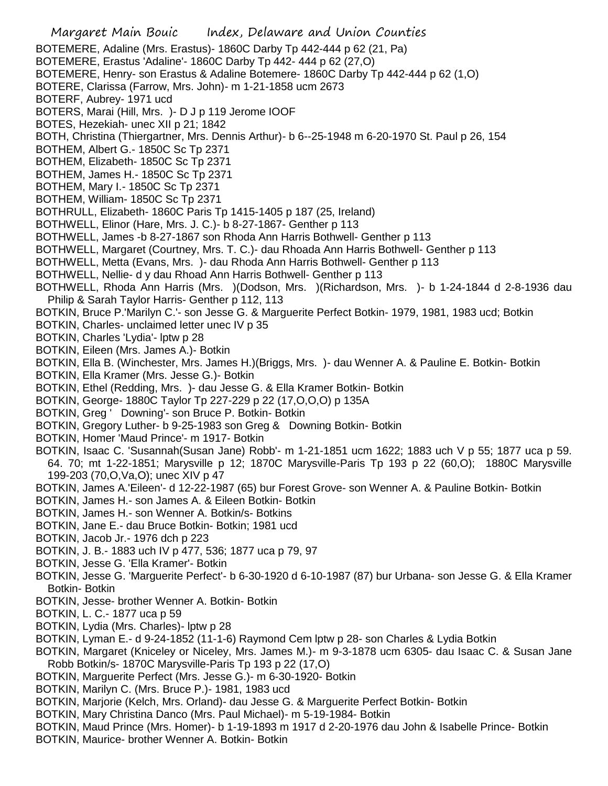- Margaret Main Bouic Index, Delaware and Union Counties BOTEMERE, Adaline (Mrs. Erastus)- 1860C Darby Tp 442-444 p 62 (21, Pa) BOTEMERE, Erastus 'Adaline'- 1860C Darby Tp 442- 444 p 62 (27,O) BOTEMERE, Henry- son Erastus & Adaline Botemere- 1860C Darby Tp 442-444 p 62 (1,O) BOTERE, Clarissa (Farrow, Mrs. John)- m 1-21-1858 ucm 2673 BOTERF, Aubrey- 1971 ucd BOTERS, Marai (Hill, Mrs. )- D J p 119 Jerome IOOF BOTES, Hezekiah- unec XII p 21; 1842 BOTH, Christina (Thiergartner, Mrs. Dennis Arthur)- b 6--25-1948 m 6-20-1970 St. Paul p 26, 154 BOTHEM, Albert G.- 1850C Sc Tp 2371 BOTHEM, Elizabeth- 1850C Sc Tp 2371 BOTHEM, James H.- 1850C Sc Tp 2371 BOTHEM, Mary I.- 1850C Sc Tp 2371 BOTHEM, William- 1850C Sc Tp 2371 BOTHRULL, Elizabeth- 1860C Paris Tp 1415-1405 p 187 (25, Ireland) BOTHWELL, Elinor (Hare, Mrs. J. C.)- b 8-27-1867- Genther p 113 BOTHWELL, James -b 8-27-1867 son Rhoda Ann Harris Bothwell- Genther p 113 BOTHWELL, Margaret (Courtney, Mrs. T. C.)- dau Rhoada Ann Harris Bothwell- Genther p 113 BOTHWELL, Metta (Evans, Mrs. )- dau Rhoda Ann Harris Bothwell- Genther p 113 BOTHWELL, Nellie- d y dau Rhoad Ann Harris Bothwell- Genther p 113 BOTHWELL, Rhoda Ann Harris (Mrs. )(Dodson, Mrs. )(Richardson, Mrs. )- b 1-24-1844 d 2-8-1936 dau Philip & Sarah Taylor Harris- Genther p 112, 113 BOTKIN, Bruce P.'Marilyn C.'- son Jesse G. & Marguerite Perfect Botkin- 1979, 1981, 1983 ucd; Botkin BOTKIN, Charles- unclaimed letter unec IV p 35 BOTKIN, Charles 'Lydia'- lptw p 28 BOTKIN, Eileen (Mrs. James A.)- Botkin BOTKIN, Ella B. (Winchester, Mrs. James H.)(Briggs, Mrs. )- dau Wenner A. & Pauline E. Botkin- Botkin BOTKIN, Ella Kramer (Mrs. Jesse G.)- Botkin BOTKIN, Ethel (Redding, Mrs. )- dau Jesse G. & Ella Kramer Botkin- Botkin BOTKIN, George- 1880C Taylor Tp 227-229 p 22 (17,O,O,O) p 135A BOTKIN, Greg ' Downing'- son Bruce P. Botkin- Botkin BOTKIN, Gregory Luther- b 9-25-1983 son Greg & Downing Botkin- Botkin BOTKIN, Homer 'Maud Prince'- m 1917- Botkin BOTKIN, Isaac C. 'Susannah(Susan Jane) Robb'- m 1-21-1851 ucm 1622; 1883 uch V p 55; 1877 uca p 59. 64. 70; mt 1-22-1851; Marysville p 12; 1870C Marysville-Paris Tp 193 p 22 (60,O); 1880C Marysville 199-203 (70,O,Va,O); unec XIV p 47 BOTKIN, James A.'Eileen'- d 12-22-1987 (65) bur Forest Grove- son Wenner A. & Pauline Botkin- Botkin BOTKIN, James H.- son James A. & Eileen Botkin- Botkin BOTKIN, James H.- son Wenner A. Botkin/s- Botkins BOTKIN, Jane E.- dau Bruce Botkin- Botkin; 1981 ucd BOTKIN, Jacob Jr.- 1976 dch p 223 BOTKIN, J. B.- 1883 uch IV p 477, 536; 1877 uca p 79, 97 BOTKIN, Jesse G. 'Ella Kramer'- Botkin BOTKIN, Jesse G. 'Marguerite Perfect'- b 6-30-1920 d 6-10-1987 (87) bur Urbana- son Jesse G. & Ella Kramer Botkin- Botkin BOTKIN, Jesse- brother Wenner A. Botkin- Botkin BOTKIN, L. C.- 1877 uca p 59 BOTKIN, Lydia (Mrs. Charles)- lptw p 28 BOTKIN, Lyman E.- d 9-24-1852 (11-1-6) Raymond Cem lptw p 28- son Charles & Lydia Botkin BOTKIN, Margaret (Kniceley or Niceley, Mrs. James M.)- m 9-3-1878 ucm 6305- dau Isaac C. & Susan Jane Robb Botkin/s- 1870C Marysville-Paris Tp 193 p 22 (17,O) BOTKIN, Marguerite Perfect (Mrs. Jesse G.)- m 6-30-1920- Botkin
- BOTKIN, Marilyn C. (Mrs. Bruce P.)- 1981, 1983 ucd
- BOTKIN, Marjorie (Kelch, Mrs. Orland)- dau Jesse G. & Marguerite Perfect Botkin- Botkin
- BOTKIN, Mary Christina Danco (Mrs. Paul Michael)- m 5-19-1984- Botkin
- BOTKIN, Maud Prince (Mrs. Homer)- b 1-19-1893 m 1917 d 2-20-1976 dau John & Isabelle Prince- Botkin
- BOTKIN, Maurice- brother Wenner A. Botkin- Botkin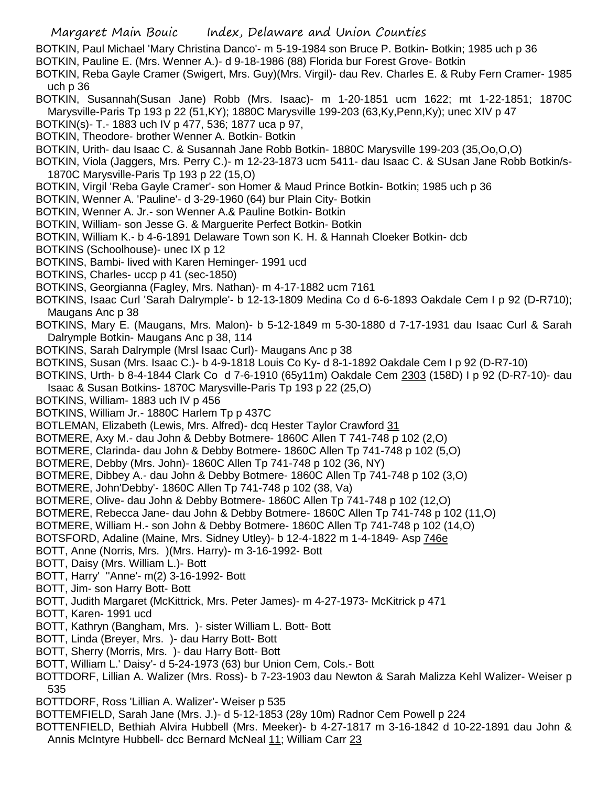BOTKIN, Paul Michael 'Mary Christina Danco'- m 5-19-1984 son Bruce P. Botkin- Botkin; 1985 uch p 36

- BOTKIN, Pauline E. (Mrs. Wenner A.)- d 9-18-1986 (88) Florida bur Forest Grove- Botkin
- BOTKIN, Reba Gayle Cramer (Swigert, Mrs. Guy)(Mrs. Virgil)- dau Rev. Charles E. & Ruby Fern Cramer- 1985 uch p 36
- BOTKIN, Susannah(Susan Jane) Robb (Mrs. Isaac)- m 1-20-1851 ucm 1622; mt 1-22-1851; 1870C Marysville-Paris Tp 193 p 22 (51,KY); 1880C Marysville 199-203 (63,Ky,Penn,Ky); unec XIV p 47
- BOTKIN(s)- T.- 1883 uch IV p 477, 536; 1877 uca p 97,
- BOTKIN, Theodore- brother Wenner A. Botkin- Botkin
- BOTKIN, Urith- dau Isaac C. & Susannah Jane Robb Botkin- 1880C Marysville 199-203 (35,Oo,O,O)
- BOTKIN, Viola (Jaggers, Mrs. Perry C.)- m 12-23-1873 ucm 5411- dau Isaac C. & SUsan Jane Robb Botkin/s-1870C Marysville-Paris Tp 193 p 22 (15,O)
- BOTKIN, Virgil 'Reba Gayle Cramer'- son Homer & Maud Prince Botkin- Botkin; 1985 uch p 36
- BOTKIN, Wenner A. 'Pauline'- d 3-29-1960 (64) bur Plain City- Botkin
- BOTKIN, Wenner A. Jr.- son Wenner A.& Pauline Botkin- Botkin
- BOTKIN, William- son Jesse G. & Marguerite Perfect Botkin- Botkin
- BOTKIN, William K.- b 4-6-1891 Delaware Town son K. H. & Hannah Cloeker Botkin- dcb
- BOTKINS (Schoolhouse)- unec IX p 12
- BOTKINS, Bambi- lived with Karen Heminger- 1991 ucd
- BOTKINS, Charles- uccp p 41 (sec-1850)
- BOTKINS, Georgianna (Fagley, Mrs. Nathan)- m 4-17-1882 ucm 7161
- BOTKINS, Isaac Curl 'Sarah Dalrymple'- b 12-13-1809 Medina Co d 6-6-1893 Oakdale Cem I p 92 (D-R710); Maugans Anc p 38
- BOTKINS, Mary E. (Maugans, Mrs. Malon)- b 5-12-1849 m 5-30-1880 d 7-17-1931 dau Isaac Curl & Sarah Dalrymple Botkin- Maugans Anc p 38, 114
- BOTKINS, Sarah Dalrymple (Mrsl Isaac Curl)- Maugans Anc p 38
- BOTKINS, Susan (Mrs. Isaac C.)- b 4-9-1818 Louis Co Ky- d 8-1-1892 Oakdale Cem I p 92 (D-R7-10)
- BOTKINS, Urth- b 8-4-1844 Clark Co d 7-6-1910 (65y11m) Oakdale Cem 2303 (158D) I p 92 (D-R7-10)- dau
- Isaac & Susan Botkins- 1870C Marysville-Paris Tp 193 p 22 (25,O)
- BOTKINS, William- 1883 uch IV p 456
- BOTKINS, William Jr.- 1880C Harlem Tp p 437C
- BOTLEMAN, Elizabeth (Lewis, Mrs. Alfred)- dcq Hester Taylor Crawford 31
- BOTMERE, Axy M.- dau John & Debby Botmere- 1860C Allen T 741-748 p 102 (2,O)
- BOTMERE, Clarinda- dau John & Debby Botmere- 1860C Allen Tp 741-748 p 102 (5,O)
- BOTMERE, Debby (Mrs. John)- 1860C Allen Tp 741-748 p 102 (36, NY)
- BOTMERE, Dibbey A.- dau John & Debby Botmere- 1860C Allen Tp 741-748 p 102 (3,O)
- BOTMERE, John'Debby'- 1860C Allen Tp 741-748 p 102 (38, Va)
- BOTMERE, Olive- dau John & Debby Botmere- 1860C Allen Tp 741-748 p 102 (12,O)
- BOTMERE, Rebecca Jane- dau John & Debby Botmere- 1860C Allen Tp 741-748 p 102 (11,O)
- BOTMERE, William H.- son John & Debby Botmere- 1860C Allen Tp 741-748 p 102 (14,O)
- BOTSFORD, Adaline (Maine, Mrs. Sidney Utley)- b 12-4-1822 m 1-4-1849- Asp 746e
- BOTT, Anne (Norris, Mrs. )(Mrs. Harry)- m 3-16-1992- Bott
- BOTT, Daisy (Mrs. William L.)- Bott
- BOTT, Harry' ''Anne'- m(2) 3-16-1992- Bott
- BOTT, Jim- son Harry Bott- Bott
- BOTT, Judith Margaret (McKittrick, Mrs. Peter James)- m 4-27-1973- McKitrick p 471
- BOTT, Karen- 1991 ucd
- BOTT, Kathryn (Bangham, Mrs. )- sister William L. Bott- Bott
- BOTT, Linda (Breyer, Mrs. )- dau Harry Bott- Bott
- BOTT, Sherry (Morris, Mrs. )- dau Harry Bott- Bott
- BOTT, William L.' Daisy'- d 5-24-1973 (63) bur Union Cem, Cols.- Bott
- BOTTDORF, Lillian A. Walizer (Mrs. Ross)- b 7-23-1903 dau Newton & Sarah Malizza Kehl Walizer- Weiser p 535
- BOTTDORF, Ross 'Lillian A. Walizer'- Weiser p 535
- BOTTEMFIELD, Sarah Jane (Mrs. J.)- d 5-12-1853 (28y 10m) Radnor Cem Powell p 224
- BOTTENFIELD, Bethiah Alvira Hubbell (Mrs. Meeker)- b 4-27-1817 m 3-16-1842 d 10-22-1891 dau John & Annis McIntyre Hubbell- dcc Bernard McNeal 11; William Carr 23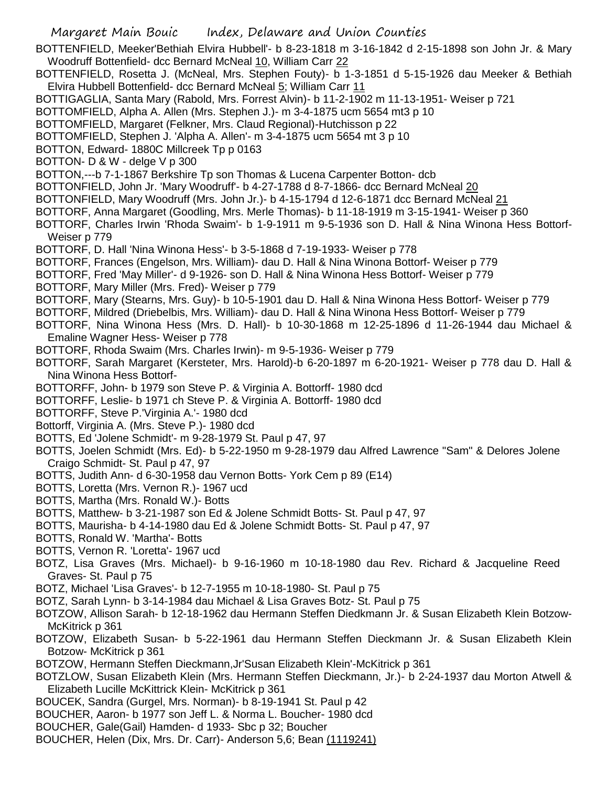Margaret Main Bouic Index, Delaware and Union Counties BOTTENFIELD, Meeker'Bethiah Elvira Hubbell'- b 8-23-1818 m 3-16-1842 d 2-15-1898 son John Jr. & Mary Woodruff Bottenfield- dcc Bernard McNeal 10, William Carr 22 BOTTENFIELD, Rosetta J. (McNeal, Mrs. Stephen Fouty)- b 1-3-1851 d 5-15-1926 dau Meeker & Bethiah Elvira Hubbell Bottenfield- dcc Bernard McNeal 5; William Carr 11 BOTTIGAGLIA, Santa Mary (Rabold, Mrs. Forrest Alvin)- b 11-2-1902 m 11-13-1951- Weiser p 721 BOTTOMFIELD, Alpha A. Allen (Mrs. Stephen J.)- m 3-4-1875 ucm 5654 mt3 p 10 BOTTOMFIELD, Margaret (Felkner, Mrs. Claud Regional)-Hutchisson p 22 BOTTOMFIELD, Stephen J. 'Alpha A. Allen'- m 3-4-1875 ucm 5654 mt 3 p 10 BOTTON, Edward- 1880C Millcreek Tp p 0163 BOTTON- D & W - delge V p 300 BOTTON,---b 7-1-1867 Berkshire Tp son Thomas & Lucena Carpenter Botton- dcb BOTTONFIELD, John Jr. 'Mary Woodruff'- b 4-27-1788 d 8-7-1866- dcc Bernard McNeal 20 BOTTONFIELD, Mary Woodruff (Mrs. John Jr.)- b 4-15-1794 d 12-6-1871 dcc Bernard McNeal 21 BOTTORF, Anna Margaret (Goodling, Mrs. Merle Thomas)- b 11-18-1919 m 3-15-1941- Weiser p 360 BOTTORF, Charles Irwin 'Rhoda Swaim'- b 1-9-1911 m 9-5-1936 son D. Hall & Nina Winona Hess Bottorf-Weiser p 779 BOTTORF, D. Hall 'Nina Winona Hess'- b 3-5-1868 d 7-19-1933- Weiser p 778 BOTTORF, Frances (Engelson, Mrs. William)- dau D. Hall & Nina Winona Bottorf- Weiser p 779 BOTTORF, Fred 'May Miller'- d 9-1926- son D. Hall & Nina Winona Hess Bottorf- Weiser p 779 BOTTORF, Mary Miller (Mrs. Fred)- Weiser p 779 BOTTORF, Mary (Stearns, Mrs. Guy)- b 10-5-1901 dau D. Hall & Nina Winona Hess Bottorf- Weiser p 779 BOTTORF, Mildred (Driebelbis, Mrs. William)- dau D. Hall & Nina Winona Hess Bottorf- Weiser p 779 BOTTORF, Nina Winona Hess (Mrs. D. Hall)- b 10-30-1868 m 12-25-1896 d 11-26-1944 dau Michael & Emaline Wagner Hess- Weiser p 778 BOTTORF, Rhoda Swaim (Mrs. Charles Irwin)- m 9-5-1936- Weiser p 779 BOTTORF, Sarah Margaret (Kersteter, Mrs. Harold)-b 6-20-1897 m 6-20-1921- Weiser p 778 dau D. Hall & Nina Winona Hess Bottorf-BOTTORFF, John- b 1979 son Steve P. & Virginia A. Bottorff- 1980 dcd BOTTORFF, Leslie- b 1971 ch Steve P. & Virginia A. Bottorff- 1980 dcd BOTTORFF, Steve P.'Virginia A.'- 1980 dcd Bottorff, Virginia A. (Mrs. Steve P.)- 1980 dcd BOTTS, Ed 'Jolene Schmidt'- m 9-28-1979 St. Paul p 47, 97 BOTTS, Joelen Schmidt (Mrs. Ed)- b 5-22-1950 m 9-28-1979 dau Alfred Lawrence "Sam" & Delores Jolene Craigo Schmidt- St. Paul p 47, 97 BOTTS, Judith Ann- d 6-30-1958 dau Vernon Botts- York Cem p 89 (E14) BOTTS, Loretta (Mrs. Vernon R.)- 1967 ucd BOTTS, Martha (Mrs. Ronald W.)- Botts BOTTS, Matthew- b 3-21-1987 son Ed & Jolene Schmidt Botts- St. Paul p 47, 97 BOTTS, Maurisha- b 4-14-1980 dau Ed & Jolene Schmidt Botts- St. Paul p 47, 97 BOTTS, Ronald W. 'Martha'- Botts BOTTS, Vernon R. 'Loretta'- 1967 ucd BOTZ, Lisa Graves (Mrs. Michael)- b 9-16-1960 m 10-18-1980 dau Rev. Richard & Jacqueline Reed Graves- St. Paul p 75 BOTZ, Michael 'Lisa Graves'- b 12-7-1955 m 10-18-1980- St. Paul p 75 BOTZ, Sarah Lynn- b 3-14-1984 dau Michael & Lisa Graves Botz- St. Paul p 75 BOTZOW, Allison Sarah- b 12-18-1962 dau Hermann Steffen Diedkmann Jr. & Susan Elizabeth Klein Botzow-McKitrick p 361 BOTZOW, Elizabeth Susan- b 5-22-1961 dau Hermann Steffen Dieckmann Jr. & Susan Elizabeth Klein Botzow- McKitrick p 361 BOTZOW, Hermann Steffen Dieckmann,Jr'Susan Elizabeth Klein'-McKitrick p 361 BOTZLOW, Susan Elizabeth Klein (Mrs. Hermann Steffen Dieckmann, Jr.)- b 2-24-1937 dau Morton Atwell & Elizabeth Lucille McKittrick Klein- McKitrick p 361

- BOUCEK, Sandra (Gurgel, Mrs. Norman)- b 8-19-1941 St. Paul p 42
- BOUCHER, Aaron- b 1977 son Jeff L. & Norma L. Boucher- 1980 dcd
- BOUCHER, Gale(Gail) Hamden- d 1933- Sbc p 32; Boucher
- BOUCHER, Helen (Dix, Mrs. Dr. Carr)- Anderson 5,6; Bean (1119241)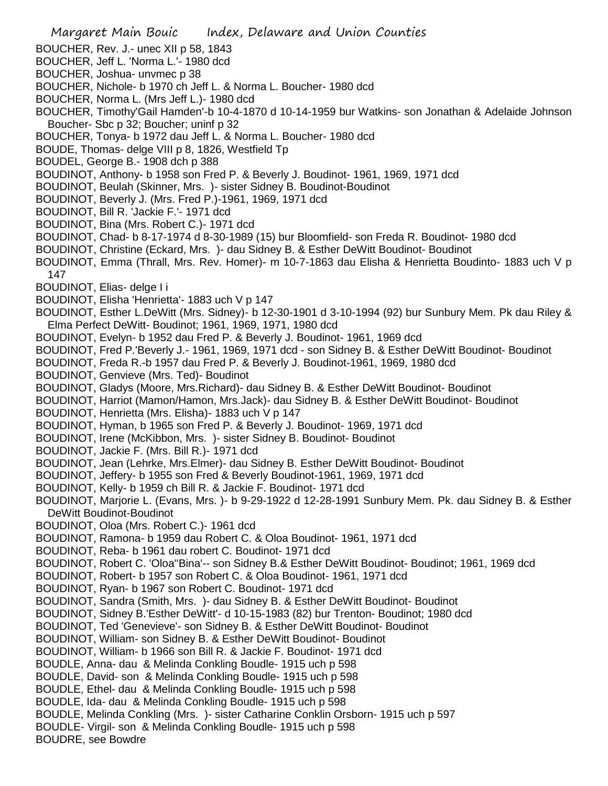- BOUCHER, Rev. J.- unec XII p 58, 1843
- BOUCHER, Jeff L. 'Norma L.'- 1980 dcd
- BOUCHER, Joshua- unvmec p 38
- BOUCHER, Nichole- b 1970 ch Jeff L. & Norma L. Boucher- 1980 dcd
- BOUCHER, Norma L. (Mrs Jeff L.)- 1980 dcd
- BOUCHER, Timothy'Gail Hamden'-b 10-4-1870 d 10-14-1959 bur Watkins- son Jonathan & Adelaide Johnson Boucher- Sbc p 32; Boucher; uninf p 32
- BOUCHER, Tonya- b 1972 dau Jeff L. & Norma L. Boucher- 1980 dcd
- BOUDE, Thomas- delge VIII p 8, 1826, Westfield Tp
- BOUDEL, George B.- 1908 dch p 388
- BOUDINOT, Anthony- b 1958 son Fred P. & Beverly J. Boudinot- 1961, 1969, 1971 dcd
- BOUDINOT, Beulah (Skinner, Mrs. )- sister Sidney B. Boudinot-Boudinot
- BOUDINOT, Beverly J. (Mrs. Fred P.)-1961, 1969, 1971 dcd
- BOUDINOT, Bill R. 'Jackie F.'- 1971 dcd
- BOUDINOT, Bina (Mrs. Robert C.)- 1971 dcd
- BOUDINOT, Chad- b 8-17-1974 d 8-30-1989 (15) bur Bloomfield- son Freda R. Boudinot- 1980 dcd
- BOUDINOT, Christine (Eckard, Mrs. )- dau Sidney B. & Esther DeWitt Boudinot- Boudinot
- BOUDINOT, Emma (Thrall, Mrs. Rev. Homer)- m 10-7-1863 dau Elisha & Henrietta Boudinto- 1883 uch V p 147
- BOUDINOT, Elias- delge I i
- BOUDINOT, Elisha 'Henrietta'- 1883 uch V p 147
- BOUDINOT, Esther L.DeWitt (Mrs. Sidney)- b 12-30-1901 d 3-10-1994 (92) bur Sunbury Mem. Pk dau Riley & Elma Perfect DeWitt- Boudinot; 1961, 1969, 1971, 1980 dcd
- BOUDINOT, Evelyn- b 1952 dau Fred P. & Beverly J. Boudinot- 1961, 1969 dcd
- BOUDINOT, Fred P.'Beverly J.- 1961, 1969, 1971 dcd son Sidney B. & Esther DeWitt Boudinot- Boudinot
- BOUDINOT, Freda R.-b 1957 dau Fred P. & Beverly J. Boudinot-1961, 1969, 1980 dcd
- BOUDINOT, Genvieve (Mrs. Ted)- Boudinot
- BOUDINOT, Gladys (Moore, Mrs.Richard)- dau Sidney B. & Esther DeWitt Boudinot- Boudinot
- BOUDINOT, Harriot (Mamon/Hamon, Mrs.Jack)- dau Sidney B. & Esther DeWitt Boudinot- Boudinot
- BOUDINOT, Henrietta (Mrs. Elisha)- 1883 uch V p 147
- BOUDINOT, Hyman, b 1965 son Fred P. & Beverly J. Boudinot- 1969, 1971 dcd
- BOUDINOT, Irene (McKibbon, Mrs. )- sister Sidney B. Boudinot- Boudinot
- BOUDINOT, Jackie F. (Mrs. Bill R.)- 1971 dcd
- BOUDINOT, Jean (Lehrke, Mrs.Elmer)- dau Sidney B. Esther DeWitt Boudinot- Boudinot
- BOUDINOT, Jeffery- b 1955 son Fred & Beverly Boudinot-1961, 1969, 1971 dcd
- BOUDINOT, Kelly- b 1959 ch Bill R. & Jackie F. Boudinot- 1971 dcd
- BOUDINOT, Marjorie L. (Evans, Mrs. )- b 9-29-1922 d 12-28-1991 Sunbury Mem. Pk. dau Sidney B. & Esther DeWitt Boudinot-Boudinot
- BOUDINOT, Oloa (Mrs. Robert C.)- 1961 dcd
- BOUDINOT, Ramona- b 1959 dau Robert C. & Oloa Boudinot- 1961, 1971 dcd
- BOUDINOT, Reba- b 1961 dau robert C. Boudinot- 1971 dcd
- BOUDINOT, Robert C. 'Oloa''Bina'-- son Sidney B.& Esther DeWitt Boudinot- Boudinot; 1961, 1969 dcd
- BOUDINOT, Robert- b 1957 son Robert C. & Oloa Boudinot- 1961, 1971 dcd
- BOUDINOT, Ryan- b 1967 son Robert C. Boudinot- 1971 dcd
- BOUDINOT, Sandra (Smith, Mrs. )- dau Sidney B. & Esther DeWitt Boudinot- Boudinot
- BOUDINOT, Sidney B.'Esther DeWitt'- d 10-15-1983 (82) bur Trenton- Boudinot; 1980 dcd
- BOUDINOT, Ted 'Genevieve'- son Sidney B. & Esther DeWitt Boudinot- Boudinot
- BOUDINOT, William- son Sidney B. & Esther DeWitt Boudinot- Boudinot
- BOUDINOT, William- b 1966 son Bill R. & Jackie F. Boudinot- 1971 dcd
- BOUDLE, Anna- dau & Melinda Conkling Boudle- 1915 uch p 598
- BOUDLE, David- son & Melinda Conkling Boudle- 1915 uch p 598
- BOUDLE, Ethel- dau & Melinda Conkling Boudle- 1915 uch p 598
- BOUDLE, Ida- dau & Melinda Conkling Boudle- 1915 uch p 598
- BOUDLE, Melinda Conkling (Mrs. )- sister Catharine Conklin Orsborn- 1915 uch p 597
- BOUDLE- Virgil- son & Melinda Conkling Boudle- 1915 uch p 598
- BOUDRE, see Bowdre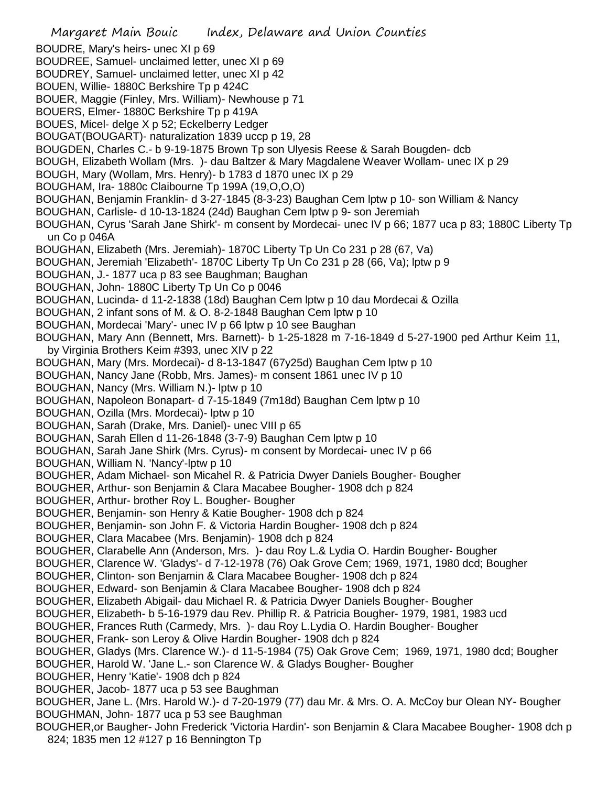Margaret Main Bouic Index, Delaware and Union Counties BOUDRE, Mary's heirs- unec XI p 69 BOUDREE, Samuel- unclaimed letter, unec XI p 69 BOUDREY, Samuel- unclaimed letter, unec XI p 42 BOUEN, Willie- 1880C Berkshire Tp p 424C BOUER, Maggie (Finley, Mrs. William)- Newhouse p 71 BOUERS, Elmer- 1880C Berkshire Tp p 419A BOUES, Micel- delge X p 52; Eckelberry Ledger BOUGAT(BOUGART)- naturalization 1839 uccp p 19, 28 BOUGDEN, Charles C.- b 9-19-1875 Brown Tp son Ulyesis Reese & Sarah Bougden- dcb BOUGH, Elizabeth Wollam (Mrs. )- dau Baltzer & Mary Magdalene Weaver Wollam- unec IX p 29 BOUGH, Mary (Wollam, Mrs. Henry)- b 1783 d 1870 unec IX p 29 BOUGHAM, Ira- 1880c Claibourne Tp 199A (19,O,O,O) BOUGHAN, Benjamin Franklin- d 3-27-1845 (8-3-23) Baughan Cem lptw p 10- son William & Nancy BOUGHAN, Carlisle- d 10-13-1824 (24d) Baughan Cem lptw p 9- son Jeremiah BOUGHAN, Cyrus 'Sarah Jane Shirk'- m consent by Mordecai- unec IV p 66; 1877 uca p 83; 1880C Liberty Tp un Co p 046A BOUGHAN, Elizabeth (Mrs. Jeremiah)- 1870C Liberty Tp Un Co 231 p 28 (67, Va) BOUGHAN, Jeremiah 'Elizabeth'- 1870C Liberty Tp Un Co 231 p 28 (66, Va); lptw p 9 BOUGHAN, J.- 1877 uca p 83 see Baughman; Baughan BOUGHAN, John- 1880C Liberty Tp Un Co p 0046 BOUGHAN, Lucinda- d 11-2-1838 (18d) Baughan Cem lptw p 10 dau Mordecai & Ozilla BOUGHAN, 2 infant sons of M. & O. 8-2-1848 Baughan Cem lptw p 10 BOUGHAN, Mordecai 'Mary'- unec IV p 66 lptw p 10 see Baughan BOUGHAN, Mary Ann (Bennett, Mrs. Barnett)- b 1-25-1828 m 7-16-1849 d 5-27-1900 ped Arthur Keim 11, by Virginia Brothers Keim #393, unec XIV p 22 BOUGHAN, Mary (Mrs. Mordecai)- d 8-13-1847 (67y25d) Baughan Cem lptw p 10 BOUGHAN, Nancy Jane (Robb, Mrs. James)- m consent 1861 unec IV p 10 BOUGHAN, Nancy (Mrs. William N.)- lptw p 10 BOUGHAN, Napoleon Bonapart- d 7-15-1849 (7m18d) Baughan Cem lptw p 10 BOUGHAN, Ozilla (Mrs. Mordecai)- lptw p 10 BOUGHAN, Sarah (Drake, Mrs. Daniel)- unec VIII p 65 BOUGHAN, Sarah Ellen d 11-26-1848 (3-7-9) Baughan Cem lptw p 10 BOUGHAN, Sarah Jane Shirk (Mrs. Cyrus)- m consent by Mordecai- unec IV p 66 BOUGHAN, William N. 'Nancy'-lptw p 10 BOUGHER, Adam Michael- son Micahel R. & Patricia Dwyer Daniels Bougher- Bougher BOUGHER, Arthur- son Benjamin & Clara Macabee Bougher- 1908 dch p 824 BOUGHER, Arthur- brother Roy L. Bougher- Bougher BOUGHER, Benjamin- son Henry & Katie Bougher- 1908 dch p 824 BOUGHER, Benjamin- son John F. & Victoria Hardin Bougher- 1908 dch p 824 BOUGHER, Clara Macabee (Mrs. Benjamin)- 1908 dch p 824 BOUGHER, Clarabelle Ann (Anderson, Mrs. )- dau Roy L.& Lydia O. Hardin Bougher- Bougher BOUGHER, Clarence W. 'Gladys'- d 7-12-1978 (76) Oak Grove Cem; 1969, 1971, 1980 dcd; Bougher BOUGHER, Clinton- son Benjamin & Clara Macabee Bougher- 1908 dch p 824 BOUGHER, Edward- son Benjamin & Clara Macabee Bougher- 1908 dch p 824 BOUGHER, Elizabeth Abigail- dau Michael R. & Patricia Dwyer Daniels Bougher- Bougher BOUGHER, Elizabeth- b 5-16-1979 dau Rev. Phillip R. & Patricia Bougher- 1979, 1981, 1983 ucd BOUGHER, Frances Ruth (Carmedy, Mrs. )- dau Roy L.Lydia O. Hardin Bougher- Bougher BOUGHER, Frank- son Leroy & Olive Hardin Bougher- 1908 dch p 824 BOUGHER, Gladys (Mrs. Clarence W.)- d 11-5-1984 (75) Oak Grove Cem; 1969, 1971, 1980 dcd; Bougher BOUGHER, Harold W. 'Jane L.- son Clarence W. & Gladys Bougher- Bougher BOUGHER, Henry 'Katie'- 1908 dch p 824 BOUGHER, Jacob- 1877 uca p 53 see Baughman BOUGHER, Jane L. (Mrs. Harold W.)- d 7-20-1979 (77) dau Mr. & Mrs. O. A. McCoy bur Olean NY- Bougher BOUGHMAN, John- 1877 uca p 53 see Baughman BOUGHER,or Baugher- John Frederick 'Victoria Hardin'- son Benjamin & Clara Macabee Bougher- 1908 dch p 824; 1835 men 12 #127 p 16 Bennington Tp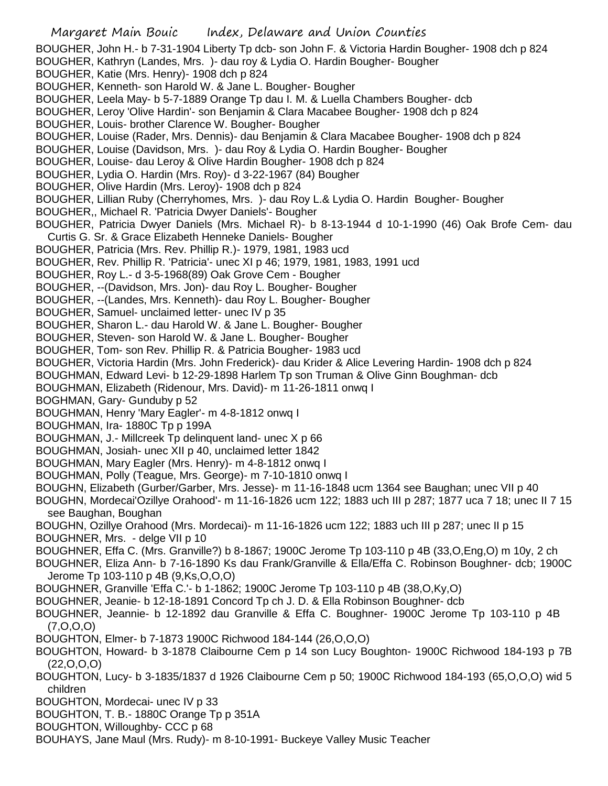BOUGHER, John H.- b 7-31-1904 Liberty Tp dcb- son John F. & Victoria Hardin Bougher- 1908 dch p 824

BOUGHER, Kathryn (Landes, Mrs. )- dau roy & Lydia O. Hardin Bougher- Bougher

BOUGHER, Katie (Mrs. Henry)- 1908 dch p 824

- BOUGHER, Kenneth- son Harold W. & Jane L. Bougher- Bougher
- BOUGHER, Leela May- b 5-7-1889 Orange Tp dau I. M. & Luella Chambers Bougher- dcb

BOUGHER, Leroy 'Olive Hardin'- son Benjamin & Clara Macabee Bougher- 1908 dch p 824

BOUGHER, Louis- brother Clarence W. Bougher- Bougher

- BOUGHER, Louise (Rader, Mrs. Dennis)- dau Benjamin & Clara Macabee Bougher- 1908 dch p 824
- BOUGHER, Louise (Davidson, Mrs. )- dau Roy & Lydia O. Hardin Bougher- Bougher

BOUGHER, Louise- dau Leroy & Olive Hardin Bougher- 1908 dch p 824

BOUGHER, Lydia O. Hardin (Mrs. Roy)- d 3-22-1967 (84) Bougher

BOUGHER, Olive Hardin (Mrs. Leroy)- 1908 dch p 824

BOUGHER, Lillian Ruby (Cherryhomes, Mrs. )- dau Roy L.& Lydia O. Hardin Bougher- Bougher

BOUGHER,, Michael R. 'Patricia Dwyer Daniels'- Bougher

BOUGHER, Patricia Dwyer Daniels (Mrs. Michael R)- b 8-13-1944 d 10-1-1990 (46) Oak Brofe Cem- dau

Curtis G. Sr. & Grace Elizabeth Henneke Daniels- Bougher

BOUGHER, Patricia (Mrs. Rev. Phillip R.)- 1979, 1981, 1983 ucd

BOUGHER, Rev. Phillip R. 'Patricia'- unec XI p 46; 1979, 1981, 1983, 1991 ucd

BOUGHER, Roy L.- d 3-5-1968(89) Oak Grove Cem - Bougher

- BOUGHER, --(Davidson, Mrs. Jon)- dau Roy L. Bougher- Bougher
- BOUGHER, --(Landes, Mrs. Kenneth)- dau Roy L. Bougher- Bougher
- BOUGHER, Samuel- unclaimed letter- unec IV p 35
- BOUGHER, Sharon L.- dau Harold W. & Jane L. Bougher- Bougher
- BOUGHER, Steven- son Harold W. & Jane L. Bougher- Bougher

BOUGHER, Tom- son Rev. Phillip R. & Patricia Bougher- 1983 ucd

BOUGHER, Victoria Hardin (Mrs. John Frederick)- dau Krider & Alice Levering Hardin- 1908 dch p 824

BOUGHMAN, Edward Levi- b 12-29-1898 Harlem Tp son Truman & Olive Ginn Boughman- dcb

BOUGHMAN, Elizabeth (Ridenour, Mrs. David)- m 11-26-1811 onwq I

BOGHMAN, Gary- Gunduby p 52

BOUGHMAN, Henry 'Mary Eagler'- m 4-8-1812 onwq I

BOUGHMAN, Ira- 1880C Tp p 199A

BOUGHMAN, J.- Millcreek Tp delinquent land- unec X p 66

BOUGHMAN, Josiah- unec XII p 40, unclaimed letter 1842

- BOUGHMAN, Mary Eagler (Mrs. Henry)- m 4-8-1812 onwq I
- BOUGHMAN, Polly (Teague, Mrs. George)- m 7-10-1810 onwq I
- BOUGHN, Elizabeth (Gurber/Garber, Mrs. Jesse)- m 11-16-1848 ucm 1364 see Baughan; unec VII p 40

BOUGHN, Mordecai'Ozillye Orahood'- m 11-16-1826 ucm 122; 1883 uch III p 287; 1877 uca 7 18; unec II 7 15 see Baughan, Boughan

BOUGHN, Ozillye Orahood (Mrs. Mordecai)- m 11-16-1826 ucm 122; 1883 uch III p 287; unec II p 15

BOUGHNER, Mrs. - delge VII p 10

BOUGHNER, Effa C. (Mrs. Granville?) b 8-1867; 1900C Jerome Tp 103-110 p 4B (33,O,Eng,O) m 10y, 2 ch

BOUGHNER, Eliza Ann- b 7-16-1890 Ks dau Frank/Granville & Ella/Effa C. Robinson Boughner- dcb; 1900C Jerome Tp 103-110 p 4B (9,Ks,O,O,O)

BOUGHNER, Granville 'Effa C.'- b 1-1862; 1900C Jerome Tp 103-110 p 4B (38,O,Ky,O)

BOUGHNER, Jeanie- b 12-18-1891 Concord Tp ch J. D. & Ella Robinson Boughner- dcb

- BOUGHNER, Jeannie- b 12-1892 dau Granville & Effa C. Boughner- 1900C Jerome Tp 103-110 p 4B (7,O,O,O)
- BOUGHTON, Elmer- b 7-1873 1900C Richwood 184-144 (26,O,O,O)

BOUGHTON, Howard- b 3-1878 Claibourne Cem p 14 son Lucy Boughton- 1900C Richwood 184-193 p 7B (22,O,O,O)

- BOUGHTON, Lucy- b 3-1835/1837 d 1926 Claibourne Cem p 50; 1900C Richwood 184-193 (65,O,O,O) wid 5 children
- BOUGHTON, Mordecai- unec IV p 33

BOUGHTON, T. B.- 1880C Orange Tp p 351A

- BOUGHTON, Willoughby- CCC p 68
- BOUHAYS, Jane Maul (Mrs. Rudy)- m 8-10-1991- Buckeye Valley Music Teacher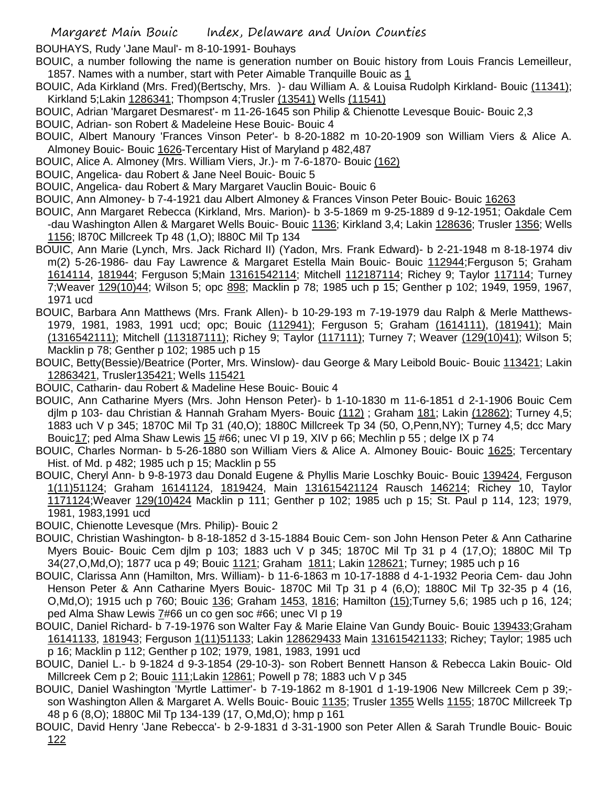BOUHAYS, Rudy 'Jane Maul'- m 8-10-1991- Bouhays

BOUIC, a number following the name is generation number on Bouic history from Louis Francis Lemeilleur, 1857. Names with a number, start with Peter Aimable Tranquille Bouic as 1

- BOUIC, Ada Kirkland (Mrs. Fred)(Bertschy, Mrs. )- dau William A. & Louisa Rudolph Kirkland- Bouic (11341); Kirkland 5;Lakin 1286341; Thompson 4;Trusler (13541) Wells (11541)
- BOUIC, Adrian 'Margaret Desmarest'- m 11-26-1645 son Philip & Chienotte Levesque Bouic- Bouic 2,3
- BOUIC, Adrian- son Robert & Madeleine Hese Bouic- Bouic 4
- BOUIC, Albert Manoury 'Frances Vinson Peter'- b 8-20-1882 m 10-20-1909 son William Viers & Alice A. Almoney Bouic- Bouic 1626-Tercentary Hist of Maryland p 482,487
- BOUIC, Alice A. Almoney (Mrs. William Viers, Jr.)- m 7-6-1870- Bouic (162)
- BOUIC, Angelica- dau Robert & Jane Neel Bouic- Bouic 5
- BOUIC, Angelica- dau Robert & Mary Margaret Vauclin Bouic- Bouic 6
- BOUIC, Ann Almoney- b 7-4-1921 dau Albert Almoney & Frances Vinson Peter Bouic- Bouic 16263
- BOUIC, Ann Margaret Rebecca (Kirkland, Mrs. Marion)- b 3-5-1869 m 9-25-1889 d 9-12-1951; Oakdale Cem -dau Washington Allen & Margaret Wells Bouic- Bouic 1136; Kirkland 3,4; Lakin 128636; Trusler 1356; Wells 1156; l870C Millcreek Tp 48 (1,O); l880C Mil Tp 134
- BOUIC, Ann Marie (Lynch, Mrs. Jack Richard II) (Yadon, Mrs. Frank Edward)- b 2-21-1948 m 8-18-1974 div m(2) 5-26-1986- dau Fay Lawrence & Margaret Estella Main Bouic- Bouic 112944;Ferguson 5; Graham 1614114, 181944; Ferguson 5;Main 13161542114; Mitchell 112187114; Richey 9; Taylor 117114; Turney 7;Weaver 129(10)44; Wilson 5; opc 898; Macklin p 78; 1985 uch p 15; Genther p 102; 1949, 1959, 1967, 1971 ucd
- BOUIC, Barbara Ann Matthews (Mrs. Frank Allen)- b 10-29-193 m 7-19-1979 dau Ralph & Merle Matthews-1979, 1981, 1983, 1991 ucd; opc; Bouic <u>(112941)</u>; Ferguson 5; Graham (1614111), (181941); Main (1316542111); Mitchell (113187111); Richey 9; Taylor (117111); Turney 7; Weaver (129(10)41); Wilson 5; Macklin p 78; Genther p 102; 1985 uch p 15
- BOUIC, Betty(Bessie)/Beatrice (Porter, Mrs. Winslow)- dau George & Mary Leibold Bouic- Bouic 113421; Lakin 12863421, Trusler135421; Wells 115421
- BOUIC, Catharin- dau Robert & Madeline Hese Bouic- Bouic 4
- BOUIC, Ann Catharine Myers (Mrs. John Henson Peter)- b 1-10-1830 m 11-6-1851 d 2-1-1906 Bouic Cem djlm p 103- dau Christian & Hannah Graham Myers- Bouic (112) ; Graham 181; Lakin (12862); Turney 4,5; 1883 uch V p 345; 1870C Mil Tp 31 (40,O); 1880C Millcreek Tp 34 (50, O,Penn,NY); Turney 4,5; dcc Mary Bouic17; ped Alma Shaw Lewis 15 #66; unec VI p 19, XIV p 66; Mechlin p 55 ; delge IX p 74
- BOUIC, Charles Norman- b 5-26-1880 son William Viers & Alice A. Almoney Bouic- Bouic 1625; Tercentary Hist. of Md. p 482; 1985 uch p 15; Macklin p 55
- BOUIC, Cheryl Ann- b 9-8-1973 dau Donald Eugene & Phyllis Marie Loschky Bouic- Bouic 139424, Ferguson 1(11)51124; Graham 16141124, 1819424, Main 131615421124 Rausch 146214; Richey 10, Taylor 1171124;Weaver 129(10)424 Macklin p 111; Genther p 102; 1985 uch p 15; St. Paul p 114, 123; 1979, 1981, 1983,1991 ucd
- BOUIC, Chienotte Levesque (Mrs. Philip)- Bouic 2
- BOUIC, Christian Washington- b 8-18-1852 d 3-15-1884 Bouic Cem- son John Henson Peter & Ann Catharine Myers Bouic- Bouic Cem djlm p 103; 1883 uch V p 345; 1870C Mil Tp 31 p 4 (17,O); 1880C Mil Tp 34(27,O,Md,O); 1877 uca p 49; Bouic 1121; Graham 1811; Lakin 128621; Turney; 1985 uch p 16
- BOUIC, Clarissa Ann (Hamilton, Mrs. William)- b 11-6-1863 m 10-17-1888 d 4-1-1932 Peoria Cem- dau John Henson Peter & Ann Catharine Myers Bouic- 1870C Mil Tp 31 p 4 (6,O); 1880C Mil Tp 32-35 p 4 (16, O,Md,O); 1915 uch p 760; Bouic 136; Graham 1453, 1816; Hamilton (15);Turney 5,6; 1985 uch p 16, 124; ped Alma Shaw Lewis 7#66 un co gen soc #66; unec VI p 19
- BOUIC, Daniel Richard- b 7-19-1976 son Walter Fay & Marie Elaine Van Gundy Bouic- Bouic 139433;Graham 16141133, 181943; Ferguson 1(11)51133; Lakin 128629433 Main 131615421133; Richey; Taylor; 1985 uch p 16; Macklin p 112; Genther p 102; 1979, 1981, 1983, 1991 ucd
- BOUIC, Daniel L.- b 9-1824 d 9-3-1854 (29-10-3)- son Robert Bennett Hanson & Rebecca Lakin Bouic- Old Millcreek Cem p 2; Bouic 111; Lakin 12861; Powell p 78; 1883 uch V p 345
- BOUIC, Daniel Washington 'Myrtle Lattimer'- b 7-19-1862 m 8-1901 d 1-19-1906 New Millcreek Cem p 39; son Washington Allen & Margaret A. Wells Bouic- Bouic 1135; Trusler 1355 Wells 1155; 1870C Millcreek Tp 48 p 6 (8,O); 1880C Mil Tp 134-139 (17, O,Md,O); hmp p 161
- BOUIC, David Henry 'Jane Rebecca'- b 2-9-1831 d 3-31-1900 son Peter Allen & Sarah Trundle Bouic- Bouic 122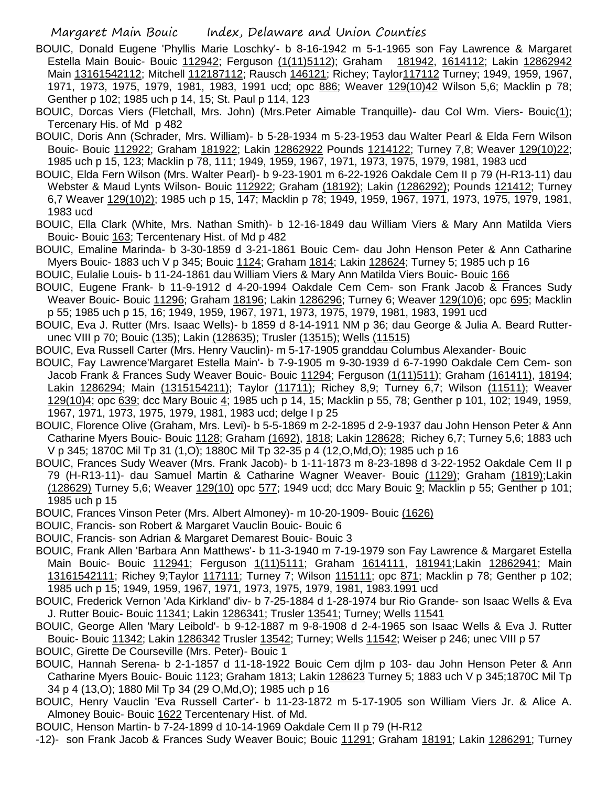- BOUIC, Donald Eugene 'Phyllis Marie Loschky'- b 8-16-1942 m 5-1-1965 son Fay Lawrence & Margaret Estella Main Bouic- Bouic 112942; Ferguson (1(11)5112); Graham 181942, 1614112; Lakin 12862942 Main 13161542112; Mitchell 112187112; Rausch 146121; Richey; Taylor117112 Turney; 1949, 1959, 1967, 1971, 1973, 1975, 1979, 1981, 1983, 1991 ucd; opc 886; Weaver 129(10)42 Wilson 5,6; Macklin p 78; Genther p 102; 1985 uch p 14, 15; St. Paul p 114, 123
- BOUIC, Dorcas Viers (Fletchall, Mrs. John) (Mrs.Peter Aimable Tranquille)- dau Col Wm. Viers- Bouic(1); Tercenary His. of Md p 482
- BOUIC, Doris Ann (Schrader, Mrs. William)- b 5-28-1934 m 5-23-1953 dau Walter Pearl & Elda Fern Wilson Bouic- Bouic 112922; Graham 181922; Lakin 12862922 Pounds 1214122; Turney 7,8; Weaver 129(10)22; 1985 uch p 15, 123; Macklin p 78, 111; 1949, 1959, 1967, 1971, 1973, 1975, 1979, 1981, 1983 ucd
- BOUIC, Elda Fern Wilson (Mrs. Walter Pearl)- b 9-23-1901 m 6-22-1926 Oakdale Cem II p 79 (H-R13-11) dau Webster & Maud Lynts Wilson- Bouic 112922; Graham (18192); Lakin (1286292); Pounds 121412; Turney 6,7 Weaver 129(10)2); 1985 uch p 15, 147; Macklin p 78; 1949, 1959, 1967, 1971, 1973, 1975, 1979, 1981, 1983 ucd
- BOUIC, Ella Clark (White, Mrs. Nathan Smith)- b 12-16-1849 dau William Viers & Mary Ann Matilda Viers Bouic- Bouic 163; Tercentenary Hist. of Md p 482
- BOUIC, Emaline Marinda- b 3-30-1859 d 3-21-1861 Bouic Cem- dau John Henson Peter & Ann Catharine Myers Bouic- 1883 uch V p 345; Bouic 1124; Graham 1814; Lakin 128624; Turney 5; 1985 uch p 16
- BOUIC, Eulalie Louis- b 11-24-1861 dau William Viers & Mary Ann Matilda Viers Bouic- Bouic 166
- BOUIC, Eugene Frank- b 11-9-1912 d 4-20-1994 Oakdale Cem Cem- son Frank Jacob & Frances Sudy Weaver Bouic- Bouic 11296; Graham 18196; Lakin 1286296; Turney 6; Weaver 129(10)6; opc 695; Macklin p 55; 1985 uch p 15, 16; 1949, 1959, 1967, 1971, 1973, 1975, 1979, 1981, 1983, 1991 ucd
- BOUIC, Eva J. Rutter (Mrs. Isaac Wells)- b 1859 d 8-14-1911 NM p 36; dau George & Julia A. Beard Rutterunec VIII p 70; Bouic (135); Lakin (128635); Trusler (13515); Wells (11515)
- BOUIC, Eva Russell Carter (Mrs. Henry Vauclin)- m 5-17-1905 granddau Columbus Alexander- Bouic
- BOUIC, Fay Lawrence'Margaret Estella Main'- b 7-9-1905 m 9-30-1939 d 6-7-1990 Oakdale Cem Cem- son Jacob Frank & Frances Sudy Weaver Bouic- Bouic 11294; Ferguson (1(11)511); Graham (161411), 18194; Lakin 1286294; Main (1315154211); Taylor (11711); Richey 8,9; Turney 6,7; Wilson (11511); Weaver 129(10)4; opc 639; dcc Mary Bouic 4; 1985 uch p 14, 15; Macklin p 55, 78; Genther p 101, 102; 1949, 1959, 1967, 1971, 1973, 1975, 1979, 1981, 1983 ucd; delge I p 25
- BOUIC, Florence Olive (Graham, Mrs. Levi)- b 5-5-1869 m 2-2-1895 d 2-9-1937 dau John Henson Peter & Ann Catharine Myers Bouic- Bouic 1128; Graham (1692), 1818; Lakin 128628; Richey 6,7; Turney 5,6; 1883 uch V p 345; 1870C Mil Tp 31 (1,O); 1880C Mil Tp 32-35 p 4 (12,O,Md,O); 1985 uch p 16
- BOUIC, Frances Sudy Weaver (Mrs. Frank Jacob)- b 1-11-1873 m 8-23-1898 d 3-22-1952 Oakdale Cem II p 79 (H-R13-11)- dau Samuel Martin & Catharine Wagner Weaver- Bouic (1129); Graham (1819);Lakin (128629) Turney 5,6; Weaver 129(10) opc 577; 1949 ucd; dcc Mary Bouic 9; Macklin p 55; Genther p 101; 1985 uch p 15
- BOUIC, Frances Vinson Peter (Mrs. Albert Almoney)- m 10-20-1909- Bouic (1626)
- BOUIC, Francis- son Robert & Margaret Vauclin Bouic- Bouic 6
- BOUIC, Francis- son Adrian & Margaret Demarest Bouic- Bouic 3
- BOUIC, Frank Allen 'Barbara Ann Matthews'- b 11-3-1940 m 7-19-1979 son Fay Lawrence & Margaret Estella Main Bouic- Bouic 112941; Ferguson 1(11)5111; Graham 1614111, 181941;Lakin 12862941; Main 13161542111; Richey 9;Taylor 117111; Turney 7; Wilson 115111; opc 871; Macklin p 78; Genther p 102; 1985 uch p 15; 1949, 1959, 1967, 1971, 1973, 1975, 1979, 1981, 1983.1991 ucd
- BOUIC, Frederick Vernon 'Ada Kirkland' div- b 7-25-1884 d 1-28-1974 bur Rio Grande- son Isaac Wells & Eva J. Rutter Bouic- Bouic 11341; Lakin 1286341; Trusler 13541; Turney; Wells 11541
- BOUIC, George Allen 'Mary Leibold'- b 9-12-1887 m 9-8-1908 d 2-4-1965 son Isaac Wells & Eva J. Rutter Bouic- Bouic 11342; Lakin 1286342 Trusler 13542; Turney; Wells 11542; Weiser p 246; unec VIII p 57 BOUIC, Girette De Courseville (Mrs. Peter)- Bouic 1
- BOUIC, Hannah Serena- b 2-1-1857 d 11-18-1922 Bouic Cem djlm p 103- dau John Henson Peter & Ann Catharine Myers Bouic- Bouic 1123; Graham 1813; Lakin 128623 Turney 5; 1883 uch V p 345;1870C Mil Tp 34 p 4 (13,O); 1880 Mil Tp 34 (29 O,Md,O); 1985 uch p 16
- BOUIC, Henry Vauclin 'Eva Russell Carter'- b 11-23-1872 m 5-17-1905 son William Viers Jr. & Alice A. Almoney Bouic- Bouic 1622 Tercentenary Hist. of Md.
- BOUIC, Henson Martin- b 7-24-1899 d 10-14-1969 Oakdale Cem II p 79 (H-R12
- -12)- son Frank Jacob & Frances Sudy Weaver Bouic; Bouic 11291; Graham 18191; Lakin 1286291; Turney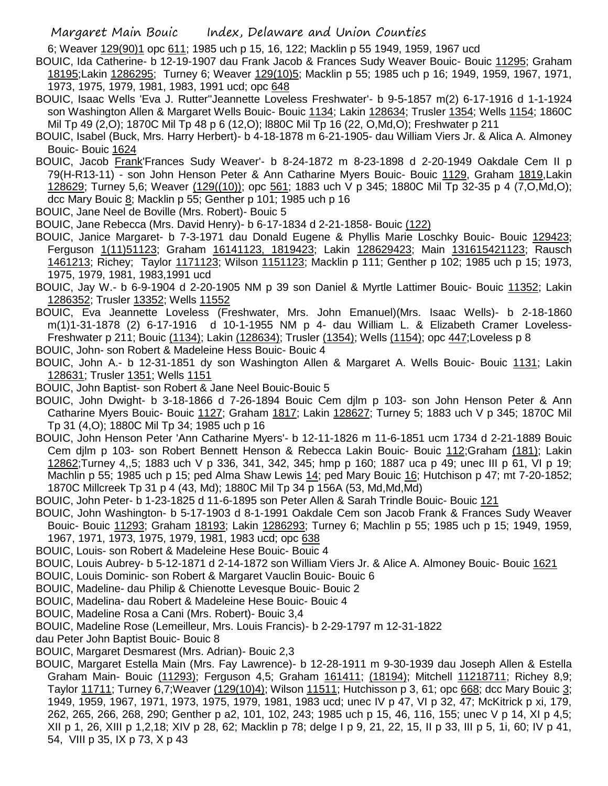6; Weaver 129(90)1 opc 611; 1985 uch p 15, 16, 122; Macklin p 55 1949, 1959, 1967 ucd

- BOUIC, Ida Catherine- b 12-19-1907 dau Frank Jacob & Frances Sudy Weaver Bouic- Bouic 11295; Graham 18195;Lakin 1286295; Turney 6; Weaver 129(10)5; Macklin p 55; 1985 uch p 16; 1949, 1959, 1967, 1971, 1973, 1975, 1979, 1981, 1983, 1991 ucd; opc 648
- BOUIC, Isaac Wells 'Eva J. Rutter''Jeannette Loveless Freshwater'- b 9-5-1857 m(2) 6-17-1916 d 1-1-1924 son Washington Allen & Margaret Wells Bouic- Bouic 1134; Lakin 128634; Trusler 1354; Wells 1154; 1860C Mil Tp 49 (2,O); 1870C Mil Tp 48 p 6 (12,O); l880C Mil Tp 16 (22, O,Md,O); Freshwater p 211
- BOUIC, Isabel (Buck, Mrs. Harry Herbert)- b 4-18-1878 m 6-21-1905- dau William Viers Jr. & Alica A. Almoney Bouic- Bouic 1624
- BOUIC, Jacob Frank'Frances Sudy Weaver'- b 8-24-1872 m 8-23-1898 d 2-20-1949 Oakdale Cem II p 79(H-R13-11) - son John Henson Peter & Ann Catharine Myers Bouic- Bouic 1129, Graham 1819,Lakin 128629; Turney 5,6; Weaver (129((10)); opc 561; 1883 uch V p 345; 1880C Mil Tp 32-35 p 4 (7,O,Md,O); dcc Mary Bouic  $8$ ; Macklin p 55; Genther p 101; 1985 uch p 16
- BOUIC, Jane Neel de Boville (Mrs. Robert)- Bouic 5
- BOUIC, Jane Rebecca (Mrs. David Henry)- b 6-17-1834 d 2-21-1858- Bouic (122)
- BOUIC, Janice Margaret- b 7-3-1971 dau Donald Eugene & Phyllis Marie Loschky Bouic- Bouic 129423; Ferguson 1(11)51123; Graham 16141123, 1819423; Lakin 128629423; Main 131615421123; Rausch 1461213; Richey; Taylor 1171123; Wilson 1151123; Macklin p 111; Genther p 102; 1985 uch p 15; 1973, 1975, 1979, 1981, 1983,1991 ucd
- BOUIC, Jay W.- b 6-9-1904 d 2-20-1905 NM p 39 son Daniel & Myrtle Lattimer Bouic- Bouic 11352; Lakin 1286352; Trusler 13352; Wells 11552
- BOUIC, Eva Jeannette Loveless (Freshwater, Mrs. John Emanuel)(Mrs. Isaac Wells)- b 2-18-1860 m(1)1-31-1878 (2) 6-17-1916 d 10-1-1955 NM p 4- dau William L. & Elizabeth Cramer Loveless-Freshwater p 211; Bouic (1134); Lakin (128634); Trusler (1354); Wells (1154); opc 447;Loveless p 8
- BOUIC, John- son Robert & Madeleine Hess Bouic- Bouic 4
- BOUIC, John A.- b 12-31-1851 dy son Washington Allen & Margaret A. Wells Bouic- Bouic 1131; Lakin 128631; Trusler 1351; Wells 1151
- BOUIC, John Baptist- son Robert & Jane Neel Bouic-Bouic 5
- BOUIC, John Dwight- b 3-18-1866 d 7-26-1894 Bouic Cem djlm p 103- son John Henson Peter & Ann Catharine Myers Bouic- Bouic 1127; Graham 1817; Lakin 128627; Turney 5; 1883 uch V p 345; 1870C Mil Tp 31 (4,O); 1880C Mil Tp 34; 1985 uch p 16
- BOUIC, John Henson Peter 'Ann Catharine Myers'- b 12-11-1826 m 11-6-1851 ucm 1734 d 2-21-1889 Bouic Cem djlm p 103- son Robert Bennett Henson & Rebecca Lakin Bouic- Bouic 112;Graham (181); Lakin 12862;Turney 4,,5; 1883 uch V p 336, 341, 342, 345; hmp p 160; 1887 uca p 49; unec III p 61, VI p 19; Machlin p 55; 1985 uch p 15; ped Alma Shaw Lewis 14; ped Mary Bouic 16; Hutchison p 47; mt 7-20-1852; 1870C Millcreek Tp 31 p 4 (43, Md); 1880C Mil Tp 34 p 156A (53, Md,Md,Md)
- BOUIC, John Peter- b 1-23-1825 d 11-6-1895 son Peter Allen & Sarah Trindle Bouic- Bouic 121
- BOUIC, John Washington- b 5-17-1903 d 8-1-1991 Oakdale Cem son Jacob Frank & Frances Sudy Weaver Bouic- Bouic 11293; Graham 18193; Lakin 1286293; Turney 6; Machlin p 55; 1985 uch p 15; 1949, 1959, 1967, 1971, 1973, 1975, 1979, 1981, 1983 ucd; opc 638
- BOUIC, Louis- son Robert & Madeleine Hese Bouic- Bouic 4
- BOUIC, Louis Aubrey- b 5-12-1871 d 2-14-1872 son William Viers Jr. & Alice A. Almoney Bouic- Bouic 1621
- BOUIC, Louis Dominic- son Robert & Margaret Vauclin Bouic- Bouic 6
- BOUIC, Madeline- dau Philip & Chienotte Levesque Bouic- Bouic 2
- BOUIC, Madelina- dau Robert & Madeleine Hese Bouic- Bouic 4
- BOUIC, Madeline Rosa a Cani (Mrs. Robert)- Bouic 3,4
- BOUIC, Madeline Rose (Lemeilleur, Mrs. Louis Francis)- b 2-29-1797 m 12-31-1822
- dau Peter John Baptist Bouic- Bouic 8
- BOUIC, Margaret Desmarest (Mrs. Adrian)- Bouic 2,3
- BOUIC, Margaret Estella Main (Mrs. Fay Lawrence)- b 12-28-1911 m 9-30-1939 dau Joseph Allen & Estella Graham Main- Bouic (11293); Ferguson 4,5; Graham 161411; (18194); Mitchell 11218711; Richey 8,9; Taylor 11711; Turney 6,7;Weaver (129(10)4); Wilson 11511; Hutchisson p 3, 61; opc 668; dcc Mary Bouic 3; 1949, 1959, 1967, 1971, 1973, 1975, 1979, 1981, 1983 ucd; unec IV p 47, VI p 32, 47; McKitrick p xi, 179, 262, 265, 266, 268, 290; Genther p a2, 101, 102, 243; 1985 uch p 15, 46, 116, 155; unec V p 14, XI p 4,5; XII p 1, 26, XIII p 1,2,18; XIV p 28, 62; Macklin p 78; delge I p 9, 21, 22, 15, II p 33, III p 5, 1i, 60; IV p 41, 54, VIII p 35, IX p 73, X p 43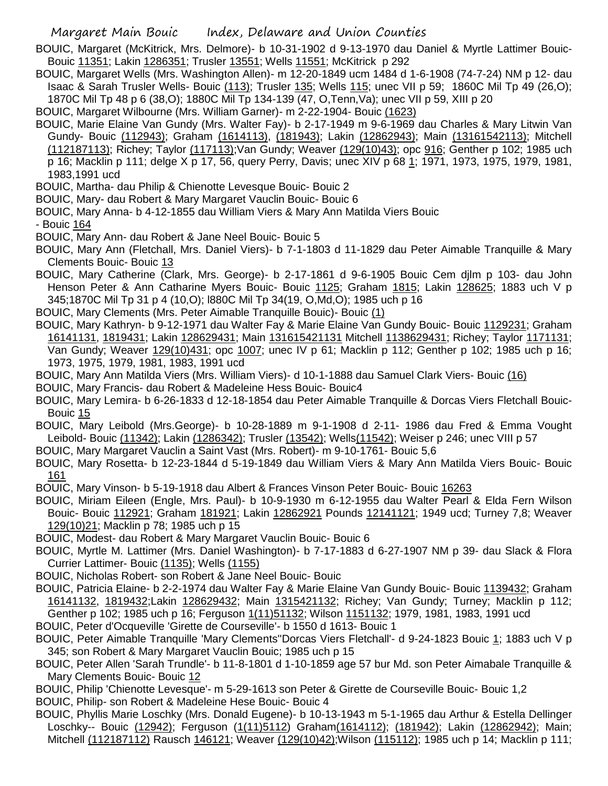BOUIC, Margaret (McKitrick, Mrs. Delmore)- b 10-31-1902 d 9-13-1970 dau Daniel & Myrtle Lattimer Bouic-Bouic 11351; Lakin 1286351; Trusler 13551; Wells 11551; McKitrick p 292

- BOUIC, Margaret Wells (Mrs. Washington Allen)- m 12-20-1849 ucm 1484 d 1-6-1908 (74-7-24) NM p 12- dau Isaac & Sarah Trusler Wells- Bouic (113); Trusler 135; Wells 115; unec VII p 59; 1860C Mil Tp 49 (26,O); 1870C Mil Tp 48 p 6 (38,O); 1880C Mil Tp 134-139 (47, O,Tenn,Va); unec VII p 59, XIII p 20
- BOUIC, Margaret Wilbourne (Mrs. William Garner)- m 2-22-1904- Bouic (1623)
- BOUIC, Marie Elaine Van Gundy (Mrs. Walter Fay)- b 2-17-1949 m 9-6-1969 dau Charles & Mary Litwin Van Gundy- Bouic (112943); Graham (1614113), (181943); Lakin (12862943); Main (13161542113); Mitchell (112187113); Richey; Taylor (117113);Van Gundy; Weaver (129(10)43); opc 916; Genther p 102; 1985 uch p 16; Macklin p 111; delge X p 17, 56, query Perry, Davis; unec XIV p 68 1; 1971, 1973, 1975, 1979, 1981, 1983,1991 ucd
- BOUIC, Martha- dau Philip & Chienotte Levesque Bouic- Bouic 2
- BOUIC, Mary- dau Robert & Mary Margaret Vauclin Bouic- Bouic 6
- BOUIC, Mary Anna- b 4-12-1855 dau William Viers & Mary Ann Matilda Viers Bouic

- Bouic 164

- BOUIC, Mary Ann- dau Robert & Jane Neel Bouic- Bouic 5
- BOUIC, Mary Ann (Fletchall, Mrs. Daniel Viers)- b 7-1-1803 d 11-1829 dau Peter Aimable Tranquille & Mary Clements Bouic- Bouic 13
- BOUIC, Mary Catherine (Clark, Mrs. George)- b 2-17-1861 d 9-6-1905 Bouic Cem djlm p 103- dau John Henson Peter & Ann Catharine Myers Bouic- Bouic 1125; Graham 1815; Lakin 128625; 1883 uch V p 345;1870C Mil Tp 31 p 4 (10,O); l880C Mil Tp 34(19, O,Md,O); 1985 uch p 16
- BOUIC, Mary Clements (Mrs. Peter Aimable Tranquille Bouic)- Bouic (1)
- BOUIC, Mary Kathryn- b 9-12-1971 dau Walter Fay & Marie Elaine Van Gundy Bouic- Bouic 1129231; Graham 16141131, 1819431; Lakin 128629431; Main 131615421131 Mitchell 1138629431; Richey; Taylor 1171131; Van Gundy; Weaver 129(10)431; opc 1007; unec IV p 61; Macklin p 112; Genther p 102; 1985 uch p 16; 1973, 1975, 1979, 1981, 1983, 1991 ucd
- BOUIC, Mary Ann Matilda Viers (Mrs. William Viers)- d 10-1-1888 dau Samuel Clark Viers- Bouic (16)
- BOUIC, Mary Francis- dau Robert & Madeleine Hess Bouic- Bouic4
- BOUIC, Mary Lemira- b 6-26-1833 d 12-18-1854 dau Peter Aimable Tranquille & Dorcas Viers Fletchall Bouic-Bouic 15
- BOUIC, Mary Leibold (Mrs.George)- b 10-28-1889 m 9-1-1908 d 2-11- 1986 dau Fred & Emma Vought Leibold- Bouic (11342); Lakin (1286342); Trusler (13542); Wells(11542); Weiser p 246; unec VIII p 57
- BOUIC, Mary Margaret Vauclin a Saint Vast (Mrs. Robert)- m 9-10-1761- Bouic 5,6
- BOUIC, Mary Rosetta- b 12-23-1844 d 5-19-1849 dau William Viers & Mary Ann Matilda Viers Bouic- Bouic 161
- BOUIC, Mary Vinson- b 5-19-1918 dau Albert & Frances Vinson Peter Bouic- Bouic 16263
- BOUIC, Miriam Eileen (Engle, Mrs. Paul)- b 10-9-1930 m 6-12-1955 dau Walter Pearl & Elda Fern Wilson Bouic- Bouic 112921; Graham 181921; Lakin 12862921 Pounds 12141121; 1949 ucd; Turney 7,8; Weaver 129(10)21; Macklin p 78; 1985 uch p 15
- BOUIC, Modest- dau Robert & Mary Margaret Vauclin Bouic- Bouic 6
- BOUIC, Myrtle M. Lattimer (Mrs. Daniel Washington)- b 7-17-1883 d 6-27-1907 NM p 39- dau Slack & Flora Currier Lattimer- Bouic (1135); Wells (1155)
- BOUIC, Nicholas Robert- son Robert & Jane Neel Bouic- Bouic
- BOUIC, Patricia Elaine- b 2-2-1974 dau Walter Fay & Marie Elaine Van Gundy Bouic- Bouic 1139432; Graham 16141132, 1819432;Lakin 128629432; Main 1315421132; Richey; Van Gundy; Turney; Macklin p 112; Genther p 102; 1985 uch p 16; Ferguson 1(11)51132; Wilson 1151132; 1979, 1981, 1983, 1991 ucd
- BOUIC, Peter d'Ocqueville 'Girette de Courseville'- b 1550 d 1613- Bouic 1
- BOUIC, Peter Aimable Tranquille 'Mary Clements''Dorcas Viers Fletchall'- d 9-24-1823 Bouic 1; 1883 uch V p 345; son Robert & Mary Margaret Vauclin Bouic; 1985 uch p 15
- BOUIC, Peter Allen 'Sarah Trundle'- b 11-8-1801 d 1-10-1859 age 57 bur Md. son Peter Aimabale Tranquille & Mary Clements Bouic- Bouic 12
- BOUIC, Philip 'Chienotte Levesque'- m 5-29-1613 son Peter & Girette de Courseville Bouic- Bouic 1,2
- BOUIC, Philip- son Robert & Madeleine Hese Bouic- Bouic 4
- BOUIC, Phyllis Marie Loschky (Mrs. Donald Eugene)- b 10-13-1943 m 5-1-1965 dau Arthur & Estella Dellinger Loschky-- Bouic (12942); Ferguson (1(11)5112) Graham(1614112); (181942); Lakin (12862942); Main; Mitchell (112187112) Rausch 146121; Weaver (129(10)42);Wilson (115112); 1985 uch p 14; Macklin p 111;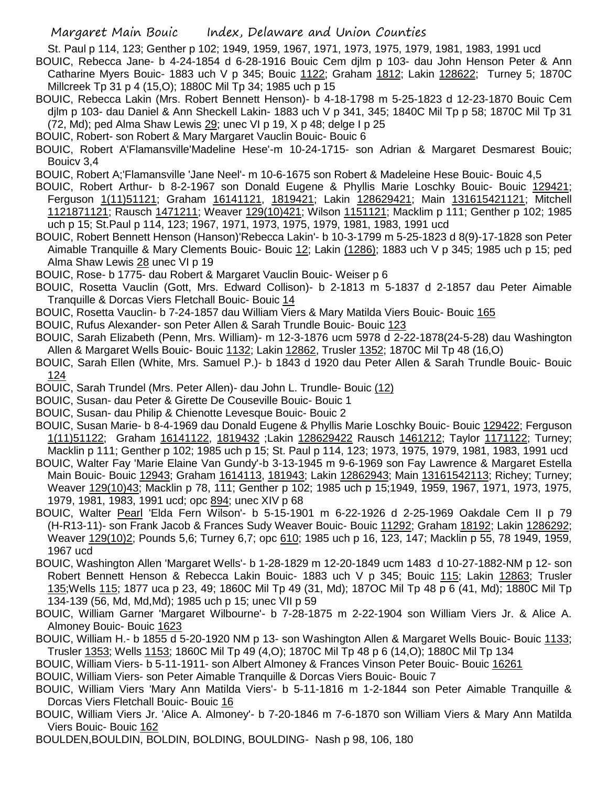St. Paul p 114, 123; Genther p 102; 1949, 1959, 1967, 1971, 1973, 1975, 1979, 1981, 1983, 1991 ucd

BOUIC, Rebecca Jane- b 4-24-1854 d 6-28-1916 Bouic Cem djlm p 103- dau John Henson Peter & Ann Catharine Myers Bouic- 1883 uch V p 345; Bouic 1122; Graham 1812; Lakin 128622; Turney 5; 1870C Millcreek Tp 31 p 4 (15,O); 1880C Mil Tp 34; 1985 uch p 15

- BOUIC, Rebecca Lakin (Mrs. Robert Bennett Henson)- b 4-18-1798 m 5-25-1823 d 12-23-1870 Bouic Cem djlm p 103- dau Daniel & Ann Sheckell Lakin- 1883 uch V p 341, 345; 1840C Mil Tp p 58; 1870C Mil Tp 31 (72, Md); ped Alma Shaw Lewis  $29$ ; unec VI p 19, X p 48; delge I p 25
- BOUIC, Robert- son Robert & Mary Margaret Vauclin Bouic- Bouic 6
- BOUIC, Robert A'Flamansville'Madeline Hese'-m 10-24-1715- son Adrian & Margaret Desmarest Bouic; Bouicv 3,4
- BOUIC, Robert A;'Flamansville 'Jane Neel'- m 10-6-1675 son Robert & Madeleine Hese Bouic- Bouic 4,5
- BOUIC, Robert Arthur- b 8-2-1967 son Donald Eugene & Phyllis Marie Loschky Bouic- Bouic 129421; Ferguson 1(11)51121; Graham 16141121, 1819421; Lakin 128629421; Main 131615421121; Mitchell 1121871121; Rausch 1471211; Weaver 129(10)421; Wilson 1151121; Macklim p 111; Genther p 102; 1985 uch p 15; St.Paul p 114, 123; 1967, 1971, 1973, 1975, 1979, 1981, 1983, 1991 ucd
- BOUIC, Robert Bennett Henson (Hanson)'Rebecca Lakin'- b 10-3-1799 m 5-25-1823 d 8(9)-17-1828 son Peter Aimable Tranquille & Mary Clements Bouic- Bouic 12; Lakin (1286); 1883 uch V p 345; 1985 uch p 15; ped Alma Shaw Lewis 28 unec VI p 19
- BOUIC, Rose- b 1775- dau Robert & Margaret Vauclin Bouic- Weiser p 6
- BOUIC, Rosetta Vauclin (Gott, Mrs. Edward Collison)- b 2-1813 m 5-1837 d 2-1857 dau Peter Aimable Tranquille & Dorcas Viers Fletchall Bouic- Bouic 14
- BOUIC, Rosetta Vauclin- b 7-24-1857 dau William Viers & Mary Matilda Viers Bouic- Bouic 165
- BOUIC, Rufus Alexander- son Peter Allen & Sarah Trundle Bouic- Bouic 123
- BOUIC, Sarah Elizabeth (Penn, Mrs. William)- m 12-3-1876 ucm 5978 d 2-22-1878(24-5-28) dau Washington Allen & Margaret Wells Bouic- Bouic 1132; Lakin 12862, Trusler 1352; 1870C Mil Tp 48 (16,O)
- BOUIC, Sarah Ellen (White, Mrs. Samuel P.)- b 1843 d 1920 dau Peter Allen & Sarah Trundle Bouic- Bouic 124
- BOUIC, Sarah Trundel (Mrs. Peter Allen)- dau John L. Trundle- Bouic (12)
- BOUIC, Susan- dau Peter & Girette De Couseville Bouic- Bouic 1
- BOUIC, Susan- dau Philip & Chienotte Levesque Bouic- Bouic 2
- BOUIC, Susan Marie- b 8-4-1969 dau Donald Eugene & Phyllis Marie Loschky Bouic- Bouic 129422; Ferguson 1(11)51122; Graham 16141122, 1819432 ;Lakin 128629422 Rausch 1461212; Taylor 1171122; Turney; Macklin p 111; Genther p 102; 1985 uch p 15; St. Paul p 114, 123; 1973, 1975, 1979, 1981, 1983, 1991 ucd
- BOUIC, Walter Fay 'Marie Elaine Van Gundy'-b 3-13-1945 m 9-6-1969 son Fay Lawrence & Margaret Estella Main Bouic- Bouic 12943; Graham 1614113, 181943; Lakin 12862943; Main 13161542113; Richey; Turney; Weaver 129(10) 43; Macklin p 78, 111; Genther p 102; 1985 uch p 15; 1949, 1959, 1967, 1971, 1973, 1975, 1979, 1981, 1983, 1991 ucd; opc 894; unec XIV p 68
- BOUIC, Walter Pearl 'Elda Fern Wilson'- b 5-15-1901 m 6-22-1926 d 2-25-1969 Oakdale Cem II p 79 (H-R13-11)- son Frank Jacob & Frances Sudy Weaver Bouic- Bouic 11292; Graham 18192; Lakin 1286292; Weaver 129(10)2; Pounds 5,6; Turney 6,7; opc 610; 1985 uch p 16, 123, 147; Macklin p 55, 78 1949, 1959, 1967 ucd
- BOUIC, Washington Allen 'Margaret Wells'- b 1-28-1829 m 12-20-1849 ucm 1483 d 10-27-1882-NM p 12- son Robert Bennett Henson & Rebecca Lakin Bouic- 1883 uch V p 345; Bouic 115; Lakin 12863; Trusler 135;Wells 115; 1877 uca p 23, 49; 1860C Mil Tp 49 (31, Md); 187OC Mil Tp 48 p 6 (41, Md); 1880C Mil Tp 134-139 (56, Md, Md,Md); 1985 uch p 15; unec VII p 59
- BOUIC, William Garner 'Margaret Wilbourne'- b 7-28-1875 m 2-22-1904 son William Viers Jr. & Alice A. Almoney Bouic- Bouic 1623
- BOUIC, William H.- b 1855 d 5-20-1920 NM p 13- son Washington Allen & Margaret Wells Bouic- Bouic 1133; Trusler 1353; Wells 1153; 1860C Mil Tp 49 (4,O); 1870C Mil Tp 48 p 6 (14,O); 1880C Mil Tp 134
- BOUIC, William Viers- b 5-11-1911- son Albert Almoney & Frances Vinson Peter Bouic- Bouic 16261
- BOUIC, William Viers- son Peter Aimable Tranquille & Dorcas Viers Bouic- Bouic 7
- BOUIC, William Viers 'Mary Ann Matilda Viers'- b 5-11-1816 m 1-2-1844 son Peter Aimable Tranquille & Dorcas Viers Fletchall Bouic- Bouic 16
- BOUIC, William Viers Jr. 'Alice A. Almoney'- b 7-20-1846 m 7-6-1870 son William Viers & Mary Ann Matilda Viers Bouic- Bouic 162
- BOULDEN,BOULDIN, BOLDIN, BOLDING, BOULDING- Nash p 98, 106, 180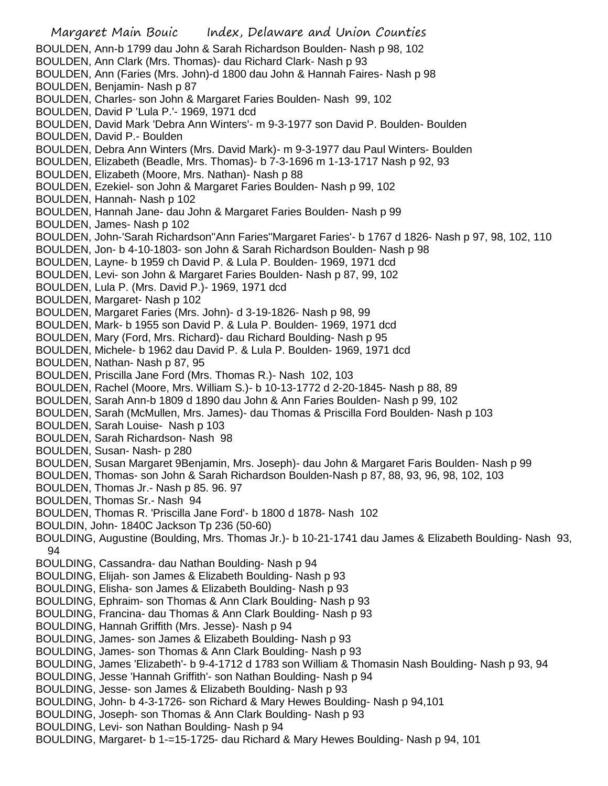Margaret Main Bouic Index, Delaware and Union Counties BOULDEN, Ann-b 1799 dau John & Sarah Richardson Boulden- Nash p 98, 102 BOULDEN, Ann Clark (Mrs. Thomas)- dau Richard Clark- Nash p 93 BOULDEN, Ann (Faries (Mrs. John)-d 1800 dau John & Hannah Faires- Nash p 98 BOULDEN, Benjamin- Nash p 87 BOULDEN, Charles- son John & Margaret Faries Boulden- Nash 99, 102 BOULDEN, David P 'Lula P.'- 1969, 1971 dcd BOULDEN, David Mark 'Debra Ann Winters'- m 9-3-1977 son David P. Boulden- Boulden BOULDEN, David P.- Boulden BOULDEN, Debra Ann Winters (Mrs. David Mark)- m 9-3-1977 dau Paul Winters- Boulden BOULDEN, Elizabeth (Beadle, Mrs. Thomas)- b 7-3-1696 m 1-13-1717 Nash p 92, 93 BOULDEN, Elizabeth (Moore, Mrs. Nathan)- Nash p 88 BOULDEN, Ezekiel- son John & Margaret Faries Boulden- Nash p 99, 102 BOULDEN, Hannah- Nash p 102 BOULDEN, Hannah Jane- dau John & Margaret Faries Boulden- Nash p 99 BOULDEN, James- Nash p 102 BOULDEN, John-'Sarah Richardson''Ann Faries''Margaret Faries'- b 1767 d 1826- Nash p 97, 98, 102, 110 BOULDEN, Jon- b 4-10-1803- son John & Sarah Richardson Boulden- Nash p 98 BOULDEN, Layne- b 1959 ch David P. & Lula P. Boulden- 1969, 1971 dcd BOULDEN, Levi- son John & Margaret Faries Boulden- Nash p 87, 99, 102 BOULDEN, Lula P. (Mrs. David P.)- 1969, 1971 dcd BOULDEN, Margaret- Nash p 102 BOULDEN, Margaret Faries (Mrs. John)- d 3-19-1826- Nash p 98, 99 BOULDEN, Mark- b 1955 son David P. & Lula P. Boulden- 1969, 1971 dcd BOULDEN, Mary (Ford, Mrs. Richard)- dau Richard Boulding- Nash p 95 BOULDEN, Michele- b 1962 dau David P. & Lula P. Boulden- 1969, 1971 dcd BOULDEN, Nathan- Nash p 87, 95 BOULDEN, Priscilla Jane Ford (Mrs. Thomas R.)- Nash 102, 103 BOULDEN, Rachel (Moore, Mrs. William S.)- b 10-13-1772 d 2-20-1845- Nash p 88, 89 BOULDEN, Sarah Ann-b 1809 d 1890 dau John & Ann Faries Boulden- Nash p 99, 102 BOULDEN, Sarah (McMullen, Mrs. James)- dau Thomas & Priscilla Ford Boulden- Nash p 103 BOULDEN, Sarah Louise- Nash p 103 BOULDEN, Sarah Richardson- Nash 98 BOULDEN, Susan- Nash- p 280 BOULDEN, Susan Margaret 9Benjamin, Mrs. Joseph)- dau John & Margaret Faris Boulden- Nash p 99 BOULDEN, Thomas- son John & Sarah Richardson Boulden-Nash p 87, 88, 93, 96, 98, 102, 103 BOULDEN, Thomas Jr.- Nash p 85. 96. 97 BOULDEN, Thomas Sr.- Nash 94 BOULDEN, Thomas R. 'Priscilla Jane Ford'- b 1800 d 1878- Nash 102 BOULDIN, John- 1840C Jackson Tp 236 (50-60) BOULDING, Augustine (Boulding, Mrs. Thomas Jr.)- b 10-21-1741 dau James & Elizabeth Boulding- Nash 93, 94 BOULDING, Cassandra- dau Nathan Boulding- Nash p 94 BOULDING, Elijah- son James & Elizabeth Boulding- Nash p 93 BOULDING, Elisha- son James & Elizabeth Boulding- Nash p 93 BOULDING, Ephraim- son Thomas & Ann Clark Boulding- Nash p 93 BOULDING, Francina- dau Thomas & Ann Clark Boulding- Nash p 93 BOULDING, Hannah Griffith (Mrs. Jesse)- Nash p 94 BOULDING, James- son James & Elizabeth Boulding- Nash p 93 BOULDING, James- son Thomas & Ann Clark Boulding- Nash p 93 BOULDING, James 'Elizabeth'- b 9-4-1712 d 1783 son William & Thomasin Nash Boulding- Nash p 93, 94 BOULDING, Jesse 'Hannah Griffith'- son Nathan Boulding- Nash p 94 BOULDING, Jesse- son James & Elizabeth Boulding- Nash p 93 BOULDING, John- b 4-3-1726- son Richard & Mary Hewes Boulding- Nash p 94,101 BOULDING, Joseph- son Thomas & Ann Clark Boulding- Nash p 93 BOULDING, Levi- son Nathan Boulding- Nash p 94 BOULDING, Margaret- b 1-=15-1725- dau Richard & Mary Hewes Boulding- Nash p 94, 101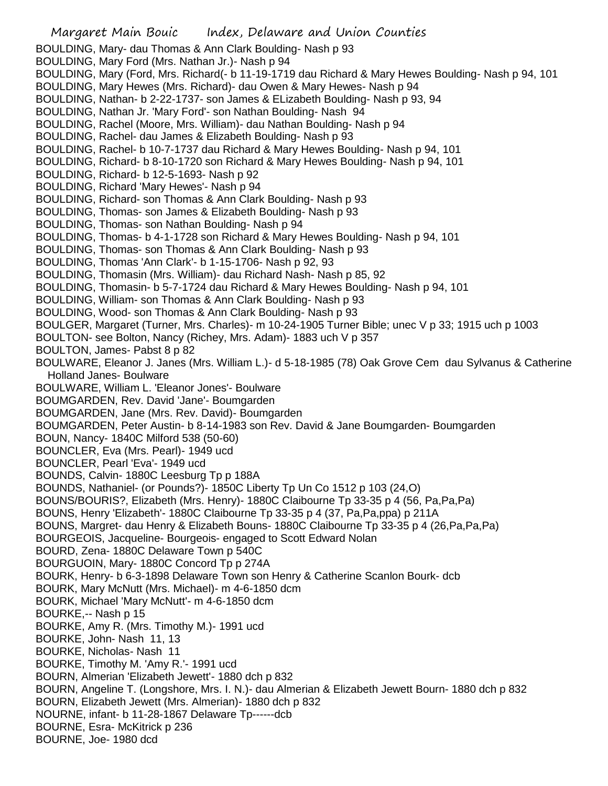Margaret Main Bouic Index, Delaware and Union Counties BOULDING, Mary- dau Thomas & Ann Clark Boulding- Nash p 93 BOULDING, Mary Ford (Mrs. Nathan Jr.)- Nash p 94 BOULDING, Mary (Ford, Mrs. Richard(- b 11-19-1719 dau Richard & Mary Hewes Boulding- Nash p 94, 101 BOULDING, Mary Hewes (Mrs. Richard)- dau Owen & Mary Hewes- Nash p 94 BOULDING, Nathan- b 2-22-1737- son James & ELizabeth Boulding- Nash p 93, 94 BOULDING, Nathan Jr. 'Mary Ford'- son Nathan Boulding- Nash 94 BOULDING, Rachel (Moore, Mrs. William)- dau Nathan Boulding- Nash p 94 BOULDING, Rachel- dau James & Elizabeth Boulding- Nash p 93 BOULDING, Rachel- b 10-7-1737 dau Richard & Mary Hewes Boulding- Nash p 94, 101 BOULDING, Richard- b 8-10-1720 son Richard & Mary Hewes Boulding- Nash p 94, 101 BOULDING, Richard- b 12-5-1693- Nash p 92 BOULDING, Richard 'Mary Hewes'- Nash p 94 BOULDING, Richard- son Thomas & Ann Clark Boulding- Nash p 93 BOULDING, Thomas- son James & Elizabeth Boulding- Nash p 93 BOULDING, Thomas- son Nathan Boulding- Nash p 94 BOULDING, Thomas- b 4-1-1728 son Richard & Mary Hewes Boulding- Nash p 94, 101 BOULDING, Thomas- son Thomas & Ann Clark Boulding- Nash p 93 BOULDING, Thomas 'Ann Clark'- b 1-15-1706- Nash p 92, 93 BOULDING, Thomasin (Mrs. William)- dau Richard Nash- Nash p 85, 92 BOULDING, Thomasin- b 5-7-1724 dau Richard & Mary Hewes Boulding- Nash p 94, 101 BOULDING, William- son Thomas & Ann Clark Boulding- Nash p 93 BOULDING, Wood- son Thomas & Ann Clark Boulding- Nash p 93 BOULGER, Margaret (Turner, Mrs. Charles)- m 10-24-1905 Turner Bible; unec V p 33; 1915 uch p 1003 BOULTON- see Bolton, Nancy (Richey, Mrs. Adam)- 1883 uch V p 357 BOULTON, James- Pabst 8 p 82 BOULWARE, Eleanor J. Janes (Mrs. William L.)- d 5-18-1985 (78) Oak Grove Cem dau Sylvanus & Catherine Holland Janes- Boulware BOULWARE, William L. 'Eleanor Jones'- Boulware BOUMGARDEN, Rev. David 'Jane'- Boumgarden BOUMGARDEN, Jane (Mrs. Rev. David)- Boumgarden BOUMGARDEN, Peter Austin- b 8-14-1983 son Rev. David & Jane Boumgarden- Boumgarden BOUN, Nancy- 1840C Milford 538 (50-60) BOUNCLER, Eva (Mrs. Pearl)- 1949 ucd BOUNCLER, Pearl 'Eva'- 1949 ucd BOUNDS, Calvin- 1880C Leesburg Tp p 188A BOUNDS, Nathaniel- (or Pounds?)- 1850C Liberty Tp Un Co 1512 p 103 (24,O) BOUNS/BOURIS?, Elizabeth (Mrs. Henry)- 1880C Claibourne Tp 33-35 p 4 (56, Pa,Pa,Pa) BOUNS, Henry 'Elizabeth'- 1880C Claibourne Tp 33-35 p 4 (37, Pa,Pa,ppa) p 211A BOUNS, Margret- dau Henry & Elizabeth Bouns- 1880C Claibourne Tp 33-35 p 4 (26,Pa,Pa,Pa) BOURGEOIS, Jacqueline- Bourgeois- engaged to Scott Edward Nolan BOURD, Zena- 1880C Delaware Town p 540C BOURGUOIN, Mary- 1880C Concord Tp p 274A BOURK, Henry- b 6-3-1898 Delaware Town son Henry & Catherine Scanlon Bourk- dcb BOURK, Mary McNutt (Mrs. Michael)- m 4-6-1850 dcm BOURK, Michael 'Mary McNutt'- m 4-6-1850 dcm BOURKE,-- Nash p 15 BOURKE, Amy R. (Mrs. Timothy M.)- 1991 ucd BOURKE, John- Nash 11, 13 BOURKE, Nicholas- Nash 11 BOURKE, Timothy M. 'Amy R.'- 1991 ucd BOURN, Almerian 'Elizabeth Jewett'- 1880 dch p 832 BOURN, Angeline T. (Longshore, Mrs. I. N.)- dau Almerian & Elizabeth Jewett Bourn- 1880 dch p 832 BOURN, Elizabeth Jewett (Mrs. Almerian)- 1880 dch p 832 NOURNE, infant- b 11-28-1867 Delaware Tp------dcb BOURNE, Esra- McKitrick p 236 BOURNE, Joe- 1980 dcd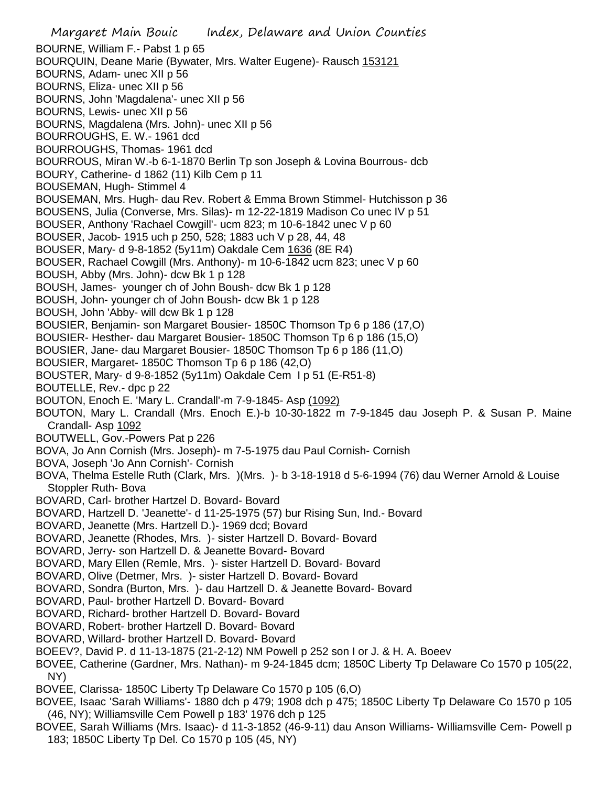Margaret Main Bouic Index, Delaware and Union Counties BOURNE, William F.- Pabst 1 p 65 BOURQUIN, Deane Marie (Bywater, Mrs. Walter Eugene)- Rausch 153121 BOURNS, Adam- unec XII p 56 BOURNS, Eliza- unec XII p 56 BOURNS, John 'Magdalena'- unec XII p 56 BOURNS, Lewis- unec XII p 56 BOURNS, Magdalena (Mrs. John)- unec XII p 56 BOURROUGHS, E. W.- 1961 dcd BOURROUGHS, Thomas- 1961 dcd BOURROUS, Miran W.-b 6-1-1870 Berlin Tp son Joseph & Lovina Bourrous- dcb BOURY, Catherine- d 1862 (11) Kilb Cem p 11 BOUSEMAN, Hugh- Stimmel 4 BOUSEMAN, Mrs. Hugh- dau Rev. Robert & Emma Brown Stimmel- Hutchisson p 36 BOUSENS, Julia (Converse, Mrs. Silas)- m 12-22-1819 Madison Co unec IV p 51 BOUSER, Anthony 'Rachael Cowgill'- ucm 823; m 10-6-1842 unec V p 60 BOUSER, Jacob- 1915 uch p 250, 528; 1883 uch V p 28, 44, 48 BOUSER, Mary- d 9-8-1852 (5y11m) Oakdale Cem 1636 (8E R4) BOUSER, Rachael Cowgill (Mrs. Anthony)- m 10-6-1842 ucm 823; unec V p 60 BOUSH, Abby (Mrs. John)- dcw Bk 1 p 128 BOUSH, James- younger ch of John Boush- dcw Bk 1 p 128 BOUSH, John- younger ch of John Boush- dcw Bk 1 p 128 BOUSH, John 'Abby- will dcw Bk 1 p 128 BOUSIER, Benjamin- son Margaret Bousier- 1850C Thomson Tp 6 p 186 (17,O) BOUSIER- Hesther- dau Margaret Bousier- 1850C Thomson Tp 6 p 186 (15,O) BOUSIER, Jane- dau Margaret Bousier- 1850C Thomson Tp 6 p 186 (11,O) BOUSIER, Margaret- 1850C Thomson Tp 6 p 186 (42,O) BOUSTER, Mary- d 9-8-1852 (5y11m) Oakdale Cem I p 51 (E-R51-8) BOUTELLE, Rev.- dpc p 22 BOUTON, Enoch E. 'Mary L. Crandall'-m 7-9-1845- Asp (1092) BOUTON, Mary L. Crandall (Mrs. Enoch E.)-b 10-30-1822 m 7-9-1845 dau Joseph P. & Susan P. Maine Crandall- Asp 1092 BOUTWELL, Gov.-Powers Pat p 226 BOVA, Jo Ann Cornish (Mrs. Joseph)- m 7-5-1975 dau Paul Cornish- Cornish BOVA, Joseph 'Jo Ann Cornish'- Cornish BOVA, Thelma Estelle Ruth (Clark, Mrs. )(Mrs. )- b 3-18-1918 d 5-6-1994 (76) dau Werner Arnold & Louise Stoppler Ruth- Bova BOVARD, Carl- brother Hartzel D. Bovard- Bovard BOVARD, Hartzell D. 'Jeanette'- d 11-25-1975 (57) bur Rising Sun, Ind.- Bovard BOVARD, Jeanette (Mrs. Hartzell D.)- 1969 dcd; Bovard BOVARD, Jeanette (Rhodes, Mrs. )- sister Hartzell D. Bovard- Bovard BOVARD, Jerry- son Hartzell D. & Jeanette Bovard- Bovard BOVARD, Mary Ellen (Remle, Mrs. )- sister Hartzell D. Bovard- Bovard BOVARD, Olive (Detmer, Mrs. )- sister Hartzell D. Bovard- Bovard BOVARD, Sondra (Burton, Mrs. )- dau Hartzell D. & Jeanette Bovard- Bovard BOVARD, Paul- brother Hartzell D. Bovard- Bovard BOVARD, Richard- brother Hartzell D. Bovard- Bovard BOVARD, Robert- brother Hartzell D. Bovard- Bovard BOVARD, Willard- brother Hartzell D. Bovard- Bovard BOEEV?, David P. d 11-13-1875 (21-2-12) NM Powell p 252 son I or J. & H. A. Boeev BOVEE, Catherine (Gardner, Mrs. Nathan)- m 9-24-1845 dcm; 1850C Liberty Tp Delaware Co 1570 p 105(22, NY) BOVEE, Clarissa- 1850C Liberty Tp Delaware Co 1570 p 105 (6,O) BOVEE, Isaac 'Sarah Williams'- 1880 dch p 479; 1908 dch p 475; 1850C Liberty Tp Delaware Co 1570 p 105 (46, NY); Williamsville Cem Powell p 183' 1976 dch p 125

BOVEE, Sarah Williams (Mrs. Isaac)- d 11-3-1852 (46-9-11) dau Anson Williams- Williamsville Cem- Powell p 183; 1850C Liberty Tp Del. Co 1570 p 105 (45, NY)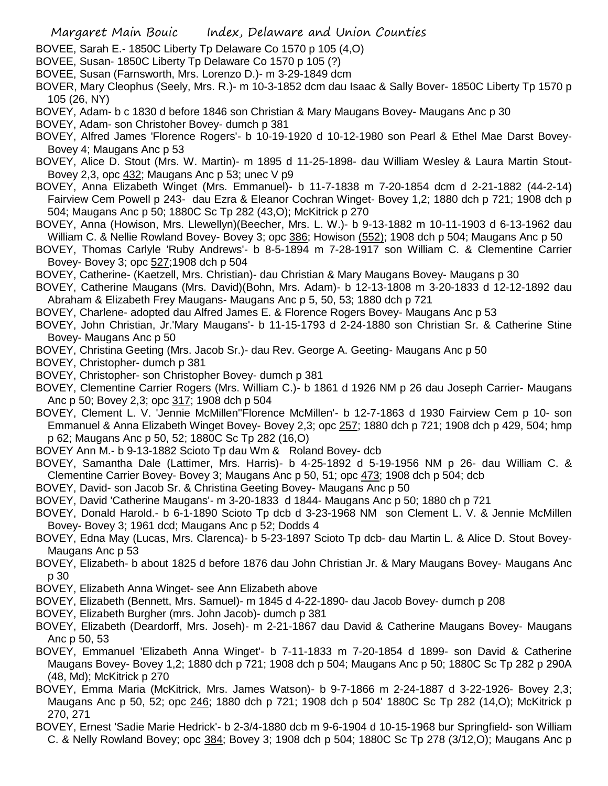- Margaret Main Bouic Index, Delaware and Union Counties
- BOVEE, Sarah E.- 1850C Liberty Tp Delaware Co 1570 p 105 (4,O)
- BOVEE, Susan- 1850C Liberty Tp Delaware Co 1570 p 105 (?)
- BOVEE, Susan (Farnsworth, Mrs. Lorenzo D.)- m 3-29-1849 dcm
- BOVER, Mary Cleophus (Seely, Mrs. R.)- m 10-3-1852 dcm dau Isaac & Sally Bover- 1850C Liberty Tp 1570 p 105 (26, NY)
- BOVEY, Adam- b c 1830 d before 1846 son Christian & Mary Maugans Bovey- Maugans Anc p 30
- BOVEY, Adam- son Christoher Bovey- dumch p 381
- BOVEY, Alfred James 'Florence Rogers'- b 10-19-1920 d 10-12-1980 son Pearl & Ethel Mae Darst Bovey-Bovey 4; Maugans Anc p 53
- BOVEY, Alice D. Stout (Mrs. W. Martin)- m 1895 d 11-25-1898- dau William Wesley & Laura Martin Stout-Bovey 2,3, opc 432; Maugans Anc p 53; unec V p9
- BOVEY, Anna Elizabeth Winget (Mrs. Emmanuel)- b 11-7-1838 m 7-20-1854 dcm d 2-21-1882 (44-2-14) Fairview Cem Powell p 243- dau Ezra & Eleanor Cochran Winget- Bovey 1,2; 1880 dch p 721; 1908 dch p 504; Maugans Anc p 50; 1880C Sc Tp 282 (43,O); McKitrick p 270
- BOVEY, Anna (Howison, Mrs. Llewellyn)(Beecher, Mrs. L. W.)- b 9-13-1882 m 10-11-1903 d 6-13-1962 dau William C. & Nellie Rowland Bovey- Bovey 3; opc 386; Howison (552); 1908 dch p 504; Maugans Anc p 50
- BOVEY, Thomas Carlyle 'Ruby Andrews'- b 8-5-1894 m 7-28-1917 son William C. & Clementine Carrier Bovey- Bovey 3; opc 527;1908 dch p 504
- BOVEY, Catherine- (Kaetzell, Mrs. Christian)- dau Christian & Mary Maugans Bovey- Maugans p 30
- BOVEY, Catherine Maugans (Mrs. David)(Bohn, Mrs. Adam)- b 12-13-1808 m 3-20-1833 d 12-12-1892 dau Abraham & Elizabeth Frey Maugans- Maugans Anc p 5, 50, 53; 1880 dch p 721
- BOVEY, Charlene- adopted dau Alfred James E. & Florence Rogers Bovey- Maugans Anc p 53
- BOVEY, John Christian, Jr.'Mary Maugans'- b 11-15-1793 d 2-24-1880 son Christian Sr. & Catherine Stine Bovey- Maugans Anc p 50
- BOVEY, Christina Geeting (Mrs. Jacob Sr.)- dau Rev. George A. Geeting- Maugans Anc p 50
- BOVEY, Christopher- dumch p 381
- BOVEY, Christopher- son Christopher Bovey- dumch p 381
- BOVEY, Clementine Carrier Rogers (Mrs. William C.)- b 1861 d 1926 NM p 26 dau Joseph Carrier- Maugans Anc p 50; Bovey 2,3; opc 317; 1908 dch p 504
- BOVEY, Clement L. V. 'Jennie McMillen''Florence McMillen'- b 12-7-1863 d 1930 Fairview Cem p 10- son Emmanuel & Anna Elizabeth Winget Bovey- Bovey 2,3; opc 257; 1880 dch p 721; 1908 dch p 429, 504; hmp p 62; Maugans Anc p 50, 52; 1880C Sc Tp 282 (16,O)
- BOVEY Ann M.- b 9-13-1882 Scioto Tp dau Wm & Roland Bovey- dcb
- BOVEY, Samantha Dale (Lattimer, Mrs. Harris)- b 4-25-1892 d 5-19-1956 NM p 26- dau William C. & Clementine Carrier Bovey- Bovey 3; Maugans Anc p 50, 51; opc 473; 1908 dch p 504; dcb
- BOVEY, David- son Jacob Sr. & Christina Geeting Bovey- Maugans Anc p 50
- BOVEY, David 'Catherine Maugans'- m 3-20-1833 d 1844- Maugans Anc p 50; 1880 ch p 721
- BOVEY, Donald Harold.- b 6-1-1890 Scioto Tp dcb d 3-23-1968 NM son Clement L. V. & Jennie McMillen Bovey- Bovey 3; 1961 dcd; Maugans Anc p 52; Dodds 4
- BOVEY, Edna May (Lucas, Mrs. Clarenca)- b 5-23-1897 Scioto Tp dcb- dau Martin L. & Alice D. Stout Bovey-Maugans Anc p 53
- BOVEY, Elizabeth- b about 1825 d before 1876 dau John Christian Jr. & Mary Maugans Bovey- Maugans Anc p 30
- BOVEY, Elizabeth Anna Winget- see Ann Elizabeth above
- BOVEY, Elizabeth (Bennett, Mrs. Samuel)- m 1845 d 4-22-1890- dau Jacob Bovey- dumch p 208
- BOVEY, Elizabeth Burgher (mrs. John Jacob)- dumch p 381
- BOVEY, Elizabeth (Deardorff, Mrs. Joseh)- m 2-21-1867 dau David & Catherine Maugans Bovey- Maugans Anc p 50, 53
- BOVEY, Emmanuel 'Elizabeth Anna Winget'- b 7-11-1833 m 7-20-1854 d 1899- son David & Catherine Maugans Bovey- Bovey 1,2; 1880 dch p 721; 1908 dch p 504; Maugans Anc p 50; 1880C Sc Tp 282 p 290A (48, Md); McKitrick p 270
- BOVEY, Emma Maria (McKitrick, Mrs. James Watson)- b 9-7-1866 m 2-24-1887 d 3-22-1926- Bovey 2,3; Maugans Anc p 50, 52; opc 246; 1880 dch p 721; 1908 dch p 504' 1880C Sc Tp 282 (14, O); McKitrick p 270, 271
- BOVEY, Ernest 'Sadie Marie Hedrick'- b 2-3/4-1880 dcb m 9-6-1904 d 10-15-1968 bur Springfield- son William C. & Nelly Rowland Bovey; opc 384; Bovey 3; 1908 dch p 504; 1880C Sc Tp 278 (3/12,O); Maugans Anc p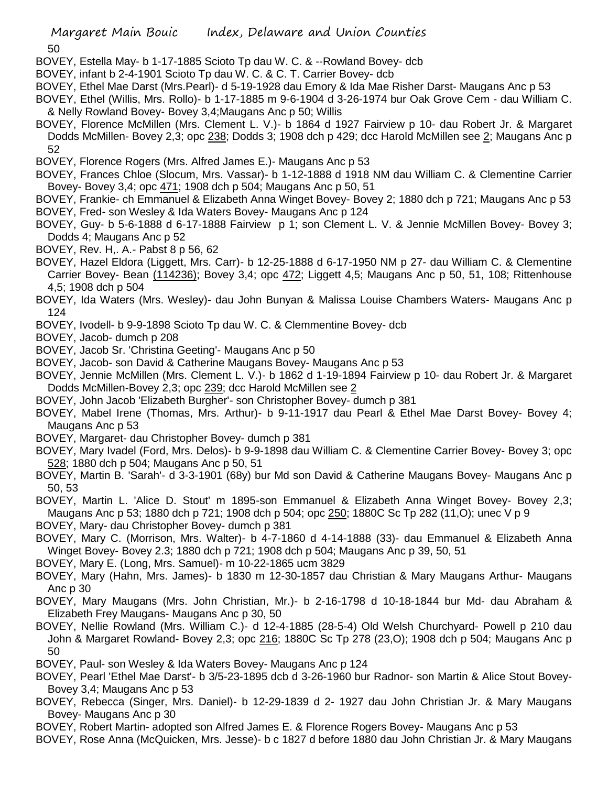50

- BOVEY, Estella May- b 1-17-1885 Scioto Tp dau W. C. & --Rowland Bovey- dcb
- BOVEY, infant b 2-4-1901 Scioto Tp dau W. C. & C. T. Carrier Bovey- dcb
- BOVEY, Ethel Mae Darst (Mrs.Pearl)- d 5-19-1928 dau Emory & Ida Mae Risher Darst- Maugans Anc p 53
- BOVEY, Ethel (Willis, Mrs. Rollo)- b 1-17-1885 m 9-6-1904 d 3-26-1974 bur Oak Grove Cem dau William C. & Nelly Rowland Bovey- Bovey 3,4;Maugans Anc p 50; Willis
- BOVEY, Florence McMillen (Mrs. Clement L. V.)- b 1864 d 1927 Fairview p 10- dau Robert Jr. & Margaret Dodds McMillen- Bovey 2,3; opc 238; Dodds 3; 1908 dch p 429; dcc Harold McMillen see 2; Maugans Anc p 52
- BOVEY, Florence Rogers (Mrs. Alfred James E.)- Maugans Anc p 53
- BOVEY, Frances Chloe (Slocum, Mrs. Vassar)- b 1-12-1888 d 1918 NM dau William C. & Clementine Carrier Bovey- Bovey 3,4; opc 471; 1908 dch p 504; Maugans Anc p 50, 51
- BOVEY, Frankie- ch Emmanuel & Elizabeth Anna Winget Bovey- Bovey 2; 1880 dch p 721; Maugans Anc p 53 BOVEY, Fred- son Wesley & Ida Waters Bovey- Maugans Anc p 124
- BOVEY, Guy- b 5-6-1888 d 6-17-1888 Fairview p 1; son Clement L. V. & Jennie McMillen Bovey- Bovey 3; Dodds 4; Maugans Anc p 52
- BOVEY, Rev. H,. A.- Pabst 8 p 56, 62
- BOVEY, Hazel Eldora (Liggett, Mrs. Carr)- b 12-25-1888 d 6-17-1950 NM p 27- dau William C. & Clementine Carrier Bovey- Bean (114236); Bovey 3,4; opc 472; Liggett 4,5; Maugans Anc p 50, 51, 108; Rittenhouse 4,5; 1908 dch p 504
- BOVEY, Ida Waters (Mrs. Wesley)- dau John Bunyan & Malissa Louise Chambers Waters- Maugans Anc p 124
- BOVEY, Ivodell- b 9-9-1898 Scioto Tp dau W. C. & Clemmentine Bovey- dcb
- BOVEY, Jacob- dumch p 208
- BOVEY, Jacob Sr. 'Christina Geeting'- Maugans Anc p 50
- BOVEY, Jacob- son David & Catherine Maugans Bovey- Maugans Anc p 53
- BOVEY, Jennie McMillen (Mrs. Clement L. V.)- b 1862 d 1-19-1894 Fairview p 10- dau Robert Jr. & Margaret Dodds McMillen-Bovey 2,3; opc 239; dcc Harold McMillen see 2
- BOVEY, John Jacob 'Elizabeth Burgher'- son Christopher Bovey- dumch p 381
- BOVEY, Mabel Irene (Thomas, Mrs. Arthur)- b 9-11-1917 dau Pearl & Ethel Mae Darst Bovey- Bovey 4; Maugans Anc p 53
- BOVEY, Margaret- dau Christopher Bovey- dumch p 381
- BOVEY, Mary Ivadel (Ford, Mrs. Delos)- b 9-9-1898 dau William C. & Clementine Carrier Bovey- Bovey 3; opc 528; 1880 dch p 504; Maugans Anc p 50, 51
- BOVEY, Martin B. 'Sarah'- d 3-3-1901 (68y) bur Md son David & Catherine Maugans Bovey- Maugans Anc p 50, 53
- BOVEY, Martin L. 'Alice D. Stout' m 1895-son Emmanuel & Elizabeth Anna Winget Bovey- Bovey 2,3; Maugans Anc p 53; 1880 dch p 721; 1908 dch p 504; opc 250; 1880C Sc Tp 282 (11,O); unec V p 9
- BOVEY, Mary- dau Christopher Bovey- dumch p 381
- BOVEY, Mary C. (Morrison, Mrs. Walter)- b 4-7-1860 d 4-14-1888 (33)- dau Emmanuel & Elizabeth Anna Winget Bovey- Bovey 2.3; 1880 dch p 721; 1908 dch p 504; Maugans Anc p 39, 50, 51
- BOVEY, Mary E. (Long, Mrs. Samuel)- m 10-22-1865 ucm 3829
- BOVEY, Mary (Hahn, Mrs. James)- b 1830 m 12-30-1857 dau Christian & Mary Maugans Arthur- Maugans Anc p 30
- BOVEY, Mary Maugans (Mrs. John Christian, Mr.)- b 2-16-1798 d 10-18-1844 bur Md- dau Abraham & Elizabeth Frey Maugans- Maugans Anc p 30, 50
- BOVEY, Nellie Rowland (Mrs. William C.)- d 12-4-1885 (28-5-4) Old Welsh Churchyard- Powell p 210 dau John & Margaret Rowland- Bovey 2,3; opc 216; 1880C Sc Tp 278 (23,O); 1908 dch p 504; Maugans Anc p 50
- BOVEY, Paul- son Wesley & Ida Waters Bovey- Maugans Anc p 124
- BOVEY, Pearl 'Ethel Mae Darst'- b 3/5-23-1895 dcb d 3-26-1960 bur Radnor- son Martin & Alice Stout Bovey-Bovey 3,4; Maugans Anc p 53
- BOVEY, Rebecca (Singer, Mrs. Daniel)- b 12-29-1839 d 2- 1927 dau John Christian Jr. & Mary Maugans Bovey- Maugans Anc p 30
- BOVEY, Robert Martin- adopted son Alfred James E. & Florence Rogers Bovey- Maugans Anc p 53
- BOVEY, Rose Anna (McQuicken, Mrs. Jesse)- b c 1827 d before 1880 dau John Christian Jr. & Mary Maugans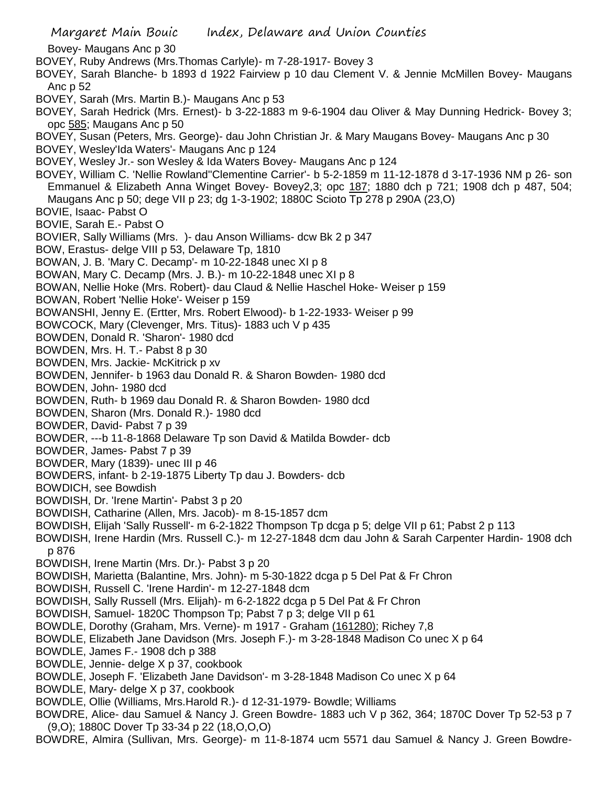Margaret Main Bouic Index, Delaware and Union Counties Bovey- Maugans Anc p 30 BOVEY, Ruby Andrews (Mrs.Thomas Carlyle)- m 7-28-1917- Bovey 3 BOVEY, Sarah Blanche- b 1893 d 1922 Fairview p 10 dau Clement V. & Jennie McMillen Bovey- Maugans Anc p 52 BOVEY, Sarah (Mrs. Martin B.)- Maugans Anc p 53 BOVEY, Sarah Hedrick (Mrs. Ernest)- b 3-22-1883 m 9-6-1904 dau Oliver & May Dunning Hedrick- Bovey 3; opc 585; Maugans Anc p 50 BOVEY, Susan (Peters, Mrs. George)- dau John Christian Jr. & Mary Maugans Bovey- Maugans Anc p 30 BOVEY, Wesley'Ida Waters'- Maugans Anc p 124 BOVEY, Wesley Jr.- son Wesley & Ida Waters Bovey- Maugans Anc p 124 BOVEY, William C. 'Nellie Rowland''Clementine Carrier'- b 5-2-1859 m 11-12-1878 d 3-17-1936 NM p 26- son Emmanuel & Elizabeth Anna Winget Bovey- Bovey2,3; opc 187; 1880 dch p 721; 1908 dch p 487, 504; Maugans Anc p 50; dege VII p 23; dg 1-3-1902; 1880C Scioto Tp 278 p 290A (23,O) BOVIE, Isaac- Pabst O BOVIE, Sarah E.- Pabst O BOVIER, Sally Williams (Mrs. )- dau Anson Williams- dcw Bk 2 p 347 BOW, Erastus- delge VIII p 53, Delaware Tp, 1810 BOWAN, J. B. 'Mary C. Decamp'- m 10-22-1848 unec XI p 8 BOWAN, Mary C. Decamp (Mrs. J. B.)- m 10-22-1848 unec XI p 8 BOWAN, Nellie Hoke (Mrs. Robert)- dau Claud & Nellie Haschel Hoke- Weiser p 159 BOWAN, Robert 'Nellie Hoke'- Weiser p 159 BOWANSHI, Jenny E. (Ertter, Mrs. Robert Elwood)- b 1-22-1933- Weiser p 99 BOWCOCK, Mary (Clevenger, Mrs. Titus)- 1883 uch V p 435 BOWDEN, Donald R. 'Sharon'- 1980 dcd BOWDEN, Mrs. H. T.- Pabst 8 p 30 BOWDEN, Mrs. Jackie- McKitrick p xv BOWDEN, Jennifer- b 1963 dau Donald R. & Sharon Bowden- 1980 dcd BOWDEN, John- 1980 dcd BOWDEN, Ruth- b 1969 dau Donald R. & Sharon Bowden- 1980 dcd BOWDEN, Sharon (Mrs. Donald R.)- 1980 dcd BOWDER, David- Pabst 7 p 39 BOWDER, ---b 11-8-1868 Delaware Tp son David & Matilda Bowder- dcb BOWDER, James- Pabst 7 p 39 BOWDER, Mary (1839)- unec III p 46 BOWDERS, infant- b 2-19-1875 Liberty Tp dau J. Bowders- dcb BOWDICH, see Bowdish BOWDISH, Dr. 'Irene Martin'- Pabst 3 p 20 BOWDISH, Catharine (Allen, Mrs. Jacob)- m 8-15-1857 dcm BOWDISH, Elijah 'Sally Russell'- m 6-2-1822 Thompson Tp dcga p 5; delge VII p 61; Pabst 2 p 113 BOWDISH, Irene Hardin (Mrs. Russell C.)- m 12-27-1848 dcm dau John & Sarah Carpenter Hardin- 1908 dch p 876 BOWDISH, Irene Martin (Mrs. Dr.)- Pabst 3 p 20 BOWDISH, Marietta (Balantine, Mrs. John)- m 5-30-1822 dcga p 5 Del Pat & Fr Chron BOWDISH, Russell C. 'Irene Hardin'- m 12-27-1848 dcm BOWDISH, Sally Russell (Mrs. Elijah)- m 6-2-1822 dcga p 5 Del Pat & Fr Chron BOWDISH, Samuel- 1820C Thompson Tp; Pabst 7 p 3; delge VII p 61 BOWDLE, Dorothy (Graham, Mrs. Verne)- m 1917 - Graham (161280); Richey 7,8 BOWDLE, Elizabeth Jane Davidson (Mrs. Joseph F.)- m 3-28-1848 Madison Co unec X p 64 BOWDLE, James F.- 1908 dch p 388 BOWDLE, Jennie- delge X p 37, cookbook BOWDLE, Joseph F. 'Elizabeth Jane Davidson'- m 3-28-1848 Madison Co unec X p 64 BOWDLE, Mary- delge X p 37, cookbook BOWDLE, Ollie (Williams, Mrs.Harold R.)- d 12-31-1979- Bowdle; Williams BOWDRE, Alice- dau Samuel & Nancy J. Green Bowdre- 1883 uch V p 362, 364; 1870C Dover Tp 52-53 p 7 (9,O); 1880C Dover Tp 33-34 p 22 (18,O,O,O)

BOWDRE, Almira (Sullivan, Mrs. George)- m 11-8-1874 ucm 5571 dau Samuel & Nancy J. Green Bowdre-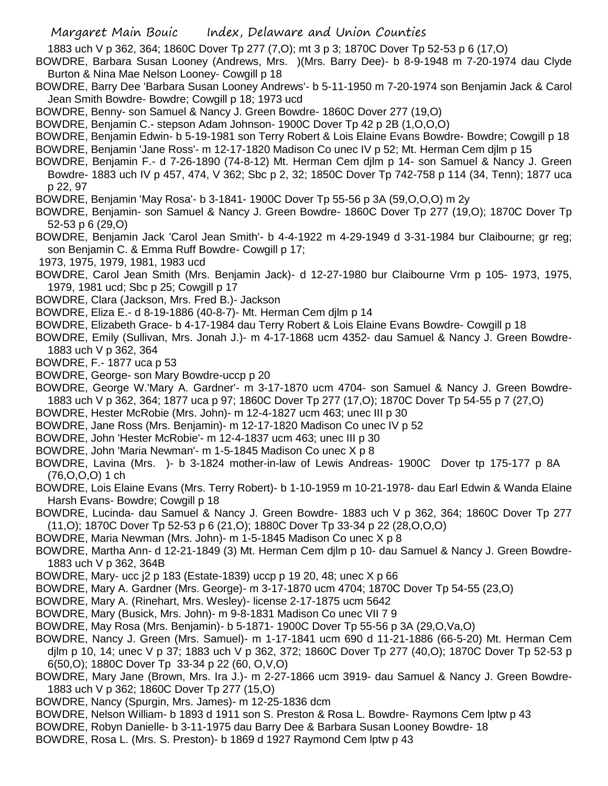1883 uch V p 362, 364; 1860C Dover Tp 277 (7,O); mt 3 p 3; 1870C Dover Tp 52-53 p 6 (17,O)

- BOWDRE, Barbara Susan Looney (Andrews, Mrs. )(Mrs. Barry Dee)- b 8-9-1948 m 7-20-1974 dau Clyde Burton & Nina Mae Nelson Looney- Cowgill p 18
- BOWDRE, Barry Dee 'Barbara Susan Looney Andrews'- b 5-11-1950 m 7-20-1974 son Benjamin Jack & Carol Jean Smith Bowdre- Bowdre; Cowgill p 18; 1973 ucd
- BOWDRE, Benny- son Samuel & Nancy J. Green Bowdre- 1860C Dover 277 (19,O)
- BOWDRE, Benjamin C.- stepson Adam Johnson- 1900C Dover Tp 42 p 2B (1,O,O,O)
- BOWDRE, Benjamin Edwin- b 5-19-1981 son Terry Robert & Lois Elaine Evans Bowdre- Bowdre; Cowgill p 18
- BOWDRE, Benjamin 'Jane Ross'- m 12-17-1820 Madison Co unec IV p 52; Mt. Herman Cem djlm p 15
- BOWDRE, Benjamin F.- d 7-26-1890 (74-8-12) Mt. Herman Cem djlm p 14- son Samuel & Nancy J. Green Bowdre- 1883 uch IV p 457, 474, V 362; Sbc p 2, 32; 1850C Dover Tp 742-758 p 114 (34, Tenn); 1877 uca p 22, 97
- BOWDRE, Benjamin 'May Rosa'- b 3-1841- 1900C Dover Tp 55-56 p 3A (59,O,O,O) m 2y
- BOWDRE, Benjamin- son Samuel & Nancy J. Green Bowdre- 1860C Dover Tp 277 (19,O); 1870C Dover Tp 52-53 p 6 (29,O)
- BOWDRE, Benjamin Jack 'Carol Jean Smith'- b 4-4-1922 m 4-29-1949 d 3-31-1984 bur Claibourne; gr reg; son Benjamin C. & Emma Ruff Bowdre- Cowgill p 17;
- 1973, 1975, 1979, 1981, 1983 ucd
- BOWDRE, Carol Jean Smith (Mrs. Benjamin Jack)- d 12-27-1980 bur Claibourne Vrm p 105- 1973, 1975, 1979, 1981 ucd; Sbc p 25; Cowgill p 17
- BOWDRE, Clara (Jackson, Mrs. Fred B.)- Jackson
- BOWDRE, Eliza E.- d 8-19-1886 (40-8-7)- Mt. Herman Cem djlm p 14
- BOWDRE, Elizabeth Grace- b 4-17-1984 dau Terry Robert & Lois Elaine Evans Bowdre- Cowgill p 18
- BOWDRE, Emily (Sullivan, Mrs. Jonah J.)- m 4-17-1868 ucm 4352- dau Samuel & Nancy J. Green Bowdre-1883 uch V p 362, 364
- BOWDRE, F.- 1877 uca p 53
- BOWDRE, George- son Mary Bowdre-uccp p 20
- BOWDRE, George W.'Mary A. Gardner'- m 3-17-1870 ucm 4704- son Samuel & Nancy J. Green Bowdre-1883 uch V p 362, 364; 1877 uca p 97; 1860C Dover Tp 277 (17,O); 1870C Dover Tp 54-55 p 7 (27,O)
- BOWDRE, Hester McRobie (Mrs. John)- m 12-4-1827 ucm 463; unec III p 30
- BOWDRE, Jane Ross (Mrs. Benjamin)- m 12-17-1820 Madison Co unec IV p 52
- BOWDRE, John 'Hester McRobie'- m 12-4-1837 ucm 463; unec III p 30
- BOWDRE, John 'Maria Newman'- m 1-5-1845 Madison Co unec X p 8
- BOWDRE, Lavina (Mrs. )- b 3-1824 mother-in-law of Lewis Andreas- 1900C Dover tp 175-177 p 8A (76,O,O,O) 1 ch
- BOWDRE, Lois Elaine Evans (Mrs. Terry Robert)- b 1-10-1959 m 10-21-1978- dau Earl Edwin & Wanda Elaine Harsh Evans- Bowdre; Cowgill p 18
- BOWDRE, Lucinda- dau Samuel & Nancy J. Green Bowdre- 1883 uch V p 362, 364; 1860C Dover Tp 277 (11,O); 1870C Dover Tp 52-53 p 6 (21,O); 1880C Dover Tp 33-34 p 22 (28,O,O,O)
- BOWDRE, Maria Newman (Mrs. John)- m 1-5-1845 Madison Co unec X p 8
- BOWDRE, Martha Ann- d 12-21-1849 (3) Mt. Herman Cem djlm p 10- dau Samuel & Nancy J. Green Bowdre-1883 uch V p 362, 364B
- BOWDRE, Mary- ucc j2 p 183 (Estate-1839) uccp p 19 20, 48; unec X p 66
- BOWDRE, Mary A. Gardner (Mrs. George)- m 3-17-1870 ucm 4704; 1870C Dover Tp 54-55 (23,O)
- BOWDRE, Mary A. (Rinehart, Mrs. Wesley)- license 2-17-1875 ucm 5642
- BOWDRE, Mary (Busick, Mrs. John)- m 9-8-1831 Madison Co unec VII 7 9
- BOWDRE, May Rosa (Mrs. Benjamin)- b 5-1871- 1900C Dover Tp 55-56 p 3A (29,O,Va,O)
- BOWDRE, Nancy J. Green (Mrs. Samuel)- m 1-17-1841 ucm 690 d 11-21-1886 (66-5-20) Mt. Herman Cem djlm p 10, 14; unec V p 37; 1883 uch V p 362, 372; 1860C Dover Tp 277 (40,O); 1870C Dover Tp 52-53 p 6(50,O); 1880C Dover Tp 33-34 p 22 (60, O,V,O)
- BOWDRE, Mary Jane (Brown, Mrs. Ira J.)- m 2-27-1866 ucm 3919- dau Samuel & Nancy J. Green Bowdre-1883 uch V p 362; 1860C Dover Tp 277 (15,O)
- BOWDRE, Nancy (Spurgin, Mrs. James)- m 12-25-1836 dcm
- BOWDRE, Nelson William- b 1893 d 1911 son S. Preston & Rosa L. Bowdre- Raymons Cem lptw p 43
- BOWDRE, Robyn Danielle- b 3-11-1975 dau Barry Dee & Barbara Susan Looney Bowdre- 18
- BOWDRE, Rosa L. (Mrs. S. Preston)- b 1869 d 1927 Raymond Cem lptw p 43